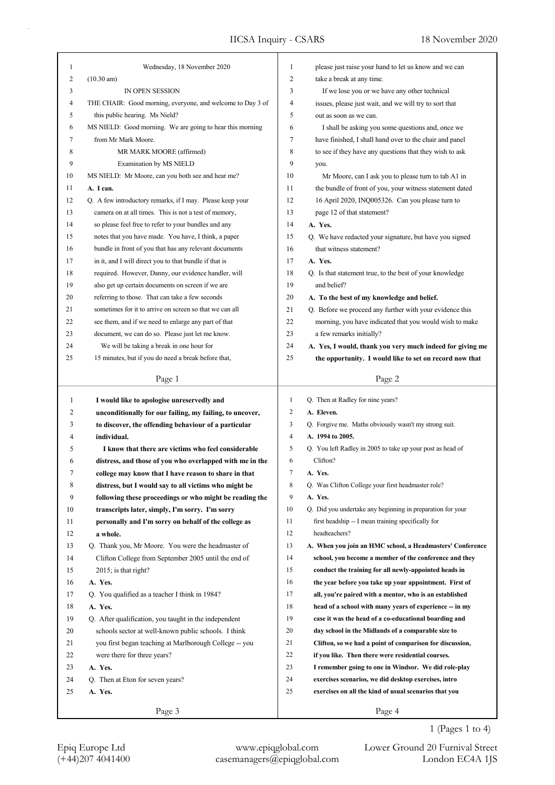| 1  | Wednesday, 18 November 2020                                | 1              | please just raise your hand to let us know and we can      |
|----|------------------------------------------------------------|----------------|------------------------------------------------------------|
| 2  | $(10.30 \text{ am})$                                       | 2              | take a break at any time.                                  |
| 3  | IN OPEN SESSION                                            | 3              | If we lose you or we have any other technical              |
| 4  | THE CHAIR: Good morning, everyone, and welcome to Day 3 of | 4              | issues, please just wait, and we will try to sort that     |
| 5  | this public hearing. Ms Nield?                             | 5              | out as soon as we can.                                     |
| 6  | MS NIELD: Good morning. We are going to hear this morning  | 6              | I shall be asking you some questions and, once we          |
| 7  | from Mr Mark Moore.                                        | 7              | have finished, I shall hand over to the chair and panel    |
| 8  | MR MARK MOORE (affirmed)                                   | 8              | to see if they have any questions that they wish to ask    |
| 9  | Examination by MS NIELD                                    | 9              | you.                                                       |
| 10 | MS NIELD: Mr Moore, can you both see and hear me?          | 10             | Mr Moore, can I ask you to please turn to tab A1 in        |
| 11 | A. I can.                                                  | 11             | the bundle of front of you, your witness statement dated   |
| 12 | Q. A few introductory remarks, if I may. Please keep your  | 12             | 16 April 2020, INQ005326. Can you please turn to           |
| 13 | camera on at all times. This is not a test of memory,      | 13             | page 12 of that statement?                                 |
| 14 | so please feel free to refer to your bundles and any       | 14             | A. Yes.                                                    |
| 15 | notes that you have made. You have, I think, a paper       | 15             | Q. We have redacted your signature, but have you signed    |
| 16 | bundle in front of you that has any relevant documents     | 16             | that witness statement?                                    |
| 17 | in it, and I will direct you to that bundle if that is     | 17             | A. Yes.                                                    |
| 18 | required. However, Danny, our evidence handler, will       | 18             | Q. Is that statement true, to the best of your knowledge   |
| 19 | also get up certain documents on screen if we are          | 19             | and belief?                                                |
| 20 | referring to those. That can take a few seconds            | 20             |                                                            |
|    |                                                            |                | A. To the best of my knowledge and belief.                 |
| 21 | sometimes for it to arrive on screen so that we can all    | 21             | Q. Before we proceed any further with your evidence this   |
| 22 | see them, and if we need to enlarge any part of that       | 22             | morning, you have indicated that you would wish to make    |
| 23 | document, we can do so. Please just let me know.           | 23             | a few remarks initially?                                   |
| 24 | We will be taking a break in one hour for                  | 24             | A. Yes, I would, thank you very much indeed for giving me  |
| 25 | 15 minutes, but if you do need a break before that,        | 25             | the opportunity. I would like to set on record now that    |
|    | Page 1                                                     |                | Page 2                                                     |
|    |                                                            |                |                                                            |
|    |                                                            |                |                                                            |
| 1  | I would like to apologise unreservedly and                 | $\mathbf{1}$   | Q. Then at Radley for nine years?                          |
| 2  | unconditionally for our failing, my failing, to uncover,   | 2              | A. Eleven.                                                 |
| 3  | to discover, the offending behaviour of a particular       | 3              | Q. Forgive me. Maths obviously wasn't my strong suit.      |
| 4  | individual.                                                | $\overline{4}$ | A. 1994 to 2005.                                           |
| 5  | I know that there are victims who feel considerable        | 5              | Q. You left Radley in 2005 to take up your post as head of |
| 6  | distress, and those of you who overlapped with me in the   | 6              | Clifton?                                                   |
| 7  | college may know that I have reason to share in that       | 7              | A. Yes.                                                    |
| 8  | distress, but I would say to all victims who might be      | 8              | Q. Was Clifton College your first headmaster role?         |
| 9  | following these proceedings or who might be reading the    | 9              | A. Yes.                                                    |
| 10 | transcripts later, simply, I'm sorry. I'm sorry            | 10             | Q. Did you undertake any beginning in preparation for your |
| 11 | personally and I'm sorry on behalf of the college as       | 11             | first headship -- I mean training specifically for         |
| 12 | a whole.                                                   | 12             | headteachers?                                              |
| 13 | Q. Thank you, Mr Moore. You were the headmaster of         | 13             | A. When you join an HMC school, a Headmasters' Conference  |
| 14 | Clifton College from September 2005 until the end of       | 14             | school, you become a member of the conference and they     |
| 15 | $2015$ ; is that right?                                    | 15             | conduct the training for all newly-appointed heads in      |
| 16 | A. Yes.                                                    | 16             | the year before you take up your appointment. First of     |
| 17 | Q. You qualified as a teacher I think in 1984?             | 17             | all, you're paired with a mentor, who is an established    |
| 18 | A. Yes.                                                    | 18             | head of a school with many years of experience -- in my    |
| 19 | Q. After qualification, you taught in the independent      | 19             | case it was the head of a co-educational boarding and      |
| 20 | schools sector at well-known public schools. I think       | 20             | day school in the Midlands of a comparable size to         |
| 21 | you first began teaching at Marlborough College -- you     | 21             | Clifton, so we had a point of comparison for discussion,   |
| 22 | were there for three years?                                | 22             | if you like. Then there were residential courses.          |
| 23 | A. Yes.                                                    | 23             | I remember going to one in Windsor. We did role-play       |
| 24 | Q. Then at Eton for seven years?                           | 24             | exercises scenarios, we did desktop exercises, intro       |
| 25 | A. Yes.                                                    | 25             | exercises on all the kind of usual scenarios that you      |
|    | Page 3                                                     |                | Page 4                                                     |

Epiq Europe Ltd www.epiqglobal.com Lower Ground 20 Furnival Street<br>
(+44)207 4041400 casemanagers@epiqglobal.com London EC4A 1JS

Lower Ground 20 Furnival Street

1 (Pages 1 to 4)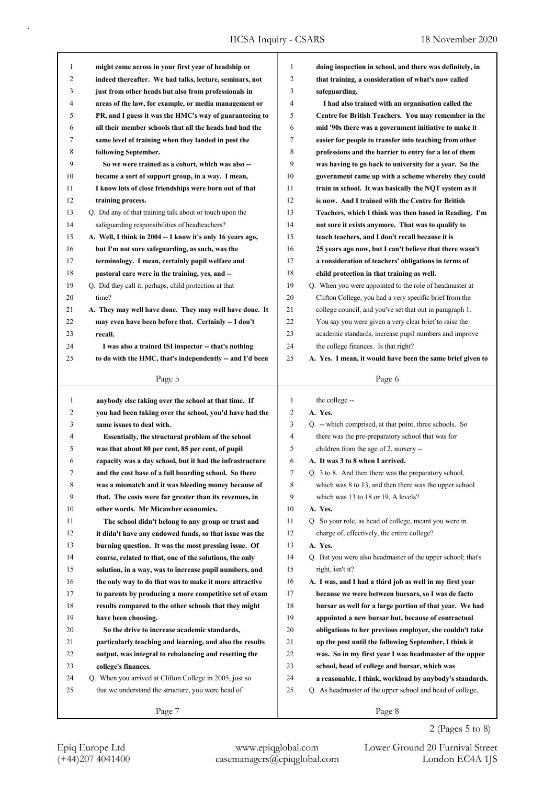| 1            | might come across in your first year of headship or        | 1            | doing inspection in school, and there was definitely, in    |
|--------------|------------------------------------------------------------|--------------|-------------------------------------------------------------|
| 2            | indeed thereafter. We had talks, lecture, seminars, not    | 2            | that training, a consideration of what's now called         |
| 3            | just from other heads but also from professionals in       | 3            | safeguarding.                                               |
| 4            | areas of the law, for example, or media management or      | 4            | I had also trained with an organisation called the          |
| 5            | PR, and I guess it was the HMC's way of guaranteeing to    | 5            | Centre for British Teachers. You may remember in the        |
| 6            | all their member schools that all the heads had had the    | 6            | mid '90s there was a government initiative to make it       |
| 7            | same level of training when they landed in post the        | 7            | easier for people to transfer into teaching from other      |
| 8            | following September.                                       | 8            | professions and the barrier to entry for a lot of them      |
| 9            | So we were trained as a cohort, which was also --          | 9            | was having to go back to university for a year. So the      |
| 10           | became a sort of support group, in a way. I mean,          | 10           | government came up with a scheme whereby they could         |
| 11           | I know lots of close friendships were born out of that     | 11           | train in school. It was basically the NQT system as it      |
| 12           | training process.                                          | 12           | is now. And I trained with the Centre for British           |
| 13           | Q. Did any of that training talk about or touch upon the   | 13           | Teachers, which I think was then based in Reading. I'm      |
| 14           | safeguarding responsibilities of headteachers?             | 14           | not sure it exists anymore. That was to qualify to          |
| 15           | A. Well, I think in 2004 -- I know it's only 16 years ago, | 15           | teach teachers, and I don't recall because it is            |
| 16           | but I'm not sure safeguarding, as such, was the            | 16           | 25 years ago now, but I can't believe that there wasn't     |
| 17           | terminology. I mean, certainly pupil welfare and           | 17           | a consideration of teachers' obligations in terms of        |
| 18           | pastoral care were in the training, yes, and --            | 18           | child protection in that training as well.                  |
| 19           | Q. Did they call it, perhaps, child protection at that     | 19           | Q. When you were appointed to the role of headmaster at     |
| 20           | time?                                                      | 20           | Clifton College, you had a very specific brief from the     |
| 21           | A. They may well have done. They may well have done. It    | 21           | college council, and you've set that out in paragraph 1.    |
| 22           | may even have been before that. Certainly -- I don't       | 22           | You say you were given a very clear brief to raise the      |
| 23           | recall.                                                    | 23           | academic standards, increase pupil numbers and improve      |
| 24           | I was also a trained ISI inspector -- that's nothing       | 24           | the college finances. Is that right?                        |
| 25           | to do with the HMC, that's independently -- and I'd been   | 25           | A. Yes. I mean, it would have been the same brief given to  |
|              |                                                            |              |                                                             |
|              | Page 5                                                     |              | Page 6                                                      |
|              |                                                            |              |                                                             |
|              |                                                            |              |                                                             |
| $\mathbf{1}$ | anybody else taking over the school at that time. If       | $\mathbf{1}$ | the college --                                              |
| 2            | you had been taking over the school, you'd have had the    | 2            | A. Yes.                                                     |
| 3            | same issues to deal with.                                  | 3            | Q. -- which comprised, at that point, three schools. So     |
| 4            | Essentially, the structural problem of the school          | 4            | there was the pre-preparatory school that was for           |
| 5            | was that about 80 per cent, 85 per cent, of pupil          | 5            | children from the age of 2, nursery --                      |
| 6            | capacity was a day school, but it had the infrastructure   | 6            | A. It was 3 to 8 when I arrived.                            |
|              | and the cost base of a full boarding school. So there      | 7            | Q. 3 to 8. And then there was the preparatory school,       |
| 8            | was a mismatch and it was bleeding money because of        | 8            | which was 8 to 13, and then there was the upper school      |
| 9            | that. The costs were far greater than its revenues, in     | 9            | which was 13 to 18 or 19, A levels?                         |
| 10           | other words. Mr Micawber economics.                        | 10           | A. Yes.                                                     |
| 11           | The school didn't belong to any group or trust and         | 11           | Q. So your role, as head of college, meant you were in      |
| 12           | it didn't have any endowed funds, so that issue was the    | 12           | charge of, effectively, the entire college?                 |
| 13           | burning question. It was the most pressing issue. Of       | 13           | A. Yes.                                                     |
| 14           | course, related to that, one of the solutions, the only    | 14           | Q. But you were also headmaster of the upper school; that's |
| 15           | solution, in a way, was to increase pupil numbers, and     | 15           | right, isn't it?                                            |
| 16           | the only way to do that was to make it more attractive     | 16           | A. I was, and I had a third job as well in my first year    |
| 17           | to parents by producing a more competitive set of exam     | 17           | because we were between bursars, so I was de facto          |
| 18           | results compared to the other schools that they might      | 18           | bursar as well for a large portion of that year. We had     |
| 19           | have been choosing.                                        | 19           | appointed a new bursar but, because of contractual          |
| 20           | So the drive to increase academic standards,               | 20           | obligations to her previous employer, she couldn't take     |
| 21           | particularly teaching and learning, and also the results   | 21           | up the post until the following September, I think it       |
| 22           | output, was integral to rebalancing and resetting the      | 22           | was. So in my first year I was headmaster of the upper      |
| 23           | college's finances.                                        | 23           | school, head of college and bursar, which was               |
| 24           | Q. When you arrived at Clifton College in 2005, just so    | 24           | a reasonable, I think, workload by anybody's standards.     |
| 25           | that we understand the structure, you were head of         | 25           | Q. As headmaster of the upper school and head of college,   |
|              | Page 7                                                     |              | Page 8                                                      |

2 (Pages 5 to 8)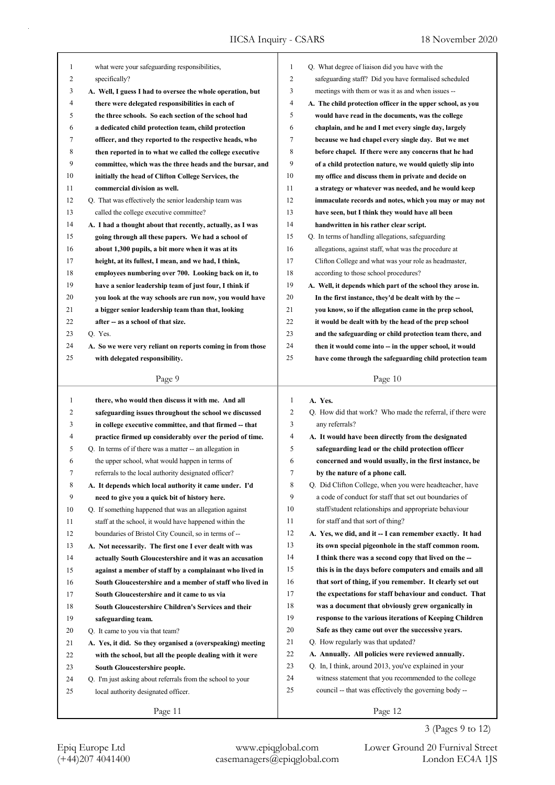| 1              | what were your safeguarding responsibilities,              | 1              | Q. What degree of liaison did you have with the                                                                      |
|----------------|------------------------------------------------------------|----------------|----------------------------------------------------------------------------------------------------------------------|
| $\overline{c}$ | specifically?                                              | $\overline{2}$ | safeguarding staff? Did you have formalised scheduled                                                                |
| 3              | A. Well, I guess I had to oversee the whole operation, but | 3              | meetings with them or was it as and when issues --                                                                   |
| 4              | there were delegated responsibilities in each of           | 4              | A. The child protection officer in the upper school, as you                                                          |
| 5              | the three schools. So each section of the school had       | 5              | would have read in the documents, was the college                                                                    |
| 6              | a dedicated child protection team, child protection        | 6              | chaplain, and he and I met every single day, largely                                                                 |
| 7              | officer, and they reported to the respective heads, who    | $\tau$         | because we had chapel every single day. But we met                                                                   |
| 8              | then reported in to what we called the college executive   | 8              | before chapel. If there were any concerns that he had                                                                |
| 9              | committee, which was the three heads and the bursar, and   | 9              | of a child protection nature, we would quietly slip into                                                             |
| 10             | initially the head of Clifton College Services, the        | 10             | my office and discuss them in private and decide on                                                                  |
| 11             | commercial division as well.                               | 11             | a strategy or whatever was needed, and he would keep                                                                 |
| 12             | Q. That was effectively the senior leadership team was     | 12             | immaculate records and notes, which you may or may not                                                               |
| 13             | called the college executive committee?                    | 13             | have seen, but I think they would have all been                                                                      |
| 14             | A. I had a thought about that recently, actually, as I was | 14             | handwritten in his rather clear script.                                                                              |
| 15             | going through all these papers. We had a school of         | 15             | Q. In terms of handling allegations, safeguarding                                                                    |
| 16             | about 1,300 pupils, a bit more when it was at its          | 16             | allegations, against staff, what was the procedure at                                                                |
| 17             | height, at its fullest, I mean, and we had, I think,       | 17             | Clifton College and what was your role as headmaster,                                                                |
| 18             | employees numbering over 700. Looking back on it, to       | 18             | according to those school procedures?                                                                                |
| 19             | have a senior leadership team of just four, I think if     | 19             | A. Well, it depends which part of the school they arose in.                                                          |
| 20             | you look at the way schools are run now, you would have    | 20             | In the first instance, they'd be dealt with by the --                                                                |
| 21             | a bigger senior leadership team than that, looking         | 21             | you know, so if the allegation came in the prep school,                                                              |
| 22             | after -- as a school of that size.                         | 22             | it would be dealt with by the head of the prep school                                                                |
| 23             | Q. Yes.                                                    | 23             |                                                                                                                      |
| 24             | A. So we were very reliant on reports coming in from those | 24             | and the safeguarding or child protection team there, and<br>then it would come into -- in the upper school, it would |
| 25             | with delegated responsibility.                             | 25             | have come through the safeguarding child protection team                                                             |
|                |                                                            |                |                                                                                                                      |
|                | Page 9                                                     |                | Page 10                                                                                                              |
|                |                                                            |                |                                                                                                                      |
| 1              | there, who would then discuss it with me. And all          | 1              | A. Yes.                                                                                                              |
| 2              | safeguarding issues throughout the school we discussed     | 2              | Q. How did that work? Who made the referral, if there were                                                           |
| 3              | in college executive committee, and that firmed -- that    | 3              | any referrals?                                                                                                       |
| 4              | practice firmed up considerably over the period of time.   | 4              | A. It would have been directly from the designated                                                                   |
| 5              | Q. In terms of if there was a matter -- an allegation in   | 5              | safeguarding lead or the child protection officer                                                                    |
| 6              | the upper school, what would happen in terms of            | 6              | concerned and would usually, in the first instance, be                                                               |
| 7              | referrals to the local authority designated officer?       | Ί              | by the nature of a phone call.                                                                                       |
| 8              | A. It depends which local authority it came under. I'd     | 8              | Q. Did Clifton College, when you were headteacher, have                                                              |
| 9              | need to give you a quick bit of history here.              | 9              | a code of conduct for staff that set out boundaries of                                                               |
| 10             | Q. If something happened that was an allegation against    | 10             | staff/student relationships and appropriate behaviour                                                                |
| 11             | staff at the school, it would have happened within the     | 11             | for staff and that sort of thing?                                                                                    |
| 12             | boundaries of Bristol City Council, so in terms of --      | 12             | A. Yes, we did, and it -- I can remember exactly. It had                                                             |
| 13             | A. Not necessarily. The first one I ever dealt with was    | 13             | its own special pigeonhole in the staff common room.                                                                 |
| 14             | actually South Gloucestershire and it was an accusation    | 14             | I think there was a second copy that lived on the --                                                                 |
| 15             | against a member of staff by a complainant who lived in    | 15             | this is in the days before computers and emails and all                                                              |
| 16             | South Gloucestershire and a member of staff who lived in   | 16             | that sort of thing, if you remember. It clearly set out                                                              |
| 17             | South Gloucestershire and it came to us via                | 17             | the expectations for staff behaviour and conduct. That                                                               |
| 18             | South Gloucestershire Children's Services and their        | 18             | was a document that obviously grew organically in                                                                    |
| 19             | safeguarding team.                                         | 19             | response to the various iterations of Keeping Children                                                               |
| 20             | Q. It came to you via that team?                           | 20             | Safe as they came out over the successive years.                                                                     |
| 21             | A. Yes, it did. So they organised a (overspeaking) meeting | 21             | Q. How regularly was that updated?                                                                                   |
| 22             | with the school, but all the people dealing with it were   | 22             | A. Annually. All policies were reviewed annually.                                                                    |
| 23             | South Gloucestershire people.                              | 23             | Q. In, I think, around 2013, you've explained in your                                                                |
| 24             | Q. I'm just asking about referrals from the school to your | 24             | witness statement that you recommended to the college                                                                |
| 25             | local authority designated officer.                        | 25             | council -- that was effectively the governing body --                                                                |

3 (Pages 9 to 12)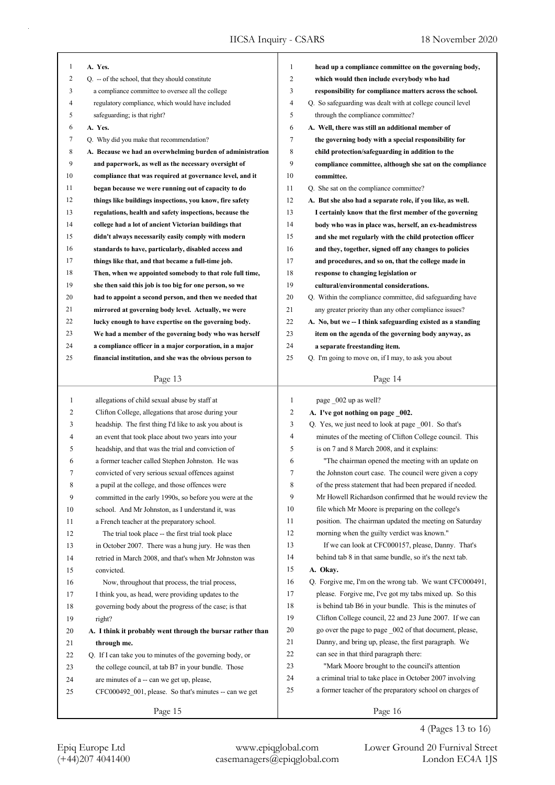| 1            | A. Yes.                                                    | $\mathbf{1}$   | head up a compliance committee on the governing body,       |
|--------------|------------------------------------------------------------|----------------|-------------------------------------------------------------|
| 2            | Q. -- of the school, that they should constitute           | 2              | which would then include everybody who had                  |
| 3            | a compliance committee to oversee all the college          | 3              | responsibility for compliance matters across the school.    |
| 4            | regulatory compliance, which would have included           | 4              | Q. So safeguarding was dealt with at college council level  |
| 5            | safeguarding; is that right?                               | 5              | through the compliance committee?                           |
| 6            | A. Yes.                                                    | 6              | A. Well, there was still an additional member of            |
| 7            | Q. Why did you make that recommendation?                   | $\tau$         | the governing body with a special responsibility for        |
| 8            | A. Because we had an overwhelming burden of administration | 8              | child protection/safeguarding in addition to the            |
| 9            | and paperwork, as well as the necessary oversight of       | 9              | compliance committee, although she sat on the compliance    |
| 10           | compliance that was required at governance level, and it   | 10             | committee.                                                  |
| 11           | began because we were running out of capacity to do        | 11             | Q. She sat on the compliance committee?                     |
| 12           | things like buildings inspections, you know, fire safety   | 12             | A. But she also had a separate role, if you like, as well.  |
| 13           | regulations, health and safety inspections, because the    | 13             | I certainly know that the first member of the governing     |
| 14           | college had a lot of ancient Victorian buildings that      | 14             | body who was in place was, herself, an ex-headmistress      |
| 15           | didn't always necessarily easily comply with modern        | 15             | and she met regularly with the child protection officer     |
| 16           | standards to have, particularly, disabled access and       | 16             | and they, together, signed off any changes to policies      |
| 17           | things like that, and that became a full-time job.         | 17             | and procedures, and so on, that the college made in         |
| 18           | Then, when we appointed somebody to that role full time,   | 18             | response to changing legislation or                         |
| 19           | she then said this job is too big for one person, so we    | 19             | cultural/environmental considerations.                      |
| 20           | had to appoint a second person, and then we needed that    | 20             | Q. Within the compliance committee, did safeguarding have   |
| 21           | mirrored at governing body level. Actually, we were        | 21             | any greater priority than any other compliance issues?      |
| 22           | lucky enough to have expertise on the governing body.      | 22             | A. No, but we -- I think safeguarding existed as a standing |
| 23           | We had a member of the governing body who was herself      | 23             | item on the agenda of the governing body anyway, as         |
| 24           | a compliance officer in a major corporation, in a major    | 24             | a separate freestanding item.                               |
| 25           | financial institution, and she was the obvious person to   | 25             | Q. I'm going to move on, if I may, to ask you about         |
|              |                                                            |                |                                                             |
|              | Page 13                                                    |                | Page 14                                                     |
|              |                                                            |                |                                                             |
|              |                                                            |                |                                                             |
| $\mathbf{1}$ | allegations of child sexual abuse by staff at              | $\mathbf{1}$   | page _002 up as well?                                       |
| 2            | Clifton College, allegations that arose during your        | $\overline{c}$ | A. I've got nothing on page _002.                           |
| 3            | headship. The first thing I'd like to ask you about is     | 3              | Q. Yes, we just need to look at page _001. So that's        |
| 4            | an event that took place about two years into your         | 4              | minutes of the meeting of Clifton College council. This     |
| 5            | headship, and that was the trial and conviction of         | 5              | is on 7 and 8 March 2008, and it explains:                  |
| 6            | a former teacher called Stephen Johnston. He was           | 6              | "The chairman opened the meeting with an update on          |
| 7            | convicted of very serious sexual offences against          | 7              | the Johnston court case. The council were given a copy      |
| 8            | a pupil at the college, and those offences were            | 8              | of the press statement that had been prepared if needed.    |
| 9            | committed in the early 1990s, so before you were at the    | 9              | Mr Howell Richardson confirmed that he would review the     |
| 10           | school. And Mr Johnston, as I understand it, was           | 10             | file which Mr Moore is preparing on the college's           |
| 11           | a French teacher at the preparatory school.                | 11             | position. The chairman updated the meeting on Saturday      |
| 12           | The trial took place -- the first trial took place         | 12             | morning when the guilty verdict was known."                 |
| 13           | in October 2007. There was a hung jury. He was then        | 13             | If we can look at CFC000157, please, Danny. That's          |
| 14           | retried in March 2008, and that's when Mr Johnston was     | 14             | behind tab 8 in that same bundle, so it's the next tab.     |
| 15           | convicted.                                                 | 15             | A. Okay.                                                    |
| 16           | Now, throughout that process, the trial process,           | 16             | Q. Forgive me, I'm on the wrong tab. We want CFC000491,     |
| 17           | I think you, as head, were providing updates to the        | 17             | please. Forgive me, I've got my tabs mixed up. So this      |
| 18           | governing body about the progress of the case; is that     | 18             | is behind tab B6 in your bundle. This is the minutes of     |
| 19           | right?                                                     | 19             | Clifton College council, 22 and 23 June 2007. If we can     |
| 20           | A. I think it probably went through the bursar rather than | 20             | go over the page to page _002 of that document, please,     |
| 21           | through me.                                                | 21             | Danny, and bring up, please, the first paragraph. We        |
| 22           | Q. If I can take you to minutes of the governing body, or  | 22             | can see in that third paragraph there:                      |
| 23           | the college council, at tab B7 in your bundle. Those       | 23             | "Mark Moore brought to the council's attention              |
| 24           | are minutes of a -- can we get up, please,                 | 24             | a criminal trial to take place in October 2007 involving    |
| 25           | CFC000492_001, please. So that's minutes -- can we get     | 25             | a former teacher of the preparatory school on charges of    |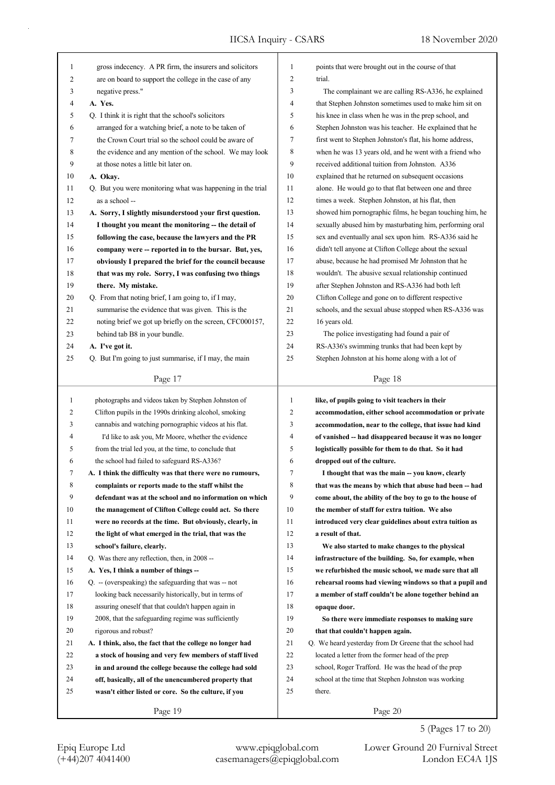| 1            | gross indecency. A PR firm, the insurers and solicitors    | 1            | points that were brought out in the course of that       |
|--------------|------------------------------------------------------------|--------------|----------------------------------------------------------|
| 2            | are on board to support the college in the case of any     | 2            | trial.                                                   |
| 3            | negative press."                                           | 3            | The complainant we are calling RS-A336, he explained     |
| 4            | A. Yes.                                                    | 4            | that Stephen Johnston sometimes used to make him sit on  |
| 5            | Q. I think it is right that the school's solicitors        | 5            | his knee in class when he was in the prep school, and    |
| 6            | arranged for a watching brief, a note to be taken of       | 6            | Stephen Johnston was his teacher. He explained that he   |
| 7            | the Crown Court trial so the school could be aware of      | 7            | first went to Stephen Johnston's flat, his home address, |
| 8            | the evidence and any mention of the school. We may look    | 8            | when he was 13 years old, and he went with a friend who  |
| 9            | at those notes a little bit later on.                      | 9            | received additional tuition from Johnston. A336          |
| 10           | A. Okay.                                                   | 10           | explained that he returned on subsequent occasions       |
| 11           | Q. But you were monitoring what was happening in the trial | 11           | alone. He would go to that flat between one and three    |
| 12           | as a school --                                             | 12           | times a week. Stephen Johnston, at his flat, then        |
| 13           | A. Sorry, I slightly misunderstood your first question.    | 13           | showed him pornographic films, he began touching him, he |
| 14           | I thought you meant the monitoring -- the detail of        | 14           | sexually abused him by masturbating him, performing oral |
| 15           | following the case, because the lawyers and the PR         | 15           | sex and eventually anal sex upon him. RS-A336 said he    |
| 16           | company were -- reported in to the bursar. But, yes,       | 16           | didn't tell anyone at Clifton College about the sexual   |
| 17           | obviously I prepared the brief for the council because     | 17           | abuse, because he had promised Mr Johnston that he       |
| 18           | that was my role. Sorry, I was confusing two things        | 18           | wouldn't. The abusive sexual relationship continued      |
| 19           | there. My mistake.                                         | 19           | after Stephen Johnston and RS-A336 had both left         |
| 20           | Q. From that noting brief, I am going to, if I may,        | 20           | Clifton College and gone on to different respective      |
| 21           | summarise the evidence that was given. This is the         | 21           | schools, and the sexual abuse stopped when RS-A336 was   |
| 22           | noting brief we got up briefly on the screen, CFC000157,   | 22           | 16 years old.                                            |
| 23           | behind tab B8 in your bundle.                              | 23           | The police investigating had found a pair of             |
| 24           | A. I've got it.                                            | 24           | RS-A336's swimming trunks that had been kept by          |
| 25           | Q. But I'm going to just summarise, if I may, the main     | 25           | Stephen Johnston at his home along with a lot of         |
|              |                                                            |              |                                                          |
|              | Page 17                                                    |              | Page 18                                                  |
|              |                                                            |              |                                                          |
|              |                                                            |              |                                                          |
| $\mathbf{1}$ | photographs and videos taken by Stephen Johnston of        | $\mathbf{1}$ | like, of pupils going to visit teachers in their         |
| 2            | Clifton pupils in the 1990s drinking alcohol, smoking      | 2            | accommodation, either school accommodation or private    |
| 3            | cannabis and watching pornographic videos at his flat.     | 3            | accommodation, near to the college, that issue had kind  |
| 4            | I'd like to ask you, Mr Moore, whether the evidence        | 4            | of vanished -- had disappeared because it was no longer  |
| 5            | from the trial led you, at the time, to conclude that      | 5            | logistically possible for them to do that. So it had     |
| 6            | the school had failed to safeguard RS-A336?                | 6            | dropped out of the culture.                              |
|              | A. I think the difficulty was that there were no rumours,  | 7            | I thought that was the main -- you know, clearly         |
| 8            | complaints or reports made to the staff whilst the         | 8            | that was the means by which that abuse had been -- had   |
| 9            | defendant was at the school and no information on which    | 9            | come about, the ability of the boy to go to the house of |
| 10           | the management of Clifton College could act. So there      | 10           | the member of staff for extra tuition. We also           |
| 11           | were no records at the time. But obviously, clearly, in    | 11           | introduced very clear guidelines about extra tuition as  |
| 12           | the light of what emerged in the trial, that was the       | 12           | a result of that.                                        |
| 13           | school's failure, clearly.                                 | 13           | We also started to make changes to the physical          |
| 14           | Q. Was there any reflection, then, in 2008 --              | 14           | infrastructure of the building. So, for example, when    |
| 15           | A. Yes, I think a number of things --                      | 15           | we refurbished the music school, we made sure that all   |
| 16           | Q. -- (overspeaking) the safeguarding that was -- not      | 16           | rehearsal rooms had viewing windows so that a pupil and  |
| 17           | looking back necessarily historically, but in terms of     | 17           | a member of staff couldn't be alone together behind an   |
| 18           | assuring oneself that that couldn't happen again in        | 18           | opaque door.                                             |
| 19           | 2008, that the safeguarding regime was sufficiently        | 19           | So there were immediate responses to making sure         |
| 20           | rigorous and robust?                                       | 20           | that that couldn't happen again.                         |
| 21           | A. I think, also, the fact that the college no longer had  | 21           | Q. We heard yesterday from Dr Greene that the school had |
| 22           | a stock of housing and very few members of staff lived     | 22           | located a letter from the former head of the prep        |
| 23           | in and around the college because the college had sold     | 23           | school, Roger Trafford. He was the head of the prep      |
| 24           | off, basically, all of the unencumbered property that      | 24           | school at the time that Stephen Johnston was working     |
| 25           | wasn't either listed or core. So the culture, if you       | 25           | there.                                                   |
|              | Page 19                                                    |              | Page 20                                                  |

5 (Pages 17 to 20)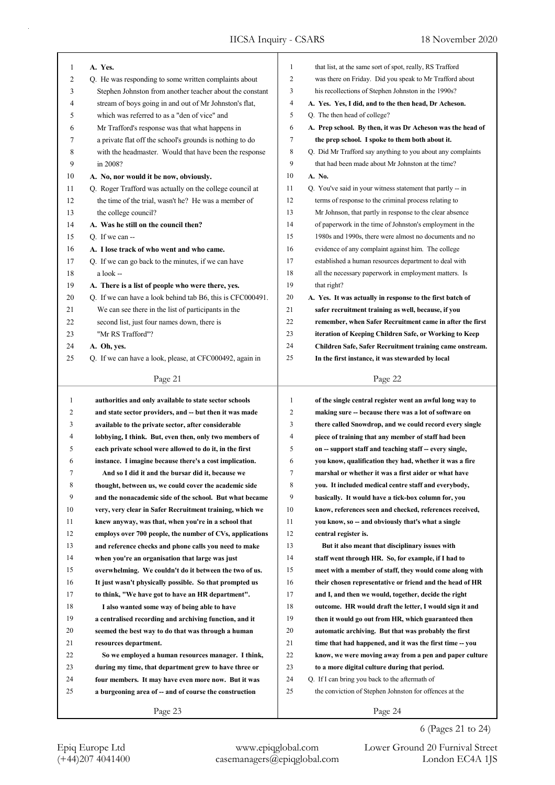| 1            | A. Yes.                                                    | 1            | that list, at the same sort of spot, really, RS Trafford    |
|--------------|------------------------------------------------------------|--------------|-------------------------------------------------------------|
| 2            | Q. He was responding to some written complaints about      | 2            | was there on Friday. Did you speak to Mr Trafford about     |
| 3            | Stephen Johnston from another teacher about the constant   | 3            | his recollections of Stephen Johnston in the 1990s?         |
| 4            | stream of boys going in and out of Mr Johnston's flat,     | 4            | A. Yes. Yes, I did, and to the then head, Dr Acheson.       |
| 5            | which was referred to as a "den of vice" and               | 5            | Q. The then head of college?                                |
| 6            | Mr Trafford's response was that what happens in            | 6            | A. Prep school. By then, it was Dr Acheson was the head of  |
| 7            | a private flat off the school's grounds is nothing to do   | 7            | the prep school. I spoke to them both about it.             |
| 8            | with the headmaster. Would that have been the response     | 8            | Q. Did Mr Trafford say anything to you about any complaints |
| 9            | in 2008?                                                   | 9            | that had been made about Mr Johnston at the time?           |
| 10           | A. No, nor would it be now, obviously.                     | 10           | A. No.                                                      |
| 11           | Q. Roger Trafford was actually on the college council at   | 11           | Q. You've said in your witness statement that partly -- in  |
| 12           | the time of the trial, wasn't he? He was a member of       | 12           | terms of response to the criminal process relating to       |
| 13           | the college council?                                       | 13           | Mr Johnson, that partly in response to the clear absence    |
| 14           | A. Was he still on the council then?                       | 14           | of paperwork in the time of Johnston's employment in the    |
| 15           | O. If we can --                                            | 15           | 1980s and 1990s, there were almost no documents and no      |
| 16           | A. I lose track of who went and who came.                  | 16           | evidence of any complaint against him. The college          |
| 17           | Q. If we can go back to the minutes, if we can have        | 17           | established a human resources department to deal with       |
| 18           | a look --                                                  | 18           | all the necessary paperwork in employment matters. Is       |
| 19           | A. There is a list of people who were there, yes.          | 19           | that right?                                                 |
| 20           | Q. If we can have a look behind tab B6, this is CFC000491. | 20           | A. Yes. It was actually in response to the first batch of   |
| 21           | We can see there in the list of participants in the        | 21           | safer recruitment training as well, because, if you         |
| 22           | second list, just four names down, there is                | 22           | remember, when Safer Recruitment came in after the first    |
| 23           | "Mr RS Trafford"?                                          | 23           | iteration of Keeping Children Safe, or Working to Keep      |
| 24           | A. Oh, yes.                                                | 24           | Children Safe, Safer Recruitment training came onstream.    |
| 25           | Q. If we can have a look, please, at CFC000492, again in   | 25           | In the first instance, it was stewarded by local            |
|              |                                                            |              |                                                             |
|              | Page 21                                                    |              | Page 22                                                     |
| $\mathbf{1}$ |                                                            | $\mathbf{1}$ | of the single central register went an awful long way to    |
| 2            | authorities and only available to state sector schools     | 2            |                                                             |
| 3            | and state sector providers, and -- but then it was made    | 3            | making sure -- because there was a lot of software on       |
| 4            | available to the private sector, after considerable        | 4            | there called Snowdrop, and we could record every single     |
| 5            | lobbying, I think. But, even then, only two members of     | 5            | piece of training that any member of staff had been         |
|              | each private school were allowed to do it, in the first    |              | on -- support staff and teaching staff -- every single,     |
| 6            | instance. I imagine because there's a cost implication.    | 6            | you know, qualification they had, whether it was a fire     |
|              | And so I did it and the bursar did it, because we          | 7            | marshal or whether it was a first aider or what have        |
| 8            | thought, between us, we could cover the academic side      | 8            | you. It included medical centre staff and everybody,        |
| 9            | and the nonacademic side of the school. But what became    | 9            | basically. It would have a tick-box column for, you         |
| 10           | very, very clear in Safer Recruitment training, which we   | 10           | know, references seen and checked, references received,     |
| 11           | knew anyway, was that, when you're in a school that        | 11           | you know, so -- and obviously that's what a single          |
| 12           | employs over 700 people, the number of CVs, applications   | 12           | central register is.                                        |
| 13           | and reference checks and phone calls you need to make      | 13           | But it also meant that disciplinary issues with             |
| 14           | when you're an organisation that large was just            | 14           | staff went through HR. So, for example, if I had to         |
| 15           | overwhelming. We couldn't do it between the two of us.     | 15           | meet with a member of staff, they would come along with     |
| 16           | It just wasn't physically possible. So that prompted us    | 16           | their chosen representative or friend and the head of HR    |
| 17           | to think, "We have got to have an HR department".          | 17           | and I, and then we would, together, decide the right        |
| 18           | I also wanted some way of being able to have               | 18           | outcome. HR would draft the letter, I would sign it and     |
| 19           | a centralised recording and archiving function, and it     | 19           | then it would go out from HR, which guaranteed then         |
| 20           | seemed the best way to do that was through a human         | 20           | automatic archiving. But that was probably the first        |
| 21           | resources department.                                      | 21           | time that had happened, and it was the first time -- you    |
| 22           | So we employed a human resources manager. I think,         | 22           | know, we were moving away from a pen and paper culture      |
| 23           |                                                            | 23           | to a more digital culture during that period.               |
|              | during my time, that department grew to have three or      |              |                                                             |
| 24           | four members. It may have even more now. But it was        | 24           | Q. If I can bring you back to the aftermath of              |
| 25           | a burgeoning area of -- and of course the construction     | 25           | the conviction of Stephen Johnston for offences at the      |
|              | Page 23                                                    |              | Page 24                                                     |

Epiq Europe Ltd www.epiqglobal.com Lower Ground 20 Furnival Street<br>
(+44)207 4041400 casemanagers@epiqglobal.com London EC4A 1JS

Lower Ground 20 Furnival Street

6 (Pages 21 to 24)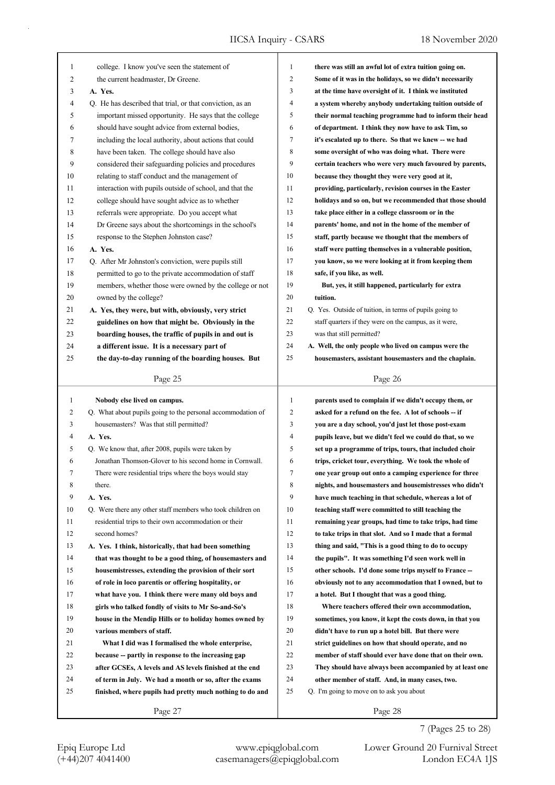| $\mathbf{1}$ | college. I know you've seen the statement of                | 1            | there was still an awful lot of extra tuition going on.  |
|--------------|-------------------------------------------------------------|--------------|----------------------------------------------------------|
| 2            | the current headmaster, Dr Greene.                          | 2            | Some of it was in the holidays, so we didn't necessarily |
| 3            | A. Yes.                                                     | 3            | at the time have oversight of it. I think we instituted  |
| 4            | Q. He has described that trial, or that conviction, as an   | 4            | a system whereby anybody undertaking tuition outside of  |
| 5            | important missed opportunity. He says that the college      | 5            | their normal teaching programme had to inform their head |
| 6            | should have sought advice from external bodies,             | 6            | of department. I think they now have to ask Tim, so      |
| 7            | including the local authority, about actions that could     | 7            | it's escalated up to there. So that we knew -- we had    |
| 8            | have been taken. The college should have also               | 8            | some oversight of who was doing what. There were         |
| 9            | considered their safeguarding policies and procedures       | 9            | certain teachers who were very much favoured by parents, |
| 10           | relating to staff conduct and the management of             | 10           | because they thought they were very good at it,          |
| 11           | interaction with pupils outside of school, and that the     | 11           | providing, particularly, revision courses in the Easter  |
| 12           | college should have sought advice as to whether             | 12           | holidays and so on, but we recommended that those should |
| 13           | referrals were appropriate. Do you accept what              | 13           | take place either in a college classroom or in the       |
| 14           | Dr Greene says about the shortcomings in the school's       | 14           | parents' home, and not in the home of the member of      |
| 15           | response to the Stephen Johnston case?                      | 15           | staff, partly because we thought that the members of     |
| 16           | A. Yes.                                                     | 16           | staff were putting themselves in a vulnerable position,  |
| 17           | Q. After Mr Johnston's conviction, were pupils still        | 17           | you know, so we were looking at it from keeping them     |
| 18           | permitted to go to the private accommodation of staff       | 18           | safe, if you like, as well.                              |
| 19           | members, whether those were owned by the college or not     | 19           | But, yes, it still happened, particularly for extra      |
| 20           | owned by the college?                                       | 20           | tuition.                                                 |
| 21           | A. Yes, they were, but with, obviously, very strict         | 21           | Q. Yes. Outside of tuition, in terms of pupils going to  |
| 22           | guidelines on how that might be. Obviously in the           | 22           | staff quarters if they were on the campus, as it were,   |
| 23           | boarding houses, the traffic of pupils in and out is        | 23           | was that still permitted?                                |
| 24           | a different issue. It is a necessary part of                | 24           | A. Well, the only people who lived on campus were the    |
| 25           | the day-to-day running of the boarding houses. But          | 25           | housemasters, assistant housemasters and the chaplain.   |
|              |                                                             |              |                                                          |
|              | Page 25                                                     |              | Page 26                                                  |
|              |                                                             |              |                                                          |
|              |                                                             |              |                                                          |
| 1            | Nobody else lived on campus.                                | $\mathbf{1}$ | parents used to complain if we didn't occupy them, or    |
| 2            | Q. What about pupils going to the personal accommodation of | 2            | asked for a refund on the fee. A lot of schools -- if    |
| 3            | housemasters? Was that still permitted?                     | 3            | you are a day school, you'd just let those post-exam     |
| 4            | A. Yes.                                                     | 4            | pupils leave, but we didn't feel we could do that, so we |
| 5            | Q. We know that, after 2008, pupils were taken by           | 5            | set up a programme of trips, tours, that included choir  |
| 6            | Jonathan Thomson-Glover to his second home in Cornwall.     | 6            | trips, cricket tour, everything. We took the whole of    |
| 7            | There were residential trips where the boys would stay      | 7            | one year group out onto a camping experience for three   |
| 8            | there.                                                      | 8            | nights, and housemasters and housemistresses who didn't  |
| 9            | A. Yes.                                                     | 9            | have much teaching in that schedule, whereas a lot of    |
| 10           | Q. Were there any other staff members who took children on  | 10           | teaching staff were committed to still teaching the      |
| 11           | residential trips to their own accommodation or their       | 11           | remaining year groups, had time to take trips, had time  |
| 12           | second homes?                                               | 12           | to take trips in that slot. And so I made that a formal  |
| 13           | A. Yes. I think, historically, that had been something      | 13           | thing and said, "This is a good thing to do to occupy    |
| 14           | that was thought to be a good thing, of housemasters and    | 14           | the pupils". It was something I'd seen work well in      |
| 15           | housemistresses, extending the provision of their sort      | 15           | other schools. I'd done some trips myself to France --   |
| 16           | of role in loco parentis or offering hospitality, or        | 16           | obviously not to any accommodation that I owned, but to  |
| 17           | what have you. I think there were many old boys and         | 17           | a hotel. But I thought that was a good thing.            |
| 18           | girls who talked fondly of visits to Mr So-and-So's         | 18           | Where teachers offered their own accommodation,          |
| 19           | house in the Mendip Hills or to holiday homes owned by      | 19           | sometimes, you know, it kept the costs down, in that you |
| 20           | various members of staff.                                   | 20           | didn't have to run up a hotel bill. But there were       |
| 21           | What I did was I formalised the whole enterprise,           | 21           | strict guidelines on how that should operate, and no     |
| 22           | because -- partly in response to the increasing gap         | 22           | member of staff should ever have done that on their own. |
| 23           | after GCSEs, A levels and AS levels finished at the end     | 23           | They should have always been accompanied by at least one |
| 24           | of term in July. We had a month or so, after the exams      | 24           | other member of staff. And, in many cases, two.          |
| 25           | finished, where pupils had pretty much nothing to do and    | 25           | Q. I'm going to move on to ask you about                 |
|              | Page 27                                                     |              | Page 28                                                  |

7 (Pages 25 to 28)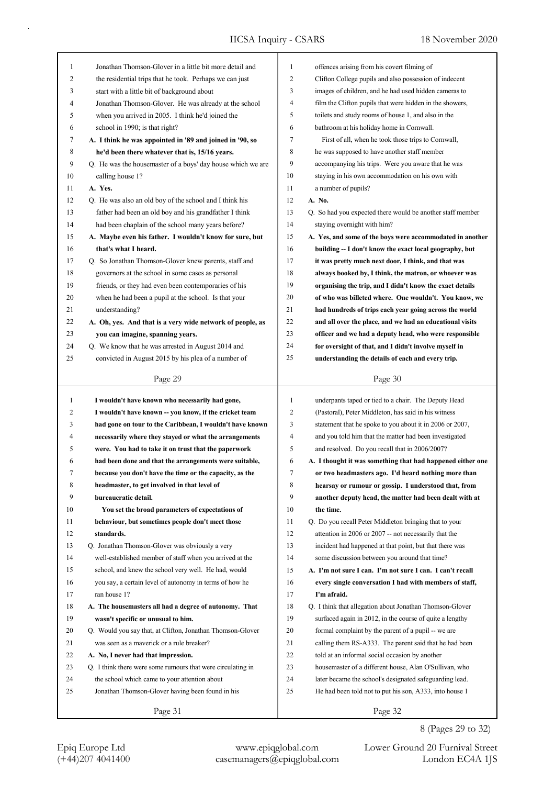| $\mathbf{1}$ | Jonathan Thomson-Glover in a little bit more detail and     | $\mathbf{1}$   | offences arising from his covert filming of                |
|--------------|-------------------------------------------------------------|----------------|------------------------------------------------------------|
| 2            | the residential trips that he took. Perhaps we can just     | $\overline{2}$ | Clifton College pupils and also possession of indecent     |
| 3            | start with a little bit of background about                 | 3              | images of children, and he had used hidden cameras to      |
| 4            | Jonathan Thomson-Glover. He was already at the school       | 4              | film the Clifton pupils that were hidden in the showers,   |
| 5            | when you arrived in 2005. I think he'd joined the           | 5              | toilets and study rooms of house 1, and also in the        |
| 6            | school in 1990; is that right?                              | 6              | bathroom at his holiday home in Cornwall.                  |
| 7            | A. I think he was appointed in '89 and joined in '90, so    | $\tau$         | First of all, when he took those trips to Cornwall,        |
| 8            | he'd been there whatever that is, 15/16 years.              | 8              | he was supposed to have another staff member               |
| 9            | Q. He was the housemaster of a boys' day house which we are | 9              | accompanying his trips. Were you aware that he was         |
| 10           | calling house 1?                                            | 10             | staying in his own accommodation on his own with           |
| 11           | A. Yes.                                                     | 11             | a number of pupils?                                        |
| 12           | Q. He was also an old boy of the school and I think his     | 12             | A. No.                                                     |
| 13           | father had been an old boy and his grandfather I think      | 13             | Q. So had you expected there would be another staff member |
| 14           | had been chaplain of the school many years before?          | 14             | staying overnight with him?                                |
| 15           | A. Maybe even his father. I wouldn't know for sure, but     | 15             | A. Yes, and some of the boys were accommodated in another  |
| 16           | that's what I heard.                                        | 16             | building -- I don't know the exact local geography, but    |
| 17           | Q. So Jonathan Thomson-Glover knew parents, staff and       | 17             | it was pretty much next door, I think, and that was        |
| 18           | governors at the school in some cases as personal           | 18             | always booked by, I think, the matron, or whoever was      |
| 19           | friends, or they had even been contemporaries of his        | 19             | organising the trip, and I didn't know the exact details   |
| 20           | when he had been a pupil at the school. Is that your        | 20             | of who was billeted where. One wouldn't. You know, we      |
| 21           | understanding?                                              | 21             | had hundreds of trips each year going across the world     |
| 22           | A. Oh, yes. And that is a very wide network of people, as   | 22             | and all over the place, and we had an educational visits   |
| 23           | you can imagine, spanning years.                            | 23             | officer and we had a deputy head, who were responsible     |
| 24           | Q. We know that he was arrested in August 2014 and          | 24             | for oversight of that, and I didn't involve myself in      |
| 25           | convicted in August 2015 by his plea of a number of         | 25             | understanding the details of each and every trip.          |
|              |                                                             |                |                                                            |
|              | Page 29                                                     |                | Page 30                                                    |
|              |                                                             |                |                                                            |
|              |                                                             |                |                                                            |
| $\mathbf{1}$ | I wouldn't have known who necessarily had gone,             | 1              | underpants taped or tied to a chair. The Deputy Head       |
| 2            | I wouldn't have known -- you know, if the cricket team      | $\overline{2}$ | (Pastoral), Peter Middleton, has said in his witness       |
| 3            | had gone on tour to the Caribbean, I wouldn't have known    | 3              | statement that he spoke to you about it in 2006 or 2007,   |
| 4            | necessarily where they stayed or what the arrangements      | 4              | and you told him that the matter had been investigated     |
| 5            | were. You had to take it on trust that the paperwork        | 5              | and resolved. Do you recall that in 2006/2007?             |
| 6            | had been done and that the arrangements were suitable,      | 6              | A. I thought it was something that had happened either one |
| 7            | because you don't have the time or the capacity, as the     | 7              | or two headmasters ago. I'd heard nothing more than        |
| 8            | headmaster, to get involved in that level of                | 8              | hearsay or rumour or gossip. I understood that, from       |
| 9            | bureaucratic detail.                                        | 9              | another deputy head, the matter had been dealt with at     |
| 10           | You set the broad parameters of expectations of             | 10             | the time.                                                  |
| 11           | behaviour, but sometimes people don't meet those            | 11             | Q. Do you recall Peter Middleton bringing that to your     |
| 12           | standards.                                                  | 12             | attention in 2006 or 2007 -- not necessarily that the      |
| 13           | Q. Jonathan Thomson-Glover was obviously a very             | 13             | incident had happened at that point, but that there was    |
| 14           | well-established member of staff when you arrived at the    | 14             | some discussion between you around that time?              |
| 15           | school, and knew the school very well. He had, would        | 15             | A. I'm not sure I can. I'm not sure I can. I can't recall  |
| 16           | you say, a certain level of autonomy in terms of how he     | 16             | every single conversation I had with members of staff,     |
| 17           | ran house 1?                                                | 17             | I'm afraid.                                                |
| 18           | A. The housemasters all had a degree of autonomy. That      | 18             | Q. I think that allegation about Jonathan Thomson-Glover   |
| 19           | wasn't specific or unusual to him.                          | 19             | surfaced again in 2012, in the course of quite a lengthy   |
| 20           | Q. Would you say that, at Clifton, Jonathan Thomson-Glover  | 20             | formal complaint by the parent of a pupil -- we are        |
| 21           | was seen as a maverick or a rule breaker?                   | 21             | calling them RS-A333. The parent said that he had been     |
| 22           | A. No, I never had that impression.                         | 22             | told at an informal social occasion by another             |
| 23           | Q. I think there were some rumours that were circulating in | 23             | housemaster of a different house, Alan O'Sullivan, who     |
| 24           | the school which came to your attention about               | 24             | later became the school's designated safeguarding lead.    |
| 25           | Jonathan Thomson-Glover having been found in his            | 25             | He had been told not to put his son, A333, into house 1    |

8 (Pages 29 to 32)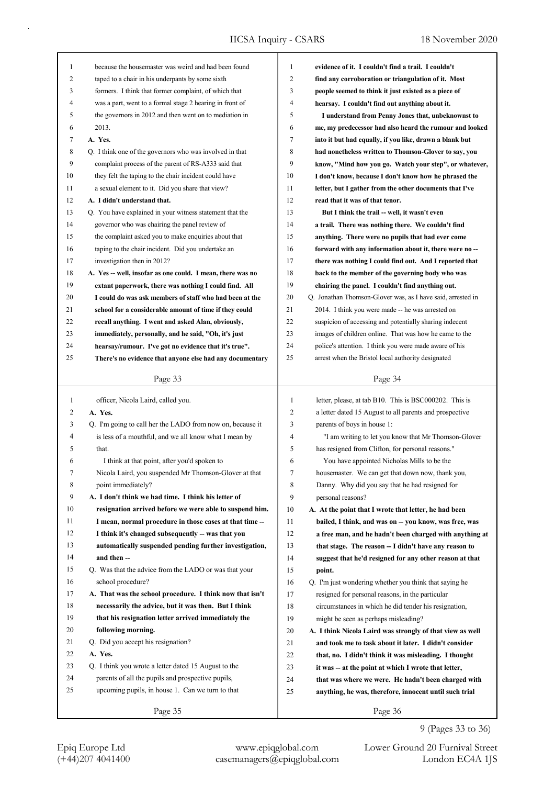| 1            |                                                            |                  |                                                             |
|--------------|------------------------------------------------------------|------------------|-------------------------------------------------------------|
|              | because the housemaster was weird and had been found       | 1                | evidence of it. I couldn't find a trail. I couldn't         |
| 2            | taped to a chair in his underpants by some sixth           | 2                | find any corroboration or triangulation of it. Most         |
| 3            | formers. I think that former complaint, of which that      | 3                | people seemed to think it just existed as a piece of        |
| 4            | was a part, went to a formal stage 2 hearing in front of   | 4                | hearsay. I couldn't find out anything about it.             |
| 5            | the governors in 2012 and then went on to mediation in     | 5                | I understand from Penny Jones that, unbeknownst to          |
| 6            | 2013.                                                      | 6                | me, my predecessor had also heard the rumour and looked     |
| 7            | A. Yes.                                                    | 7                | into it but had equally, if you like, drawn a blank but     |
| 8            | Q. I think one of the governors who was involved in that   | 8                | had nonetheless written to Thomson-Glover to say, you       |
| 9            | complaint process of the parent of RS-A333 said that       | 9                | know, "Mind how you go. Watch your step", or whatever,      |
| 10           | they felt the taping to the chair incident could have      | 10               | I don't know, because I don't know how he phrased the       |
| 11           | a sexual element to it. Did you share that view?           | 11               | letter, but I gather from the other documents that I've     |
| 12           | A. I didn't understand that.                               | 12               | read that it was of that tenor.                             |
| 13           | Q. You have explained in your witness statement that the   | 13               | But I think the trail -- well, it wasn't even               |
| 14           | governor who was chairing the panel review of              | 14               | a trail. There was nothing there. We couldn't find          |
| 15           | the complaint asked you to make enquiries about that       | 15               | anything. There were no pupils that had ever come           |
| 16           | taping to the chair incident. Did you undertake an         | 16               | forward with any information about it, there were no-       |
| 17           | investigation then in 2012?                                | 17               | there was nothing I could find out. And I reported that     |
| 18           | A. Yes -- well, insofar as one could. I mean, there was no | 18               | back to the member of the governing body who was            |
| 19           | extant paperwork, there was nothing I could find. All      | 19               | chairing the panel. I couldn't find anything out.           |
| 20           | I could do was ask members of staff who had been at the    | 20               | Q. Jonathan Thomson-Glover was, as I have said, arrested in |
| 21           | school for a considerable amount of time if they could     | 21               | 2014. I think you were made -- he was arrested on           |
| 22           | recall anything. I went and asked Alan, obviously,         | 22               | suspicion of accessing and potentially sharing indecent     |
| 23           | immediately, personally, and he said, "Oh, it's just       | 23               | images of children online. That was how he came to the      |
| 24           | hearsay/rumour. I've got no evidence that it's true".      | 24               | police's attention. I think you were made aware of his      |
| 25           | There's no evidence that anyone else had any documentary   | 25               | arrest when the Bristol local authority designated          |
|              |                                                            |                  |                                                             |
|              | Page 33                                                    |                  | Page 34                                                     |
| $\mathbf{1}$ | officer, Nicola Laird, called you.                         | $\mathbf{1}$     | letter, please, at tab B10. This is BSC000202. This is      |
|              |                                                            |                  |                                                             |
|              |                                                            |                  |                                                             |
| 2            | A. Yes.                                                    | $\overline{c}$   | a letter dated 15 August to all parents and prospective     |
| 3            | Q. I'm going to call her the LADO from now on, because it  | 3                | parents of boys in house 1:                                 |
| 4            | is less of a mouthful, and we all know what I mean by      | 4                | "I am writing to let you know that Mr Thomson-Glover        |
| 5            | that.                                                      | 5                | has resigned from Clifton, for personal reasons."           |
| 6            | I think at that point, after you'd spoken to               | 6                | You have appointed Nicholas Mills to be the                 |
| 7            | Nicola Laird, you suspended Mr Thomson-Glover at that      | $\boldsymbol{7}$ | housemaster. We can get that down now, thank you,           |
| 8            | point immediately?                                         | 8                | Danny. Why did you say that he had resigned for             |
| 9            | A. I don't think we had time. I think his letter of        | 9                | personal reasons?                                           |
| 10           | resignation arrived before we were able to suspend him.    | 10               | A. At the point that I wrote that letter, he had been       |
| 11           | I mean, normal procedure in those cases at that time --    | 11               | bailed, I think, and was on -- you know, was free, was      |
| 12           | I think it's changed subsequently -- was that you          | 12               | a free man, and he hadn't been charged with anything at     |
| 13           | automatically suspended pending further investigation,     | 13               | that stage. The reason -- I didn't have any reason to       |
| 14           | and then --                                                | 14               | suggest that he'd resigned for any other reason at that     |
| 15           | Q. Was that the advice from the LADO or was that your      | 15               | point.                                                      |
| 16           | school procedure?                                          | 16               | Q. I'm just wondering whether you think that saying he      |
| 17           | A. That was the school procedure. I think now that isn't   | 17               | resigned for personal reasons, in the particular            |
| 18           | necessarily the advice, but it was then. But I think       | 18               | circumstances in which he did tender his resignation,       |
| 19           | that his resignation letter arrived immediately the        | 19               | might be seen as perhaps misleading?                        |
| 20           | following morning.                                         | $20\,$           | A. I think Nicola Laird was strongly of that view as well   |
| 21           | Q. Did you accept his resignation?                         | 21               | and took me to task about it later. I didn't consider       |
| 22           | A. Yes.                                                    | 22               | that, no. I didn't think it was misleading. I thought       |
| 23           | Q. I think you wrote a letter dated 15 August to the       | 23               | it was -- at the point at which I wrote that letter,        |
| 24           | parents of all the pupils and prospective pupils,          | 24               | that was where we were. He hadn't been charged with         |
| 25           | upcoming pupils, in house 1. Can we turn to that           | 25               | anything, he was, therefore, innocent until such trial      |

9 (Pages 33 to 36)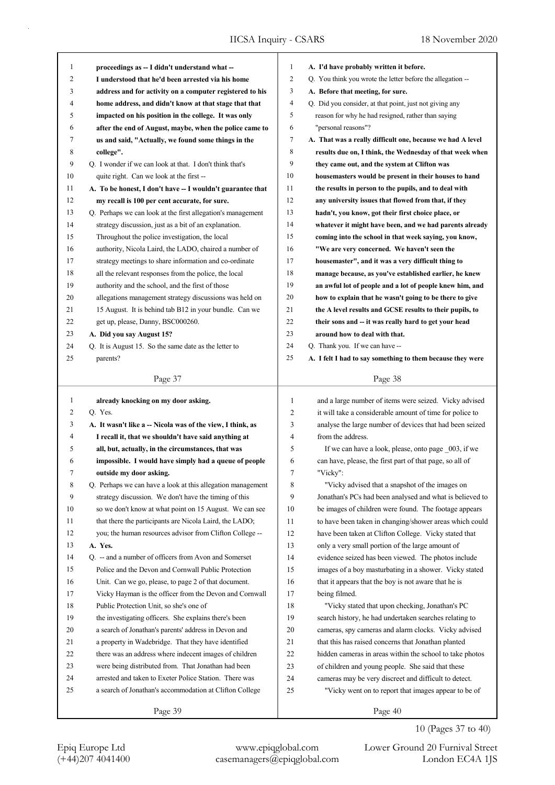|              |                                                                                                                 | $\mathbf{1}$   |                                                                                                       |
|--------------|-----------------------------------------------------------------------------------------------------------------|----------------|-------------------------------------------------------------------------------------------------------|
| 1<br>2       | proceedings as -- I didn't understand what --<br>I understood that he'd been arrested via his home              | $\overline{2}$ | A. I'd have probably written it before.<br>Q. You think you wrote the letter before the allegation -- |
| 3            | address and for activity on a computer registered to his                                                        | 3              | A. Before that meeting, for sure.                                                                     |
| 4            | home address, and didn't know at that stage that that                                                           | 4              | Q. Did you consider, at that point, just not giving any                                               |
| 5            |                                                                                                                 | 5              | reason for why he had resigned, rather than saying                                                    |
| 6            | impacted on his position in the college. It was only<br>after the end of August, maybe, when the police came to | 6              | "personal reasons"?                                                                                   |
| 7            | us and said, "Actually, we found some things in the                                                             | $\tau$         | A. That was a really difficult one, because we had A level                                            |
| 8            | college".                                                                                                       | 8              | results due on, I think, the Wednesday of that week when                                              |
| 9            | Q. I wonder if we can look at that. I don't think that's                                                        | 9              |                                                                                                       |
| 10           | quite right. Can we look at the first --                                                                        | 10             | they came out, and the system at Clifton was<br>housemasters would be present in their houses to hand |
| 11           | A. To be honest, I don't have -- I wouldn't guarantee that                                                      | 11             | the results in person to the pupils, and to deal with                                                 |
| 12           | my recall is 100 per cent accurate, for sure.                                                                   | 12             | any university issues that flowed from that, if they                                                  |
| 13           | Q. Perhaps we can look at the first allegation's management                                                     | 13             | hadn't, you know, got their first choice place, or                                                    |
| 14           | strategy discussion, just as a bit of an explanation.                                                           | 14             | whatever it might have been, and we had parents already                                               |
| 15           | Throughout the police investigation, the local                                                                  | 15             | coming into the school in that week saying, you know,                                                 |
| 16           | authority, Nicola Laird, the LADO, chaired a number of                                                          | 16             | "We are very concerned. We haven't seen the                                                           |
| 17           | strategy meetings to share information and co-ordinate                                                          | 17             | housemaster", and it was a very difficult thing to                                                    |
| 18           | all the relevant responses from the police, the local                                                           | 18             | manage because, as you've established earlier, he knew                                                |
| 19           | authority and the school, and the first of those                                                                | 19             | an awful lot of people and a lot of people knew him, and                                              |
| 20           | allegations management strategy discussions was held on                                                         | 20             | how to explain that he wasn't going to be there to give                                               |
| 21           | 15 August. It is behind tab B12 in your bundle. Can we                                                          | 21             | the A level results and GCSE results to their pupils, to                                              |
| 22           | get up, please, Danny, BSC000260.                                                                               | 22             | their sons and -- it was really hard to get your head                                                 |
| 23           | A. Did you say August 15?                                                                                       | 23             | around how to deal with that.                                                                         |
| 24           | Q. It is August 15. So the same date as the letter to                                                           | 24             | Q. Thank you. If we can have --                                                                       |
| 25           | parents?                                                                                                        | 25             | A. I felt I had to say something to them because they were                                            |
|              |                                                                                                                 |                |                                                                                                       |
|              | Page 37                                                                                                         |                | Page 38                                                                                               |
| $\mathbf{1}$ | already knocking on my door asking.                                                                             | 1              | and a large number of items were seized. Vicky advised                                                |
| 2            | Q. Yes.                                                                                                         | 2              | it will take a considerable amount of time for police to                                              |
| 3            | A. It wasn't like a -- Nicola was of the view, I think, as                                                      | 3              | analyse the large number of devices that had been seized                                              |
| 4            | I recall it, that we shouldn't have said anything at                                                            | 4              | from the address.                                                                                     |
| 5            | all, but, actually, in the circumstances, that was                                                              | 5              | If we can have a look, please, onto page _003, if we                                                  |
| 6            | impossible. I would have simply had a queue of people                                                           | 6              | can have, please, the first part of that page, so all of                                              |
| 7            | outside my door asking.                                                                                         | 7              | "Vicky":                                                                                              |
| 8            | Q. Perhaps we can have a look at this allegation management                                                     | 8              | "Vicky advised that a snapshot of the images on                                                       |
| 9            | strategy discussion. We don't have the timing of this                                                           | 9              | Jonathan's PCs had been analysed and what is believed to                                              |
| 10           | so we don't know at what point on 15 August. We can see                                                         | 10             | be images of children were found. The footage appears                                                 |
| 11           | that there the participants are Nicola Laird, the LADO;                                                         | 11             | to have been taken in changing/shower areas which could                                               |
| 12           | you; the human resources advisor from Clifton College --                                                        | 12             | have been taken at Clifton College. Vicky stated that                                                 |
| 13           | A. Yes.                                                                                                         | 13             | only a very small portion of the large amount of                                                      |
| 14           | Q. -- and a number of officers from Avon and Somerset                                                           | 14             | evidence seized has been viewed. The photos include                                                   |
| 15           | Police and the Devon and Cornwall Public Protection                                                             | 15             | images of a boy masturbating in a shower. Vicky stated                                                |
| 16           | Unit. Can we go, please, to page 2 of that document.                                                            | 16             | that it appears that the boy is not aware that he is                                                  |
| 17           | Vicky Hayman is the officer from the Devon and Cornwall                                                         | 17             | being filmed.                                                                                         |
| 18           | Public Protection Unit, so she's one of                                                                         | 18             | "Vicky stated that upon checking, Jonathan's PC                                                       |
| 19           | the investigating officers. She explains there's been                                                           | 19             | search history, he had undertaken searches relating to                                                |
| 20           | a search of Jonathan's parents' address in Devon and                                                            | 20             | cameras, spy cameras and alarm clocks. Vicky advised                                                  |
| 21           | a property in Wadebridge. That they have identified                                                             | 21             | that this has raised concerns that Jonathan planted                                                   |
| 22           | there was an address where indecent images of children                                                          | 22             | hidden cameras in areas within the school to take photos                                              |
| 23           | were being distributed from. That Jonathan had been                                                             | 23             | of children and young people. She said that these                                                     |
| 24           | arrested and taken to Exeter Police Station. There was                                                          | 24             | cameras may be very discreet and difficult to detect.                                                 |
| 25           | a search of Jonathan's accommodation at Clifton College                                                         | 25             | "Vicky went on to report that images appear to be of                                                  |
|              | Page 39                                                                                                         |                | Page 40                                                                                               |

10 (Pages 37 to 40)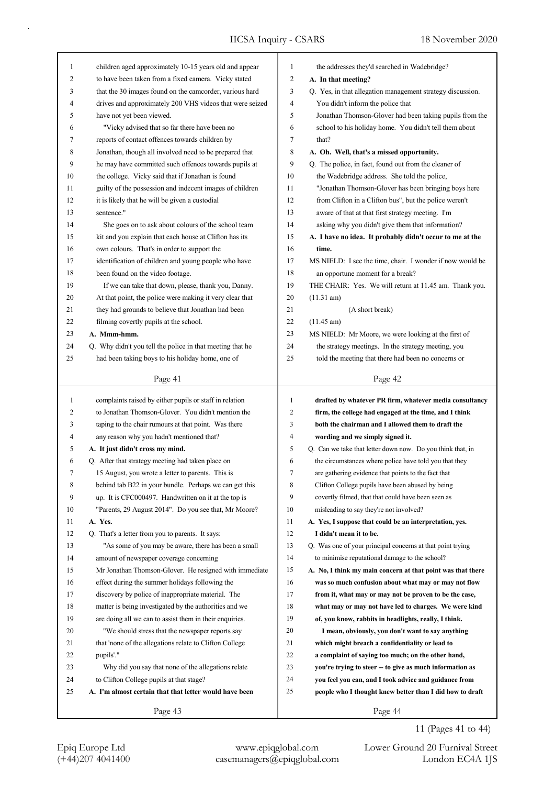| 1  | children aged approximately 10-15 years old and appear    | 1            | the addresses they'd searched in Wadebridge?                |
|----|-----------------------------------------------------------|--------------|-------------------------------------------------------------|
| 2  | to have been taken from a fixed camera. Vicky stated      | 2            | A. In that meeting?                                         |
| 3  | that the 30 images found on the camcorder, various hard   | 3            | Q. Yes, in that allegation management strategy discussion.  |
| 4  | drives and approximately 200 VHS videos that were seized  | 4            | You didn't inform the police that                           |
| 5  | have not yet been viewed.                                 | 5            | Jonathan Thomson-Glover had been taking pupils from the     |
| 6  | "Vicky advised that so far there have been no             | 6            | school to his holiday home. You didn't tell them about      |
| 7  | reports of contact offences towards children by           | 7            | that?                                                       |
| 8  | Jonathan, though all involved need to be prepared that    | 8            | A. Oh. Well, that's a missed opportunity.                   |
| 9  | he may have committed such offences towards pupils at     | 9            | Q. The police, in fact, found out from the cleaner of       |
| 10 | the college. Vicky said that if Jonathan is found         | 10           | the Wadebridge address. She told the police,                |
| 11 | guilty of the possession and indecent images of children  | 11           | "Jonathan Thomson-Glover has been bringing boys here        |
| 12 | it is likely that he will be given a custodial            | 12           | from Clifton in a Clifton bus", but the police weren't      |
| 13 | sentence."                                                | 13           | aware of that at that first strategy meeting. I'm           |
| 14 | She goes on to ask about colours of the school team       | 14           | asking why you didn't give them that information?           |
| 15 | kit and you explain that each house at Clifton has its    | 15           | A. I have no idea. It probably didn't occur to me at the    |
| 16 | own colours. That's in order to support the               | 16           | time.                                                       |
| 17 | identification of children and young people who have      | 17           | MS NIELD: I see the time, chair. I wonder if now would be   |
| 18 | been found on the video footage.                          | 18           | an opportune moment for a break?                            |
| 19 | If we can take that down, please, thank you, Danny.       | 19           | THE CHAIR: Yes. We will return at 11.45 am. Thank you.      |
| 20 | At that point, the police were making it very clear that  | 20           | (11.31 am)                                                  |
| 21 | they had grounds to believe that Jonathan had been        | 21           | (A short break)                                             |
| 22 | filming covertly pupils at the school.                    | 22           | $(11.45 \text{ am})$                                        |
| 23 | A. Mmm-hmm.                                               | 23           | MS NIELD: Mr Moore, we were looking at the first of         |
| 24 | Q. Why didn't you tell the police in that meeting that he | 24           | the strategy meetings. In the strategy meeting, you         |
| 25 | had been taking boys to his holiday home, one of          | 25           | told the meeting that there had been no concerns or         |
|    |                                                           |              |                                                             |
|    | Page 41                                                   |              | Page 42                                                     |
|    |                                                           |              |                                                             |
|    |                                                           |              |                                                             |
| 1  | complaints raised by either pupils or staff in relation   | $\mathbf{1}$ | drafted by whatever PR firm, whatever media consultancy     |
| 2  | to Jonathan Thomson-Glover. You didn't mention the        | 2            | firm, the college had engaged at the time, and I think      |
| 3  | taping to the chair rumours at that point. Was there      | 3            | both the chairman and I allowed them to draft the           |
| 4  | any reason why you hadn't mentioned that?                 | 4            | wording and we simply signed it.                            |
| 5  | A. It just didn't cross my mind.                          | 5            | Q. Can we take that letter down now. Do you think that, in  |
| 6  | Q. After that strategy meeting had taken place on         | 6            | the circumstances where police have told you that they      |
| 7  | 15 August, you wrote a letter to parents. This is         | 7            | are gathering evidence that points to the fact that         |
| 8  | behind tab B22 in your bundle. Perhaps we can get this    | 8            | Clifton College pupils have been abused by being            |
| 9  | up. It is CFC000497. Handwritten on it at the top is      | 9            | covertly filmed, that that could have been seen as          |
| 10 | "Parents, 29 August 2014". Do you see that, Mr Moore?     | 10           | misleading to say they're not involved?                     |
| 11 | A. Yes.                                                   | 11           | A. Yes, I suppose that could be an interpretation, yes.     |
| 12 | Q. That's a letter from you to parents. It says:          | 12           | I didn't mean it to be.                                     |
| 13 | "As some of you may be aware, there has been a small      | 13           | Q. Was one of your principal concerns at that point trying  |
| 14 | amount of newspaper coverage concerning                   | 14           | to minimise reputational damage to the school?              |
| 15 | Mr Jonathan Thomson-Glover. He resigned with immediate    | 15           | A. No, I think my main concern at that point was that there |
| 16 | effect during the summer holidays following the           | 16           | was so much confusion about what may or may not flow        |
| 17 | discovery by police of inappropriate material. The        | 17           | from it, what may or may not be proven to be the case,      |
| 18 | matter is being investigated by the authorities and we    | 18           | what may or may not have led to charges. We were kind       |
| 19 | are doing all we can to assist them in their enquiries.   | 19           | of, you know, rabbits in headlights, really, I think.       |
| 20 | "We should stress that the newspaper reports say          | 20           | I mean, obviously, you don't want to say anything           |
| 21 | that 'none of the allegations relate to Clifton College   | 21           | which might breach a confidentiality or lead to             |
| 22 | pupils'."                                                 | 22           | a complaint of saying too much; on the other hand,          |
| 23 | Why did you say that none of the allegations relate       | 23           | you're trying to steer -- to give as much information as    |
| 24 | to Clifton College pupils at that stage?                  | 24           | you feel you can, and I took advice and guidance from       |
| 25 | A. I'm almost certain that that letter would have been    | 25           | people who I thought knew better than I did how to draft    |

11 (Pages 41 to 44)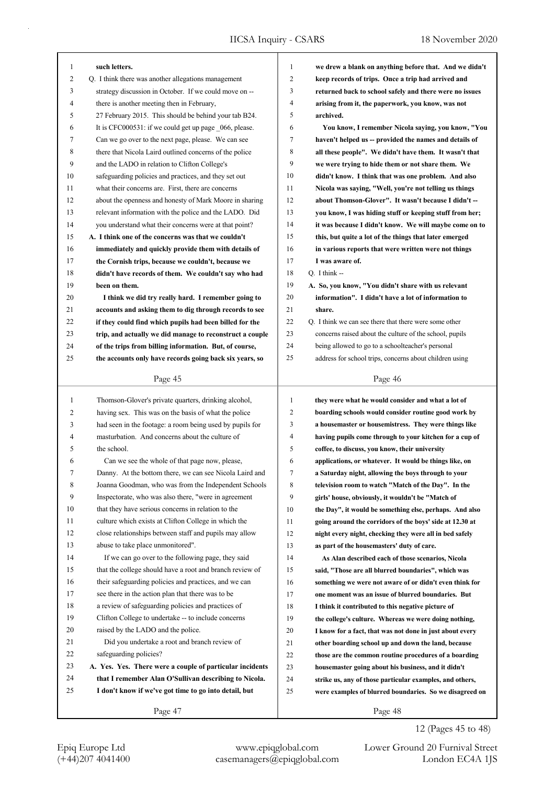| 1            | such letters.                                            | 1            | we drew a blank on anything before that. And we didn't   |
|--------------|----------------------------------------------------------|--------------|----------------------------------------------------------|
| 2            | Q. I think there was another allegations management      | 2            | keep records of trips. Once a trip had arrived and       |
| 3            | strategy discussion in October. If we could move on --   | 3            | returned back to school safely and there were no issues  |
| 4            | there is another meeting then in February,               | 4            | arising from it, the paperwork, you know, was not        |
| 5            | 27 February 2015. This should be behind your tab B24.    | 5            | archived.                                                |
| 6            | It is CFC000531: if we could get up page _066, please.   | 6            | You know, I remember Nicola saying, you know, "You       |
| 7            | Can we go over to the next page, please. We can see      | 7            | haven't helped us -- provided the names and details of   |
| 8            | there that Nicola Laird outlined concerns of the police  | 8            | all these people". We didn't have them. It wasn't that   |
| 9            | and the LADO in relation to Clifton College's            | 9            | we were trying to hide them or not share them. We        |
| 10           | safeguarding policies and practices, and they set out    | 10           | didn't know. I think that was one problem. And also      |
| 11           | what their concerns are. First, there are concerns       | 11           | Nicola was saying, "Well, you're not telling us things   |
| 12           | about the openness and honesty of Mark Moore in sharing  | 12           | about Thomson-Glover". It wasn't because I didn't --     |
| 13           | relevant information with the police and the LADO. Did   | 13           | you know, I was hiding stuff or keeping stuff from her;  |
| 14           | you understand what their concerns were at that point?   | 14           | it was because I didn't know. We will maybe come on to   |
| 15           | A. I think one of the concerns was that we couldn't      | 15           | this, but quite a lot of the things that later emerged   |
| 16           | immediately and quickly provide them with details of     | 16           | in various reports that were written were not things     |
| 17           | the Cornish trips, because we couldn't, because we       | 17           | I was aware of.                                          |
| 18           | didn't have records of them. We couldn't say who had     | 18           | Q. I think --                                            |
| 19           | been on them.                                            | 19           | A. So, you know, "You didn't share with us relevant      |
| 20           | I think we did try really hard. I remember going to      | 20           | information". I didn't have a lot of information to      |
| 21           | accounts and asking them to dig through records to see   | 21           | share.                                                   |
| 22           | if they could find which pupils had been billed for the  | 22           | Q. I think we can see there that there were some other   |
| 23           | trip, and actually we did manage to reconstruct a couple | 23           | concerns raised about the culture of the school, pupils  |
| 24           | of the trips from billing information. But, of course,   | 24           | being allowed to go to a schoolteacher's personal        |
| 25           | the accounts only have records going back six years, so  | 25           | address for school trips, concerns about children using  |
|              |                                                          |              |                                                          |
|              | Page 45                                                  |              | Page 46                                                  |
|              |                                                          |              |                                                          |
|              |                                                          |              |                                                          |
| $\mathbf{1}$ | Thomson-Glover's private quarters, drinking alcohol,     | $\mathbf{1}$ | they were what he would consider and what a lot of       |
| 2            | having sex. This was on the basis of what the police     | 2            | boarding schools would consider routine good work by     |
| 3            | had seen in the footage: a room being used by pupils for | 3            | a housemaster or housemistress. They were things like    |
| 4            | masturbation. And concerns about the culture of          | 4            | having pupils come through to your kitchen for a cup of  |
| 5            | the school.                                              | 5            | coffee, to discuss, you know, their university           |
| 6            | Can we see the whole of that page now, please,           | 6            | applications, or whatever. It would be things like, on   |
| 7            | Danny. At the bottom there, we can see Nicola Laird and  | 7            | a Saturday night, allowing the boys through to your      |
| 8            | Joanna Goodman, who was from the Independent Schools     | 8            | television room to watch "Match of the Day". In the      |
| 9            | Inspectorate, who was also there, "were in agreement     | 9            | girls' house, obviously, it wouldn't be "Match of        |
| 10           | that they have serious concerns in relation to the       | 10           | the Day", it would be something else, perhaps. And also  |
| 11           | culture which exists at Clifton College in which the     | 11           | going around the corridors of the boys' side at 12.30 at |
| 12           | close relationships between staff and pupils may allow   | 12           | night every night, checking they were all in bed safely  |
| 13           | abuse to take place unmonitored".                        | 13           | as part of the housemasters' duty of care.               |
| 14           | If we can go over to the following page, they said       | 14           | As Alan described each of those scenarios, Nicola        |
| 15           | that the college should have a root and branch review of | 15           | said, "Those are all blurred boundaries", which was      |
| 16           | their safeguarding policies and practices, and we can    | 16           | something we were not aware of or didn't even think for  |
| 17           | see there in the action plan that there was to be        | 17           | one moment was an issue of blurred boundaries. But       |
| 18           | a review of safeguarding policies and practices of       | 18           | I think it contributed to this negative picture of       |
| 19           | Clifton College to undertake -- to include concerns      | 19           | the college's culture. Whereas we were doing nothing,    |
| 20           | raised by the LADO and the police.                       | 20           | I know for a fact, that was not done in just about every |
| 21           | Did you undertake a root and branch review of            | 21           | other boarding school up and down the land, because      |
| 22           | safeguarding policies?                                   | 22           | those are the common routine procedures of a boarding    |
| 23           | A. Yes. Yes. There were a couple of particular incidents | 23           | housemaster going about his business, and it didn't      |
| 24           | that I remember Alan O'Sullivan describing to Nicola.    | 24           | strike us, any of those particular examples, and others, |
| 25           | I don't know if we've got time to go into detail, but    | 25           | were examples of blurred boundaries. So we disagreed on  |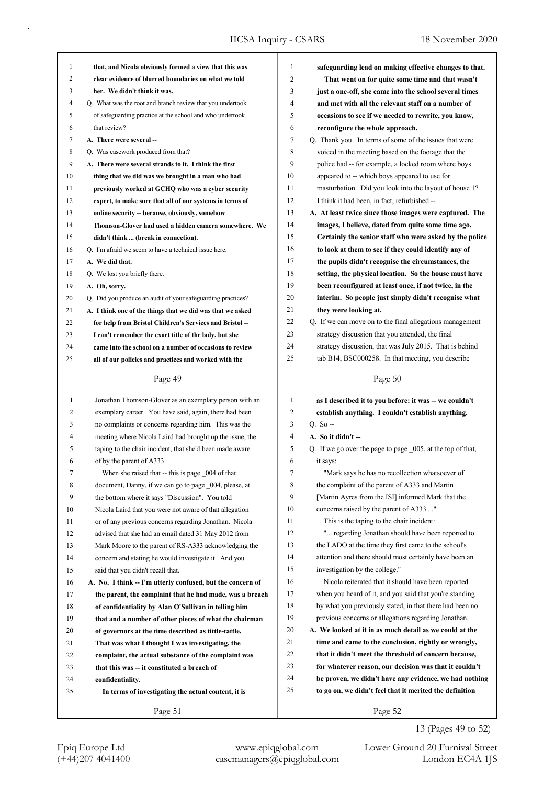| 1  | that, and Nicola obviously formed a view that this was      | 1              | safeguarding lead on making effective changes to that.      |
|----|-------------------------------------------------------------|----------------|-------------------------------------------------------------|
| 2  | clear evidence of blurred boundaries on what we told        | $\overline{2}$ | That went on for quite some time and that wasn't            |
| 3  | her. We didn't think it was.                                | 3              | just a one-off, she came into the school several times      |
| 4  | Q. What was the root and branch review that you undertook   | 4              | and met with all the relevant staff on a number of          |
| 5  | of safeguarding practice at the school and who undertook    | 5              | occasions to see if we needed to rewrite, you know,         |
| 6  | that review?                                                | 6              | reconfigure the whole approach.                             |
| 7  | A. There were several --                                    | 7              | Q. Thank you. In terms of some of the issues that were      |
| 8  | Q. Was casework produced from that?                         | 8              | voiced in the meeting based on the footage that the         |
| 9  | A. There were several strands to it. I think the first      | 9              | police had -- for example, a locked room where boys         |
| 10 | thing that we did was we brought in a man who had           | 10             | appeared to -- which boys appeared to use for               |
| 11 | previously worked at GCHQ who was a cyber security          | 11             | masturbation. Did you look into the layout of house 1?      |
| 12 | expert, to make sure that all of our systems in terms of    | 12             | I think it had been, in fact, refurbished --                |
| 13 | online security -- because, obviously, somehow              | 13             | A. At least twice since those images were captured. The     |
| 14 | Thomson-Glover had used a hidden camera somewhere. We       | 14             | images, I believe, dated from quite some time ago.          |
| 15 | didn't think  (break in connection).                        | 15             | Certainly the senior staff who were asked by the police     |
| 16 | Q. I'm afraid we seem to have a technical issue here.       | 16             | to look at them to see if they could identify any of        |
| 17 | A. We did that.                                             | 17             | the pupils didn't recognise the circumstances, the          |
| 18 | Q. We lost you briefly there.                               | 18             | setting, the physical location. So the house must have      |
| 19 |                                                             | 19             | been reconfigured at least once, if not twice, in the       |
|    | A. Oh, sorry.                                               | 20             |                                                             |
| 20 | Q. Did you produce an audit of your safeguarding practices? | 21             | interim. So people just simply didn't recognise what        |
| 21 | A. I think one of the things that we did was that we asked  | 22             | they were looking at.                                       |
| 22 | for help from Bristol Children's Services and Bristol-      |                | Q. If we can move on to the final allegations management    |
| 23 | I can't remember the exact title of the lady, but she       | 23             | strategy discussion that you attended, the final            |
| 24 | came into the school on a number of occasions to review     | 24             | strategy discussion, that was July 2015. That is behind     |
| 25 | all of our policies and practices and worked with the       | 25             | tab B14, BSC000258. In that meeting, you describe           |
|    | Page 49                                                     |                | Page 50                                                     |
|    |                                                             |                |                                                             |
|    |                                                             |                |                                                             |
| 1  | Jonathan Thomson-Glover as an exemplary person with an      | 1              | as I described it to you before: it was -- we couldn't      |
| 2  | exemplary career. You have said, again, there had been      | $\overline{c}$ | establish anything. I couldn't establish anything.          |
| 3  | no complaints or concerns regarding him. This was the       | 3              | $Q. So -$                                                   |
| 4  | meeting where Nicola Laird had brought up the issue, the    | 4              | A. So it didn't --                                          |
| 5  | taping to the chair incident, that she'd been made aware    | 5              | Q. If we go over the page to page _005, at the top of that, |
| 6  | of by the parent of A333.                                   | 6              | it says:                                                    |
| 7  | When she raised that -- this is page _004 of that           | 7              | "Mark says he has no recollection whatsoever of             |
| 8  | document, Danny, if we can go to page 004, please, at       | 8              | the complaint of the parent of A333 and Martin              |
| 9  | the bottom where it says "Discussion". You told             | 9              | [Martin Ayres from the ISI] informed Mark that the          |
| 10 | Nicola Laird that you were not aware of that allegation     | 10             | concerns raised by the parent of A333 "                     |
| 11 | or of any previous concerns regarding Jonathan. Nicola      | 11             | This is the taping to the chair incident:                   |
| 12 | advised that she had an email dated 31 May 2012 from        | 12             | " regarding Jonathan should have been reported to           |
| 13 | Mark Moore to the parent of RS-A333 acknowledging the       | 13             | the LADO at the time they first came to the school's        |
| 14 | concern and stating he would investigate it. And you        | 14             | attention and there should most certainly have been an      |
| 15 | said that you didn't recall that.                           | 15             | investigation by the college."                              |
| 16 | A. No. I think -- I'm utterly confused, but the concern of  | 16             | Nicola reiterated that it should have been reported         |
| 17 | the parent, the complaint that he had made, was a breach    | 17             | when you heard of it, and you said that you're standing     |
| 18 | of confidentiality by Alan O'Sullivan in telling him        | 18             | by what you previously stated, in that there had been no    |
| 19 | that and a number of other pieces of what the chairman      | 19             | previous concerns or allegations regarding Jonathan.        |
| 20 | of governors at the time described as tittle-tattle.        | 20             | A. We looked at it in as much detail as we could at the     |
| 21 | That was what I thought I was investigating, the            | 21             | time and came to the conclusion, rightly or wrongly,        |
| 22 | complaint, the actual substance of the complaint was        | 22             | that it didn't meet the threshold of concern because,       |
| 23 | that this was -- it constituted a breach of                 | 23             | for whatever reason, our decision was that it couldn't      |
| 24 | confidentiality.                                            | 24             | be proven, we didn't have any evidence, we had nothing      |
| 25 | In terms of investigating the actual content, it is         | 25             | to go on, we didn't feel that it merited the definition     |
|    | Page 51                                                     |                | Page 52                                                     |

13 (Pages 49 to 52)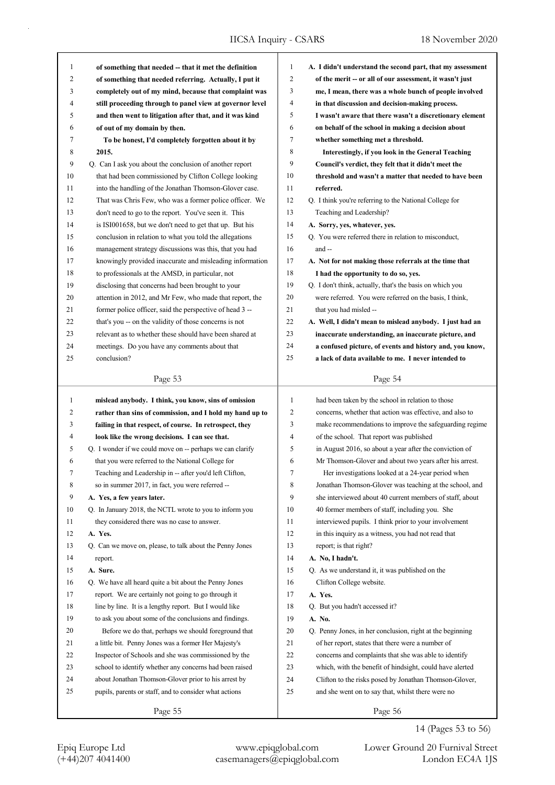| 1            | of something that needed -- that it met the definition    | $\mathbf{1}$   | A. I didn't understand the second part, that my assessment |
|--------------|-----------------------------------------------------------|----------------|------------------------------------------------------------|
| 2            | of something that needed referring. Actually, I put it    | $\overline{c}$ | of the merit -- or all of our assessment, it wasn't just   |
| 3            | completely out of my mind, because that complaint was     | 3              | me, I mean, there was a whole bunch of people involved     |
| 4            | still proceeding through to panel view at governor level  | 4              | in that discussion and decision-making process.            |
| 5            | and then went to litigation after that, and it was kind   | 5              | I wasn't aware that there wasn't a discretionary element   |
| 6            | of out of my domain by then.                              | 6              | on behalf of the school in making a decision about         |
| 7            | To be honest, I'd completely forgotten about it by        | $\tau$         | whether something met a threshold.                         |
| 8            | 2015.                                                     | 8              | Interestingly, if you look in the General Teaching         |
| 9            | Q. Can I ask you about the conclusion of another report   | 9              | Council's verdict, they felt that it didn't meet the       |
| 10           | that had been commissioned by Clifton College looking     | 10             | threshold and wasn't a matter that needed to have been     |
| 11           | into the handling of the Jonathan Thomson-Glover case.    | 11             | referred.                                                  |
| 12           | That was Chris Few, who was a former police officer. We   | 12             | Q. I think you're referring to the National College for    |
| 13           | don't need to go to the report. You've seen it. This      | 13             | Teaching and Leadership?                                   |
| 14           | is ISI001658, but we don't need to get that up. But his   | 14             | A. Sorry, yes, whatever, yes.                              |
| 15           | conclusion in relation to what you told the allegations   | 15             | Q. You were referred there in relation to misconduct,      |
| 16           | management strategy discussions was this, that you had    | 16             | and --                                                     |
| 17           | knowingly provided inaccurate and misleading information  | 17             | A. Not for not making those referrals at the time that     |
| 18           | to professionals at the AMSD, in particular, not          | 18             | I had the opportunity to do so, yes.                       |
| 19           | disclosing that concerns had been brought to your         | 19             | Q. I don't think, actually, that's the basis on which you  |
| 20           | attention in 2012, and Mr Few, who made that report, the  | 20             | were referred. You were referred on the basis, I think,    |
| 21           | former police officer, said the perspective of head 3 --  | 21             | that you had misled --                                     |
| 22           | that's you -- on the validity of those concerns is not    | 22             | A. Well, I didn't mean to mislead anybody. I just had an   |
| 23           | relevant as to whether these should have been shared at   | 23             | inaccurate understanding, an inaccurate picture, and       |
| 24           | meetings. Do you have any comments about that             | 24             | a confused picture, of events and history and, you know,   |
| 25           | conclusion?                                               | 25             | a lack of data available to me. I never intended to        |
|              |                                                           |                |                                                            |
|              | Page 53                                                   |                | Page 54                                                    |
|              |                                                           |                |                                                            |
|              |                                                           | $\mathbf{1}$   |                                                            |
| $\mathbf{1}$ | mislead anybody. I think, you know, sins of omission      |                | had been taken by the school in relation to those          |
| 2            | rather than sins of commission, and I hold my hand up to  | 2              | concerns, whether that action was effective, and also to   |
| 3            | failing in that respect, of course. In retrospect, they   | 3              | make recommendations to improve the safeguarding regime    |
| 4            | look like the wrong decisions. I can see that.            | 4              | of the school. That report was published                   |
| 5            | Q. I wonder if we could move on -- perhaps we can clarify | 5              | in August 2016, so about a year after the conviction of    |
| 6            | that you were referred to the National College for        | 6              | Mr Thomson-Glover and about two years after his arrest.    |
| 7            | Teaching and Leadership in -- after you'd left Clifton,   | 7              | Her investigations looked at a 24-year period when         |
| 8            | so in summer 2017, in fact, you were referred --          | 8              | Jonathan Thomson-Glover was teaching at the school, and    |
| 9            | A. Yes, a few years later.                                | 9              | she interviewed about 40 current members of staff, about   |
| 10           | Q. In January 2018, the NCTL wrote to you to inform you   | 10             | 40 former members of staff, including you. She             |
| 11           | they considered there was no case to answer.              | 11             | interviewed pupils. I think prior to your involvement      |
| 12           | A. Yes.                                                   | 12             | in this inquiry as a witness, you had not read that        |
| 13           | Q. Can we move on, please, to talk about the Penny Jones  | 13             | report; is that right?                                     |
| 14           | report.                                                   | 14             | A. No, I hadn't.                                           |
| 15           | A. Sure.                                                  | 15             | Q. As we understand it, it was published on the            |
| 16           | Q. We have all heard quite a bit about the Penny Jones    | 16             | Clifton College website.                                   |
| 17           | report. We are certainly not going to go through it       | 17             | A. Yes.                                                    |
| 18           | line by line. It is a lengthy report. But I would like    | 18             | Q. But you hadn't accessed it?                             |
| 19           | to ask you about some of the conclusions and findings.    | 19             | A. No.                                                     |
| 20           | Before we do that, perhaps we should foreground that      | 20             | Q. Penny Jones, in her conclusion, right at the beginning  |
| 21           | a little bit. Penny Jones was a former Her Majesty's      | 21             | of her report, states that there were a number of          |
| 22           | Inspector of Schools and she was commissioned by the      | 22             | concerns and complaints that she was able to identify      |
| 23           | school to identify whether any concerns had been raised   | 23             | which, with the benefit of hindsight, could have alerted   |
| 24           | about Jonathan Thomson-Glover prior to his arrest by      | 24             | Clifton to the risks posed by Jonathan Thomson-Glover,     |
| 25           | pupils, parents or staff, and to consider what actions    | 25             | and she went on to say that, whilst there were no          |
|              | Page 55                                                   |                | Page 56                                                    |

## 14 (Pages 53 to 56)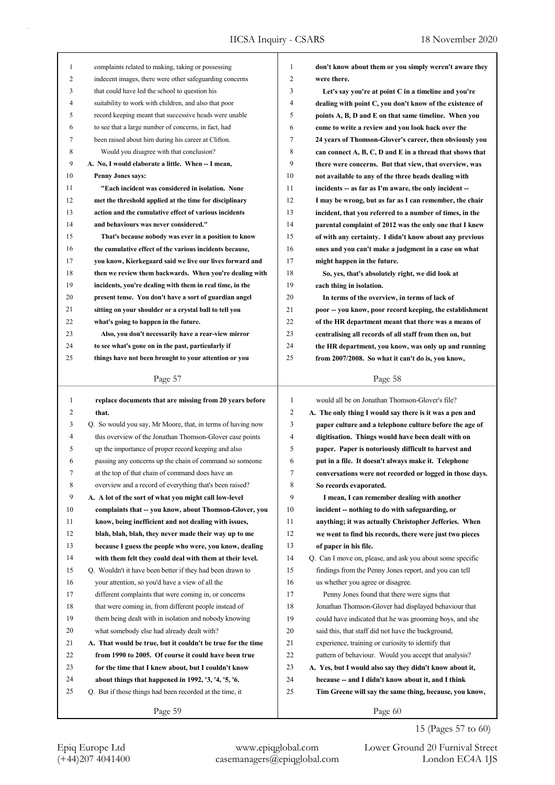| 1      | complaints related to making, taking or possessing          | 1              | don't know about them or you simply weren't aware they    |
|--------|-------------------------------------------------------------|----------------|-----------------------------------------------------------|
| 2      | indecent images, there were other safeguarding concerns     | $\overline{c}$ | were there.                                               |
| 3      | that could have led the school to question his              | 3              | Let's say you're at point C in a timeline and you're      |
| 4      | suitability to work with children, and also that poor       | 4              | dealing with point C, you don't know of the existence of  |
| 5      | record keeping meant that successive heads were unable      | 5              | points A, B, D and E on that same timeline. When you      |
| 6      | to see that a large number of concerns, in fact, had        | 6              | come to write a review and you look back over the         |
| 7      | been raised about him during his career at Clifton.         | 7              | 24 years of Thomson-Glover's career, then obviously you   |
| 8      | Would you disagree with that conclusion?                    | 8              | can connect A, B, C, D and E in a thread that shows that  |
| 9      | A. No, I would elaborate a little. When -- I mean,          | 9              | there were concerns. But that view, that overview, was    |
| 10     | <b>Penny Jones says:</b>                                    | 10             | not available to any of the three heads dealing with      |
| 11     | "Each incident was considered in isolation. None            | 11             | incidents -- as far as I'm aware, the only incident --    |
| 12     | met the threshold applied at the time for disciplinary      | 12             | I may be wrong, but as far as I can remember, the chair   |
| 13     | action and the cumulative effect of various incidents       | 13             | incident, that you referred to a number of times, in the  |
| 14     | and behaviours was never considered."                       | 14             | parental complaint of 2012 was the only one that I knew   |
| 15     | That's because nobody was ever in a position to know        | 15             | of with any certainty. I didn't know about any previous   |
| 16     | the cumulative effect of the various incidents because,     | 16             | ones and you can't make a judgment in a case on what      |
| 17     | you know, Kierkegaard said we live our lives forward and    | 17             | might happen in the future.                               |
| $18\,$ | then we review them backwards. When you're dealing with     | 18             | So, yes, that's absolutely right, we did look at          |
| 19     | incidents, you're dealing with them in real time, in the    | 19             | each thing in isolation.                                  |
| 20     | present tense. You don't have a sort of guardian angel      | 20             | In terms of the overview, in terms of lack of             |
| 21     | sitting on your shoulder or a crystal ball to tell you      | 21             | poor -- you know, poor record keeping, the establishment  |
| 22     | what's going to happen in the future.                       | 22             | of the HR department meant that there was a means of      |
| 23     | Also, you don't necessarily have a rear-view mirror         | 23             | centralising all records of all staff from then on, but   |
| 24     | to see what's gone on in the past, particularly if          | 24             | the HR department, you know, was only up and running      |
| 25     | things have not been brought to your attention or you       | 25             | from 2007/2008. So what it can't do is, you know,         |
|        |                                                             |                |                                                           |
|        | Page 57                                                     |                | Page 58                                                   |
|        |                                                             |                |                                                           |
| 1      | replace documents that are missing from 20 years before     | 1              | would all be on Jonathan Thomson-Glover's file?           |
| 2      | that.                                                       | $\overline{c}$ | A. The only thing I would say there is it was a pen and   |
| 3      | Q. So would you say, Mr Moore, that, in terms of having now | 3              | paper culture and a telephone culture before the age of   |
| 4      | this overview of the Jonathan Thomson-Glover case points    | 4              | digitisation. Things would have been dealt with on        |
| 5      | up the importance of proper record keeping and also         | 5              | paper. Paper is notoriously difficult to harvest and      |
| 6      | passing any concerns up the chain of command so someone     | 6              | put in a file. It doesn't always make it. Telephone       |
| 7      | at the top of that chain of command does have an            | $\frac{1}{2}$  | conversations were not recorded or logged in those days.  |
| 8      | overview and a record of everything that's been raised?     | 8              | So records evaporated.                                    |
| 9      | A. A lot of the sort of what you might call low-level       | 9              | I mean, I can remember dealing with another               |
| 10     | complaints that -- you know, about Thomson-Glover, you      | 10             | incident -- nothing to do with safeguarding, or           |
| 11     | know, being inefficient and not dealing with issues,        | 11             | anything; it was actually Christopher Jefferies. When     |
| 12     | blah, blah, blah, they never made their way up to me        | 12             | we went to find his records, there were just two pieces   |
| 13     | because I guess the people who were, you know, dealing      | 13             | of paper in his file.                                     |
| 14     | with them felt they could deal with them at their level.    | 14             | Q. Can I move on, please, and ask you about some specific |
| 15     | Q. Wouldn't it have been better if they had been drawn to   | 15             | findings from the Penny Jones report, and you can tell    |
| 16     | your attention, so you'd have a view of all the             | 16             | us whether you agree or disagree.                         |
| 17     | different complaints that were coming in, or concerns       | 17             | Penny Jones found that there were signs that              |
| 18     | that were coming in, from different people instead of       | 18             | Jonathan Thomson-Glover had displayed behaviour that      |
| 19     | them being dealt with in isolation and nobody knowing       | 19             | could have indicated that he was grooming boys, and she   |
| 20     | what somebody else had already dealt with?                  | 20             | said this, that staff did not have the background,        |
| 21     | A. That would be true, but it couldn't be true for the time | 21             | experience, training or curiosity to identify that        |
| 22     | from 1990 to 2005. Of course it could have been true        | 22             | pattern of behaviour. Would you accept that analysis?     |
| 23     | for the time that I knew about, but I couldn't know         | 23             | A. Yes, but I would also say they didn't know about it,   |
| 24     | about things that happened in 1992, '3, '4, '5, '6.         | 24             | because -- and I didn't know about it, and I think        |
| 25     | Q. But if those things had been recorded at the time, it    | 25             | Tim Greene will say the same thing, because, you know,    |
|        | Page 59                                                     |                | Page 60                                                   |

15 (Pages 57 to 60)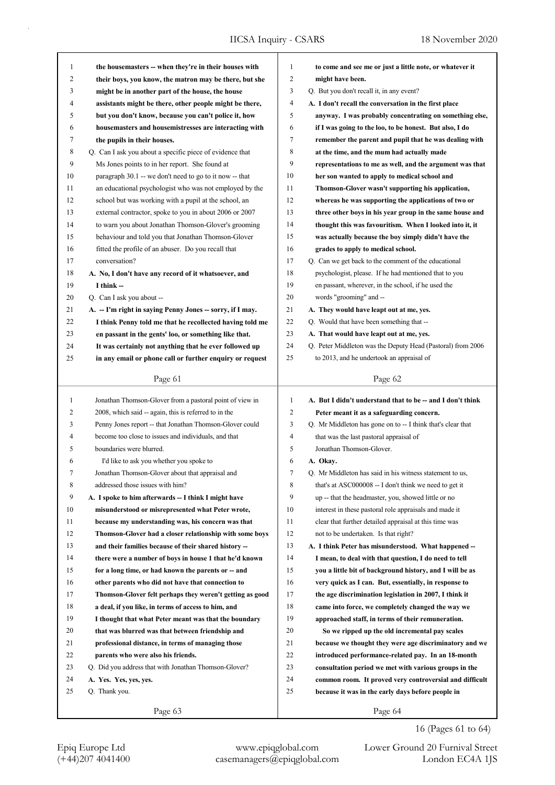| 1  | the housemasters -- when they're in their houses with                                                                 | 1              | to come and see me or just a little note, or whatever it    |
|----|-----------------------------------------------------------------------------------------------------------------------|----------------|-------------------------------------------------------------|
| 2  | their boys, you know, the matron may be there, but she                                                                | 2              | might have been.                                            |
| 3  | might be in another part of the house, the house                                                                      | 3              | Q. But you don't recall it, in any event?                   |
| 4  | assistants might be there, other people might be there,                                                               | 4              | A. I don't recall the conversation in the first place       |
| 5  | but you don't know, because you can't police it, how                                                                  | 5              | anyway. I was probably concentrating on something else,     |
| 6  | housemasters and housemistresses are interacting with                                                                 | 6              | if I was going to the loo, to be honest. But also, I do     |
| 7  | the pupils in their houses.                                                                                           | 7              | remember the parent and pupil that he was dealing with      |
| 8  | Q. Can I ask you about a specific piece of evidence that                                                              | 8              | at the time, and the mum had actually made                  |
| 9  | Ms Jones points to in her report. She found at                                                                        | 9              | representations to me as well, and the argument was that    |
| 10 | paragraph 30.1 -- we don't need to go to it now -- that                                                               | 10             | her son wanted to apply to medical school and               |
| 11 | an educational psychologist who was not employed by the                                                               | 11             | Thomson-Glover wasn't supporting his application,           |
| 12 | school but was working with a pupil at the school, an                                                                 | 12             | whereas he was supporting the applications of two or        |
| 13 | external contractor, spoke to you in about 2006 or 2007                                                               | 13             | three other boys in his year group in the same house and    |
| 14 | to warn you about Jonathan Thomson-Glover's grooming                                                                  | 14             | thought this was favouritism. When I looked into it, it     |
| 15 | behaviour and told you that Jonathan Thomson-Glover                                                                   | 15             | was actually because the boy simply didn't have the         |
| 16 | fitted the profile of an abuser. Do you recall that                                                                   | 16             | grades to apply to medical school.                          |
| 17 | conversation?                                                                                                         | 17             | Q. Can we get back to the comment of the educational        |
| 18 | A. No, I don't have any record of it whatsoever, and                                                                  | 18             | psychologist, please. If he had mentioned that to you       |
| 19 | I think --                                                                                                            | 19             | en passant, wherever, in the school, if he used the         |
| 20 | Q. Can I ask you about --                                                                                             | 20             | words "grooming" and --                                     |
| 21 |                                                                                                                       | 21             | A. They would have leapt out at me, yes.                    |
|    | A. -- I'm right in saying Penny Jones -- sorry, if I may.<br>I think Penny told me that he recollected having told me | 22             |                                                             |
| 22 |                                                                                                                       | 23             | Q. Would that have been something that --                   |
| 23 | en passant in the gents' loo, or something like that.                                                                 |                | A. That would have leapt out at me, yes.                    |
| 24 | It was certainly not anything that he ever followed up                                                                | 24             | Q. Peter Middleton was the Deputy Head (Pastoral) from 2006 |
| 25 | in any email or phone call or further enquiry or request                                                              | 25             | to 2013, and he undertook an appraisal of                   |
|    | Page 61                                                                                                               |                | Page 62                                                     |
|    |                                                                                                                       |                |                                                             |
|    |                                                                                                                       |                |                                                             |
| 1  | Jonathan Thomson-Glover from a pastoral point of view in                                                              | $\mathbf{1}$   | A. But I didn't understand that to be -- and I don't think  |
| 2  | 2008, which said -- again, this is referred to in the                                                                 | $\overline{c}$ | Peter meant it as a safeguarding concern.                   |
| 3  | Penny Jones report -- that Jonathan Thomson-Glover could                                                              | 3              | Q. Mr Middleton has gone on to -- I think that's clear that |
| 4  | become too close to issues and individuals, and that                                                                  | 4              | that was the last pastoral appraisal of                     |
| 5  | boundaries were blurred.                                                                                              | 5              | Jonathan Thomson-Glover.                                    |
| 6  | I'd like to ask you whether you spoke to                                                                              | 6              | A. Okay.                                                    |
| 7  | Jonathan Thomson-Glover about that appraisal and                                                                      | 7              | Q. Mr Middleton has said in his witness statement to us,    |
| 8  | addressed those issues with him?                                                                                      | 8              | that's at ASC000008 -- I don't think we need to get it      |
| 9  | A. I spoke to him afterwards -- I think I might have                                                                  | 9              | up -- that the headmaster, you, showed little or no         |
| 10 | misunderstood or misrepresented what Peter wrote,                                                                     | 10             | interest in these pastoral role appraisals and made it      |
| 11 | because my understanding was, his concern was that                                                                    | 11             | clear that further detailed appraisal at this time was      |
| 12 | Thomson-Glover had a closer relationship with some boys                                                               | 12             | not to be undertaken. Is that right?                        |
| 13 | and their families because of their shared history --                                                                 | 13             | A. I think Peter has misunderstood. What happened --        |
| 14 | there were a number of boys in house 1 that he'd known                                                                | 14             | I mean, to deal with that question, I do need to tell       |
| 15 | for a long time, or had known the parents or -- and                                                                   | 15             | you a little bit of background history, and I will be as    |
| 16 | other parents who did not have that connection to                                                                     | 16             | very quick as I can. But, essentially, in response to       |
| 17 | Thomson-Glover felt perhaps they weren't getting as good                                                              | 17             | the age discrimination legislation in 2007, I think it      |
| 18 | a deal, if you like, in terms of access to him, and                                                                   | 18             | came into force, we completely changed the way we           |
| 19 | I thought that what Peter meant was that the boundary                                                                 | 19             | approached staff, in terms of their remuneration.           |
| 20 | that was blurred was that between friendship and                                                                      | 20             | So we ripped up the old incremental pay scales              |
| 21 | professional distance, in terms of managing those                                                                     | 21             | because we thought they were age discriminatory and we      |
| 22 | parents who were also his friends.                                                                                    | 22             | introduced performance-related pay. In an 18-month          |
| 23 | Q. Did you address that with Jonathan Thomson-Glover?                                                                 | 23             | consultation period we met with various groups in the       |
| 24 | A. Yes. Yes, yes, yes.                                                                                                | 24             | common room. It proved very controversial and difficult     |
| 25 | Q. Thank you.                                                                                                         | 25             | because it was in the early days before people in           |
|    | Page 63                                                                                                               |                | Page 64                                                     |

Epiq Europe Ltd www.epiqglobal.com Lower Ground 20 Furnival Street<br>
(+44)207 4041400 casemanagers@epiqglobal.com London EC4A 1JS

Lower Ground 20 Furnival Street 16 (Pages 61 to 64)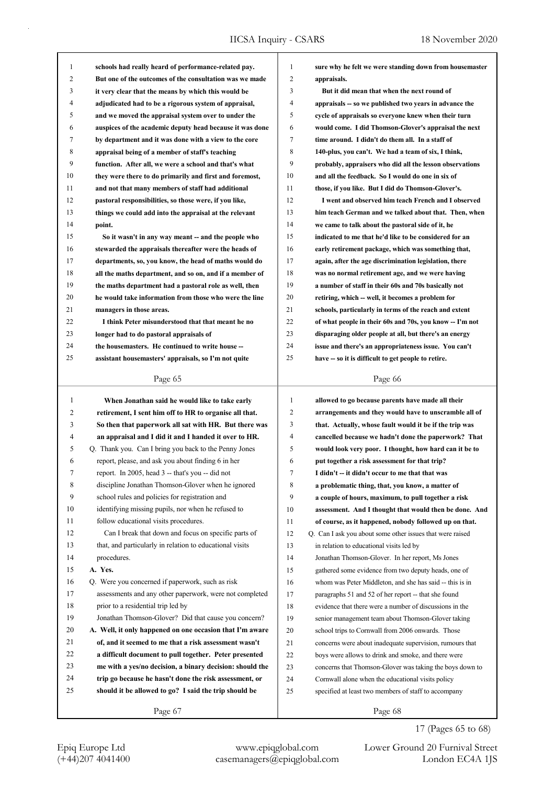| $\mathbf{1}$ | schools had really heard of performance-related pay.     | 1            | sure why he felt we were standing down from housemaster   |
|--------------|----------------------------------------------------------|--------------|-----------------------------------------------------------|
| 2            | But one of the outcomes of the consultation was we made  | 2            | appraisals.                                               |
| 3            | it very clear that the means by which this would be      | 3            | But it did mean that when the next round of               |
| 4            | adjudicated had to be a rigorous system of appraisal,    | 4            | appraisals -- so we published two years in advance the    |
| 5            | and we moved the appraisal system over to under the      | 5            | cycle of appraisals so everyone knew when their turn      |
| 6            | auspices of the academic deputy head because it was done | 6            | would come. I did Thomson-Glover's appraisal the next     |
| 7            | by department and it was done with a view to the core    | 7            | time around. I didn't do them all. In a staff of          |
| 8            | appraisal being of a member of staff's teaching          | 8            | 140-plus, you can't. We had a team of six, I think,       |
| 9            | function. After all, we were a school and that's what    | 9            | probably, appraisers who did all the lesson observations  |
| 10           | they were there to do primarily and first and foremost,  | 10           | and all the feedback. So I would do one in six of         |
| 11           | and not that many members of staff had additional        | 11           | those, if you like. But I did do Thomson-Glover's.        |
| 12           | pastoral responsibilities, so those were, if you like,   | 12           | I went and observed him teach French and I observed       |
| 13           | things we could add into the appraisal at the relevant   | 13           | him teach German and we talked about that. Then, when     |
| 14           | point.                                                   | 14           | we came to talk about the pastoral side of it, he         |
| 15           | So it wasn't in any way meant -- and the people who      | 15           | indicated to me that he'd like to be considered for an    |
| 16           | stewarded the appraisals thereafter were the heads of    | 16           | early retirement package, which was something that,       |
| 17           | departments, so, you know, the head of maths would do    | 17           | again, after the age discrimination legislation, there    |
| 18           | all the maths department, and so on, and if a member of  | 18           | was no normal retirement age, and we were having          |
| 19           | the maths department had a pastoral role as well, then   | 19           | a number of staff in their 60s and 70s basically not      |
| 20           | he would take information from those who were the line   | 20           | retiring, which -- well, it becomes a problem for         |
| 21           | managers in those areas.                                 | 21           | schools, particularly in terms of the reach and extent    |
| 22           | I think Peter misunderstood that that meant he no        | 22           | of what people in their 60s and 70s, you know -- I'm not  |
| 23           | longer had to do pastoral appraisals of                  | 23           | disparaging older people at all, but there's an energy    |
| 24           | the housemasters. He continued to write house --         | 24           | issue and there's an appropriateness issue. You can't     |
| 25           | assistant housemasters' appraisals, so I'm not quite     | 25           | have -- so it is difficult to get people to retire.       |
|              |                                                          |              |                                                           |
|              | Page 65                                                  |              |                                                           |
|              |                                                          |              | Page 66                                                   |
| 1            | When Jonathan said he would like to take early           | $\mathbf{1}$ | allowed to go because parents have made all their         |
| 2            | retirement, I sent him off to HR to organise all that.   | 2            | arrangements and they would have to unscramble all of     |
| 3            | So then that paperwork all sat with HR. But there was    | 3            | that. Actually, whose fault would it be if the trip was   |
| 4            | an appraisal and I did it and I handed it over to HR.    | 4            | cancelled because we hadn't done the paperwork? That      |
| 5            | Q. Thank you. Can I bring you back to the Penny Jones    | 5            | would look very poor. I thought, how hard can it be to    |
| 6            | report, please, and ask you about finding 6 in her       | 6            | put together a risk assessment for that trip?             |
| 7            | report. In 2005, head 3 -- that's you -- did not         | 7            | I didn't -- it didn't occur to me that that was           |
| 8            | discipline Jonathan Thomson-Glover when he ignored       | 8            | a problematic thing, that, you know, a matter of          |
| 9            | school rules and policies for registration and           | 9            | a couple of hours, maximum, to pull together a risk       |
| 10           | identifying missing pupils, nor when he refused to       | 10           | assessment. And I thought that would then be done. And    |
| 11           | follow educational visits procedures.                    | 11           | of course, as it happened, nobody followed up on that.    |
| 12           | Can I break that down and focus on specific parts of     | 12           | Q. Can I ask you about some other issues that were raised |
| 13           | that, and particularly in relation to educational visits | 13           | in relation to educational visits led by                  |
| 14           | procedures.                                              | 14           | Jonathan Thomson-Glover. In her report, Ms Jones          |
| 15           | A. Yes.                                                  | 15           | gathered some evidence from two deputy heads, one of      |
| 16           | Q. Were you concerned if paperwork, such as risk         | 16           | whom was Peter Middleton, and she has said -- this is in  |
| 17           | assessments and any other paperwork, were not completed  | 17           | paragraphs 51 and 52 of her report -- that she found      |
| 18           | prior to a residential trip led by                       | 18           | evidence that there were a number of discussions in the   |
| 19           | Jonathan Thomson-Glover? Did that cause you concern?     | 19           | senior management team about Thomson-Glover taking        |
| 20           | A. Well, it only happened on one occasion that I'm aware | 20           | school trips to Cornwall from 2006 onwards. Those         |
| 21           | of, and it seemed to me that a risk assessment wasn't    | 21           | concerns were about inadequate supervision, rumours that  |
| 22           | a difficult document to pull together. Peter presented   | 22           | boys were allows to drink and smoke, and there were       |
| 23           | me with a yes/no decision, a binary decision: should the | 23           | concerns that Thomson-Glover was taking the boys down to  |
| 24           | trip go because he hasn't done the risk assessment, or   | 24           | Cornwall alone when the educational visits policy         |
| 25           | should it be allowed to go? I said the trip should be    | 25           | specified at least two members of staff to accompany      |
|              | Page 67                                                  |              | Page 68                                                   |

Epiq Europe Ltd www.epiqglobal.com Lower Ground 20 Furnival Street<br>
(+44)207 4041400 casemanagers@epiqglobal.com London EC4A 1JS

Lower Ground 20 Furnival Street

17 (Pages 65 to 68)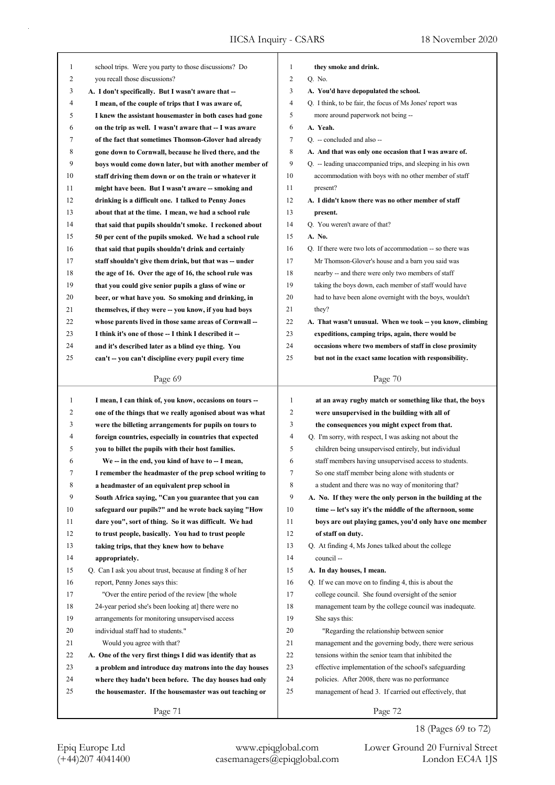| 1  | school trips. Were you party to those discussions? Do      | 1            | they smoke and drink.                                      |
|----|------------------------------------------------------------|--------------|------------------------------------------------------------|
| 2  | you recall those discussions?                              | 2            | Q. No.                                                     |
| 3  | A. I don't specifically. But I wasn't aware that --        | 3            | A. You'd have depopulated the school.                      |
| 4  | I mean, of the couple of trips that I was aware of,        | 4            | Q. I think, to be fair, the focus of Ms Jones' report was  |
| 5  | I knew the assistant housemaster in both cases had gone    | 5            | more around paperwork not being --                         |
| 6  | on the trip as well. I wasn't aware that -- I was aware    | 6            | A. Yeah.                                                   |
| 7  | of the fact that sometimes Thomson-Glover had already      | 7            | Q. -- concluded and also --                                |
| 8  | gone down to Cornwall, because he lived there, and the     | 8            | A. And that was only one occasion that I was aware of.     |
| 9  | boys would come down later, but with another member of     | 9            | Q. -- leading unaccompanied trips, and sleeping in his own |
| 10 | staff driving them down or on the train or whatever it     | 10           | accommodation with boys with no other member of staff      |
| 11 | might have been. But I wasn't aware -- smoking and         | 11           | present?                                                   |
| 12 | drinking is a difficult one. I talked to Penny Jones       | 12           | A. I didn't know there was no other member of staff        |
| 13 | about that at the time. I mean, we had a school rule       | 13           | present.                                                   |
| 14 | that said that pupils shouldn't smoke. I reckoned about    | 14           | Q. You weren't aware of that?                              |
| 15 | 50 per cent of the pupils smoked. We had a school rule     | 15           | A. No.                                                     |
| 16 | that said that pupils shouldn't drink and certainly        | 16           | Q. If there were two lots of accommodation -- so there was |
| 17 | staff shouldn't give them drink, but that was -- under     | 17           | Mr Thomson-Glover's house and a barn you said was          |
| 18 | the age of 16. Over the age of 16, the school rule was     | 18           | nearby -- and there were only two members of staff         |
| 19 | that you could give senior pupils a glass of wine or       | 19           | taking the boys down, each member of staff would have      |
| 20 | beer, or what have you. So smoking and drinking, in        | 20           | had to have been alone overnight with the boys, wouldn't   |
| 21 | themselves, if they were -- you know, if you had boys      | 21           | they?                                                      |
| 22 | whose parents lived in those same areas of Cornwall --     | 22           | A. That wasn't unusual. When we took -- you know, climbing |
| 23 | I think it's one of those -- I think I described it --     | 23           | expeditions, camping trips, again, there would be          |
| 24 | and it's described later as a blind eye thing. You         | 24           | occasions where two members of staff in close proximity    |
| 25 | can't -- you can't discipline every pupil every time       | 25           | but not in the exact same location with responsibility.    |
|    |                                                            |              |                                                            |
|    | Page 69                                                    |              | Page 70                                                    |
|    |                                                            |              |                                                            |
|    |                                                            |              |                                                            |
| 1  | I mean, I can think of, you know, occasions on tours --    | $\mathbf{1}$ | at an away rugby match or something like that, the boys    |
| 2  | one of the things that we really agonised about was what   | 2            | were unsupervised in the building with all of              |
| 3  | were the billeting arrangements for pupils on tours to     | 3            | the consequences you might expect from that.               |
| 4  | foreign countries, especially in countries that expected   | 4            | Q. I'm sorry, with respect, I was asking not about the     |
| 5  | you to billet the pupils with their host families.         | 5            | children being unsupervised entirely, but individual       |
| 6  | We -- in the end, you kind of have to -- I mean,           | 6            | staff members having unsupervised access to students.      |
| 7  | I remember the headmaster of the prep school writing to    | 7            | So one staff member being alone with students or           |
| 8  | a headmaster of an equivalent prep school in               | 8            | a student and there was no way of monitoring that?         |
| 9  | South Africa saying, "Can you guarantee that you can       | 9            | A. No. If they were the only person in the building at the |
| 10 | safeguard our pupils?" and he wrote back saying "How       | 10           | time -- let's say it's the middle of the afternoon, some   |
| 11 | dare you", sort of thing. So it was difficult. We had      | 11           | boys are out playing games, you'd only have one member     |
| 12 | to trust people, basically. You had to trust people        | 12           | of staff on duty.                                          |
| 13 | taking trips, that they knew how to behave                 | 13           | Q. At finding 4, Ms Jones talked about the college         |
| 14 | appropriately.                                             | 14           | council-                                                   |
| 15 | Q. Can I ask you about trust, because at finding 8 of her  | 15           | A. In day houses, I mean.                                  |
| 16 | report, Penny Jones says this:                             | 16           | Q. If we can move on to finding 4, this is about the       |
| 17 | "Over the entire period of the review [the whole           | 17           | college council. She found oversight of the senior         |
| 18 | 24-year period she's been looking at] there were no        | 18           | management team by the college council was inadequate.     |
| 19 | arrangements for monitoring unsupervised access            | 19           | She says this:                                             |
| 20 | individual staff had to students."                         | 20           | "Regarding the relationship between senior                 |
| 21 | Would you agree with that?                                 | 21           | management and the governing body, there were serious      |
| 22 | A. One of the very first things I did was identify that as | 22           | tensions within the senior team that inhibited the         |
| 23 | a problem and introduce day matrons into the day houses    | 23           | effective implementation of the school's safeguarding      |
| 24 | where they hadn't been before. The day houses had only     | 24           | policies. After 2008, there was no performance             |
| 25 | the housemaster. If the housemaster was out teaching or    | 25           | management of head 3. If carried out effectively, that     |

18 (Pages 69 to 72)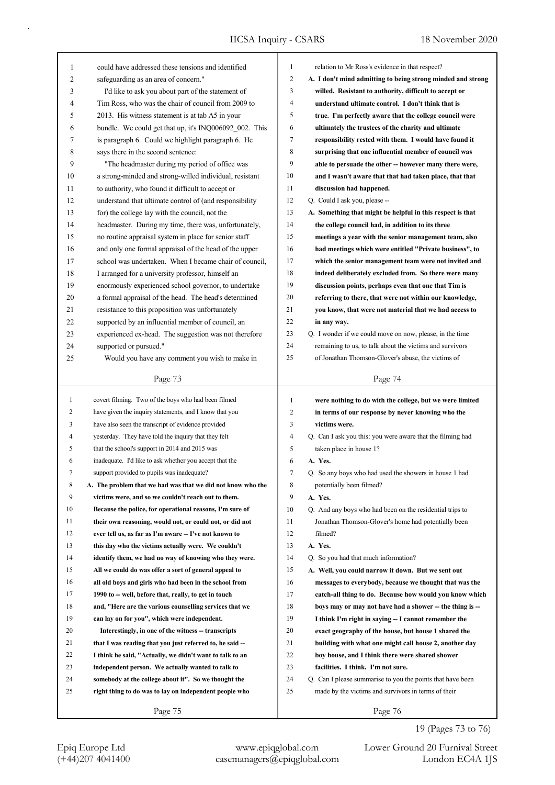| $\mathbf{1}$ | could have addressed these tensions and identified          | 1              | relation to Mr Ross's evidence in that respect?             |
|--------------|-------------------------------------------------------------|----------------|-------------------------------------------------------------|
| 2            | safeguarding as an area of concern."                        | 2              | A. I don't mind admitting to being strong minded and strong |
| 3            | I'd like to ask you about part of the statement of          | 3              | willed. Resistant to authority, difficult to accept or      |
| 4            | Tim Ross, who was the chair of council from 2009 to         | 4              | understand ultimate control. I don't think that is          |
| 5            | 2013. His witness statement is at tab A5 in your            | 5              | true. I'm perfectly aware that the college council were     |
| 6            | bundle. We could get that up, it's INQ006092 002. This      | 6              | ultimately the trustees of the charity and ultimate         |
| 7            | is paragraph 6. Could we highlight paragraph 6. He          | 7              | responsibility rested with them. I would have found it      |
| 8            | says there in the second sentence:                          | 8              | surprising that one influential member of council was       |
| 9            | "The headmaster during my period of office was              | 9              | able to persuade the other -- however many there were,      |
| 10           | a strong-minded and strong-willed individual, resistant     | 10             | and I wasn't aware that that had taken place, that that     |
| 11           | to authority, who found it difficult to accept or           | 11             | discussion had happened.                                    |
| 12           | understand that ultimate control of (and responsibility     | 12             | Q. Could I ask you, please --                               |
| 13           | for) the college lay with the council, not the              | 13             | A. Something that might be helpful in this respect is that  |
| 14           | headmaster. During my time, there was, unfortunately,       | 14             | the college council had, in addition to its three           |
| 15           | no routine appraisal system in place for senior staff       | 15             | meetings a year with the senior management team, also       |
| 16           | and only one formal appraisal of the head of the upper      | 16             | had meetings which were entitled "Private business", to     |
| 17           | school was undertaken. When I became chair of council,      | 17             | which the senior management team were not invited and       |
| 18           | I arranged for a university professor, himself an           | 18             | indeed deliberately excluded from. So there were many       |
| 19           | enormously experienced school governor, to undertake        | 19             | discussion points, perhaps even that one that Tim is        |
| 20           | a formal appraisal of the head. The head's determined       | 20             | referring to there, that were not within our knowledge,     |
| 21           | resistance to this proposition was unfortunately            | 21             | you know, that were not material that we had access to      |
| 22           | supported by an influential member of council, an           | 22             | in any way.                                                 |
| 23           | experienced ex-head. The suggestion was not therefore       | 23             | Q. I wonder if we could move on now, please, in the time    |
| 24           | supported or pursued."                                      | 24             | remaining to us, to talk about the victims and survivors    |
| 25           | Would you have any comment you wish to make in              | 25             | of Jonathan Thomson-Glover's abuse, the victims of          |
|              |                                                             |                |                                                             |
|              | Page 73                                                     |                | Page 74                                                     |
|              |                                                             |                |                                                             |
|              |                                                             |                |                                                             |
| $\mathbf{1}$ | covert filming. Two of the boys who had been filmed         | $\mathbf{1}$   | were nothing to do with the college, but we were limited    |
| 2            | have given the inquiry statements, and I know that you      | $\overline{c}$ | in terms of our response by never knowing who the           |
| 3            | have also seen the transcript of evidence provided          | 3              | victims were.                                               |
| 4            | yesterday. They have told the inquiry that they felt        | 4              | Q. Can I ask you this: you were aware that the filming had  |
| 5            | that the school's support in 2014 and 2015 was              | 5              | taken place in house 1?                                     |
| 6            | inadequate. I'd like to ask whether you accept that the     | 6              | A. Yes.                                                     |
| 7            | support provided to pupils was inadequate?                  | 7              | Q. So any boys who had used the showers in house 1 had      |
| 8            | A. The problem that we had was that we did not know who the | 8              | potentially been filmed?                                    |
| 9            | victims were, and so we couldn't reach out to them.         | 9              | A. Yes.                                                     |
| 10           | Because the police, for operational reasons, I'm sure of    | 10             | Q. And any boys who had been on the residential trips to    |
| 11           | their own reasoning, would not, or could not, or did not    | 11             | Jonathan Thomson-Glover's home had potentially been         |
| 12           | ever tell us, as far as I'm aware -- I've not known to      | 12             | filmed?                                                     |
| 13           | this day who the victims actually were. We couldn't         | 13             | A. Yes.                                                     |
| 14           | identify them, we had no way of knowing who they were.      | 14             | Q. So you had that much information?                        |
| 15           | All we could do was offer a sort of general appeal to       | 15             | A. Well, you could narrow it down. But we sent out          |
| 16           | all old boys and girls who had been in the school from      | 16             | messages to everybody, because we thought that was the      |
| 17           | 1990 to -- well, before that, really, to get in touch       | 17             | catch-all thing to do. Because how would you know which     |
| 18           | and, "Here are the various counselling services that we     | 18             | boys may or may not have had a shower -- the thing is --    |
| 19           | can lay on for you", which were independent.                | 19             | I think I'm right in saying -- I cannot remember the        |
| 20           | Interestingly, in one of the witness -- transcripts         | 20             | exact geography of the house, but house 1 shared the        |
| 21           | that I was reading that you just referred to, he said --    | 21             | building with what one might call house 2, another day      |
| 22           | I think he said, "Actually, we didn't want to talk to an    | 22             | boy house, and I think there were shared shower             |
| 23           | independent person. We actually wanted to talk to           | 23             | facilities. I think. I'm not sure.                          |
| 24           | somebody at the college about it". So we thought the        | 24             | Q. Can I please summarise to you the points that have been  |
| 25           | right thing to do was to lay on independent people who      | 25             | made by the victims and survivors in terms of their         |
|              | Page 75                                                     |                | Page 76                                                     |

19 (Pages 73 to 76)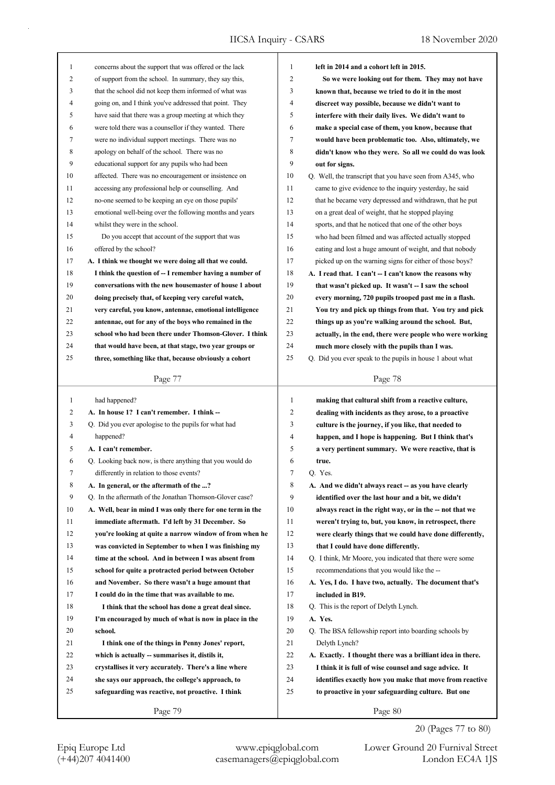| 1            | concerns about the support that was offered or the lack    | 1  | left in 2014 and a cohort left in 2015.                    |
|--------------|------------------------------------------------------------|----|------------------------------------------------------------|
| 2            | of support from the school. In summary, they say this,     | 2  | So we were looking out for them. They may not have         |
| 3            | that the school did not keep them informed of what was     | 3  | known that, because we tried to do it in the most          |
| 4            | going on, and I think you've addressed that point. They    | 4  | discreet way possible, because we didn't want to           |
| 5            | have said that there was a group meeting at which they     | 5  | interfere with their daily lives. We didn't want to        |
| 6            | were told there was a counsellor if they wanted. There     | 6  | make a special case of them, you know, because that        |
| 7            | were no individual support meetings. There was no          | 7  | would have been problematic too. Also, ultimately, we      |
| 8            | apology on behalf of the school. There was no              | 8  | didn't know who they were. So all we could do was look     |
| 9            | educational support for any pupils who had been            | 9  | out for signs.                                             |
| 10           | affected. There was no encouragement or insistence on      | 10 | Q. Well, the transcript that you have seen from A345, who  |
| 11           | accessing any professional help or counselling. And        | 11 | came to give evidence to the inquiry yesterday, he said    |
| 12           | no-one seemed to be keeping an eye on those pupils'        | 12 | that he became very depressed and withdrawn, that he put   |
| 13           | emotional well-being over the following months and years   | 13 | on a great deal of weight, that he stopped playing         |
| 14           | whilst they were in the school.                            | 14 | sports, and that he noticed that one of the other boys     |
| 15           | Do you accept that account of the support that was         | 15 | who had been filmed and was affected actually stopped      |
| 16           | offered by the school?                                     | 16 | eating and lost a huge amount of weight, and that nobody   |
| 17           | A. I think we thought we were doing all that we could.     | 17 | picked up on the warning signs for either of those boys?   |
| 18           | I think the question of -- I remember having a number of   | 18 | A. I read that. I can't -- I can't know the reasons why    |
| 19           | conversations with the new housemaster of house 1 about    | 19 | that wasn't picked up. It wasn't -- I saw the school       |
| 20           | doing precisely that, of keeping very careful watch,       | 20 | every morning, 720 pupils trooped past me in a flash.      |
| 21           | very careful, you know, antennae, emotional intelligence   | 21 | You try and pick up things from that. You try and pick     |
| 22           | antennae, out for any of the boys who remained in the      | 22 | things up as you're walking around the school. But,        |
| 23           | school who had been there under Thomson-Glover. I think    | 23 | actually, in the end, there were people who were working   |
| 24           | that would have been, at that stage, two year groups or    | 24 |                                                            |
| 25           |                                                            | 25 | much more closely with the pupils than I was.              |
|              | three, something like that, because obviously a cohort     |    | Q. Did you ever speak to the pupils in house 1 about what  |
|              | Page 77                                                    |    | Page 78                                                    |
|              |                                                            |    |                                                            |
|              |                                                            |    |                                                            |
| $\mathbf{1}$ | had happened?                                              | 1  | making that cultural shift from a reactive culture,        |
| 2            | A. In house 1? I can't remember. I think --                | 2  | dealing with incidents as they arose, to a proactive       |
| 3            | Q. Did you ever apologise to the pupils for what had       | 3  | culture is the journey, if you like, that needed to        |
| 4            | happened?                                                  | 4  | happen, and I hope is happening. But I think that's        |
| 5            | A. I can't remember.                                       | 5  | a very pertinent summary. We were reactive, that is        |
| 6            | Q. Looking back now, is there anything that you would do   | 6  | true.                                                      |
| 7            | differently in relation to those events?                   | 7  | Q. Yes.                                                    |
| 8            | A. In general, or the aftermath of the ?                   | 8  | A. And we didn't always react -- as you have clearly       |
| 9            | Q. In the aftermath of the Jonathan Thomson-Glover case?   | 9  | identified over the last hour and a bit, we didn't         |
| 10           | A. Well, bear in mind I was only there for one term in the | 10 | always react in the right way, or in the -- not that we    |
| 11           | immediate aftermath. I'd left by 31 December. So           | 11 | weren't trying to, but, you know, in retrospect, there     |
| 12           | you're looking at quite a narrow window of from when he    | 12 | were clearly things that we could have done differently,   |
| 13           | was convicted in September to when I was finishing my      | 13 | that I could have done differently.                        |
| 14           | time at the school. And in between I was absent from       | 14 | Q. I think, Mr Moore, you indicated that there were some   |
| 15           | school for quite a protracted period between October       | 15 | recommendations that you would like the --                 |
| 16           | and November. So there wasn't a huge amount that           | 16 | A. Yes, I do. I have two, actually. The document that's    |
| 17           | I could do in the time that was available to me.           | 17 | included in B19.                                           |
| 18           | I think that the school has done a great deal since.       | 18 | Q. This is the report of Delyth Lynch.                     |
| 19           | I'm encouraged by much of what is now in place in the      | 19 | A. Yes.                                                    |
| 20           | school.                                                    | 20 | Q. The BSA fellowship report into boarding schools by      |
| 21           | I think one of the things in Penny Jones' report,          | 21 | Delyth Lynch?                                              |
| 22           | which is actually -- summarises it, distils it,            | 22 | A. Exactly. I thought there was a brilliant idea in there. |
| 23           | crystallises it very accurately. There's a line where      | 23 | I think it is full of wise counsel and sage advice. It     |
| 24           | she says our approach, the college's approach, to          | 24 | identifies exactly how you make that move from reactive    |
| 25           | safeguarding was reactive, not proactive. I think          | 25 | to proactive in your safeguarding culture. But one         |
|              | Page 79                                                    |    | Page 80                                                    |

20 (Pages 77 to 80)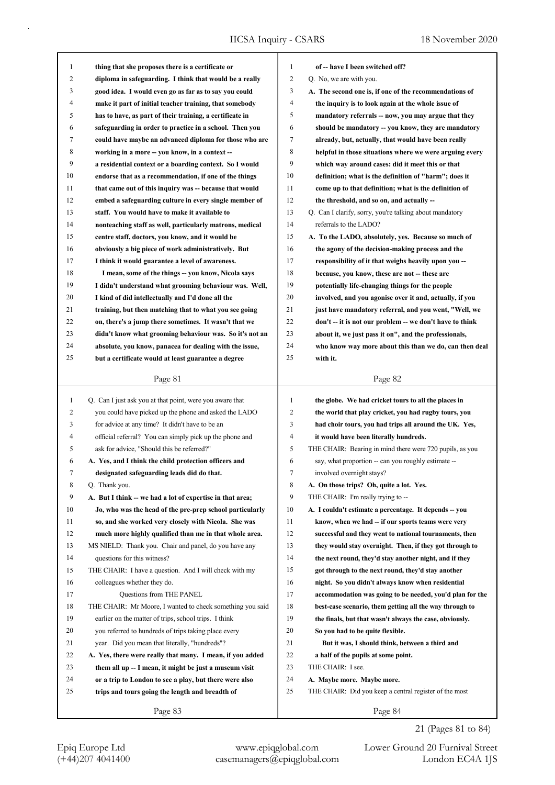| $\mathbf{1}$ | thing that she proposes there is a certificate or         | $\mathbf{1}$   | of -- have I been switched off?                          |
|--------------|-----------------------------------------------------------|----------------|----------------------------------------------------------|
| 2            | diploma in safeguarding. I think that would be a really   | $\overline{c}$ | Q. No, we are with you.                                  |
| 3            | good idea. I would even go as far as to say you could     | 3              | A. The second one is, if one of the recommendations of   |
| 4            | make it part of initial teacher training, that somebody   | $\overline{4}$ | the inquiry is to look again at the whole issue of       |
| 5            | has to have, as part of their training, a certificate in  | 5              | mandatory referrals -- now, you may argue that they      |
| 6            | safeguarding in order to practice in a school. Then you   | 6              | should be mandatory -- you know, they are mandatory      |
| 7            | could have maybe an advanced diploma for those who are    | 7              | already, but, actually, that would have been really      |
| 8            | working in a more -- you know, in a context --            | 8              | helpful in those situations where we were arguing every  |
| 9            | a residential context or a boarding context. So I would   | 9              | which way around cases: did it meet this or that         |
| 10           | endorse that as a recommendation, if one of the things    | 10             | definition; what is the definition of "harm"; does it    |
| 11           | that came out of this inquiry was -- because that would   | 11             | come up to that definition; what is the definition of    |
| 12           | embed a safeguarding culture in every single member of    | 12             | the threshold, and so on, and actually --                |
| 13           | staff. You would have to make it available to             | 13             | Q. Can I clarify, sorry, you're talking about mandatory  |
| 14           | nonteaching staff as well, particularly matrons, medical  | 14             | referrals to the LADO?                                   |
| 15           | centre staff, doctors, you know, and it would be          | 15             | A. To the LADO, absolutely, yes. Because so much of      |
| 16           | obviously a big piece of work administratively. But       | 16             | the agony of the decision-making process and the         |
| 17           | I think it would guarantee a level of awareness.          | 17             | responsibility of it that weighs heavily upon you --     |
| 18           | I mean, some of the things -- you know, Nicola says       | 18             | because, you know, these are not -- these are            |
| 19           | I didn't understand what grooming behaviour was. Well,    | 19             | potentially life-changing things for the people          |
| 20           | I kind of did intellectually and I'd done all the         | 20             | involved, and you agonise over it and, actually, if you  |
| 21           | training, but then matching that to what you see going    | 21             | just have mandatory referral, and you went, "Well, we    |
| 22           | on, there's a jump there sometimes. It wasn't that we     | 22             | don't -- it is not our problem -- we don't have to think |
| 23           | didn't know what grooming behaviour was. So it's not an   | 23             | about it, we just pass it on", and the professionals,    |
| 24           | absolute, you know, panacea for dealing with the issue,   | 24             | who know way more about this than we do, can then deal   |
| 25           | but a certificate would at least guarantee a degree       | 25             | with it.                                                 |
|              |                                                           |                |                                                          |
|              | Page 81                                                   |                | Page 82                                                  |
|              |                                                           |                |                                                          |
|              |                                                           |                |                                                          |
| $\mathbf{1}$ | Q. Can I just ask you at that point, were you aware that  | $\mathbf{1}$   | the globe. We had cricket tours to all the places in     |
| 2            | you could have picked up the phone and asked the LADO     | 2              | the world that play cricket, you had rugby tours, you    |
| 3            | for advice at any time? It didn't have to be an           | 3              | had choir tours, you had trips all around the UK. Yes,   |
| 4            | official referral? You can simply pick up the phone and   | 4              | it would have been literally hundreds.                   |
| 5            | ask for advice, "Should this be referred?"                | 5              | THE CHAIR: Bearing in mind there were 720 pupils, as you |
| 6            | A. Yes, and I think the child protection officers and     | 6              | say, what proportion -- can you roughly estimate --      |
| 7            | designated safeguarding leads did do that.                | 7              | involved overnight stays?                                |
| 8            | Q. Thank you.                                             | 8              | A. On those trips? Oh, quite a lot. Yes.                 |
| 9            | A. But I think -- we had a lot of expertise in that area; | 9              | THE CHAIR: I'm really trying to --                       |
| 10           | Jo, who was the head of the pre-prep school particularly  | 10             | A. I couldn't estimate a percentage. It depends -- you   |
| 11           | so, and she worked very closely with Nicola. She was      | 11             | know, when we had -- if our sports teams were very       |
| 12           | much more highly qualified than me in that whole area.    | 12             | successful and they went to national tournaments, then   |
| 13           | MS NIELD: Thank you. Chair and panel, do you have any     | 13             | they would stay overnight. Then, if they got through to  |
| 14           | questions for this witness?                               | 14             | the next round, they'd stay another night, and if they   |
| 15           | THE CHAIR: I have a question. And I will check with my    | 15             | got through to the next round, they'd stay another       |
| 16           | colleagues whether they do.                               | 16             | night. So you didn't always know when residential        |
| 17           | Questions from THE PANEL                                  | 17             | accommodation was going to be needed, you'd plan for the |
| 18           | THE CHAIR: Mr Moore, I wanted to check something you said | 18             | best-case scenario, them getting all the way through to  |
| 19           | earlier on the matter of trips, school trips. I think     | 19             | the finals, but that wasn't always the case, obviously.  |
| 20           | you referred to hundreds of trips taking place every      | 20             | So you had to be quite flexible.                         |
| 21           | year. Did you mean that literally, "hundreds"?            | 21             | But it was, I should think, between a third and          |
| 22           | A. Yes, there were really that many. I mean, if you added | 22             | a half of the pupils at some point.                      |
| 23           | them all up -- I mean, it might be just a museum visit    | 23             | THE CHAIR: I see.                                        |
| 24           | or a trip to London to see a play, but there were also    | 24             | A. Maybe more. Maybe more.                               |
| 25           | trips and tours going the length and breadth of           | 25             | THE CHAIR: Did you keep a central register of the most   |
|              | Page 83                                                   |                | Page 84                                                  |

21 (Pages 81 to 84)

Epiq Europe Ltd www.epiqglobal.com Lower Ground 20 Furnival Street<br>
(+44)207 4041400 casemanagers@epiqglobal.com London EC4A 1JS Lower Ground 20 Furnival Street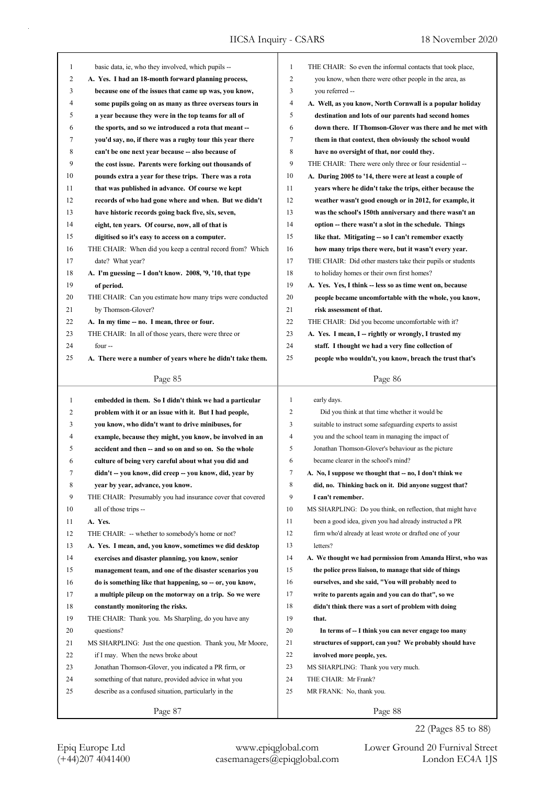| $\mathbf{1}$ | basic data, ie, who they involved, which pupils --                                                            | 1<br>THE CHAIR: So even the informal contacts that took place,                                  |
|--------------|---------------------------------------------------------------------------------------------------------------|-------------------------------------------------------------------------------------------------|
| 2            | A. Yes. I had an 18-month forward planning process,                                                           | 2<br>you know, when there were other people in the area, as                                     |
| 3            | because one of the issues that came up was, you know,                                                         | 3<br>you referred --                                                                            |
| 4            | some pupils going on as many as three overseas tours in                                                       | $\overline{4}$<br>A. Well, as you know, North Cornwall is a popular holiday                     |
| 5            | a year because they were in the top teams for all of                                                          | 5<br>destination and lots of our parents had second homes                                       |
| 6            | the sports, and so we introduced a rota that meant --                                                         | 6<br>down there. If Thomson-Glover was there and he met with                                    |
| 7            | you'd say, no, if there was a rugby tour this year there                                                      | 7<br>them in that context, then obviously the school would                                      |
| 8            | can't be one next year because -- also because of                                                             | 8<br>have no oversight of that, nor could they.                                                 |
| 9            | the cost issue. Parents were forking out thousands of                                                         | 9<br>THE CHAIR: There were only three or four residential --                                    |
| 10           | pounds extra a year for these trips. There was a rota                                                         | 10<br>A. During 2005 to '14, there were at least a couple of                                    |
| 11           | that was published in advance. Of course we kept                                                              | 11<br>years where he didn't take the trips, either because the                                  |
| 12           | records of who had gone where and when. But we didn't                                                         | 12<br>weather wasn't good enough or in 2012, for example, it                                    |
| 13           | have historic records going back five, six, seven,                                                            | 13<br>was the school's 150th anniversary and there wasn't an                                    |
| 14           | eight, ten years. Of course, now, all of that is                                                              | 14<br>option -- there wasn't a slot in the schedule. Things                                     |
| 15           | digitised so it's easy to access on a computer.                                                               | 15<br>like that. Mitigating -- so I can't remember exactly                                      |
| 16           | THE CHAIR: When did you keep a central record from? Which                                                     | 16<br>how many trips there were, but it wasn't every year.                                      |
| 17           | date? What year?                                                                                              | 17<br>THE CHAIR: Did other masters take their pupils or students                                |
| 18           | A. I'm guessing -- I don't know. 2008, '9, '10, that type                                                     | 18<br>to holiday homes or their own first homes?                                                |
| 19           | of period.                                                                                                    | 19<br>A. Yes. Yes, I think - less so as time went on, because                                   |
| 20           | THE CHAIR: Can you estimate how many trips were conducted                                                     | 20<br>people became uncomfortable with the whole, you know,                                     |
| 21           | by Thomson-Glover?                                                                                            | 21<br>risk assessment of that.                                                                  |
| 22           | A. In my time -- no. I mean, three or four.                                                                   | 22<br>THE CHAIR: Did you become uncomfortable with it?                                          |
| 23           | THE CHAIR: In all of those years, there were three or                                                         | 23<br>A. Yes. I mean, I -- rightly or wrongly, I trusted my                                     |
| 24           | four --                                                                                                       | 24<br>staff. I thought we had a very fine collection of                                         |
| 25           | A. There were a number of years where he didn't take them.                                                    | 25<br>people who wouldn't, you know, breach the trust that's                                    |
|              |                                                                                                               |                                                                                                 |
|              | Page 85                                                                                                       | Page 86                                                                                         |
|              |                                                                                                               |                                                                                                 |
| 1            | embedded in them. So I didn't think we had a particular                                                       | $\mathbf{1}$<br>early days.                                                                     |
| 2            | problem with it or an issue with it. But I had people,                                                        | $\overline{2}$<br>Did you think at that time whether it would be                                |
| 3            |                                                                                                               | 3<br>suitable to instruct some safeguarding experts to assist                                   |
| 4            | you know, who didn't want to drive minibuses, for<br>example, because they might, you know, be involved in an | $\overline{4}$<br>you and the school team in managing the impact of                             |
| 5            |                                                                                                               | 5<br>Jonathan Thomson-Glover's behaviour as the picture                                         |
| 6            | accident and then -- and so on and so on. So the whole                                                        | became clearer in the school's mind?<br>6                                                       |
| 7            | culture of being very careful about what you did and                                                          | 7                                                                                               |
|              | didn't -- you know, did creep -- you know, did, year by                                                       | A. No, I suppose we thought that -- no, I don't think we                                        |
| 8            | year by year, advance, you know.                                                                              | $\,$ 8 $\,$<br>did, no. Thinking back on it. Did anyone suggest that?<br>9<br>I can't remember. |
| 9            | THE CHAIR: Presumably you had insurance cover that covered                                                    | 10                                                                                              |
| 10           | all of those trips --                                                                                         | MS SHARPLING: Do you think, on reflection, that might have                                      |
| 11           | A. Yes.                                                                                                       | 11<br>been a good idea, given you had already instructed a PR                                   |
| 12           | THE CHAIR: -- whether to somebody's home or not?                                                              | 12<br>firm who'd already at least wrote or drafted one of your                                  |
| 13           | A. Yes. I mean, and, you know, sometimes we did desktop                                                       | 13<br>letters?                                                                                  |
| 14           | exercises and disaster planning, you know, senior                                                             | 14<br>A. We thought we had permission from Amanda Hirst, who was                                |
| 15           | management team, and one of the disaster scenarios you                                                        | 15<br>the police press liaison, to manage that side of things                                   |
| 16           | do is something like that happening, so -- or, you know,                                                      | 16<br>ourselves, and she said, "You will probably need to                                       |
| 17           | a multiple pileup on the motorway on a trip. So we were                                                       | 17<br>write to parents again and you can do that", so we                                        |
| 18           | constantly monitoring the risks.                                                                              | 18<br>didn't think there was a sort of problem with doing                                       |
| 19           | THE CHAIR: Thank you. Ms Sharpling, do you have any                                                           | 19<br>that.                                                                                     |
| 20           | questions?                                                                                                    | 20<br>In terms of -- I think you can never engage too many                                      |
| 21           | MS SHARPLING: Just the one question. Thank you, Mr Moore,                                                     | 21<br>structures of support, can you? We probably should have                                   |
| 22           | if I may. When the news broke about                                                                           | 22<br>involved more people, yes.                                                                |
| 23           | Jonathan Thomson-Glover, you indicated a PR firm, or                                                          | 23<br>MS SHARPLING: Thank you very much.                                                        |
| 24           | something of that nature, provided advice in what you                                                         | 24<br>THE CHAIR: Mr Frank?                                                                      |
| 25           | describe as a confused situation, particularly in the                                                         | 25<br>MR FRANK: No, thank you.                                                                  |

22 (Pages 85 to 88)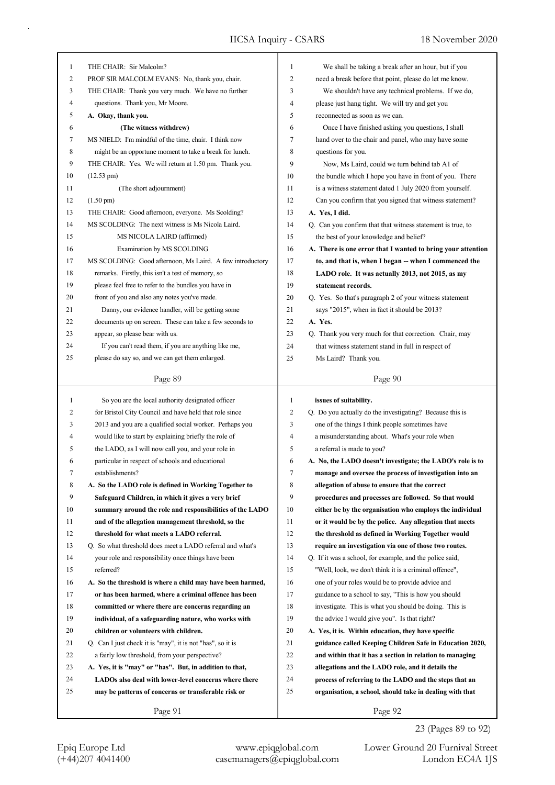| $\mathbf{1}$ | THE CHAIR: Sir Malcolm?                                    | 1            | We shall be taking a break after an hour, but if you        |
|--------------|------------------------------------------------------------|--------------|-------------------------------------------------------------|
| 2            | PROF SIR MALCOLM EVANS: No, thank you, chair.              | 2            | need a break before that point, please do let me know.      |
| 3            | THE CHAIR: Thank you very much. We have no further         | 3            | We shouldn't have any technical problems. If we do,         |
| 4            | questions. Thank you, Mr Moore.                            | 4            | please just hang tight. We will try and get you             |
| 5            | A. Okay, thank you.                                        | 5            | reconnected as soon as we can.                              |
| 6            | (The witness withdrew)                                     | 6            | Once I have finished asking you questions, I shall          |
| 7            | MS NIELD: I'm mindful of the time, chair. I think now      | 7            | hand over to the chair and panel, who may have some         |
| 8            | might be an opportune moment to take a break for lunch.    | 8            | questions for you.                                          |
| 9            | THE CHAIR: Yes. We will return at 1.50 pm. Thank you.      | 9            | Now, Ms Laird, could we turn behind tab A1 of               |
| 10           | $(12.53 \text{ pm})$                                       | 10           | the bundle which I hope you have in front of you. There     |
| 11           | (The short adjournment)                                    | 11           | is a witness statement dated 1 July 2020 from yourself.     |
| 12           | $(1.50 \text{ pm})$                                        | 12           | Can you confirm that you signed that witness statement?     |
| 13           | THE CHAIR: Good afternoon, everyone. Ms Scolding?          | 13           | A. Yes, I did.                                              |
| 14           | MS SCOLDING: The next witness is Ms Nicola Laird.          | 14           | Q. Can you confirm that that witness statement is true, to  |
| 15           | MS NICOLA LAIRD (affirmed)                                 | 15           | the best of your knowledge and belief?                      |
| 16           | Examination by MS SCOLDING                                 | 16           | A. There is one error that I wanted to bring your attention |
| 17           | MS SCOLDING: Good afternoon, Ms Laird. A few introductory  | 17           | to, and that is, when I began -- when I commenced the       |
| 18           | remarks. Firstly, this isn't a test of memory, so          | 18           | LADO role. It was actually 2013, not 2015, as my            |
| 19           | please feel free to refer to the bundles you have in       | 19           | statement records.                                          |
| 20           | front of you and also any notes you've made.               | 20           | Q. Yes. So that's paragraph 2 of your witness statement     |
| 21           | Danny, our evidence handler, will be getting some          | 21           | says "2015", when in fact it should be 2013?                |
| 22           | documents up on screen. These can take a few seconds to    | 22           | A. Yes.                                                     |
|              |                                                            |              |                                                             |
| 23           | appear, so please bear with us.                            | 23           | Q. Thank you very much for that correction. Chair, may      |
| 24           | If you can't read them, if you are anything like me,       | 24           | that witness statement stand in full in respect of          |
| 25           | please do say so, and we can get them enlarged.            | 25           | Ms Laird? Thank you.                                        |
|              | Page 89                                                    |              | Page 90                                                     |
|              |                                                            |              |                                                             |
| 1            | So you are the local authority designated officer          | $\mathbf{1}$ | issues of suitability.                                      |
| 2            | for Bristol City Council and have held that role since     | 2            | Q. Do you actually do the investigating? Because this is    |
| 3            | 2013 and you are a qualified social worker. Perhaps you    | 3            | one of the things I think people sometimes have             |
| 4            | would like to start by explaining briefly the role of      | 4            | a misunderstanding about. What's your role when             |
| 5            | the LADO, as I will now call you, and your role in         | 5            | a referral is made to you?                                  |
| 6            | particular in respect of schools and educational           | 6            | A. No, the LADO doesn't investigate; the LADO's role is to  |
| 7            | establishments?                                            | 7            | manage and oversee the process of investigation into an     |
| 8            | A. So the LADO role is defined in Working Together to      | 8            | allegation of abuse to ensure that the correct              |
| 9            | Safeguard Children, in which it gives a very brief         | 9            | procedures and processes are followed. So that would        |
| 10           | summary around the role and responsibilities of the LADO   | 10           | either be by the organisation who employs the individual    |
| 11           | and of the allegation management threshold, so the         | 11           | or it would be by the police. Any allegation that meets     |
| 12           | threshold for what meets a LADO referral.                  | 12           | the threshold as defined in Working Together would          |
| 13           | Q. So what threshold does meet a LADO referral and what's  | 13           |                                                             |
| 14           | your role and responsibility once things have been         | 14           | require an investigation via one of those two routes.       |
| 15           | referred?                                                  | 15           | Q. If it was a school, for example, and the police said,    |
|              |                                                            |              | "Well, look, we don't think it is a criminal offence",      |
| 16           | A. So the threshold is where a child may have been harmed, | 16           | one of your roles would be to provide advice and            |
| 17           | or has been harmed, where a criminal offence has been      | 17           | guidance to a school to say, "This is how you should        |
| 18           | committed or where there are concerns regarding an         | 18           | investigate. This is what you should be doing. This is      |
| 19           | individual, of a safeguarding nature, who works with       | 19           | the advice I would give you". Is that right?                |
| 20           | children or volunteers with children.                      | 20           | A. Yes, it is. Within education, they have specific         |
| 21           | Q. Can I just check it is "may", it is not "has", so it is | 21           | guidance called Keeping Children Safe in Education 2020,    |
| 22           | a fairly low threshold, from your perspective?             | 22           | and within that it has a section in relation to managing    |
| 23           | A. Yes, it is "may" or "has". But, in addition to that,    | 23           | allegations and the LADO role, and it details the           |
| 24           | LADOs also deal with lower-level concerns where there      | 24           | process of referring to the LADO and the steps that an      |
| 25           | may be patterns of concerns or transferable risk or        | 25           | organisation, a school, should take in dealing with that    |

23 (Pages 89 to 92)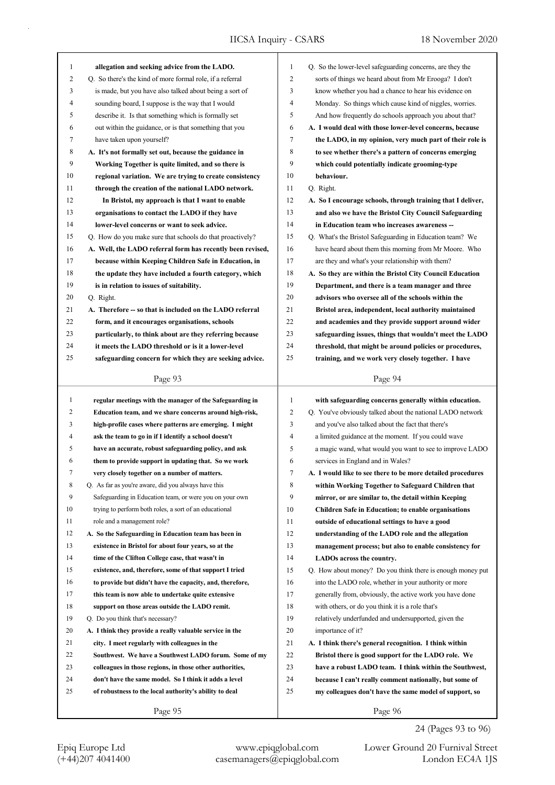| 1              | allegation and seeking advice from the LADO.               | $\mathbf{1}$   | Q. So the lower-level safeguarding concerns, are they the   |
|----------------|------------------------------------------------------------|----------------|-------------------------------------------------------------|
| $\overline{c}$ | Q. So there's the kind of more formal role, if a referral  | $\overline{c}$ | sorts of things we heard about from Mr Erooga? I don't      |
| 3              | is made, but you have also talked about being a sort of    | 3              | know whether you had a chance to hear his evidence on       |
| 4              | sounding board, I suppose is the way that I would          | 4              | Monday. So things which cause kind of niggles, worries.     |
| 5              | describe it. Is that something which is formally set       | 5              | And how frequently do schools approach you about that?      |
| 6              | out within the guidance, or is that something that you     | 6              | A. I would deal with those lower-level concerns, because    |
| 7              | have taken upon yourself?                                  | 7              | the LADO, in my opinion, very much part of their role is    |
| 8              | A. It's not formally set out, because the guidance in      | 8              | to see whether there's a pattern of concerns emerging       |
| 9              | Working Together is quite limited, and so there is         | 9              | which could potentially indicate grooming-type              |
| 10             | regional variation. We are trying to create consistency    | 10             | behaviour.                                                  |
| 11             | through the creation of the national LADO network.         | 11             | Q. Right.                                                   |
| 12             | In Bristol, my approach is that I want to enable           | 12             | A. So I encourage schools, through training that I deliver, |
| 13             | organisations to contact the LADO if they have             | 13             | and also we have the Bristol City Council Safeguarding      |
| 14             | lower-level concerns or want to seek advice.               | 14             | in Education team who increases awareness --                |
| 15             | Q. How do you make sure that schools do that proactively?  | 15             | Q. What's the Bristol Safeguarding in Education team? We    |
| 16             | A. Well, the LADO referral form has recently been revised, | 16             | have heard about them this morning from Mr Moore. Who       |
| 17             | because within Keeping Children Safe in Education, in      | 17             | are they and what's your relationship with them?            |
| 18             | the update they have included a fourth category, which     | 18             | A. So they are within the Bristol City Council Education    |
| 19             | is in relation to issues of suitability.                   | 19             | Department, and there is a team manager and three           |
| 20             | Q. Right.                                                  | 20             | advisors who oversee all of the schools within the          |
| 21             | A. Therefore -- so that is included on the LADO referral   | 21             | Bristol area, independent, local authority maintained       |
| 22             | form, and it encourages organisations, schools             | 22             | and academies and they provide support around wider         |
| 23             | particularly, to think about are they referring because    | 23             | safeguarding issues, things that wouldn't meet the LADO     |
| 24             | it meets the LADO threshold or is it a lower-level         | 24             | threshold, that might be around policies or procedures,     |
| 25             | safeguarding concern for which they are seeking advice.    | 25             | training, and we work very closely together. I have         |
|                |                                                            |                |                                                             |
|                | Page 93                                                    |                | Page 94                                                     |
|                |                                                            |                |                                                             |
|                |                                                            |                |                                                             |
| $\mathbf{1}$   | regular meetings with the manager of the Safeguarding in   | $\mathbf{1}$   | with safeguarding concerns generally within education.      |
| 2              | Education team, and we share concerns around high-risk,    | 2              | Q. You've obviously talked about the national LADO network  |
| 3              | high-profile cases where patterns are emerging. I might    | 3              | and you've also talked about the fact that there's          |
| 4              | ask the team to go in if I identify a school doesn't       | 4              | a limited guidance at the moment. If you could wave         |
| 5              | have an accurate, robust safeguarding policy, and ask      | 5              | a magic wand, what would you want to see to improve LADO    |
| 6              | them to provide support in updating that. So we work       | 6              | services in England and in Wales?                           |
| 7              | very closely together on a number of matters.              | 7              | A. I would like to see there to be more detailed procedures |
| 8              | Q. As far as you're aware, did you always have this        | 8              | within Working Together to Safeguard Children that          |
| 9              | Safeguarding in Education team, or were you on your own    | 9              | mirror, or are similar to, the detail within Keeping        |
| 10             | trying to perform both roles, a sort of an educational     | 10             | <b>Children Safe in Education; to enable organisations</b>  |
| 11             | role and a management role?                                | 11             | outside of educational settings to have a good              |
| 12             | A. So the Safeguarding in Education team has been in       | 12             | understanding of the LADO role and the allegation           |
| 13             | existence in Bristol for about four years, so at the       | 13             | management process; but also to enable consistency for      |
| 14             | time of the Clifton College case, that wasn't in           | 14             | LADOs across the country.                                   |
| 15             | existence, and, therefore, some of that support I tried    | 15             | Q. How about money? Do you think there is enough money put  |
| 16             | to provide but didn't have the capacity, and, therefore,   | 16             | into the LADO role, whether in your authority or more       |
| 17             | this team is now able to undertake quite extensive         | 17             | generally from, obviously, the active work you have done    |
| 18             | support on those areas outside the LADO remit.             | 18             | with others, or do you think it is a role that's            |
| 19             | Q. Do you think that's necessary?                          | 19             | relatively underfunded and undersupported, given the        |
| 20             | A. I think they provide a really valuable service in the   | 20             | importance of it?                                           |
| 21             | city. I meet regularly with colleagues in the              | 21             | A. I think there's general recognition. I think within      |
| 22             | Southwest. We have a Southwest LADO forum. Some of my      | 22             | Bristol there is good support for the LADO role. We         |
| 23             | colleagues in those regions, in those other authorities,   | 23             | have a robust LADO team. I think within the Southwest,      |
| 24             | don't have the same model. So I think it adds a level      | 24             | because I can't really comment nationally, but some of      |
| 25             | of robustness to the local authority's ability to deal     | 25             | my colleagues don't have the same model of support, so      |

24 (Pages 93 to 96)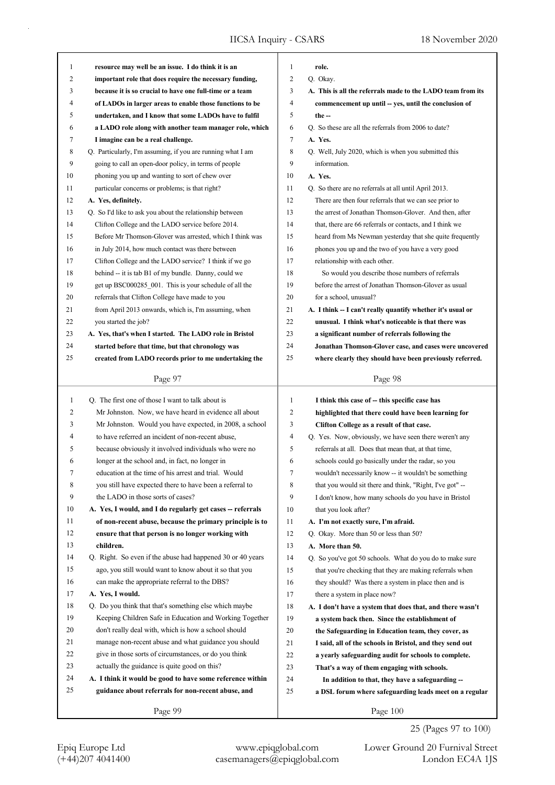| 1            | resource may well be an issue. I do think it is an          | 1              | role.                                                       |
|--------------|-------------------------------------------------------------|----------------|-------------------------------------------------------------|
| 2            | important role that does require the necessary funding,     | $\overline{c}$ | Q. Okay.                                                    |
| 3            | because it is so crucial to have one full-time or a team    | 3              | A. This is all the referrals made to the LADO team from its |
| 4            | of LADOs in larger areas to enable those functions to be    | 4              | commencement up until -- yes, until the conclusion of       |
| 5            | undertaken, and I know that some LADOs have to fulfil       | 5              | the $-$                                                     |
| 6            | a LADO role along with another team manager role, which     | 6              | Q. So these are all the referrals from 2006 to date?        |
| 7            | I imagine can be a real challenge.                          | 7              | A. Yes.                                                     |
| 8            | Q. Particularly, I'm assuming, if you are running what I am | 8              | Q. Well, July 2020, which is when you submitted this        |
| 9            | going to call an open-door policy, in terms of people       | 9              | information.                                                |
| 10           | phoning you up and wanting to sort of chew over             | 10             | A. Yes.                                                     |
| 11           | particular concerns or problems; is that right?             | 11             | Q. So there are no referrals at all until April 2013.       |
| 12           | A. Yes, definitely.                                         | 12             | There are then four referrals that we can see prior to      |
| 13           | Q. So I'd like to ask you about the relationship between    | 13             | the arrest of Jonathan Thomson-Glover. And then, after      |
| 14           | Clifton College and the LADO service before 2014.           | 14             | that, there are 66 referrals or contacts, and I think we    |
| 15           | Before Mr Thomson-Glover was arrested, which I think was    | 15             | heard from Ms Newman yesterday that she quite frequently    |
| 16           | in July 2014, how much contact was there between            | 16             | phones you up and the two of you have a very good           |
| 17           | Clifton College and the LADO service? I think if we go      | 17             | relationship with each other.                               |
| 18           | behind -- it is tab B1 of my bundle. Danny, could we        | 18             | So would you describe those numbers of referrals            |
| 19           | get up BSC000285 001. This is your schedule of all the      | 19             | before the arrest of Jonathan Thomson-Glover as usual       |
| 20           | referrals that Clifton College have made to you             | 20             | for a school, unusual?                                      |
| 21           | from April 2013 onwards, which is, I'm assuming, when       | 21             | A. I think -- I can't really quantify whether it's usual or |
| 22           | you started the job?                                        | 22             | unusual. I think what's noticeable is that there was        |
| 23           | A. Yes, that's when I started. The LADO role in Bristol     | 23             | a significant number of referrals following the             |
| 24           | started before that time, but that chronology was           | 24             | Jonathan Thomson-Glover case, and cases were uncovered      |
| 25           | created from LADO records prior to me undertaking the       | 25             | where clearly they should have been previously referred.    |
|              |                                                             |                |                                                             |
|              | Page 97                                                     |                | Page 98                                                     |
|              |                                                             |                |                                                             |
|              |                                                             |                |                                                             |
| $\mathbf{1}$ | Q. The first one of those I want to talk about is           | $\mathbf{1}$   | I think this case of -- this specific case has              |
| 2            | Mr Johnston. Now, we have heard in evidence all about       | $\overline{c}$ | highlighted that there could have been learning for         |
| 3            | Mr Johnston. Would you have expected, in 2008, a school     | 3              | Clifton College as a result of that case.                   |
| 4            | to have referred an incident of non-recent abuse,           | 4              | Q. Yes. Now, obviously, we have seen there weren't any      |
| 5            | because obviously it involved individuals who were no       | 5              | referrals at all. Does that mean that, at that time,        |
| 6            | longer at the school and, in fact, no longer in             | 6              | schools could go basically under the radar, so you          |
| 7            | education at the time of his arrest and trial. Would        | 7              | wouldn't necessarily know -- it wouldn't be something       |
| 8            | you still have expected there to have been a referral to    | 8              | that you would sit there and think, "Right, I've got" --    |
| 9            | the LADO in those sorts of cases?                           | 9              | I don't know, how many schools do you have in Bristol       |
| 10           | A. Yes, I would, and I do regularly get cases -- referrals  | 10             | that you look after?                                        |
| 11           | of non-recent abuse, because the primary principle is to    | 11             | A. I'm not exactly sure, I'm afraid.                        |
| 12           | ensure that that person is no longer working with           | 12             | Q. Okay. More than 50 or less than 50?                      |
| 13           | children.                                                   | 13             | A. More than 50.                                            |
| 14           | Q. Right. So even if the abuse had happened 30 or 40 years  | 14             | Q. So you've got 50 schools. What do you do to make sure    |
| 15           | ago, you still would want to know about it so that you      | 15             | that you're checking that they are making referrals when    |
| 16           | can make the appropriate referral to the DBS?               | 16             | they should? Was there a system in place then and is        |
| 17           | A. Yes, I would.                                            | 17             | there a system in place now?                                |
| 18           | Q. Do you think that that's something else which maybe      | 18             | A. I don't have a system that does that, and there wasn't   |
| 19           | Keeping Children Safe in Education and Working Together     | 19             | a system back then. Since the establishment of              |
| 20           | don't really deal with, which is how a school should        | 20             | the Safeguarding in Education team, they cover, as          |
| 21           | manage non-recent abuse and what guidance you should        | 21             | I said, all of the schools in Bristol, and they send out    |
| 22           | give in those sorts of circumstances, or do you think       | 22             | a yearly safeguarding audit for schools to complete.        |
| 23           | actually the guidance is quite good on this?                | 23             | That's a way of them engaging with schools.                 |
| 24           | A. I think it would be good to have some reference within   | 24             | In addition to that, they have a safeguarding --            |
| 25           | guidance about referrals for non-recent abuse, and          | 25             | a DSL forum where safeguarding leads meet on a regular      |

25 (Pages 97 to 100)

Epiq Europe Ltd www.epiqglobal.com Lower Ground 20 Furnival Street<br>
(+44)207 4041400 casemanagers@epiqglobal.com London EC4A 1JS Lower Ground 20 Furnival Street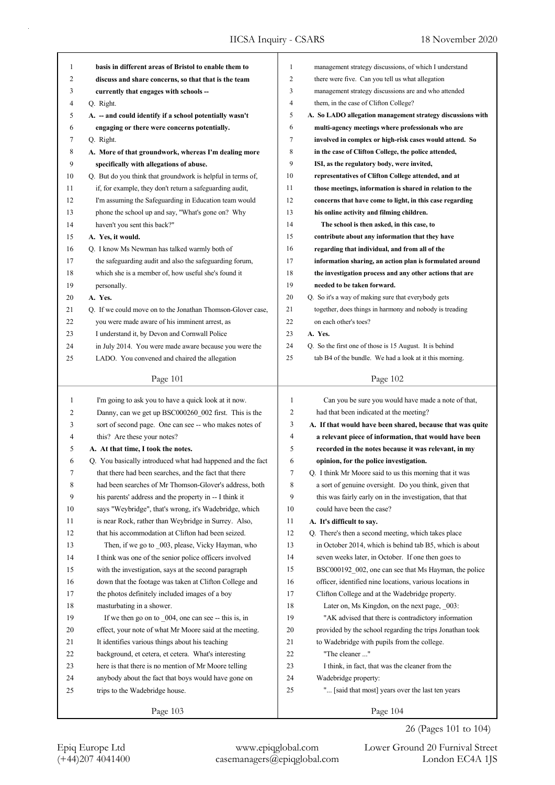| management strategy discussions, of which I understand<br>1<br>$\mathbf{1}$<br>basis in different areas of Bristol to enable them to<br>$\overline{2}$<br>2<br>there were five. Can you tell us what allegation<br>discuss and share concerns, so that that is the team<br>3<br>management strategy discussions are and who attended<br>3<br>currently that engages with schools --<br>$\overline{4}$<br>4<br>Q. Right.<br>them, in the case of Clifton College?<br>5<br>5<br>A. So LADO allegation management strategy discussions with<br>A. - and could identify if a school potentially wasn't<br>6<br>6<br>engaging or there were concerns potentially.<br>multi-agency meetings where professionals who are<br>7<br>7<br>involved in complex or high-risk cases would attend. So<br>Q. Right.<br>8<br>8<br>A. More of that groundwork, whereas I'm dealing more<br>in the case of Clifton College, the police attended,<br>9<br>9<br>ISI, as the regulatory body, were invited,<br>specifically with allegations of abuse.<br>10<br>10<br>Q. But do you think that groundwork is helpful in terms of,<br>representatives of Clifton College attended, and at<br>11<br>if, for example, they don't return a safeguarding audit,<br>11<br>those meetings, information is shared in relation to the<br>12<br>12<br>I'm assuming the Safeguarding in Education team would<br>concerns that have come to light, in this case regarding<br>13<br>13<br>phone the school up and say, "What's gone on? Why<br>his online activity and filming children.<br>haven't you sent this back?"<br>14<br>14<br>The school is then asked, in this case, to<br>15<br>15<br>A. Yes, it would.<br>contribute about any information that they have<br>16<br>Q. I know Ms Newman has talked warmly both of<br>16<br>regarding that individual, and from all of the<br>17<br>17<br>the safeguarding audit and also the safeguarding forum,<br>information sharing, an action plan is formulated around<br>18<br>which she is a member of, how useful she's found it<br>18<br>the investigation process and any other actions that are<br>19<br>19<br>personally.<br>needed to be taken forward.<br>20<br>20<br>Q. So it's a way of making sure that everybody gets<br>A. Yes.<br>21<br>21<br>Q. If we could move on to the Jonathan Thomson-Glover case,<br>together, does things in harmony and nobody is treading<br>22<br>22<br>on each other's toes?<br>you were made aware of his imminent arrest, as<br>23<br>A. Yes.<br>23<br>I understand it, by Devon and Cornwall Police<br>24<br>24<br>in July 2014. You were made aware because you were the<br>Q. So the first one of those is 15 August. It is behind<br>25<br>tab B4 of the bundle. We had a look at it this morning.<br>25<br>LADO. You convened and chaired the allegation<br>Page 101<br>Page 102<br>I'm going to ask you to have a quick look at it now.<br>$\mathbf{1}$<br>Can you be sure you would have made a note of that,<br>1<br>2<br>2<br>Danny, can we get up BSC000260_002 first. This is the<br>had that been indicated at the meeting?<br>sort of second page. One can see -- who makes notes of<br>3<br>3<br>A. If that would have been shared, because that was quite<br>this? Are these your notes?<br>4<br>4<br>a relevant piece of information, that would have been<br>5<br>5<br>recorded in the notes because it was relevant, in my<br>A. At that time, I took the notes.<br>6<br>6<br>Q. You basically introduced what had happened and the fact<br>opinion, for the police investigation.<br>that there had been searches, and the fact that there<br>Q. I think Mr Moore said to us this morning that it was<br>7<br>7<br>8<br>8<br>had been searches of Mr Thomson-Glover's address, both<br>a sort of genuine oversight. Do you think, given that<br>9<br>9<br>his parents' address and the property in -- I think it<br>this was fairly early on in the investigation, that that<br>10<br>says "Weybridge", that's wrong, it's Wadebridge, which<br>10<br>could have been the case?<br>11<br>is near Rock, rather than Weybridge in Surrey. Also,<br>11<br>A. It's difficult to say.<br>12<br>12<br>that his accommodation at Clifton had been seized.<br>Q. There's then a second meeting, which takes place<br>13<br>13<br>Then, if we go to _003, please, Vicky Hayman, who<br>in October 2014, which is behind tab B5, which is about<br>14<br>I think was one of the senior police officers involved<br>14<br>seven weeks later, in October. If one then goes to<br>15<br>with the investigation, says at the second paragraph<br>15<br>BSC000192 002, one can see that Ms Hayman, the police<br>16<br>16<br>officer, identified nine locations, various locations in<br>down that the footage was taken at Clifton College and<br>17<br>17<br>Clifton College and at the Wadebridge property.<br>the photos definitely included images of a boy<br>18<br>18<br>masturbating in a shower.<br>Later on, Ms Kingdon, on the next page, 003:<br>19<br>If we then go on to _004, one can see -- this is, in<br>19<br>"AK advised that there is contradictory information<br>20<br>20<br>effect, your note of what Mr Moore said at the meeting.<br>provided by the school regarding the trips Jonathan took<br>21<br>21<br>It identifies various things about his teaching<br>to Wadebridge with pupils from the college.<br>22<br>"The cleaner "<br>22<br>background, et cetera, et cetera. What's interesting<br>23<br>23<br>here is that there is no mention of Mr Moore telling<br>I think, in fact, that was the cleaner from the<br>24<br>24<br>Wadebridge property:<br>anybody about the fact that boys would have gone on<br>25<br>" [said that most] years over the last ten years<br>25<br>trips to the Wadebridge house.<br>Page 103<br>Page 104 |  |  |
|------------------------------------------------------------------------------------------------------------------------------------------------------------------------------------------------------------------------------------------------------------------------------------------------------------------------------------------------------------------------------------------------------------------------------------------------------------------------------------------------------------------------------------------------------------------------------------------------------------------------------------------------------------------------------------------------------------------------------------------------------------------------------------------------------------------------------------------------------------------------------------------------------------------------------------------------------------------------------------------------------------------------------------------------------------------------------------------------------------------------------------------------------------------------------------------------------------------------------------------------------------------------------------------------------------------------------------------------------------------------------------------------------------------------------------------------------------------------------------------------------------------------------------------------------------------------------------------------------------------------------------------------------------------------------------------------------------------------------------------------------------------------------------------------------------------------------------------------------------------------------------------------------------------------------------------------------------------------------------------------------------------------------------------------------------------------------------------------------------------------------------------------------------------------------------------------------------------------------------------------------------------------------------------------------------------------------------------------------------------------------------------------------------------------------------------------------------------------------------------------------------------------------------------------------------------------------------------------------------------------------------------------------------------------------------------------------------------------------------------------------------------------------------------------------------------------------------------------------------------------------------------------------------------------------------------------------------------------------------------------------------------------------------------------------------------------------------------------------------------------------------------------------------------------------------------------------------------------------------------------------------------------------------------------------------------------------------------------------------------------------------------------------------------------------------------------------------------------------------------------------------------------------------------------------------------------------------------------------------------------------------------------------------------------------------------------------------------------------------------------------------------------------------------------------------------------------------------------------------------------------------------------------------------------------------------------------------------------------------------------------------------------------------------------------------------------------------------------------------------------------------------------------------------------------------------------------------------------------------------------------------------------------------------------------------------------------------------------------------------------------------------------------------------------------------------------------------------------------------------------------------------------------------------------------------------------------------------------------------------------------------------------------------------------------------------------------------------------------------------------------------------------------------------------------------------------------------------------------------------------------------------------------------------------------------------------------------------------------------------------------------------------------------------------------------------------------------------------------------------------------------------------------------------------------------------------------------------------------------------------------------------------------------------------------------------------------------------------------------------------------------------------------------------------------------------------------------------------------------------------------------------------------------------------------------------------------------------------------------------------------------------------------------------------------------------------------------------------------------------------------------------------------------------------------------------------------------------|--|--|
|                                                                                                                                                                                                                                                                                                                                                                                                                                                                                                                                                                                                                                                                                                                                                                                                                                                                                                                                                                                                                                                                                                                                                                                                                                                                                                                                                                                                                                                                                                                                                                                                                                                                                                                                                                                                                                                                                                                                                                                                                                                                                                                                                                                                                                                                                                                                                                                                                                                                                                                                                                                                                                                                                                                                                                                                                                                                                                                                                                                                                                                                                                                                                                                                                                                                                                                                                                                                                                                                                                                                                                                                                                                                                                                                                                                                                                                                                                                                                                                                                                                                                                                                                                                                                                                                                                                                                                                                                                                                                                                                                                                                                                                                                                                                                                                                                                                                                                                                                                                                                                                                                                                                                                                                                                                                                                                                                                                                                                                                                                                                                                                                                                                                                                                                                                                                                                          |  |  |
|                                                                                                                                                                                                                                                                                                                                                                                                                                                                                                                                                                                                                                                                                                                                                                                                                                                                                                                                                                                                                                                                                                                                                                                                                                                                                                                                                                                                                                                                                                                                                                                                                                                                                                                                                                                                                                                                                                                                                                                                                                                                                                                                                                                                                                                                                                                                                                                                                                                                                                                                                                                                                                                                                                                                                                                                                                                                                                                                                                                                                                                                                                                                                                                                                                                                                                                                                                                                                                                                                                                                                                                                                                                                                                                                                                                                                                                                                                                                                                                                                                                                                                                                                                                                                                                                                                                                                                                                                                                                                                                                                                                                                                                                                                                                                                                                                                                                                                                                                                                                                                                                                                                                                                                                                                                                                                                                                                                                                                                                                                                                                                                                                                                                                                                                                                                                                                          |  |  |
|                                                                                                                                                                                                                                                                                                                                                                                                                                                                                                                                                                                                                                                                                                                                                                                                                                                                                                                                                                                                                                                                                                                                                                                                                                                                                                                                                                                                                                                                                                                                                                                                                                                                                                                                                                                                                                                                                                                                                                                                                                                                                                                                                                                                                                                                                                                                                                                                                                                                                                                                                                                                                                                                                                                                                                                                                                                                                                                                                                                                                                                                                                                                                                                                                                                                                                                                                                                                                                                                                                                                                                                                                                                                                                                                                                                                                                                                                                                                                                                                                                                                                                                                                                                                                                                                                                                                                                                                                                                                                                                                                                                                                                                                                                                                                                                                                                                                                                                                                                                                                                                                                                                                                                                                                                                                                                                                                                                                                                                                                                                                                                                                                                                                                                                                                                                                                                          |  |  |
|                                                                                                                                                                                                                                                                                                                                                                                                                                                                                                                                                                                                                                                                                                                                                                                                                                                                                                                                                                                                                                                                                                                                                                                                                                                                                                                                                                                                                                                                                                                                                                                                                                                                                                                                                                                                                                                                                                                                                                                                                                                                                                                                                                                                                                                                                                                                                                                                                                                                                                                                                                                                                                                                                                                                                                                                                                                                                                                                                                                                                                                                                                                                                                                                                                                                                                                                                                                                                                                                                                                                                                                                                                                                                                                                                                                                                                                                                                                                                                                                                                                                                                                                                                                                                                                                                                                                                                                                                                                                                                                                                                                                                                                                                                                                                                                                                                                                                                                                                                                                                                                                                                                                                                                                                                                                                                                                                                                                                                                                                                                                                                                                                                                                                                                                                                                                                                          |  |  |
|                                                                                                                                                                                                                                                                                                                                                                                                                                                                                                                                                                                                                                                                                                                                                                                                                                                                                                                                                                                                                                                                                                                                                                                                                                                                                                                                                                                                                                                                                                                                                                                                                                                                                                                                                                                                                                                                                                                                                                                                                                                                                                                                                                                                                                                                                                                                                                                                                                                                                                                                                                                                                                                                                                                                                                                                                                                                                                                                                                                                                                                                                                                                                                                                                                                                                                                                                                                                                                                                                                                                                                                                                                                                                                                                                                                                                                                                                                                                                                                                                                                                                                                                                                                                                                                                                                                                                                                                                                                                                                                                                                                                                                                                                                                                                                                                                                                                                                                                                                                                                                                                                                                                                                                                                                                                                                                                                                                                                                                                                                                                                                                                                                                                                                                                                                                                                                          |  |  |
|                                                                                                                                                                                                                                                                                                                                                                                                                                                                                                                                                                                                                                                                                                                                                                                                                                                                                                                                                                                                                                                                                                                                                                                                                                                                                                                                                                                                                                                                                                                                                                                                                                                                                                                                                                                                                                                                                                                                                                                                                                                                                                                                                                                                                                                                                                                                                                                                                                                                                                                                                                                                                                                                                                                                                                                                                                                                                                                                                                                                                                                                                                                                                                                                                                                                                                                                                                                                                                                                                                                                                                                                                                                                                                                                                                                                                                                                                                                                                                                                                                                                                                                                                                                                                                                                                                                                                                                                                                                                                                                                                                                                                                                                                                                                                                                                                                                                                                                                                                                                                                                                                                                                                                                                                                                                                                                                                                                                                                                                                                                                                                                                                                                                                                                                                                                                                                          |  |  |
|                                                                                                                                                                                                                                                                                                                                                                                                                                                                                                                                                                                                                                                                                                                                                                                                                                                                                                                                                                                                                                                                                                                                                                                                                                                                                                                                                                                                                                                                                                                                                                                                                                                                                                                                                                                                                                                                                                                                                                                                                                                                                                                                                                                                                                                                                                                                                                                                                                                                                                                                                                                                                                                                                                                                                                                                                                                                                                                                                                                                                                                                                                                                                                                                                                                                                                                                                                                                                                                                                                                                                                                                                                                                                                                                                                                                                                                                                                                                                                                                                                                                                                                                                                                                                                                                                                                                                                                                                                                                                                                                                                                                                                                                                                                                                                                                                                                                                                                                                                                                                                                                                                                                                                                                                                                                                                                                                                                                                                                                                                                                                                                                                                                                                                                                                                                                                                          |  |  |
|                                                                                                                                                                                                                                                                                                                                                                                                                                                                                                                                                                                                                                                                                                                                                                                                                                                                                                                                                                                                                                                                                                                                                                                                                                                                                                                                                                                                                                                                                                                                                                                                                                                                                                                                                                                                                                                                                                                                                                                                                                                                                                                                                                                                                                                                                                                                                                                                                                                                                                                                                                                                                                                                                                                                                                                                                                                                                                                                                                                                                                                                                                                                                                                                                                                                                                                                                                                                                                                                                                                                                                                                                                                                                                                                                                                                                                                                                                                                                                                                                                                                                                                                                                                                                                                                                                                                                                                                                                                                                                                                                                                                                                                                                                                                                                                                                                                                                                                                                                                                                                                                                                                                                                                                                                                                                                                                                                                                                                                                                                                                                                                                                                                                                                                                                                                                                                          |  |  |
|                                                                                                                                                                                                                                                                                                                                                                                                                                                                                                                                                                                                                                                                                                                                                                                                                                                                                                                                                                                                                                                                                                                                                                                                                                                                                                                                                                                                                                                                                                                                                                                                                                                                                                                                                                                                                                                                                                                                                                                                                                                                                                                                                                                                                                                                                                                                                                                                                                                                                                                                                                                                                                                                                                                                                                                                                                                                                                                                                                                                                                                                                                                                                                                                                                                                                                                                                                                                                                                                                                                                                                                                                                                                                                                                                                                                                                                                                                                                                                                                                                                                                                                                                                                                                                                                                                                                                                                                                                                                                                                                                                                                                                                                                                                                                                                                                                                                                                                                                                                                                                                                                                                                                                                                                                                                                                                                                                                                                                                                                                                                                                                                                                                                                                                                                                                                                                          |  |  |
|                                                                                                                                                                                                                                                                                                                                                                                                                                                                                                                                                                                                                                                                                                                                                                                                                                                                                                                                                                                                                                                                                                                                                                                                                                                                                                                                                                                                                                                                                                                                                                                                                                                                                                                                                                                                                                                                                                                                                                                                                                                                                                                                                                                                                                                                                                                                                                                                                                                                                                                                                                                                                                                                                                                                                                                                                                                                                                                                                                                                                                                                                                                                                                                                                                                                                                                                                                                                                                                                                                                                                                                                                                                                                                                                                                                                                                                                                                                                                                                                                                                                                                                                                                                                                                                                                                                                                                                                                                                                                                                                                                                                                                                                                                                                                                                                                                                                                                                                                                                                                                                                                                                                                                                                                                                                                                                                                                                                                                                                                                                                                                                                                                                                                                                                                                                                                                          |  |  |
|                                                                                                                                                                                                                                                                                                                                                                                                                                                                                                                                                                                                                                                                                                                                                                                                                                                                                                                                                                                                                                                                                                                                                                                                                                                                                                                                                                                                                                                                                                                                                                                                                                                                                                                                                                                                                                                                                                                                                                                                                                                                                                                                                                                                                                                                                                                                                                                                                                                                                                                                                                                                                                                                                                                                                                                                                                                                                                                                                                                                                                                                                                                                                                                                                                                                                                                                                                                                                                                                                                                                                                                                                                                                                                                                                                                                                                                                                                                                                                                                                                                                                                                                                                                                                                                                                                                                                                                                                                                                                                                                                                                                                                                                                                                                                                                                                                                                                                                                                                                                                                                                                                                                                                                                                                                                                                                                                                                                                                                                                                                                                                                                                                                                                                                                                                                                                                          |  |  |
|                                                                                                                                                                                                                                                                                                                                                                                                                                                                                                                                                                                                                                                                                                                                                                                                                                                                                                                                                                                                                                                                                                                                                                                                                                                                                                                                                                                                                                                                                                                                                                                                                                                                                                                                                                                                                                                                                                                                                                                                                                                                                                                                                                                                                                                                                                                                                                                                                                                                                                                                                                                                                                                                                                                                                                                                                                                                                                                                                                                                                                                                                                                                                                                                                                                                                                                                                                                                                                                                                                                                                                                                                                                                                                                                                                                                                                                                                                                                                                                                                                                                                                                                                                                                                                                                                                                                                                                                                                                                                                                                                                                                                                                                                                                                                                                                                                                                                                                                                                                                                                                                                                                                                                                                                                                                                                                                                                                                                                                                                                                                                                                                                                                                                                                                                                                                                                          |  |  |
|                                                                                                                                                                                                                                                                                                                                                                                                                                                                                                                                                                                                                                                                                                                                                                                                                                                                                                                                                                                                                                                                                                                                                                                                                                                                                                                                                                                                                                                                                                                                                                                                                                                                                                                                                                                                                                                                                                                                                                                                                                                                                                                                                                                                                                                                                                                                                                                                                                                                                                                                                                                                                                                                                                                                                                                                                                                                                                                                                                                                                                                                                                                                                                                                                                                                                                                                                                                                                                                                                                                                                                                                                                                                                                                                                                                                                                                                                                                                                                                                                                                                                                                                                                                                                                                                                                                                                                                                                                                                                                                                                                                                                                                                                                                                                                                                                                                                                                                                                                                                                                                                                                                                                                                                                                                                                                                                                                                                                                                                                                                                                                                                                                                                                                                                                                                                                                          |  |  |
|                                                                                                                                                                                                                                                                                                                                                                                                                                                                                                                                                                                                                                                                                                                                                                                                                                                                                                                                                                                                                                                                                                                                                                                                                                                                                                                                                                                                                                                                                                                                                                                                                                                                                                                                                                                                                                                                                                                                                                                                                                                                                                                                                                                                                                                                                                                                                                                                                                                                                                                                                                                                                                                                                                                                                                                                                                                                                                                                                                                                                                                                                                                                                                                                                                                                                                                                                                                                                                                                                                                                                                                                                                                                                                                                                                                                                                                                                                                                                                                                                                                                                                                                                                                                                                                                                                                                                                                                                                                                                                                                                                                                                                                                                                                                                                                                                                                                                                                                                                                                                                                                                                                                                                                                                                                                                                                                                                                                                                                                                                                                                                                                                                                                                                                                                                                                                                          |  |  |
|                                                                                                                                                                                                                                                                                                                                                                                                                                                                                                                                                                                                                                                                                                                                                                                                                                                                                                                                                                                                                                                                                                                                                                                                                                                                                                                                                                                                                                                                                                                                                                                                                                                                                                                                                                                                                                                                                                                                                                                                                                                                                                                                                                                                                                                                                                                                                                                                                                                                                                                                                                                                                                                                                                                                                                                                                                                                                                                                                                                                                                                                                                                                                                                                                                                                                                                                                                                                                                                                                                                                                                                                                                                                                                                                                                                                                                                                                                                                                                                                                                                                                                                                                                                                                                                                                                                                                                                                                                                                                                                                                                                                                                                                                                                                                                                                                                                                                                                                                                                                                                                                                                                                                                                                                                                                                                                                                                                                                                                                                                                                                                                                                                                                                                                                                                                                                                          |  |  |
|                                                                                                                                                                                                                                                                                                                                                                                                                                                                                                                                                                                                                                                                                                                                                                                                                                                                                                                                                                                                                                                                                                                                                                                                                                                                                                                                                                                                                                                                                                                                                                                                                                                                                                                                                                                                                                                                                                                                                                                                                                                                                                                                                                                                                                                                                                                                                                                                                                                                                                                                                                                                                                                                                                                                                                                                                                                                                                                                                                                                                                                                                                                                                                                                                                                                                                                                                                                                                                                                                                                                                                                                                                                                                                                                                                                                                                                                                                                                                                                                                                                                                                                                                                                                                                                                                                                                                                                                                                                                                                                                                                                                                                                                                                                                                                                                                                                                                                                                                                                                                                                                                                                                                                                                                                                                                                                                                                                                                                                                                                                                                                                                                                                                                                                                                                                                                                          |  |  |
|                                                                                                                                                                                                                                                                                                                                                                                                                                                                                                                                                                                                                                                                                                                                                                                                                                                                                                                                                                                                                                                                                                                                                                                                                                                                                                                                                                                                                                                                                                                                                                                                                                                                                                                                                                                                                                                                                                                                                                                                                                                                                                                                                                                                                                                                                                                                                                                                                                                                                                                                                                                                                                                                                                                                                                                                                                                                                                                                                                                                                                                                                                                                                                                                                                                                                                                                                                                                                                                                                                                                                                                                                                                                                                                                                                                                                                                                                                                                                                                                                                                                                                                                                                                                                                                                                                                                                                                                                                                                                                                                                                                                                                                                                                                                                                                                                                                                                                                                                                                                                                                                                                                                                                                                                                                                                                                                                                                                                                                                                                                                                                                                                                                                                                                                                                                                                                          |  |  |
|                                                                                                                                                                                                                                                                                                                                                                                                                                                                                                                                                                                                                                                                                                                                                                                                                                                                                                                                                                                                                                                                                                                                                                                                                                                                                                                                                                                                                                                                                                                                                                                                                                                                                                                                                                                                                                                                                                                                                                                                                                                                                                                                                                                                                                                                                                                                                                                                                                                                                                                                                                                                                                                                                                                                                                                                                                                                                                                                                                                                                                                                                                                                                                                                                                                                                                                                                                                                                                                                                                                                                                                                                                                                                                                                                                                                                                                                                                                                                                                                                                                                                                                                                                                                                                                                                                                                                                                                                                                                                                                                                                                                                                                                                                                                                                                                                                                                                                                                                                                                                                                                                                                                                                                                                                                                                                                                                                                                                                                                                                                                                                                                                                                                                                                                                                                                                                          |  |  |
|                                                                                                                                                                                                                                                                                                                                                                                                                                                                                                                                                                                                                                                                                                                                                                                                                                                                                                                                                                                                                                                                                                                                                                                                                                                                                                                                                                                                                                                                                                                                                                                                                                                                                                                                                                                                                                                                                                                                                                                                                                                                                                                                                                                                                                                                                                                                                                                                                                                                                                                                                                                                                                                                                                                                                                                                                                                                                                                                                                                                                                                                                                                                                                                                                                                                                                                                                                                                                                                                                                                                                                                                                                                                                                                                                                                                                                                                                                                                                                                                                                                                                                                                                                                                                                                                                                                                                                                                                                                                                                                                                                                                                                                                                                                                                                                                                                                                                                                                                                                                                                                                                                                                                                                                                                                                                                                                                                                                                                                                                                                                                                                                                                                                                                                                                                                                                                          |  |  |
|                                                                                                                                                                                                                                                                                                                                                                                                                                                                                                                                                                                                                                                                                                                                                                                                                                                                                                                                                                                                                                                                                                                                                                                                                                                                                                                                                                                                                                                                                                                                                                                                                                                                                                                                                                                                                                                                                                                                                                                                                                                                                                                                                                                                                                                                                                                                                                                                                                                                                                                                                                                                                                                                                                                                                                                                                                                                                                                                                                                                                                                                                                                                                                                                                                                                                                                                                                                                                                                                                                                                                                                                                                                                                                                                                                                                                                                                                                                                                                                                                                                                                                                                                                                                                                                                                                                                                                                                                                                                                                                                                                                                                                                                                                                                                                                                                                                                                                                                                                                                                                                                                                                                                                                                                                                                                                                                                                                                                                                                                                                                                                                                                                                                                                                                                                                                                                          |  |  |
|                                                                                                                                                                                                                                                                                                                                                                                                                                                                                                                                                                                                                                                                                                                                                                                                                                                                                                                                                                                                                                                                                                                                                                                                                                                                                                                                                                                                                                                                                                                                                                                                                                                                                                                                                                                                                                                                                                                                                                                                                                                                                                                                                                                                                                                                                                                                                                                                                                                                                                                                                                                                                                                                                                                                                                                                                                                                                                                                                                                                                                                                                                                                                                                                                                                                                                                                                                                                                                                                                                                                                                                                                                                                                                                                                                                                                                                                                                                                                                                                                                                                                                                                                                                                                                                                                                                                                                                                                                                                                                                                                                                                                                                                                                                                                                                                                                                                                                                                                                                                                                                                                                                                                                                                                                                                                                                                                                                                                                                                                                                                                                                                                                                                                                                                                                                                                                          |  |  |
|                                                                                                                                                                                                                                                                                                                                                                                                                                                                                                                                                                                                                                                                                                                                                                                                                                                                                                                                                                                                                                                                                                                                                                                                                                                                                                                                                                                                                                                                                                                                                                                                                                                                                                                                                                                                                                                                                                                                                                                                                                                                                                                                                                                                                                                                                                                                                                                                                                                                                                                                                                                                                                                                                                                                                                                                                                                                                                                                                                                                                                                                                                                                                                                                                                                                                                                                                                                                                                                                                                                                                                                                                                                                                                                                                                                                                                                                                                                                                                                                                                                                                                                                                                                                                                                                                                                                                                                                                                                                                                                                                                                                                                                                                                                                                                                                                                                                                                                                                                                                                                                                                                                                                                                                                                                                                                                                                                                                                                                                                                                                                                                                                                                                                                                                                                                                                                          |  |  |
|                                                                                                                                                                                                                                                                                                                                                                                                                                                                                                                                                                                                                                                                                                                                                                                                                                                                                                                                                                                                                                                                                                                                                                                                                                                                                                                                                                                                                                                                                                                                                                                                                                                                                                                                                                                                                                                                                                                                                                                                                                                                                                                                                                                                                                                                                                                                                                                                                                                                                                                                                                                                                                                                                                                                                                                                                                                                                                                                                                                                                                                                                                                                                                                                                                                                                                                                                                                                                                                                                                                                                                                                                                                                                                                                                                                                                                                                                                                                                                                                                                                                                                                                                                                                                                                                                                                                                                                                                                                                                                                                                                                                                                                                                                                                                                                                                                                                                                                                                                                                                                                                                                                                                                                                                                                                                                                                                                                                                                                                                                                                                                                                                                                                                                                                                                                                                                          |  |  |
|                                                                                                                                                                                                                                                                                                                                                                                                                                                                                                                                                                                                                                                                                                                                                                                                                                                                                                                                                                                                                                                                                                                                                                                                                                                                                                                                                                                                                                                                                                                                                                                                                                                                                                                                                                                                                                                                                                                                                                                                                                                                                                                                                                                                                                                                                                                                                                                                                                                                                                                                                                                                                                                                                                                                                                                                                                                                                                                                                                                                                                                                                                                                                                                                                                                                                                                                                                                                                                                                                                                                                                                                                                                                                                                                                                                                                                                                                                                                                                                                                                                                                                                                                                                                                                                                                                                                                                                                                                                                                                                                                                                                                                                                                                                                                                                                                                                                                                                                                                                                                                                                                                                                                                                                                                                                                                                                                                                                                                                                                                                                                                                                                                                                                                                                                                                                                                          |  |  |
|                                                                                                                                                                                                                                                                                                                                                                                                                                                                                                                                                                                                                                                                                                                                                                                                                                                                                                                                                                                                                                                                                                                                                                                                                                                                                                                                                                                                                                                                                                                                                                                                                                                                                                                                                                                                                                                                                                                                                                                                                                                                                                                                                                                                                                                                                                                                                                                                                                                                                                                                                                                                                                                                                                                                                                                                                                                                                                                                                                                                                                                                                                                                                                                                                                                                                                                                                                                                                                                                                                                                                                                                                                                                                                                                                                                                                                                                                                                                                                                                                                                                                                                                                                                                                                                                                                                                                                                                                                                                                                                                                                                                                                                                                                                                                                                                                                                                                                                                                                                                                                                                                                                                                                                                                                                                                                                                                                                                                                                                                                                                                                                                                                                                                                                                                                                                                                          |  |  |
|                                                                                                                                                                                                                                                                                                                                                                                                                                                                                                                                                                                                                                                                                                                                                                                                                                                                                                                                                                                                                                                                                                                                                                                                                                                                                                                                                                                                                                                                                                                                                                                                                                                                                                                                                                                                                                                                                                                                                                                                                                                                                                                                                                                                                                                                                                                                                                                                                                                                                                                                                                                                                                                                                                                                                                                                                                                                                                                                                                                                                                                                                                                                                                                                                                                                                                                                                                                                                                                                                                                                                                                                                                                                                                                                                                                                                                                                                                                                                                                                                                                                                                                                                                                                                                                                                                                                                                                                                                                                                                                                                                                                                                                                                                                                                                                                                                                                                                                                                                                                                                                                                                                                                                                                                                                                                                                                                                                                                                                                                                                                                                                                                                                                                                                                                                                                                                          |  |  |
|                                                                                                                                                                                                                                                                                                                                                                                                                                                                                                                                                                                                                                                                                                                                                                                                                                                                                                                                                                                                                                                                                                                                                                                                                                                                                                                                                                                                                                                                                                                                                                                                                                                                                                                                                                                                                                                                                                                                                                                                                                                                                                                                                                                                                                                                                                                                                                                                                                                                                                                                                                                                                                                                                                                                                                                                                                                                                                                                                                                                                                                                                                                                                                                                                                                                                                                                                                                                                                                                                                                                                                                                                                                                                                                                                                                                                                                                                                                                                                                                                                                                                                                                                                                                                                                                                                                                                                                                                                                                                                                                                                                                                                                                                                                                                                                                                                                                                                                                                                                                                                                                                                                                                                                                                                                                                                                                                                                                                                                                                                                                                                                                                                                                                                                                                                                                                                          |  |  |
|                                                                                                                                                                                                                                                                                                                                                                                                                                                                                                                                                                                                                                                                                                                                                                                                                                                                                                                                                                                                                                                                                                                                                                                                                                                                                                                                                                                                                                                                                                                                                                                                                                                                                                                                                                                                                                                                                                                                                                                                                                                                                                                                                                                                                                                                                                                                                                                                                                                                                                                                                                                                                                                                                                                                                                                                                                                                                                                                                                                                                                                                                                                                                                                                                                                                                                                                                                                                                                                                                                                                                                                                                                                                                                                                                                                                                                                                                                                                                                                                                                                                                                                                                                                                                                                                                                                                                                                                                                                                                                                                                                                                                                                                                                                                                                                                                                                                                                                                                                                                                                                                                                                                                                                                                                                                                                                                                                                                                                                                                                                                                                                                                                                                                                                                                                                                                                          |  |  |
|                                                                                                                                                                                                                                                                                                                                                                                                                                                                                                                                                                                                                                                                                                                                                                                                                                                                                                                                                                                                                                                                                                                                                                                                                                                                                                                                                                                                                                                                                                                                                                                                                                                                                                                                                                                                                                                                                                                                                                                                                                                                                                                                                                                                                                                                                                                                                                                                                                                                                                                                                                                                                                                                                                                                                                                                                                                                                                                                                                                                                                                                                                                                                                                                                                                                                                                                                                                                                                                                                                                                                                                                                                                                                                                                                                                                                                                                                                                                                                                                                                                                                                                                                                                                                                                                                                                                                                                                                                                                                                                                                                                                                                                                                                                                                                                                                                                                                                                                                                                                                                                                                                                                                                                                                                                                                                                                                                                                                                                                                                                                                                                                                                                                                                                                                                                                                                          |  |  |
|                                                                                                                                                                                                                                                                                                                                                                                                                                                                                                                                                                                                                                                                                                                                                                                                                                                                                                                                                                                                                                                                                                                                                                                                                                                                                                                                                                                                                                                                                                                                                                                                                                                                                                                                                                                                                                                                                                                                                                                                                                                                                                                                                                                                                                                                                                                                                                                                                                                                                                                                                                                                                                                                                                                                                                                                                                                                                                                                                                                                                                                                                                                                                                                                                                                                                                                                                                                                                                                                                                                                                                                                                                                                                                                                                                                                                                                                                                                                                                                                                                                                                                                                                                                                                                                                                                                                                                                                                                                                                                                                                                                                                                                                                                                                                                                                                                                                                                                                                                                                                                                                                                                                                                                                                                                                                                                                                                                                                                                                                                                                                                                                                                                                                                                                                                                                                                          |  |  |
|                                                                                                                                                                                                                                                                                                                                                                                                                                                                                                                                                                                                                                                                                                                                                                                                                                                                                                                                                                                                                                                                                                                                                                                                                                                                                                                                                                                                                                                                                                                                                                                                                                                                                                                                                                                                                                                                                                                                                                                                                                                                                                                                                                                                                                                                                                                                                                                                                                                                                                                                                                                                                                                                                                                                                                                                                                                                                                                                                                                                                                                                                                                                                                                                                                                                                                                                                                                                                                                                                                                                                                                                                                                                                                                                                                                                                                                                                                                                                                                                                                                                                                                                                                                                                                                                                                                                                                                                                                                                                                                                                                                                                                                                                                                                                                                                                                                                                                                                                                                                                                                                                                                                                                                                                                                                                                                                                                                                                                                                                                                                                                                                                                                                                                                                                                                                                                          |  |  |
|                                                                                                                                                                                                                                                                                                                                                                                                                                                                                                                                                                                                                                                                                                                                                                                                                                                                                                                                                                                                                                                                                                                                                                                                                                                                                                                                                                                                                                                                                                                                                                                                                                                                                                                                                                                                                                                                                                                                                                                                                                                                                                                                                                                                                                                                                                                                                                                                                                                                                                                                                                                                                                                                                                                                                                                                                                                                                                                                                                                                                                                                                                                                                                                                                                                                                                                                                                                                                                                                                                                                                                                                                                                                                                                                                                                                                                                                                                                                                                                                                                                                                                                                                                                                                                                                                                                                                                                                                                                                                                                                                                                                                                                                                                                                                                                                                                                                                                                                                                                                                                                                                                                                                                                                                                                                                                                                                                                                                                                                                                                                                                                                                                                                                                                                                                                                                                          |  |  |
|                                                                                                                                                                                                                                                                                                                                                                                                                                                                                                                                                                                                                                                                                                                                                                                                                                                                                                                                                                                                                                                                                                                                                                                                                                                                                                                                                                                                                                                                                                                                                                                                                                                                                                                                                                                                                                                                                                                                                                                                                                                                                                                                                                                                                                                                                                                                                                                                                                                                                                                                                                                                                                                                                                                                                                                                                                                                                                                                                                                                                                                                                                                                                                                                                                                                                                                                                                                                                                                                                                                                                                                                                                                                                                                                                                                                                                                                                                                                                                                                                                                                                                                                                                                                                                                                                                                                                                                                                                                                                                                                                                                                                                                                                                                                                                                                                                                                                                                                                                                                                                                                                                                                                                                                                                                                                                                                                                                                                                                                                                                                                                                                                                                                                                                                                                                                                                          |  |  |
|                                                                                                                                                                                                                                                                                                                                                                                                                                                                                                                                                                                                                                                                                                                                                                                                                                                                                                                                                                                                                                                                                                                                                                                                                                                                                                                                                                                                                                                                                                                                                                                                                                                                                                                                                                                                                                                                                                                                                                                                                                                                                                                                                                                                                                                                                                                                                                                                                                                                                                                                                                                                                                                                                                                                                                                                                                                                                                                                                                                                                                                                                                                                                                                                                                                                                                                                                                                                                                                                                                                                                                                                                                                                                                                                                                                                                                                                                                                                                                                                                                                                                                                                                                                                                                                                                                                                                                                                                                                                                                                                                                                                                                                                                                                                                                                                                                                                                                                                                                                                                                                                                                                                                                                                                                                                                                                                                                                                                                                                                                                                                                                                                                                                                                                                                                                                                                          |  |  |
|                                                                                                                                                                                                                                                                                                                                                                                                                                                                                                                                                                                                                                                                                                                                                                                                                                                                                                                                                                                                                                                                                                                                                                                                                                                                                                                                                                                                                                                                                                                                                                                                                                                                                                                                                                                                                                                                                                                                                                                                                                                                                                                                                                                                                                                                                                                                                                                                                                                                                                                                                                                                                                                                                                                                                                                                                                                                                                                                                                                                                                                                                                                                                                                                                                                                                                                                                                                                                                                                                                                                                                                                                                                                                                                                                                                                                                                                                                                                                                                                                                                                                                                                                                                                                                                                                                                                                                                                                                                                                                                                                                                                                                                                                                                                                                                                                                                                                                                                                                                                                                                                                                                                                                                                                                                                                                                                                                                                                                                                                                                                                                                                                                                                                                                                                                                                                                          |  |  |
|                                                                                                                                                                                                                                                                                                                                                                                                                                                                                                                                                                                                                                                                                                                                                                                                                                                                                                                                                                                                                                                                                                                                                                                                                                                                                                                                                                                                                                                                                                                                                                                                                                                                                                                                                                                                                                                                                                                                                                                                                                                                                                                                                                                                                                                                                                                                                                                                                                                                                                                                                                                                                                                                                                                                                                                                                                                                                                                                                                                                                                                                                                                                                                                                                                                                                                                                                                                                                                                                                                                                                                                                                                                                                                                                                                                                                                                                                                                                                                                                                                                                                                                                                                                                                                                                                                                                                                                                                                                                                                                                                                                                                                                                                                                                                                                                                                                                                                                                                                                                                                                                                                                                                                                                                                                                                                                                                                                                                                                                                                                                                                                                                                                                                                                                                                                                                                          |  |  |
|                                                                                                                                                                                                                                                                                                                                                                                                                                                                                                                                                                                                                                                                                                                                                                                                                                                                                                                                                                                                                                                                                                                                                                                                                                                                                                                                                                                                                                                                                                                                                                                                                                                                                                                                                                                                                                                                                                                                                                                                                                                                                                                                                                                                                                                                                                                                                                                                                                                                                                                                                                                                                                                                                                                                                                                                                                                                                                                                                                                                                                                                                                                                                                                                                                                                                                                                                                                                                                                                                                                                                                                                                                                                                                                                                                                                                                                                                                                                                                                                                                                                                                                                                                                                                                                                                                                                                                                                                                                                                                                                                                                                                                                                                                                                                                                                                                                                                                                                                                                                                                                                                                                                                                                                                                                                                                                                                                                                                                                                                                                                                                                                                                                                                                                                                                                                                                          |  |  |
|                                                                                                                                                                                                                                                                                                                                                                                                                                                                                                                                                                                                                                                                                                                                                                                                                                                                                                                                                                                                                                                                                                                                                                                                                                                                                                                                                                                                                                                                                                                                                                                                                                                                                                                                                                                                                                                                                                                                                                                                                                                                                                                                                                                                                                                                                                                                                                                                                                                                                                                                                                                                                                                                                                                                                                                                                                                                                                                                                                                                                                                                                                                                                                                                                                                                                                                                                                                                                                                                                                                                                                                                                                                                                                                                                                                                                                                                                                                                                                                                                                                                                                                                                                                                                                                                                                                                                                                                                                                                                                                                                                                                                                                                                                                                                                                                                                                                                                                                                                                                                                                                                                                                                                                                                                                                                                                                                                                                                                                                                                                                                                                                                                                                                                                                                                                                                                          |  |  |
|                                                                                                                                                                                                                                                                                                                                                                                                                                                                                                                                                                                                                                                                                                                                                                                                                                                                                                                                                                                                                                                                                                                                                                                                                                                                                                                                                                                                                                                                                                                                                                                                                                                                                                                                                                                                                                                                                                                                                                                                                                                                                                                                                                                                                                                                                                                                                                                                                                                                                                                                                                                                                                                                                                                                                                                                                                                                                                                                                                                                                                                                                                                                                                                                                                                                                                                                                                                                                                                                                                                                                                                                                                                                                                                                                                                                                                                                                                                                                                                                                                                                                                                                                                                                                                                                                                                                                                                                                                                                                                                                                                                                                                                                                                                                                                                                                                                                                                                                                                                                                                                                                                                                                                                                                                                                                                                                                                                                                                                                                                                                                                                                                                                                                                                                                                                                                                          |  |  |
|                                                                                                                                                                                                                                                                                                                                                                                                                                                                                                                                                                                                                                                                                                                                                                                                                                                                                                                                                                                                                                                                                                                                                                                                                                                                                                                                                                                                                                                                                                                                                                                                                                                                                                                                                                                                                                                                                                                                                                                                                                                                                                                                                                                                                                                                                                                                                                                                                                                                                                                                                                                                                                                                                                                                                                                                                                                                                                                                                                                                                                                                                                                                                                                                                                                                                                                                                                                                                                                                                                                                                                                                                                                                                                                                                                                                                                                                                                                                                                                                                                                                                                                                                                                                                                                                                                                                                                                                                                                                                                                                                                                                                                                                                                                                                                                                                                                                                                                                                                                                                                                                                                                                                                                                                                                                                                                                                                                                                                                                                                                                                                                                                                                                                                                                                                                                                                          |  |  |
|                                                                                                                                                                                                                                                                                                                                                                                                                                                                                                                                                                                                                                                                                                                                                                                                                                                                                                                                                                                                                                                                                                                                                                                                                                                                                                                                                                                                                                                                                                                                                                                                                                                                                                                                                                                                                                                                                                                                                                                                                                                                                                                                                                                                                                                                                                                                                                                                                                                                                                                                                                                                                                                                                                                                                                                                                                                                                                                                                                                                                                                                                                                                                                                                                                                                                                                                                                                                                                                                                                                                                                                                                                                                                                                                                                                                                                                                                                                                                                                                                                                                                                                                                                                                                                                                                                                                                                                                                                                                                                                                                                                                                                                                                                                                                                                                                                                                                                                                                                                                                                                                                                                                                                                                                                                                                                                                                                                                                                                                                                                                                                                                                                                                                                                                                                                                                                          |  |  |
|                                                                                                                                                                                                                                                                                                                                                                                                                                                                                                                                                                                                                                                                                                                                                                                                                                                                                                                                                                                                                                                                                                                                                                                                                                                                                                                                                                                                                                                                                                                                                                                                                                                                                                                                                                                                                                                                                                                                                                                                                                                                                                                                                                                                                                                                                                                                                                                                                                                                                                                                                                                                                                                                                                                                                                                                                                                                                                                                                                                                                                                                                                                                                                                                                                                                                                                                                                                                                                                                                                                                                                                                                                                                                                                                                                                                                                                                                                                                                                                                                                                                                                                                                                                                                                                                                                                                                                                                                                                                                                                                                                                                                                                                                                                                                                                                                                                                                                                                                                                                                                                                                                                                                                                                                                                                                                                                                                                                                                                                                                                                                                                                                                                                                                                                                                                                                                          |  |  |
|                                                                                                                                                                                                                                                                                                                                                                                                                                                                                                                                                                                                                                                                                                                                                                                                                                                                                                                                                                                                                                                                                                                                                                                                                                                                                                                                                                                                                                                                                                                                                                                                                                                                                                                                                                                                                                                                                                                                                                                                                                                                                                                                                                                                                                                                                                                                                                                                                                                                                                                                                                                                                                                                                                                                                                                                                                                                                                                                                                                                                                                                                                                                                                                                                                                                                                                                                                                                                                                                                                                                                                                                                                                                                                                                                                                                                                                                                                                                                                                                                                                                                                                                                                                                                                                                                                                                                                                                                                                                                                                                                                                                                                                                                                                                                                                                                                                                                                                                                                                                                                                                                                                                                                                                                                                                                                                                                                                                                                                                                                                                                                                                                                                                                                                                                                                                                                          |  |  |
|                                                                                                                                                                                                                                                                                                                                                                                                                                                                                                                                                                                                                                                                                                                                                                                                                                                                                                                                                                                                                                                                                                                                                                                                                                                                                                                                                                                                                                                                                                                                                                                                                                                                                                                                                                                                                                                                                                                                                                                                                                                                                                                                                                                                                                                                                                                                                                                                                                                                                                                                                                                                                                                                                                                                                                                                                                                                                                                                                                                                                                                                                                                                                                                                                                                                                                                                                                                                                                                                                                                                                                                                                                                                                                                                                                                                                                                                                                                                                                                                                                                                                                                                                                                                                                                                                                                                                                                                                                                                                                                                                                                                                                                                                                                                                                                                                                                                                                                                                                                                                                                                                                                                                                                                                                                                                                                                                                                                                                                                                                                                                                                                                                                                                                                                                                                                                                          |  |  |
|                                                                                                                                                                                                                                                                                                                                                                                                                                                                                                                                                                                                                                                                                                                                                                                                                                                                                                                                                                                                                                                                                                                                                                                                                                                                                                                                                                                                                                                                                                                                                                                                                                                                                                                                                                                                                                                                                                                                                                                                                                                                                                                                                                                                                                                                                                                                                                                                                                                                                                                                                                                                                                                                                                                                                                                                                                                                                                                                                                                                                                                                                                                                                                                                                                                                                                                                                                                                                                                                                                                                                                                                                                                                                                                                                                                                                                                                                                                                                                                                                                                                                                                                                                                                                                                                                                                                                                                                                                                                                                                                                                                                                                                                                                                                                                                                                                                                                                                                                                                                                                                                                                                                                                                                                                                                                                                                                                                                                                                                                                                                                                                                                                                                                                                                                                                                                                          |  |  |
|                                                                                                                                                                                                                                                                                                                                                                                                                                                                                                                                                                                                                                                                                                                                                                                                                                                                                                                                                                                                                                                                                                                                                                                                                                                                                                                                                                                                                                                                                                                                                                                                                                                                                                                                                                                                                                                                                                                                                                                                                                                                                                                                                                                                                                                                                                                                                                                                                                                                                                                                                                                                                                                                                                                                                                                                                                                                                                                                                                                                                                                                                                                                                                                                                                                                                                                                                                                                                                                                                                                                                                                                                                                                                                                                                                                                                                                                                                                                                                                                                                                                                                                                                                                                                                                                                                                                                                                                                                                                                                                                                                                                                                                                                                                                                                                                                                                                                                                                                                                                                                                                                                                                                                                                                                                                                                                                                                                                                                                                                                                                                                                                                                                                                                                                                                                                                                          |  |  |
|                                                                                                                                                                                                                                                                                                                                                                                                                                                                                                                                                                                                                                                                                                                                                                                                                                                                                                                                                                                                                                                                                                                                                                                                                                                                                                                                                                                                                                                                                                                                                                                                                                                                                                                                                                                                                                                                                                                                                                                                                                                                                                                                                                                                                                                                                                                                                                                                                                                                                                                                                                                                                                                                                                                                                                                                                                                                                                                                                                                                                                                                                                                                                                                                                                                                                                                                                                                                                                                                                                                                                                                                                                                                                                                                                                                                                                                                                                                                                                                                                                                                                                                                                                                                                                                                                                                                                                                                                                                                                                                                                                                                                                                                                                                                                                                                                                                                                                                                                                                                                                                                                                                                                                                                                                                                                                                                                                                                                                                                                                                                                                                                                                                                                                                                                                                                                                          |  |  |
|                                                                                                                                                                                                                                                                                                                                                                                                                                                                                                                                                                                                                                                                                                                                                                                                                                                                                                                                                                                                                                                                                                                                                                                                                                                                                                                                                                                                                                                                                                                                                                                                                                                                                                                                                                                                                                                                                                                                                                                                                                                                                                                                                                                                                                                                                                                                                                                                                                                                                                                                                                                                                                                                                                                                                                                                                                                                                                                                                                                                                                                                                                                                                                                                                                                                                                                                                                                                                                                                                                                                                                                                                                                                                                                                                                                                                                                                                                                                                                                                                                                                                                                                                                                                                                                                                                                                                                                                                                                                                                                                                                                                                                                                                                                                                                                                                                                                                                                                                                                                                                                                                                                                                                                                                                                                                                                                                                                                                                                                                                                                                                                                                                                                                                                                                                                                                                          |  |  |
|                                                                                                                                                                                                                                                                                                                                                                                                                                                                                                                                                                                                                                                                                                                                                                                                                                                                                                                                                                                                                                                                                                                                                                                                                                                                                                                                                                                                                                                                                                                                                                                                                                                                                                                                                                                                                                                                                                                                                                                                                                                                                                                                                                                                                                                                                                                                                                                                                                                                                                                                                                                                                                                                                                                                                                                                                                                                                                                                                                                                                                                                                                                                                                                                                                                                                                                                                                                                                                                                                                                                                                                                                                                                                                                                                                                                                                                                                                                                                                                                                                                                                                                                                                                                                                                                                                                                                                                                                                                                                                                                                                                                                                                                                                                                                                                                                                                                                                                                                                                                                                                                                                                                                                                                                                                                                                                                                                                                                                                                                                                                                                                                                                                                                                                                                                                                                                          |  |  |
|                                                                                                                                                                                                                                                                                                                                                                                                                                                                                                                                                                                                                                                                                                                                                                                                                                                                                                                                                                                                                                                                                                                                                                                                                                                                                                                                                                                                                                                                                                                                                                                                                                                                                                                                                                                                                                                                                                                                                                                                                                                                                                                                                                                                                                                                                                                                                                                                                                                                                                                                                                                                                                                                                                                                                                                                                                                                                                                                                                                                                                                                                                                                                                                                                                                                                                                                                                                                                                                                                                                                                                                                                                                                                                                                                                                                                                                                                                                                                                                                                                                                                                                                                                                                                                                                                                                                                                                                                                                                                                                                                                                                                                                                                                                                                                                                                                                                                                                                                                                                                                                                                                                                                                                                                                                                                                                                                                                                                                                                                                                                                                                                                                                                                                                                                                                                                                          |  |  |
|                                                                                                                                                                                                                                                                                                                                                                                                                                                                                                                                                                                                                                                                                                                                                                                                                                                                                                                                                                                                                                                                                                                                                                                                                                                                                                                                                                                                                                                                                                                                                                                                                                                                                                                                                                                                                                                                                                                                                                                                                                                                                                                                                                                                                                                                                                                                                                                                                                                                                                                                                                                                                                                                                                                                                                                                                                                                                                                                                                                                                                                                                                                                                                                                                                                                                                                                                                                                                                                                                                                                                                                                                                                                                                                                                                                                                                                                                                                                                                                                                                                                                                                                                                                                                                                                                                                                                                                                                                                                                                                                                                                                                                                                                                                                                                                                                                                                                                                                                                                                                                                                                                                                                                                                                                                                                                                                                                                                                                                                                                                                                                                                                                                                                                                                                                                                                                          |  |  |
|                                                                                                                                                                                                                                                                                                                                                                                                                                                                                                                                                                                                                                                                                                                                                                                                                                                                                                                                                                                                                                                                                                                                                                                                                                                                                                                                                                                                                                                                                                                                                                                                                                                                                                                                                                                                                                                                                                                                                                                                                                                                                                                                                                                                                                                                                                                                                                                                                                                                                                                                                                                                                                                                                                                                                                                                                                                                                                                                                                                                                                                                                                                                                                                                                                                                                                                                                                                                                                                                                                                                                                                                                                                                                                                                                                                                                                                                                                                                                                                                                                                                                                                                                                                                                                                                                                                                                                                                                                                                                                                                                                                                                                                                                                                                                                                                                                                                                                                                                                                                                                                                                                                                                                                                                                                                                                                                                                                                                                                                                                                                                                                                                                                                                                                                                                                                                                          |  |  |
|                                                                                                                                                                                                                                                                                                                                                                                                                                                                                                                                                                                                                                                                                                                                                                                                                                                                                                                                                                                                                                                                                                                                                                                                                                                                                                                                                                                                                                                                                                                                                                                                                                                                                                                                                                                                                                                                                                                                                                                                                                                                                                                                                                                                                                                                                                                                                                                                                                                                                                                                                                                                                                                                                                                                                                                                                                                                                                                                                                                                                                                                                                                                                                                                                                                                                                                                                                                                                                                                                                                                                                                                                                                                                                                                                                                                                                                                                                                                                                                                                                                                                                                                                                                                                                                                                                                                                                                                                                                                                                                                                                                                                                                                                                                                                                                                                                                                                                                                                                                                                                                                                                                                                                                                                                                                                                                                                                                                                                                                                                                                                                                                                                                                                                                                                                                                                                          |  |  |

## 26 (Pages 101 to 104)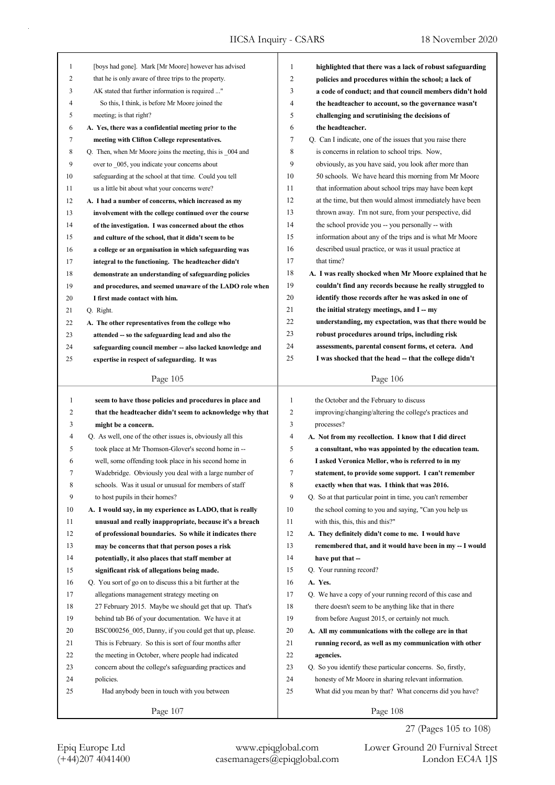| $\mathbf{1}$ | [boys had gone]. Mark [Mr Moore] however has advised                              | 1              | highlighted that there was a lack of robust safeguarding              |
|--------------|-----------------------------------------------------------------------------------|----------------|-----------------------------------------------------------------------|
| 2            | that he is only aware of three trips to the property.                             | $\overline{c}$ | policies and procedures within the school; a lack of                  |
| 3            | AK stated that further information is required "                                  | 3              | a code of conduct; and that council members didn't hold               |
| 4            | So this, I think, is before Mr Moore joined the                                   | 4              | the headteacher to account, so the governance wasn't                  |
| 5            | meeting; is that right?                                                           | 5              | challenging and scrutinising the decisions of                         |
| 6            | A. Yes, there was a confidential meeting prior to the                             | 6              | the headteacher.                                                      |
| 7            | meeting with Clifton College representatives.                                     | 7              | Q. Can I indicate, one of the issues that you raise there             |
| 8            | Q. Then, when Mr Moore joins the meeting, this is 004 and                         | 8              | is concerns in relation to school trips. Now,                         |
| 9            | over to _005, you indicate your concerns about                                    | 9              | obviously, as you have said, you look after more than                 |
| 10           | safeguarding at the school at that time. Could you tell                           | 10             | 50 schools. We have heard this morning from Mr Moore                  |
| 11           | us a little bit about what your concerns were?                                    | 11             | that information about school trips may have been kept                |
| 12           | A. I had a number of concerns, which increased as my                              | 12             | at the time, but then would almost immediately have been              |
| 13           | involvement with the college continued over the course                            | 13             | thrown away. I'm not sure, from your perspective, did                 |
| 14           | of the investigation. I was concerned about the ethos                             | 14             | the school provide you -- you personally -- with                      |
| 15           | and culture of the school, that it didn't seem to be                              | 15             | information about any of the trips and is what Mr Moore               |
| 16           | a college or an organisation in which safeguarding was                            | 16             | described usual practice, or was it usual practice at                 |
| 17           | integral to the functioning. The headteacher didn't                               | 17             | that time?                                                            |
| 18           | demonstrate an understanding of safeguarding policies                             | 18             | A. I was really shocked when Mr Moore explained that he               |
| 19           | and procedures, and seemed unaware of the LADO role when                          | 19             | couldn't find any records because he really struggled to              |
| 20           | I first made contact with him.                                                    | 20             | identify those records after he was asked in one of                   |
| 21           | Q. Right.                                                                         | 21             | the initial strategy meetings, and I -- my                            |
| 22           | A. The other representatives from the college who                                 | 22             | understanding, my expectation, was that there would be                |
| 23           | attended -- so the safeguarding lead and also the                                 | 23             | robust procedures around trips, including risk                        |
| 24           | safeguarding council member -- also lacked knowledge and                          | 24             | assessments, parental consent forms, et cetera. And                   |
| 25           | expertise in respect of safeguarding. It was                                      | 25             | I was shocked that the head - that the college didn't                 |
|              |                                                                                   |                |                                                                       |
|              | Page 105                                                                          |                | Page 106                                                              |
|              |                                                                                   |                |                                                                       |
|              |                                                                                   | 1              |                                                                       |
| 1            | seem to have those policies and procedures in place and                           | $\overline{2}$ | the October and the February to discuss                               |
| 2<br>3       | that the headteacher didn't seem to acknowledge why that                          | 3              | improving/changing/altering the college's practices and<br>processes? |
| 4            | might be a concern.<br>Q. As well, one of the other issues is, obviously all this | 4              |                                                                       |
|              |                                                                                   | 5              | A. Not from my recollection. I know that I did direct                 |
| 5            | took place at Mr Thomson-Glover's second home in --                               | 6              | a consultant, who was appointed by the education team.                |
| 6            | well, some offending took place in his second home in                             |                | I asked Veronica Mellor, who is referred to in my                     |
| 7            | Wadebridge. Obviously you deal with a large number of                             | Τ              | statement, to provide some support. I can't remember                  |
| 8            | schools. Was it usual or unusual for members of staff                             | 8              | exactly when that was. I think that was 2016.                         |
| 9            | to host pupils in their homes?                                                    | 9              | Q. So at that particular point in time, you can't remember            |
| 10           | A. I would say, in my experience as LADO, that is really                          | 10             | the school coming to you and saying, "Can you help us                 |
| 11           | unusual and really inappropriate, because it's a breach                           | 11             | with this, this, this and this?"                                      |
| 12           | of professional boundaries. So while it indicates there                           | 12             | A. They definitely didn't come to me. I would have                    |
| 13           | may be concerns that that person poses a risk                                     | 13             | remembered that, and it would have been in my -- I would              |
| 14           | potentially, it also places that staff member at                                  | 14             | have put that --                                                      |
| 15           | significant risk of allegations being made.                                       | 15             | Q. Your running record?                                               |
| 16           | Q. You sort of go on to discuss this a bit further at the                         | 16             | A. Yes.                                                               |
| 17           | allegations management strategy meeting on                                        | 17             | Q. We have a copy of your running record of this case and             |
| 18           | 27 February 2015. Maybe we should get that up. That's                             | 18             | there doesn't seem to be anything like that in there                  |
| 19           | behind tab B6 of your documentation. We have it at                                | 19             | from before August 2015, or certainly not much.                       |
| 20           | BSC000256 005, Danny, if you could get that up, please.                           | 20             | A. All my communications with the college are in that                 |
| 21           | This is February. So this is sort of four months after                            | 21             | running record, as well as my communication with other                |
| 22           | the meeting in October, where people had indicated                                | 22             | agencies.                                                             |
| 23           | concern about the college's safeguarding practices and                            | 23             | Q. So you identify these particular concerns. So, firstly,            |
| 24           | policies.                                                                         | 24             | honesty of Mr Moore in sharing relevant information.                  |
| 25           | Had anybody been in touch with you between                                        | 25             | What did you mean by that? What concerns did you have?                |

27 (Pages 105 to 108)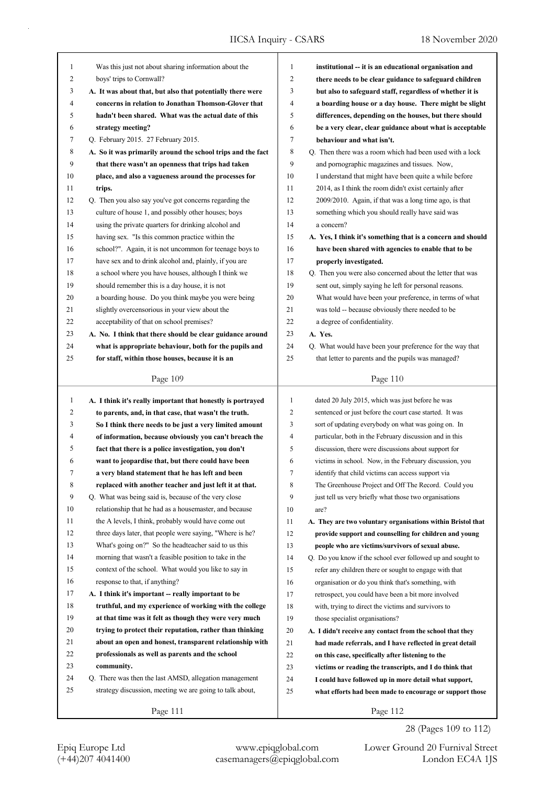| 1                | Was this just not about sharing information about the                                                             | 1              | institutional -- it is an educational organisation and      |
|------------------|-------------------------------------------------------------------------------------------------------------------|----------------|-------------------------------------------------------------|
| 2                | boys' trips to Cornwall?                                                                                          | 2              | there needs to be clear guidance to safeguard children      |
| 3                | A. It was about that, but also that potentially there were                                                        | 3              | but also to safeguard staff, regardless of whether it is    |
| 4                | concerns in relation to Jonathan Thomson-Glover that                                                              | 4              | a boarding house or a day house. There might be slight      |
| 5                | hadn't been shared. What was the actual date of this                                                              | 5              | differences, depending on the houses, but there should      |
| 6                | strategy meeting?                                                                                                 | 6              | be a very clear, clear guidance about what is acceptable    |
| 7                | Q. February 2015. 27 February 2015.                                                                               | 7              | behaviour and what isn't.                                   |
| $\,8\,$          | A. So it was primarily around the school trips and the fact                                                       | 8              | Q. Then there was a room which had been used with a lock    |
| 9                | that there wasn't an openness that trips had taken                                                                | 9              | and pornographic magazines and tissues. Now,                |
| 10               | place, and also a vagueness around the processes for                                                              | 10             | I understand that might have been quite a while before      |
| 11               | trips.                                                                                                            | 11             | 2014, as I think the room didn't exist certainly after      |
| 12               | Q. Then you also say you've got concerns regarding the                                                            | 12             | 2009/2010. Again, if that was a long time ago, is that      |
| 13               | culture of house 1, and possibly other houses; boys                                                               | 13             | something which you should really have said was             |
| 14               | using the private quarters for drinking alcohol and                                                               | 14             | a concern?                                                  |
| 15               | having sex. "Is this common practice within the                                                                   | 15             | A. Yes, I think it's something that is a concern and should |
| 16               | school?". Again, it is not uncommon for teenage boys to                                                           | 16             | have been shared with agencies to enable that to be         |
| 17               | have sex and to drink alcohol and, plainly, if you are                                                            | 17             | properly investigated.                                      |
| 18               | a school where you have houses, although I think we                                                               | 18             | Q. Then you were also concerned about the letter that was   |
| 19               | should remember this is a day house, it is not                                                                    | 19             | sent out, simply saying he left for personal reasons.       |
| 20               | a boarding house. Do you think maybe you were being                                                               | 20             | What would have been your preference, in terms of what      |
| 21               | slightly overcensorious in your view about the                                                                    | 21             | was told -- because obviously there needed to be            |
| 22               | acceptability of that on school premises?                                                                         | 22             | a degree of confidentiality.                                |
| 23               | A. No. I think that there should be clear guidance around                                                         | 23             | A. Yes.                                                     |
| 24               | what is appropriate behaviour, both for the pupils and                                                            | 24             | Q. What would have been your preference for the way that    |
| 25               | for staff, within those houses, because it is an                                                                  | 25             | that letter to parents and the pupils was managed?          |
|                  |                                                                                                                   |                |                                                             |
|                  | Page 109                                                                                                          |                | Page 110                                                    |
|                  |                                                                                                                   |                |                                                             |
| $\mathbf{1}$     | A. I think it's really important that honestly is portrayed                                                       | $\mathbf{1}$   | dated 20 July 2015, which was just before he was            |
| $\overline{c}$   | to parents, and, in that case, that wasn't the truth.                                                             | $\overline{c}$ | sentenced or just before the court case started. It was     |
| 3                | So I think there needs to be just a very limited amount                                                           | 3              | sort of updating everybody on what was going on. In         |
| 4                | of information, because obviously you can't breach the                                                            | 4              | particular, both in the February discussion and in this     |
| 5                | fact that there is a police investigation, you don't                                                              | 5              | discussion, there were discussions about support for        |
| 6                | want to jeopardise that, but there could have been                                                                | 6              | victims in school. Now, in the February discussion, you     |
| 7                | a very bland statement that he has left and been                                                                  | 7              | identify that child victims can access support via          |
| 8                | replaced with another teacher and just left it at that.                                                           | 8              | The Greenhouse Project and Off The Record. Could you        |
| $\boldsymbol{9}$ | Q. What was being said is, because of the very close                                                              | 9              | just tell us very briefly what those two organisations      |
| 10               | relationship that he had as a housemaster, and because                                                            | 10             | are?                                                        |
| 11               | the A levels, I think, probably would have come out                                                               | 11             | A. They are two voluntary organisations within Bristol that |
| 12               | three days later, that people were saying, "Where is he?                                                          | 12             | provide support and counselling for children and young      |
| 13               | What's going on?" So the headteacher said to us this                                                              | 13             | people who are victims/survivors of sexual abuse.           |
| 14               | morning that wasn't a feasible position to take in the                                                            | 14             | Q. Do you know if the school ever followed up and sought to |
| 15               | context of the school. What would you like to say in                                                              | 15             | refer any children there or sought to engage with that      |
| 16               | response to that, if anything?                                                                                    | 16             |                                                             |
| 17               | A. I think it's important -- really important to be                                                               | 17             | organisation or do you think that's something, with         |
| 18               |                                                                                                                   | 18             | retrospect, you could have been a bit more involved         |
| 19               | truthful, and my experience of working with the college<br>at that time was it felt as though they were very much |                | with, trying to direct the victims and survivors to         |
| 20               |                                                                                                                   | 19             | those specialist organisations?                             |
| 21               | trying to protect their reputation, rather than thinking                                                          | 20             | A. I didn't receive any contact from the school that they   |
| 22               | about an open and honest, transparent relationship with<br>professionals as well as parents and the school        | 21<br>22       | had made referrals, and I have reflected in great detail    |
| 23               | community.                                                                                                        |                | on this case, specifically after listening to the           |
| 24               | Q. There was then the last AMSD, allegation management                                                            | 23             | victims or reading the transcripts, and I do think that     |
| 25               |                                                                                                                   | 24             | I could have followed up in more detail what support,       |
|                  | strategy discussion, meeting we are going to talk about,                                                          | 25             | what efforts had been made to encourage or support those    |

28 (Pages 109 to 112)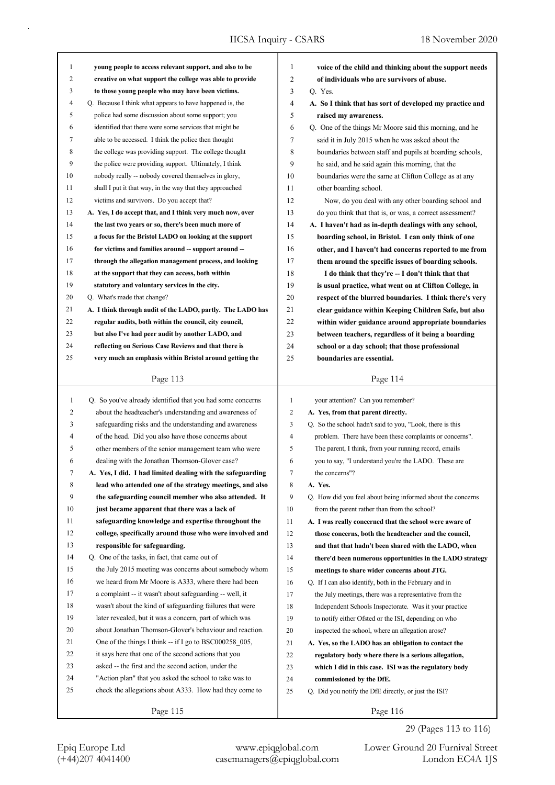|                   | young people to access relevant support, and also to be    | $\mathbf{1}$   | voice of the child and thinking about the support needs     |
|-------------------|------------------------------------------------------------|----------------|-------------------------------------------------------------|
| $\mathbf{1}$<br>2 |                                                            | 2              |                                                             |
|                   | creative on what support the college was able to provide   |                | of individuals who are survivors of abuse.                  |
| 3                 | to those young people who may have been victims.           | 3              | Q. Yes.                                                     |
| 4                 | Q. Because I think what appears to have happened is, the   | $\overline{4}$ | A. So I think that has sort of developed my practice and    |
| 5                 | police had some discussion about some support; you         | 5              | raised my awareness.                                        |
| 6                 | identified that there were some services that might be     | 6              | Q. One of the things Mr Moore said this morning, and he     |
| 7                 | able to be accessed. I think the police then thought       | 7              | said it in July 2015 when he was asked about the            |
| 8                 | the college was providing support. The college thought     | 8              | boundaries between staff and pupils at boarding schools,    |
| 9                 | the police were providing support. Ultimately, I think     | 9              | he said, and he said again this morning, that the           |
| 10                | nobody really -- nobody covered themselves in glory,       | 10             | boundaries were the same at Clifton College as at any       |
| 11                | shall I put it that way, in the way that they approached   | 11             | other boarding school.                                      |
| 12                | victims and survivors. Do you accept that?                 | 12             | Now, do you deal with any other boarding school and         |
| 13                | A. Yes, I do accept that, and I think very much now, over  | 13             | do you think that that is, or was, a correct assessment?    |
| 14                | the last two years or so, there's been much more of        | 14             | A. I haven't had as in-depth dealings with any school,      |
| 15                | a focus for the Bristol LADO on looking at the support     | 15             | boarding school, in Bristol. I can only think of one        |
| 16                | for victims and families around -- support around --       | 16             | other, and I haven't had concerns reported to me from       |
| 17                | through the allegation management process, and looking     | 17             | them around the specific issues of boarding schools.        |
| 18                | at the support that they can access, both within           | 18             | I do think that they're -- I don't think that that          |
| 19                | statutory and voluntary services in the city.              | 19             | is usual practice, what went on at Clifton College, in      |
| 20                | Q. What's made that change?                                | 20             | respect of the blurred boundaries. I think there's very     |
| 21                | A. I think through audit of the LADO, partly. The LADO has | 21             | clear guidance within Keeping Children Safe, but also       |
| 22                | regular audits, both within the council, city council,     | 22             | within wider guidance around appropriate boundaries         |
| 23                | but also I've had peer audit by another LADO, and          | 23             | between teachers, regardless of it being a boarding         |
| 24                | reflecting on Serious Case Reviews and that there is       | 24             | school or a day school; that those professional             |
| 25                | very much an emphasis within Bristol around getting the    | 25             | boundaries are essential.                                   |
|                   |                                                            |                |                                                             |
|                   | Page 113                                                   |                | Page 114                                                    |
| $\mathbf{1}$      | Q. So you've already identified that you had some concerns | $\mathbf{1}$   | your attention? Can you remember?                           |
| 2                 |                                                            |                |                                                             |
|                   | about the headteacher's understanding and awareness of     | 2              | A. Yes, from that parent directly.                          |
| 3                 | safeguarding risks and the understanding and awareness     | 3              | Q. So the school hadn't said to you, "Look, there is this   |
| 4                 | of the head. Did you also have those concerns about        | 4              | problem. There have been these complaints or concerns".     |
| 5                 | other members of the senior management team who were       | 5              | The parent, I think, from your running record, emails       |
| 6                 | dealing with the Jonathan Thomson-Glover case?             | 6              | you to say, "I understand you're the LADO. These are        |
|                   |                                                            |                |                                                             |
|                   | A. Yes, I did. I had limited dealing with the safeguarding | 7              | the concerns"?                                              |
| 8                 | lead who attended one of the strategy meetings, and also   | 8              | A. Yes.                                                     |
| 9                 | the safeguarding council member who also attended. It      | 9              | Q. How did you feel about being informed about the concerns |
| 10                | just became apparent that there was a lack of              | 10             | from the parent rather than from the school?                |
| 11                | safeguarding knowledge and expertise throughout the        | 11             | A. I was really concerned that the school were aware of     |
| 12                | college, specifically around those who were involved and   | 12             | those concerns, both the headteacher and the council,       |
| 13                | responsible for safeguarding.                              | 13             | and that that hadn't been shared with the LADO, when        |
| 14                | Q. One of the tasks, in fact, that came out of             | 14             | there'd been numerous opportunities in the LADO strategy    |
| 15                | the July 2015 meeting was concerns about somebody whom     | 15             | meetings to share wider concerns about JTG.                 |
| 16                | we heard from Mr Moore is A333, where there had been       | 16             | Q. If I can also identify, both in the February and in      |
| 17                | a complaint -- it wasn't about safeguarding -- well, it    | 17             | the July meetings, there was a representative from the      |
| 18                | wasn't about the kind of safeguarding failures that were   | 18             | Independent Schools Inspectorate. Was it your practice      |
| 19                | later revealed, but it was a concern, part of which was    | 19             | to notify either Ofsted or the ISI, depending on who        |
| 20                | about Jonathan Thomson-Glover's behaviour and reaction.    | 20             | inspected the school, where an allegation arose?            |
| 21                | One of the things I think -- if I go to BSC000258 005,     | 21             | A. Yes, so the LADO has an obligation to contact the        |
| 22                | it says here that one of the second actions that you       | 22             | regulatory body where there is a serious allegation,        |
| 23                | asked -- the first and the second action, under the        | 23             | which I did in this case. ISI was the regulatory body       |
| 24                | "Action plan" that you asked the school to take was to     | 24             | commissioned by the DfE.                                    |
| 25                | check the allegations about A333. How had they come to     | 25             | Q. Did you notify the DfE directly, or just the ISI?        |

29 (Pages 113 to 116)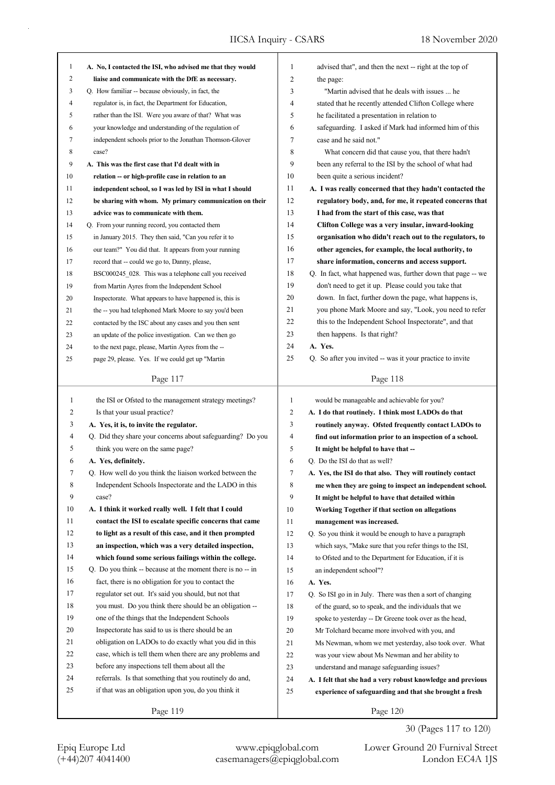| $\mathbf{1}$ | A. No, I contacted the ISI, who advised me that they would | 1              | advised that", and then the next -- right at the top of     |
|--------------|------------------------------------------------------------|----------------|-------------------------------------------------------------|
| 2            | liaise and communicate with the DfE as necessary.          | 2              | the page:                                                   |
| 3            | Q. How familiar -- because obviously, in fact, the         | 3              | "Martin advised that he deals with issues  he               |
| 4            | regulator is, in fact, the Department for Education,       | 4              | stated that he recently attended Clifton College where      |
| 5            | rather than the ISI. Were you aware of that? What was      | 5              | he facilitated a presentation in relation to                |
| 6            | your knowledge and understanding of the regulation of      | 6              | safeguarding. I asked if Mark had informed him of this      |
| 7            | independent schools prior to the Jonathan Thomson-Glover   | 7              | case and he said not."                                      |
| 8            | case?                                                      | 8              | What concern did that cause you, that there hadn't          |
| 9            | A. This was the first case that I'd dealt with in          | 9              | been any referral to the ISI by the school of what had      |
| 10           | relation -- or high-profile case in relation to an         | 10             | been quite a serious incident?                              |
| 11           | independent school, so I was led by ISI in what I should   | 11             | A. I was really concerned that they hadn't contacted the    |
| 12           | be sharing with whom. My primary communication on their    | 12             | regulatory body, and, for me, it repeated concerns that     |
| 13           | advice was to communicate with them.                       | 13             | I had from the start of this case, was that                 |
| 14           | Q. From your running record, you contacted them            | 14             | Clifton College was a very insular, inward-looking          |
| 15           | in January 2015. They then said, "Can you refer it to      | 15             | organisation who didn't reach out to the regulators, to     |
| 16           | our team?" You did that. It appears from your running      | 16             | other agencies, for example, the local authority, to        |
| 17           | record that -- could we go to, Danny, please,              | 17             | share information, concerns and access support.             |
| 18           | BSC000245 028. This was a telephone call you received      | 18             | Q. In fact, what happened was, further down that page -- we |
| 19           | from Martin Ayres from the Independent School              | 19             | don't need to get it up. Please could you take that         |
| 20           | Inspectorate. What appears to have happened is, this is    | 20             | down. In fact, further down the page, what happens is,      |
| 21           | the -- you had telephoned Mark Moore to say you'd been     | 21             | you phone Mark Moore and say, "Look, you need to refer      |
| 22           | contacted by the ISC about any cases and you then sent     | 22             | this to the Independent School Inspectorate", and that      |
| 23           | an update of the police investigation. Can we then go      | 23             | then happens. Is that right?                                |
| 24           | to the next page, please, Martin Ayres from the --         | 24             | A. Yes.                                                     |
| 25           | page 29, please. Yes. If we could get up "Martin           | 25             | Q. So after you invited -- was it your practice to invite   |
|              |                                                            |                |                                                             |
|              | Page 117                                                   |                | Page 118                                                    |
|              |                                                            |                |                                                             |
|              |                                                            |                |                                                             |
| $\mathbf{1}$ | the ISI or Ofsted to the management strategy meetings?     | $\mathbf{1}$   | would be manageable and achievable for you?                 |
| 2            | Is that your usual practice?                               | $\overline{2}$ | A. I do that routinely. I think most LADOs do that          |
| 3            | A. Yes, it is, to invite the regulator.                    | 3              | routinely anyway. Ofsted frequently contact LADOs to        |
| 4            | Q. Did they share your concerns about safeguarding? Do you | 4              | find out information prior to an inspection of a school.    |
| 5            | think you were on the same page?                           | 5              | It might be helpful to have that --                         |
| 6            | A. Yes, definitely.                                        | 6              | Q. Do the ISI do that as well?                              |
|              | Q. How well do you think the liaison worked between the    | $\overline{7}$ | A. Yes, the ISI do that also. They will routinely contact   |
| 8            | Independent Schools Inspectorate and the LADO in this      | 8              | me when they are going to inspect an independent school.    |
| 9            | case?                                                      | 9              | It might be helpful to have that detailed within            |
| 10           | A. I think it worked really well. I felt that I could      | 10             | Working Together if that section on allegations             |
| 11           | contact the ISI to escalate specific concerns that came    | 11             | management was increased.                                   |
| 12           | to light as a result of this case, and it then prompted    | 12             | Q. So you think it would be enough to have a paragraph      |
| 13           | an inspection, which was a very detailed inspection,       | 13             | which says, "Make sure that you refer things to the ISI,    |
| 14           | which found some serious failings within the college.      | 14             | to Ofsted and to the Department for Education, if it is     |
| 15           | Q. Do you think -- because at the moment there is no -- in | 15             | an independent school"?                                     |
| 16           | fact, there is no obligation for you to contact the        | 16             | A. Yes.                                                     |
| 17           | regulator set out. It's said you should, but not that      | 17             | Q. So ISI go in in July. There was then a sort of changing  |
| $18\,$       | you must. Do you think there should be an obligation --    | 18             | of the guard, so to speak, and the individuals that we      |
| 19           | one of the things that the Independent Schools             | 19             | spoke to yesterday -- Dr Greene took over as the head,      |
| 20           | Inspectorate has said to us is there should be an          | 20             | Mr Tolchard became more involved with you, and              |
| 21           | obligation on LADOs to do exactly what you did in this     | 21             | Ms Newman, whom we met yesterday, also took over. What      |
| 22           | case, which is tell them when there are any problems and   | 22             | was your view about Ms Newman and her ability to            |
| 23           | before any inspections tell them about all the             | 23             | understand and manage safeguarding issues?                  |
| 24           | referrals. Is that something that you routinely do and,    | 24             | A. I felt that she had a very robust knowledge and previous |
| 25           | if that was an obligation upon you, do you think it        | 25             | experience of safeguarding and that she brought a fresh     |

30 (Pages 117 to 120)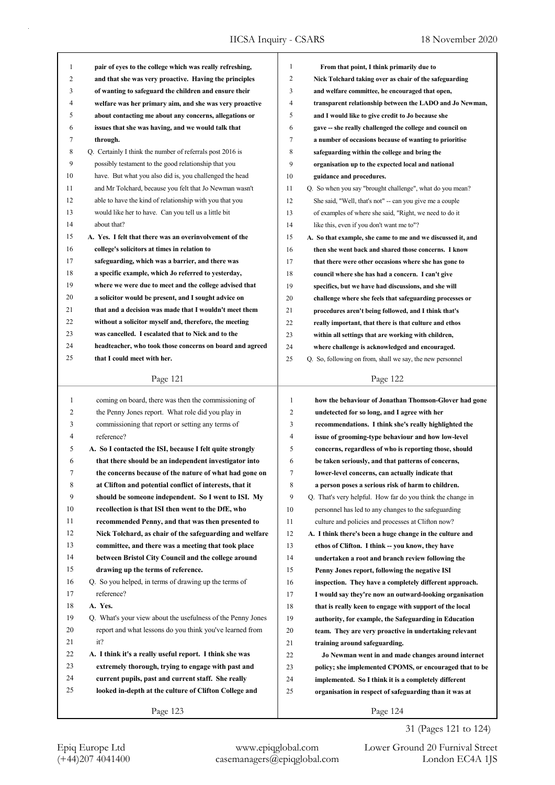| 1  |                                                             |                |                                                             |
|----|-------------------------------------------------------------|----------------|-------------------------------------------------------------|
|    | pair of eyes to the college which was really refreshing,    | $\mathbf{1}$   | From that point, I think primarily due to                   |
| 2  | and that she was very proactive. Having the principles      | $\overline{2}$ | Nick Tolchard taking over as chair of the safeguarding      |
| 3  | of wanting to safeguard the children and ensure their       | 3              | and welfare committee, he encouraged that open,             |
| 4  | welfare was her primary aim, and she was very proactive     | 4              | transparent relationship between the LADO and Jo Newman,    |
| 5  | about contacting me about any concerns, allegations or      | 5              | and I would like to give credit to Jo because she           |
| 6  | issues that she was having, and we would talk that          | 6              | gave -- she really challenged the college and council on    |
| 7  | through.                                                    | 7              | a number of occasions because of wanting to prioritise      |
| 8  | Q. Certainly I think the number of referrals post 2016 is   | 8              | safeguarding within the college and bring the               |
| 9  | possibly testament to the good relationship that you        | 9              | organisation up to the expected local and national          |
| 10 | have. But what you also did is, you challenged the head     | 10             | guidance and procedures.                                    |
| 11 | and Mr Tolchard, because you felt that Jo Newman wasn't     | 11             | Q. So when you say "brought challenge", what do you mean?   |
| 12 | able to have the kind of relationship with you that you     | 12             | She said, "Well, that's not" -- can you give me a couple    |
| 13 | would like her to have. Can you tell us a little bit        | 13             | of examples of where she said, "Right, we need to do it     |
| 14 | about that?                                                 | 14             | like this, even if you don't want me to"?                   |
| 15 | A. Yes. I felt that there was an overinvolvement of the     | 15             | A. So that example, she came to me and we discussed it, and |
| 16 | college's solicitors at times in relation to                | 16             | then she went back and shared those concerns. I know        |
| 17 | safeguarding, which was a barrier, and there was            | 17             | that there were other occasions where she has gone to       |
| 18 | a specific example, which Jo referred to yesterday,         | 18             | council where she has had a concern. I can't give           |
| 19 | where we were due to meet and the college advised that      | 19             | specifics, but we have had discussions, and she will        |
| 20 | a solicitor would be present, and I sought advice on        | 20             | challenge where she feels that safeguarding processes or    |
| 21 | that and a decision was made that I wouldn't meet them      | 21             | procedures aren't being followed, and I think that's        |
| 22 | without a solicitor myself and, therefore, the meeting      | 22             | really important, that there is that culture and ethos      |
| 23 | was cancelled. I escalated that to Nick and to the          | 23             | within all settings that are working with children,         |
| 24 | headteacher, who took those concerns on board and agreed    | 24             | where challenge is acknowledged and encouraged.             |
| 25 | that I could meet with her.                                 | 25             | Q. So, following on from, shall we say, the new personnel   |
|    |                                                             |                |                                                             |
|    | Page 121                                                    |                | Page 122                                                    |
|    |                                                             |                |                                                             |
| 1  | coming on board, there was then the commissioning of        | $\mathbf{1}$   | how the behaviour of Jonathan Thomson-Glover had gone       |
| 2  |                                                             |                |                                                             |
|    | the Penny Jones report. What role did you play in           | $\overline{c}$ | undetected for so long, and I agree with her                |
| 3  | commissioning that report or setting any terms of           | 3              | recommendations. I think she's really highlighted the       |
| 4  | reference?                                                  | 4              | issue of grooming-type behaviour and how low-level          |
| 5  | A. So I contacted the ISI, because I felt quite strongly    | 5              | concerns, regardless of who is reporting those, should      |
| 6  | that there should be an independent investigator into       | 6              | be taken seriously, and that patterns of concerns,          |
|    | the concerns because of the nature of what had gone on      | 7              | lower-level concerns, can actually indicate that            |
| 8  | at Clifton and potential conflict of interests, that it     | 8              | a person poses a serious risk of harm to children.          |
| 9  | should be someone independent. So I went to ISI. My         | 9              | Q. That's very helpful. How far do you think the change in  |
| 10 | recollection is that ISI then went to the DfE, who          | 10             | personnel has led to any changes to the safeguarding        |
| 11 | recommended Penny, and that was then presented to           | 11             | culture and policies and processes at Clifton now?          |
| 12 | Nick Tolchard, as chair of the safeguarding and welfare     | 12             | A. I think there's been a huge change in the culture and    |
| 13 | committee, and there was a meeting that took place          | 13             | ethos of Clifton. I think -- you know, they have            |
| 14 | between Bristol City Council and the college around         | 14             | undertaken a root and branch review following the           |
| 15 | drawing up the terms of reference.                          | 15             | Penny Jones report, following the negative ISI              |
| 16 | Q. So you helped, in terms of drawing up the terms of       | 16             | inspection. They have a completely different approach.      |
| 17 | reference?                                                  | 17             | I would say they're now an outward-looking organisation     |
| 18 | A. Yes.                                                     | 18             | that is really keen to engage with support of the local     |
| 19 | Q. What's your view about the usefulness of the Penny Jones | 19             | authority, for example, the Safeguarding in Education       |
| 20 | report and what lessons do you think you've learned from    | 20             | team. They are very proactive in undertaking relevant       |
| 21 | it?                                                         | 21             | training around safeguarding.                               |
| 22 | A. I think it's a really useful report. I think she was     | 22             | Jo Newman went in and made changes around internet          |
| 23 | extremely thorough, trying to engage with past and          | 23             | policy; she implemented CPOMS, or encouraged that to be     |
| 24 | current pupils, past and current staff. She really          | 24             | implemented. So I think it is a completely different        |
| 25 | looked in-depth at the culture of Clifton College and       | 25             | organisation in respect of safeguarding than it was at      |
|    | Page 123                                                    |                | Page 124                                                    |

31 (Pages 121 to 124)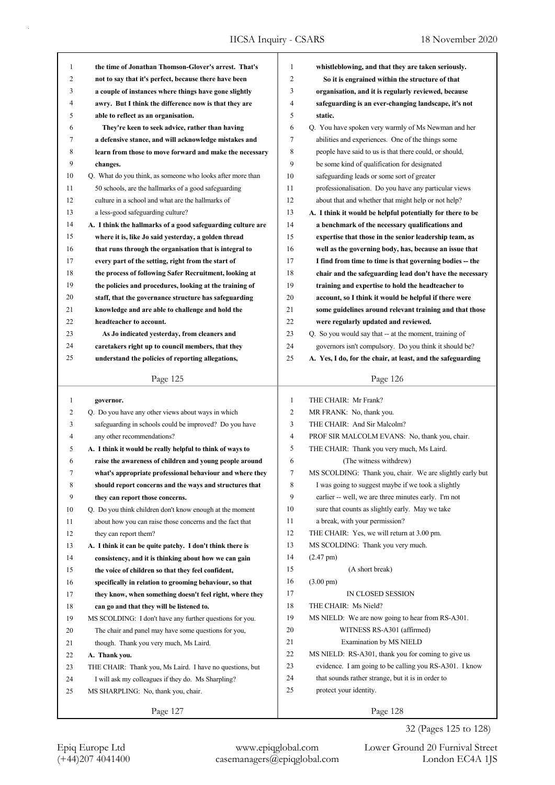| $\mathbf{1}$<br>$\mathfrak{2}$<br>2<br>not to say that it's perfect, because there have been<br>So it is engrained within the structure of that<br>3<br>3<br>organisation, and it is regularly reviewed, because<br>a couple of instances where things have gone slightly<br>4<br>awry. But I think the difference now is that they are<br>4<br>safeguarding is an ever-changing landscape, it's not<br>5<br>5<br>static.<br>able to reflect as an organisation.<br>6<br>6<br>They're keen to seek advice, rather than having<br>Q. You have spoken very warmly of Ms Newman and her<br>7<br>a defensive stance, and will acknowledge mistakes and<br>7<br>abilities and experiences. One of the things some<br>8<br>8<br>people have said to us is that there could, or should,<br>learn from those to move forward and make the necessary<br>9<br>9<br>be some kind of qualification for designated<br>changes.<br>10<br>Q. What do you think, as someone who looks after more than<br>10<br>safeguarding leads or some sort of greater<br>11<br>50 schools, are the hallmarks of a good safeguarding<br>11<br>professionalisation. Do you have any particular views<br>12<br>12<br>culture in a school and what are the hallmarks of<br>about that and whether that might help or not help?<br>13<br>a less-good safeguarding culture?<br>13<br>A. I think it would be helpful potentially for there to be<br>14<br>14<br>A. I think the hallmarks of a good safeguarding culture are<br>a benchmark of the necessary qualifications and<br>15<br>15<br>where it is, like Jo said yesterday, a golden thread<br>expertise that those in the senior leadership team, as<br>16<br>16<br>that runs through the organisation that is integral to<br>well as the governing body, has, because an issue that<br>17<br>17<br>every part of the setting, right from the start of<br>I find from time to time is that governing bodies -- the<br>18<br>18<br>the process of following Safer Recruitment, looking at<br>chair and the safeguarding lead don't have the necessary<br>19<br>the policies and procedures, looking at the training of<br>19<br>training and expertise to hold the headteacher to<br>20<br>20<br>staff, that the governance structure has safeguarding<br>account, so I think it would be helpful if there were<br>21<br>21<br>knowledge and are able to challenge and hold the<br>some guidelines around relevant training and that those<br>22<br>22<br>headteacher to account.<br>were regularly updated and reviewed.<br>23<br>23<br>Q. So you would say that -- at the moment, training of<br>As Jo indicated yesterday, from cleaners and<br>24<br>24<br>caretakers right up to council members, that they<br>governors isn't compulsory. Do you think it should be?<br>25<br>25<br>understand the policies of reporting allegations,<br>A. Yes, I do, for the chair, at least, and the safeguarding<br>Page 125<br>Page 126<br>$\mathbf{1}$<br>$\mathbf{1}$<br>THE CHAIR: Mr Frank?<br>governor.<br>Q. Do you have any other views about ways in which<br>2<br>2<br>MR FRANK: No, thank you.<br>3<br>3<br>safeguarding in schools could be improved? Do you have<br>THE CHAIR: And Sir Malcolm?<br>4<br>any other recommendations?<br>PROF SIR MALCOLM EVANS: No, thank you, chair.<br>4<br>5<br>THE CHAIR: Thank you very much, Ms Laird.<br>5<br>A. I think it would be really helpful to think of ways to<br>6<br>(The witness withdrew)<br>6<br>raise the awareness of children and young people around<br>MS SCOLDING: Thank you, chair. We are slightly early but<br>what's appropriate professional behaviour and where they<br>7<br>Ί<br>8<br>I was going to suggest maybe if we took a slightly<br>8<br>should report concerns and the ways and structures that<br>9<br>earlier -- well, we are three minutes early. I'm not<br>9<br>they can report those concerns.<br>10<br>sure that counts as slightly early. May we take<br>10<br>Q. Do you think children don't know enough at the moment<br>11<br>a break, with your permission?<br>11<br>about how you can raise those concerns and the fact that<br>12<br>THE CHAIR: Yes, we will return at 3.00 pm.<br>12<br>they can report them?<br>13<br>MS SCOLDING: Thank you very much.<br>13<br>A. I think it can be quite patchy. I don't think there is<br>14<br>$(2.47 \text{ pm})$<br>14<br>consistency, and it is thinking about how we can gain<br>15<br>(A short break)<br>15<br>the voice of children so that they feel confident,<br>16<br>$(3.00 \text{ pm})$<br>16<br>specifically in relation to grooming behaviour, so that<br>17<br>IN CLOSED SESSION<br>17<br>they know, when something doesn't feel right, where they<br>18<br>THE CHAIR: Ms Nield?<br>18<br>can go and that they will be listened to.<br>19<br>MS NIELD: We are now going to hear from RS-A301.<br>19<br>MS SCOLDING: I don't have any further questions for you.<br>20<br>WITNESS RS-A301 (affirmed)<br>20<br>The chair and panel may have some questions for you, |                                                      |   |                                                    |
|-------------------------------------------------------------------------------------------------------------------------------------------------------------------------------------------------------------------------------------------------------------------------------------------------------------------------------------------------------------------------------------------------------------------------------------------------------------------------------------------------------------------------------------------------------------------------------------------------------------------------------------------------------------------------------------------------------------------------------------------------------------------------------------------------------------------------------------------------------------------------------------------------------------------------------------------------------------------------------------------------------------------------------------------------------------------------------------------------------------------------------------------------------------------------------------------------------------------------------------------------------------------------------------------------------------------------------------------------------------------------------------------------------------------------------------------------------------------------------------------------------------------------------------------------------------------------------------------------------------------------------------------------------------------------------------------------------------------------------------------------------------------------------------------------------------------------------------------------------------------------------------------------------------------------------------------------------------------------------------------------------------------------------------------------------------------------------------------------------------------------------------------------------------------------------------------------------------------------------------------------------------------------------------------------------------------------------------------------------------------------------------------------------------------------------------------------------------------------------------------------------------------------------------------------------------------------------------------------------------------------------------------------------------------------------------------------------------------------------------------------------------------------------------------------------------------------------------------------------------------------------------------------------------------------------------------------------------------------------------------------------------------------------------------------------------------------------------------------------------------------------------------------------------------------------------------------------------------------------------------------------------------------------------------------------------------------------------------------------------------------------------------------------------------------------------------------------------------------------------------------------------------------------------------------------------------------------------------------------------------------------------------------------------------------------------------------------------------------------------------------------------------------------------------------------------------------------------------------------------------------------------------------------------------------------------------------------------------------------------------------------------------------------------------------------------------------------------------------------------------------------------------------------------------------------------------------------------------------------------------------------------------------------------------------------------------------------------------------------------------------------------------------------------------------------------------------------------------------------------------------------------------------------------------------------------------------------------------------------------------------------------------------------------------------------------------------------------------------------------------------------------------------------------------------------------------------------------------------------------------------------------------------------------------------------------------------------------------------------------------------------------------------------------------|------------------------------------------------------|---|----------------------------------------------------|
|                                                                                                                                                                                                                                                                                                                                                                                                                                                                                                                                                                                                                                                                                                                                                                                                                                                                                                                                                                                                                                                                                                                                                                                                                                                                                                                                                                                                                                                                                                                                                                                                                                                                                                                                                                                                                                                                                                                                                                                                                                                                                                                                                                                                                                                                                                                                                                                                                                                                                                                                                                                                                                                                                                                                                                                                                                                                                                                                                                                                                                                                                                                                                                                                                                                                                                                                                                                                                                                                                                                                                                                                                                                                                                                                                                                                                                                                                                                                                                                                                                                                                                                                                                                                                                                                                                                                                                                                                                                                                                                                                                                                                                                                                                                                                                                                                                                                                                                                                                                                                                           | the time of Jonathan Thomson-Glover's arrest. That's | 1 | whistleblowing, and that they are taken seriously. |
|                                                                                                                                                                                                                                                                                                                                                                                                                                                                                                                                                                                                                                                                                                                                                                                                                                                                                                                                                                                                                                                                                                                                                                                                                                                                                                                                                                                                                                                                                                                                                                                                                                                                                                                                                                                                                                                                                                                                                                                                                                                                                                                                                                                                                                                                                                                                                                                                                                                                                                                                                                                                                                                                                                                                                                                                                                                                                                                                                                                                                                                                                                                                                                                                                                                                                                                                                                                                                                                                                                                                                                                                                                                                                                                                                                                                                                                                                                                                                                                                                                                                                                                                                                                                                                                                                                                                                                                                                                                                                                                                                                                                                                                                                                                                                                                                                                                                                                                                                                                                                                           |                                                      |   |                                                    |
|                                                                                                                                                                                                                                                                                                                                                                                                                                                                                                                                                                                                                                                                                                                                                                                                                                                                                                                                                                                                                                                                                                                                                                                                                                                                                                                                                                                                                                                                                                                                                                                                                                                                                                                                                                                                                                                                                                                                                                                                                                                                                                                                                                                                                                                                                                                                                                                                                                                                                                                                                                                                                                                                                                                                                                                                                                                                                                                                                                                                                                                                                                                                                                                                                                                                                                                                                                                                                                                                                                                                                                                                                                                                                                                                                                                                                                                                                                                                                                                                                                                                                                                                                                                                                                                                                                                                                                                                                                                                                                                                                                                                                                                                                                                                                                                                                                                                                                                                                                                                                                           |                                                      |   |                                                    |
|                                                                                                                                                                                                                                                                                                                                                                                                                                                                                                                                                                                                                                                                                                                                                                                                                                                                                                                                                                                                                                                                                                                                                                                                                                                                                                                                                                                                                                                                                                                                                                                                                                                                                                                                                                                                                                                                                                                                                                                                                                                                                                                                                                                                                                                                                                                                                                                                                                                                                                                                                                                                                                                                                                                                                                                                                                                                                                                                                                                                                                                                                                                                                                                                                                                                                                                                                                                                                                                                                                                                                                                                                                                                                                                                                                                                                                                                                                                                                                                                                                                                                                                                                                                                                                                                                                                                                                                                                                                                                                                                                                                                                                                                                                                                                                                                                                                                                                                                                                                                                                           |                                                      |   |                                                    |
|                                                                                                                                                                                                                                                                                                                                                                                                                                                                                                                                                                                                                                                                                                                                                                                                                                                                                                                                                                                                                                                                                                                                                                                                                                                                                                                                                                                                                                                                                                                                                                                                                                                                                                                                                                                                                                                                                                                                                                                                                                                                                                                                                                                                                                                                                                                                                                                                                                                                                                                                                                                                                                                                                                                                                                                                                                                                                                                                                                                                                                                                                                                                                                                                                                                                                                                                                                                                                                                                                                                                                                                                                                                                                                                                                                                                                                                                                                                                                                                                                                                                                                                                                                                                                                                                                                                                                                                                                                                                                                                                                                                                                                                                                                                                                                                                                                                                                                                                                                                                                                           |                                                      |   |                                                    |
|                                                                                                                                                                                                                                                                                                                                                                                                                                                                                                                                                                                                                                                                                                                                                                                                                                                                                                                                                                                                                                                                                                                                                                                                                                                                                                                                                                                                                                                                                                                                                                                                                                                                                                                                                                                                                                                                                                                                                                                                                                                                                                                                                                                                                                                                                                                                                                                                                                                                                                                                                                                                                                                                                                                                                                                                                                                                                                                                                                                                                                                                                                                                                                                                                                                                                                                                                                                                                                                                                                                                                                                                                                                                                                                                                                                                                                                                                                                                                                                                                                                                                                                                                                                                                                                                                                                                                                                                                                                                                                                                                                                                                                                                                                                                                                                                                                                                                                                                                                                                                                           |                                                      |   |                                                    |
|                                                                                                                                                                                                                                                                                                                                                                                                                                                                                                                                                                                                                                                                                                                                                                                                                                                                                                                                                                                                                                                                                                                                                                                                                                                                                                                                                                                                                                                                                                                                                                                                                                                                                                                                                                                                                                                                                                                                                                                                                                                                                                                                                                                                                                                                                                                                                                                                                                                                                                                                                                                                                                                                                                                                                                                                                                                                                                                                                                                                                                                                                                                                                                                                                                                                                                                                                                                                                                                                                                                                                                                                                                                                                                                                                                                                                                                                                                                                                                                                                                                                                                                                                                                                                                                                                                                                                                                                                                                                                                                                                                                                                                                                                                                                                                                                                                                                                                                                                                                                                                           |                                                      |   |                                                    |
|                                                                                                                                                                                                                                                                                                                                                                                                                                                                                                                                                                                                                                                                                                                                                                                                                                                                                                                                                                                                                                                                                                                                                                                                                                                                                                                                                                                                                                                                                                                                                                                                                                                                                                                                                                                                                                                                                                                                                                                                                                                                                                                                                                                                                                                                                                                                                                                                                                                                                                                                                                                                                                                                                                                                                                                                                                                                                                                                                                                                                                                                                                                                                                                                                                                                                                                                                                                                                                                                                                                                                                                                                                                                                                                                                                                                                                                                                                                                                                                                                                                                                                                                                                                                                                                                                                                                                                                                                                                                                                                                                                                                                                                                                                                                                                                                                                                                                                                                                                                                                                           |                                                      |   |                                                    |
|                                                                                                                                                                                                                                                                                                                                                                                                                                                                                                                                                                                                                                                                                                                                                                                                                                                                                                                                                                                                                                                                                                                                                                                                                                                                                                                                                                                                                                                                                                                                                                                                                                                                                                                                                                                                                                                                                                                                                                                                                                                                                                                                                                                                                                                                                                                                                                                                                                                                                                                                                                                                                                                                                                                                                                                                                                                                                                                                                                                                                                                                                                                                                                                                                                                                                                                                                                                                                                                                                                                                                                                                                                                                                                                                                                                                                                                                                                                                                                                                                                                                                                                                                                                                                                                                                                                                                                                                                                                                                                                                                                                                                                                                                                                                                                                                                                                                                                                                                                                                                                           |                                                      |   |                                                    |
|                                                                                                                                                                                                                                                                                                                                                                                                                                                                                                                                                                                                                                                                                                                                                                                                                                                                                                                                                                                                                                                                                                                                                                                                                                                                                                                                                                                                                                                                                                                                                                                                                                                                                                                                                                                                                                                                                                                                                                                                                                                                                                                                                                                                                                                                                                                                                                                                                                                                                                                                                                                                                                                                                                                                                                                                                                                                                                                                                                                                                                                                                                                                                                                                                                                                                                                                                                                                                                                                                                                                                                                                                                                                                                                                                                                                                                                                                                                                                                                                                                                                                                                                                                                                                                                                                                                                                                                                                                                                                                                                                                                                                                                                                                                                                                                                                                                                                                                                                                                                                                           |                                                      |   |                                                    |
|                                                                                                                                                                                                                                                                                                                                                                                                                                                                                                                                                                                                                                                                                                                                                                                                                                                                                                                                                                                                                                                                                                                                                                                                                                                                                                                                                                                                                                                                                                                                                                                                                                                                                                                                                                                                                                                                                                                                                                                                                                                                                                                                                                                                                                                                                                                                                                                                                                                                                                                                                                                                                                                                                                                                                                                                                                                                                                                                                                                                                                                                                                                                                                                                                                                                                                                                                                                                                                                                                                                                                                                                                                                                                                                                                                                                                                                                                                                                                                                                                                                                                                                                                                                                                                                                                                                                                                                                                                                                                                                                                                                                                                                                                                                                                                                                                                                                                                                                                                                                                                           |                                                      |   |                                                    |
|                                                                                                                                                                                                                                                                                                                                                                                                                                                                                                                                                                                                                                                                                                                                                                                                                                                                                                                                                                                                                                                                                                                                                                                                                                                                                                                                                                                                                                                                                                                                                                                                                                                                                                                                                                                                                                                                                                                                                                                                                                                                                                                                                                                                                                                                                                                                                                                                                                                                                                                                                                                                                                                                                                                                                                                                                                                                                                                                                                                                                                                                                                                                                                                                                                                                                                                                                                                                                                                                                                                                                                                                                                                                                                                                                                                                                                                                                                                                                                                                                                                                                                                                                                                                                                                                                                                                                                                                                                                                                                                                                                                                                                                                                                                                                                                                                                                                                                                                                                                                                                           |                                                      |   |                                                    |
|                                                                                                                                                                                                                                                                                                                                                                                                                                                                                                                                                                                                                                                                                                                                                                                                                                                                                                                                                                                                                                                                                                                                                                                                                                                                                                                                                                                                                                                                                                                                                                                                                                                                                                                                                                                                                                                                                                                                                                                                                                                                                                                                                                                                                                                                                                                                                                                                                                                                                                                                                                                                                                                                                                                                                                                                                                                                                                                                                                                                                                                                                                                                                                                                                                                                                                                                                                                                                                                                                                                                                                                                                                                                                                                                                                                                                                                                                                                                                                                                                                                                                                                                                                                                                                                                                                                                                                                                                                                                                                                                                                                                                                                                                                                                                                                                                                                                                                                                                                                                                                           |                                                      |   |                                                    |
|                                                                                                                                                                                                                                                                                                                                                                                                                                                                                                                                                                                                                                                                                                                                                                                                                                                                                                                                                                                                                                                                                                                                                                                                                                                                                                                                                                                                                                                                                                                                                                                                                                                                                                                                                                                                                                                                                                                                                                                                                                                                                                                                                                                                                                                                                                                                                                                                                                                                                                                                                                                                                                                                                                                                                                                                                                                                                                                                                                                                                                                                                                                                                                                                                                                                                                                                                                                                                                                                                                                                                                                                                                                                                                                                                                                                                                                                                                                                                                                                                                                                                                                                                                                                                                                                                                                                                                                                                                                                                                                                                                                                                                                                                                                                                                                                                                                                                                                                                                                                                                           |                                                      |   |                                                    |
|                                                                                                                                                                                                                                                                                                                                                                                                                                                                                                                                                                                                                                                                                                                                                                                                                                                                                                                                                                                                                                                                                                                                                                                                                                                                                                                                                                                                                                                                                                                                                                                                                                                                                                                                                                                                                                                                                                                                                                                                                                                                                                                                                                                                                                                                                                                                                                                                                                                                                                                                                                                                                                                                                                                                                                                                                                                                                                                                                                                                                                                                                                                                                                                                                                                                                                                                                                                                                                                                                                                                                                                                                                                                                                                                                                                                                                                                                                                                                                                                                                                                                                                                                                                                                                                                                                                                                                                                                                                                                                                                                                                                                                                                                                                                                                                                                                                                                                                                                                                                                                           |                                                      |   |                                                    |
|                                                                                                                                                                                                                                                                                                                                                                                                                                                                                                                                                                                                                                                                                                                                                                                                                                                                                                                                                                                                                                                                                                                                                                                                                                                                                                                                                                                                                                                                                                                                                                                                                                                                                                                                                                                                                                                                                                                                                                                                                                                                                                                                                                                                                                                                                                                                                                                                                                                                                                                                                                                                                                                                                                                                                                                                                                                                                                                                                                                                                                                                                                                                                                                                                                                                                                                                                                                                                                                                                                                                                                                                                                                                                                                                                                                                                                                                                                                                                                                                                                                                                                                                                                                                                                                                                                                                                                                                                                                                                                                                                                                                                                                                                                                                                                                                                                                                                                                                                                                                                                           |                                                      |   |                                                    |
|                                                                                                                                                                                                                                                                                                                                                                                                                                                                                                                                                                                                                                                                                                                                                                                                                                                                                                                                                                                                                                                                                                                                                                                                                                                                                                                                                                                                                                                                                                                                                                                                                                                                                                                                                                                                                                                                                                                                                                                                                                                                                                                                                                                                                                                                                                                                                                                                                                                                                                                                                                                                                                                                                                                                                                                                                                                                                                                                                                                                                                                                                                                                                                                                                                                                                                                                                                                                                                                                                                                                                                                                                                                                                                                                                                                                                                                                                                                                                                                                                                                                                                                                                                                                                                                                                                                                                                                                                                                                                                                                                                                                                                                                                                                                                                                                                                                                                                                                                                                                                                           |                                                      |   |                                                    |
|                                                                                                                                                                                                                                                                                                                                                                                                                                                                                                                                                                                                                                                                                                                                                                                                                                                                                                                                                                                                                                                                                                                                                                                                                                                                                                                                                                                                                                                                                                                                                                                                                                                                                                                                                                                                                                                                                                                                                                                                                                                                                                                                                                                                                                                                                                                                                                                                                                                                                                                                                                                                                                                                                                                                                                                                                                                                                                                                                                                                                                                                                                                                                                                                                                                                                                                                                                                                                                                                                                                                                                                                                                                                                                                                                                                                                                                                                                                                                                                                                                                                                                                                                                                                                                                                                                                                                                                                                                                                                                                                                                                                                                                                                                                                                                                                                                                                                                                                                                                                                                           |                                                      |   |                                                    |
|                                                                                                                                                                                                                                                                                                                                                                                                                                                                                                                                                                                                                                                                                                                                                                                                                                                                                                                                                                                                                                                                                                                                                                                                                                                                                                                                                                                                                                                                                                                                                                                                                                                                                                                                                                                                                                                                                                                                                                                                                                                                                                                                                                                                                                                                                                                                                                                                                                                                                                                                                                                                                                                                                                                                                                                                                                                                                                                                                                                                                                                                                                                                                                                                                                                                                                                                                                                                                                                                                                                                                                                                                                                                                                                                                                                                                                                                                                                                                                                                                                                                                                                                                                                                                                                                                                                                                                                                                                                                                                                                                                                                                                                                                                                                                                                                                                                                                                                                                                                                                                           |                                                      |   |                                                    |
|                                                                                                                                                                                                                                                                                                                                                                                                                                                                                                                                                                                                                                                                                                                                                                                                                                                                                                                                                                                                                                                                                                                                                                                                                                                                                                                                                                                                                                                                                                                                                                                                                                                                                                                                                                                                                                                                                                                                                                                                                                                                                                                                                                                                                                                                                                                                                                                                                                                                                                                                                                                                                                                                                                                                                                                                                                                                                                                                                                                                                                                                                                                                                                                                                                                                                                                                                                                                                                                                                                                                                                                                                                                                                                                                                                                                                                                                                                                                                                                                                                                                                                                                                                                                                                                                                                                                                                                                                                                                                                                                                                                                                                                                                                                                                                                                                                                                                                                                                                                                                                           |                                                      |   |                                                    |
|                                                                                                                                                                                                                                                                                                                                                                                                                                                                                                                                                                                                                                                                                                                                                                                                                                                                                                                                                                                                                                                                                                                                                                                                                                                                                                                                                                                                                                                                                                                                                                                                                                                                                                                                                                                                                                                                                                                                                                                                                                                                                                                                                                                                                                                                                                                                                                                                                                                                                                                                                                                                                                                                                                                                                                                                                                                                                                                                                                                                                                                                                                                                                                                                                                                                                                                                                                                                                                                                                                                                                                                                                                                                                                                                                                                                                                                                                                                                                                                                                                                                                                                                                                                                                                                                                                                                                                                                                                                                                                                                                                                                                                                                                                                                                                                                                                                                                                                                                                                                                                           |                                                      |   |                                                    |
|                                                                                                                                                                                                                                                                                                                                                                                                                                                                                                                                                                                                                                                                                                                                                                                                                                                                                                                                                                                                                                                                                                                                                                                                                                                                                                                                                                                                                                                                                                                                                                                                                                                                                                                                                                                                                                                                                                                                                                                                                                                                                                                                                                                                                                                                                                                                                                                                                                                                                                                                                                                                                                                                                                                                                                                                                                                                                                                                                                                                                                                                                                                                                                                                                                                                                                                                                                                                                                                                                                                                                                                                                                                                                                                                                                                                                                                                                                                                                                                                                                                                                                                                                                                                                                                                                                                                                                                                                                                                                                                                                                                                                                                                                                                                                                                                                                                                                                                                                                                                                                           |                                                      |   |                                                    |
|                                                                                                                                                                                                                                                                                                                                                                                                                                                                                                                                                                                                                                                                                                                                                                                                                                                                                                                                                                                                                                                                                                                                                                                                                                                                                                                                                                                                                                                                                                                                                                                                                                                                                                                                                                                                                                                                                                                                                                                                                                                                                                                                                                                                                                                                                                                                                                                                                                                                                                                                                                                                                                                                                                                                                                                                                                                                                                                                                                                                                                                                                                                                                                                                                                                                                                                                                                                                                                                                                                                                                                                                                                                                                                                                                                                                                                                                                                                                                                                                                                                                                                                                                                                                                                                                                                                                                                                                                                                                                                                                                                                                                                                                                                                                                                                                                                                                                                                                                                                                                                           |                                                      |   |                                                    |
|                                                                                                                                                                                                                                                                                                                                                                                                                                                                                                                                                                                                                                                                                                                                                                                                                                                                                                                                                                                                                                                                                                                                                                                                                                                                                                                                                                                                                                                                                                                                                                                                                                                                                                                                                                                                                                                                                                                                                                                                                                                                                                                                                                                                                                                                                                                                                                                                                                                                                                                                                                                                                                                                                                                                                                                                                                                                                                                                                                                                                                                                                                                                                                                                                                                                                                                                                                                                                                                                                                                                                                                                                                                                                                                                                                                                                                                                                                                                                                                                                                                                                                                                                                                                                                                                                                                                                                                                                                                                                                                                                                                                                                                                                                                                                                                                                                                                                                                                                                                                                                           |                                                      |   |                                                    |
|                                                                                                                                                                                                                                                                                                                                                                                                                                                                                                                                                                                                                                                                                                                                                                                                                                                                                                                                                                                                                                                                                                                                                                                                                                                                                                                                                                                                                                                                                                                                                                                                                                                                                                                                                                                                                                                                                                                                                                                                                                                                                                                                                                                                                                                                                                                                                                                                                                                                                                                                                                                                                                                                                                                                                                                                                                                                                                                                                                                                                                                                                                                                                                                                                                                                                                                                                                                                                                                                                                                                                                                                                                                                                                                                                                                                                                                                                                                                                                                                                                                                                                                                                                                                                                                                                                                                                                                                                                                                                                                                                                                                                                                                                                                                                                                                                                                                                                                                                                                                                                           |                                                      |   |                                                    |
|                                                                                                                                                                                                                                                                                                                                                                                                                                                                                                                                                                                                                                                                                                                                                                                                                                                                                                                                                                                                                                                                                                                                                                                                                                                                                                                                                                                                                                                                                                                                                                                                                                                                                                                                                                                                                                                                                                                                                                                                                                                                                                                                                                                                                                                                                                                                                                                                                                                                                                                                                                                                                                                                                                                                                                                                                                                                                                                                                                                                                                                                                                                                                                                                                                                                                                                                                                                                                                                                                                                                                                                                                                                                                                                                                                                                                                                                                                                                                                                                                                                                                                                                                                                                                                                                                                                                                                                                                                                                                                                                                                                                                                                                                                                                                                                                                                                                                                                                                                                                                                           |                                                      |   |                                                    |
|                                                                                                                                                                                                                                                                                                                                                                                                                                                                                                                                                                                                                                                                                                                                                                                                                                                                                                                                                                                                                                                                                                                                                                                                                                                                                                                                                                                                                                                                                                                                                                                                                                                                                                                                                                                                                                                                                                                                                                                                                                                                                                                                                                                                                                                                                                                                                                                                                                                                                                                                                                                                                                                                                                                                                                                                                                                                                                                                                                                                                                                                                                                                                                                                                                                                                                                                                                                                                                                                                                                                                                                                                                                                                                                                                                                                                                                                                                                                                                                                                                                                                                                                                                                                                                                                                                                                                                                                                                                                                                                                                                                                                                                                                                                                                                                                                                                                                                                                                                                                                                           |                                                      |   |                                                    |
|                                                                                                                                                                                                                                                                                                                                                                                                                                                                                                                                                                                                                                                                                                                                                                                                                                                                                                                                                                                                                                                                                                                                                                                                                                                                                                                                                                                                                                                                                                                                                                                                                                                                                                                                                                                                                                                                                                                                                                                                                                                                                                                                                                                                                                                                                                                                                                                                                                                                                                                                                                                                                                                                                                                                                                                                                                                                                                                                                                                                                                                                                                                                                                                                                                                                                                                                                                                                                                                                                                                                                                                                                                                                                                                                                                                                                                                                                                                                                                                                                                                                                                                                                                                                                                                                                                                                                                                                                                                                                                                                                                                                                                                                                                                                                                                                                                                                                                                                                                                                                                           |                                                      |   |                                                    |
|                                                                                                                                                                                                                                                                                                                                                                                                                                                                                                                                                                                                                                                                                                                                                                                                                                                                                                                                                                                                                                                                                                                                                                                                                                                                                                                                                                                                                                                                                                                                                                                                                                                                                                                                                                                                                                                                                                                                                                                                                                                                                                                                                                                                                                                                                                                                                                                                                                                                                                                                                                                                                                                                                                                                                                                                                                                                                                                                                                                                                                                                                                                                                                                                                                                                                                                                                                                                                                                                                                                                                                                                                                                                                                                                                                                                                                                                                                                                                                                                                                                                                                                                                                                                                                                                                                                                                                                                                                                                                                                                                                                                                                                                                                                                                                                                                                                                                                                                                                                                                                           |                                                      |   |                                                    |
|                                                                                                                                                                                                                                                                                                                                                                                                                                                                                                                                                                                                                                                                                                                                                                                                                                                                                                                                                                                                                                                                                                                                                                                                                                                                                                                                                                                                                                                                                                                                                                                                                                                                                                                                                                                                                                                                                                                                                                                                                                                                                                                                                                                                                                                                                                                                                                                                                                                                                                                                                                                                                                                                                                                                                                                                                                                                                                                                                                                                                                                                                                                                                                                                                                                                                                                                                                                                                                                                                                                                                                                                                                                                                                                                                                                                                                                                                                                                                                                                                                                                                                                                                                                                                                                                                                                                                                                                                                                                                                                                                                                                                                                                                                                                                                                                                                                                                                                                                                                                                                           |                                                      |   |                                                    |
|                                                                                                                                                                                                                                                                                                                                                                                                                                                                                                                                                                                                                                                                                                                                                                                                                                                                                                                                                                                                                                                                                                                                                                                                                                                                                                                                                                                                                                                                                                                                                                                                                                                                                                                                                                                                                                                                                                                                                                                                                                                                                                                                                                                                                                                                                                                                                                                                                                                                                                                                                                                                                                                                                                                                                                                                                                                                                                                                                                                                                                                                                                                                                                                                                                                                                                                                                                                                                                                                                                                                                                                                                                                                                                                                                                                                                                                                                                                                                                                                                                                                                                                                                                                                                                                                                                                                                                                                                                                                                                                                                                                                                                                                                                                                                                                                                                                                                                                                                                                                                                           |                                                      |   |                                                    |
|                                                                                                                                                                                                                                                                                                                                                                                                                                                                                                                                                                                                                                                                                                                                                                                                                                                                                                                                                                                                                                                                                                                                                                                                                                                                                                                                                                                                                                                                                                                                                                                                                                                                                                                                                                                                                                                                                                                                                                                                                                                                                                                                                                                                                                                                                                                                                                                                                                                                                                                                                                                                                                                                                                                                                                                                                                                                                                                                                                                                                                                                                                                                                                                                                                                                                                                                                                                                                                                                                                                                                                                                                                                                                                                                                                                                                                                                                                                                                                                                                                                                                                                                                                                                                                                                                                                                                                                                                                                                                                                                                                                                                                                                                                                                                                                                                                                                                                                                                                                                                                           |                                                      |   |                                                    |
|                                                                                                                                                                                                                                                                                                                                                                                                                                                                                                                                                                                                                                                                                                                                                                                                                                                                                                                                                                                                                                                                                                                                                                                                                                                                                                                                                                                                                                                                                                                                                                                                                                                                                                                                                                                                                                                                                                                                                                                                                                                                                                                                                                                                                                                                                                                                                                                                                                                                                                                                                                                                                                                                                                                                                                                                                                                                                                                                                                                                                                                                                                                                                                                                                                                                                                                                                                                                                                                                                                                                                                                                                                                                                                                                                                                                                                                                                                                                                                                                                                                                                                                                                                                                                                                                                                                                                                                                                                                                                                                                                                                                                                                                                                                                                                                                                                                                                                                                                                                                                                           |                                                      |   |                                                    |
|                                                                                                                                                                                                                                                                                                                                                                                                                                                                                                                                                                                                                                                                                                                                                                                                                                                                                                                                                                                                                                                                                                                                                                                                                                                                                                                                                                                                                                                                                                                                                                                                                                                                                                                                                                                                                                                                                                                                                                                                                                                                                                                                                                                                                                                                                                                                                                                                                                                                                                                                                                                                                                                                                                                                                                                                                                                                                                                                                                                                                                                                                                                                                                                                                                                                                                                                                                                                                                                                                                                                                                                                                                                                                                                                                                                                                                                                                                                                                                                                                                                                                                                                                                                                                                                                                                                                                                                                                                                                                                                                                                                                                                                                                                                                                                                                                                                                                                                                                                                                                                           |                                                      |   |                                                    |
|                                                                                                                                                                                                                                                                                                                                                                                                                                                                                                                                                                                                                                                                                                                                                                                                                                                                                                                                                                                                                                                                                                                                                                                                                                                                                                                                                                                                                                                                                                                                                                                                                                                                                                                                                                                                                                                                                                                                                                                                                                                                                                                                                                                                                                                                                                                                                                                                                                                                                                                                                                                                                                                                                                                                                                                                                                                                                                                                                                                                                                                                                                                                                                                                                                                                                                                                                                                                                                                                                                                                                                                                                                                                                                                                                                                                                                                                                                                                                                                                                                                                                                                                                                                                                                                                                                                                                                                                                                                                                                                                                                                                                                                                                                                                                                                                                                                                                                                                                                                                                                           |                                                      |   |                                                    |
|                                                                                                                                                                                                                                                                                                                                                                                                                                                                                                                                                                                                                                                                                                                                                                                                                                                                                                                                                                                                                                                                                                                                                                                                                                                                                                                                                                                                                                                                                                                                                                                                                                                                                                                                                                                                                                                                                                                                                                                                                                                                                                                                                                                                                                                                                                                                                                                                                                                                                                                                                                                                                                                                                                                                                                                                                                                                                                                                                                                                                                                                                                                                                                                                                                                                                                                                                                                                                                                                                                                                                                                                                                                                                                                                                                                                                                                                                                                                                                                                                                                                                                                                                                                                                                                                                                                                                                                                                                                                                                                                                                                                                                                                                                                                                                                                                                                                                                                                                                                                                                           |                                                      |   |                                                    |
|                                                                                                                                                                                                                                                                                                                                                                                                                                                                                                                                                                                                                                                                                                                                                                                                                                                                                                                                                                                                                                                                                                                                                                                                                                                                                                                                                                                                                                                                                                                                                                                                                                                                                                                                                                                                                                                                                                                                                                                                                                                                                                                                                                                                                                                                                                                                                                                                                                                                                                                                                                                                                                                                                                                                                                                                                                                                                                                                                                                                                                                                                                                                                                                                                                                                                                                                                                                                                                                                                                                                                                                                                                                                                                                                                                                                                                                                                                                                                                                                                                                                                                                                                                                                                                                                                                                                                                                                                                                                                                                                                                                                                                                                                                                                                                                                                                                                                                                                                                                                                                           |                                                      |   |                                                    |
|                                                                                                                                                                                                                                                                                                                                                                                                                                                                                                                                                                                                                                                                                                                                                                                                                                                                                                                                                                                                                                                                                                                                                                                                                                                                                                                                                                                                                                                                                                                                                                                                                                                                                                                                                                                                                                                                                                                                                                                                                                                                                                                                                                                                                                                                                                                                                                                                                                                                                                                                                                                                                                                                                                                                                                                                                                                                                                                                                                                                                                                                                                                                                                                                                                                                                                                                                                                                                                                                                                                                                                                                                                                                                                                                                                                                                                                                                                                                                                                                                                                                                                                                                                                                                                                                                                                                                                                                                                                                                                                                                                                                                                                                                                                                                                                                                                                                                                                                                                                                                                           |                                                      |   |                                                    |
|                                                                                                                                                                                                                                                                                                                                                                                                                                                                                                                                                                                                                                                                                                                                                                                                                                                                                                                                                                                                                                                                                                                                                                                                                                                                                                                                                                                                                                                                                                                                                                                                                                                                                                                                                                                                                                                                                                                                                                                                                                                                                                                                                                                                                                                                                                                                                                                                                                                                                                                                                                                                                                                                                                                                                                                                                                                                                                                                                                                                                                                                                                                                                                                                                                                                                                                                                                                                                                                                                                                                                                                                                                                                                                                                                                                                                                                                                                                                                                                                                                                                                                                                                                                                                                                                                                                                                                                                                                                                                                                                                                                                                                                                                                                                                                                                                                                                                                                                                                                                                                           |                                                      |   |                                                    |
|                                                                                                                                                                                                                                                                                                                                                                                                                                                                                                                                                                                                                                                                                                                                                                                                                                                                                                                                                                                                                                                                                                                                                                                                                                                                                                                                                                                                                                                                                                                                                                                                                                                                                                                                                                                                                                                                                                                                                                                                                                                                                                                                                                                                                                                                                                                                                                                                                                                                                                                                                                                                                                                                                                                                                                                                                                                                                                                                                                                                                                                                                                                                                                                                                                                                                                                                                                                                                                                                                                                                                                                                                                                                                                                                                                                                                                                                                                                                                                                                                                                                                                                                                                                                                                                                                                                                                                                                                                                                                                                                                                                                                                                                                                                                                                                                                                                                                                                                                                                                                                           |                                                      |   |                                                    |
|                                                                                                                                                                                                                                                                                                                                                                                                                                                                                                                                                                                                                                                                                                                                                                                                                                                                                                                                                                                                                                                                                                                                                                                                                                                                                                                                                                                                                                                                                                                                                                                                                                                                                                                                                                                                                                                                                                                                                                                                                                                                                                                                                                                                                                                                                                                                                                                                                                                                                                                                                                                                                                                                                                                                                                                                                                                                                                                                                                                                                                                                                                                                                                                                                                                                                                                                                                                                                                                                                                                                                                                                                                                                                                                                                                                                                                                                                                                                                                                                                                                                                                                                                                                                                                                                                                                                                                                                                                                                                                                                                                                                                                                                                                                                                                                                                                                                                                                                                                                                                                           |                                                      |   |                                                    |
|                                                                                                                                                                                                                                                                                                                                                                                                                                                                                                                                                                                                                                                                                                                                                                                                                                                                                                                                                                                                                                                                                                                                                                                                                                                                                                                                                                                                                                                                                                                                                                                                                                                                                                                                                                                                                                                                                                                                                                                                                                                                                                                                                                                                                                                                                                                                                                                                                                                                                                                                                                                                                                                                                                                                                                                                                                                                                                                                                                                                                                                                                                                                                                                                                                                                                                                                                                                                                                                                                                                                                                                                                                                                                                                                                                                                                                                                                                                                                                                                                                                                                                                                                                                                                                                                                                                                                                                                                                                                                                                                                                                                                                                                                                                                                                                                                                                                                                                                                                                                                                           |                                                      |   |                                                    |
|                                                                                                                                                                                                                                                                                                                                                                                                                                                                                                                                                                                                                                                                                                                                                                                                                                                                                                                                                                                                                                                                                                                                                                                                                                                                                                                                                                                                                                                                                                                                                                                                                                                                                                                                                                                                                                                                                                                                                                                                                                                                                                                                                                                                                                                                                                                                                                                                                                                                                                                                                                                                                                                                                                                                                                                                                                                                                                                                                                                                                                                                                                                                                                                                                                                                                                                                                                                                                                                                                                                                                                                                                                                                                                                                                                                                                                                                                                                                                                                                                                                                                                                                                                                                                                                                                                                                                                                                                                                                                                                                                                                                                                                                                                                                                                                                                                                                                                                                                                                                                                           |                                                      |   |                                                    |
|                                                                                                                                                                                                                                                                                                                                                                                                                                                                                                                                                                                                                                                                                                                                                                                                                                                                                                                                                                                                                                                                                                                                                                                                                                                                                                                                                                                                                                                                                                                                                                                                                                                                                                                                                                                                                                                                                                                                                                                                                                                                                                                                                                                                                                                                                                                                                                                                                                                                                                                                                                                                                                                                                                                                                                                                                                                                                                                                                                                                                                                                                                                                                                                                                                                                                                                                                                                                                                                                                                                                                                                                                                                                                                                                                                                                                                                                                                                                                                                                                                                                                                                                                                                                                                                                                                                                                                                                                                                                                                                                                                                                                                                                                                                                                                                                                                                                                                                                                                                                                                           |                                                      |   |                                                    |
|                                                                                                                                                                                                                                                                                                                                                                                                                                                                                                                                                                                                                                                                                                                                                                                                                                                                                                                                                                                                                                                                                                                                                                                                                                                                                                                                                                                                                                                                                                                                                                                                                                                                                                                                                                                                                                                                                                                                                                                                                                                                                                                                                                                                                                                                                                                                                                                                                                                                                                                                                                                                                                                                                                                                                                                                                                                                                                                                                                                                                                                                                                                                                                                                                                                                                                                                                                                                                                                                                                                                                                                                                                                                                                                                                                                                                                                                                                                                                                                                                                                                                                                                                                                                                                                                                                                                                                                                                                                                                                                                                                                                                                                                                                                                                                                                                                                                                                                                                                                                                                           |                                                      |   |                                                    |
|                                                                                                                                                                                                                                                                                                                                                                                                                                                                                                                                                                                                                                                                                                                                                                                                                                                                                                                                                                                                                                                                                                                                                                                                                                                                                                                                                                                                                                                                                                                                                                                                                                                                                                                                                                                                                                                                                                                                                                                                                                                                                                                                                                                                                                                                                                                                                                                                                                                                                                                                                                                                                                                                                                                                                                                                                                                                                                                                                                                                                                                                                                                                                                                                                                                                                                                                                                                                                                                                                                                                                                                                                                                                                                                                                                                                                                                                                                                                                                                                                                                                                                                                                                                                                                                                                                                                                                                                                                                                                                                                                                                                                                                                                                                                                                                                                                                                                                                                                                                                                                           |                                                      |   |                                                    |
|                                                                                                                                                                                                                                                                                                                                                                                                                                                                                                                                                                                                                                                                                                                                                                                                                                                                                                                                                                                                                                                                                                                                                                                                                                                                                                                                                                                                                                                                                                                                                                                                                                                                                                                                                                                                                                                                                                                                                                                                                                                                                                                                                                                                                                                                                                                                                                                                                                                                                                                                                                                                                                                                                                                                                                                                                                                                                                                                                                                                                                                                                                                                                                                                                                                                                                                                                                                                                                                                                                                                                                                                                                                                                                                                                                                                                                                                                                                                                                                                                                                                                                                                                                                                                                                                                                                                                                                                                                                                                                                                                                                                                                                                                                                                                                                                                                                                                                                                                                                                                                           |                                                      |   |                                                    |
| 21<br>Examination by MS NIELD<br>21<br>though. Thank you very much, Ms Laird.                                                                                                                                                                                                                                                                                                                                                                                                                                                                                                                                                                                                                                                                                                                                                                                                                                                                                                                                                                                                                                                                                                                                                                                                                                                                                                                                                                                                                                                                                                                                                                                                                                                                                                                                                                                                                                                                                                                                                                                                                                                                                                                                                                                                                                                                                                                                                                                                                                                                                                                                                                                                                                                                                                                                                                                                                                                                                                                                                                                                                                                                                                                                                                                                                                                                                                                                                                                                                                                                                                                                                                                                                                                                                                                                                                                                                                                                                                                                                                                                                                                                                                                                                                                                                                                                                                                                                                                                                                                                                                                                                                                                                                                                                                                                                                                                                                                                                                                                                             |                                                      |   |                                                    |
| 22<br>MS NIELD: RS-A301, thank you for coming to give us<br>22<br>A. Thank you.                                                                                                                                                                                                                                                                                                                                                                                                                                                                                                                                                                                                                                                                                                                                                                                                                                                                                                                                                                                                                                                                                                                                                                                                                                                                                                                                                                                                                                                                                                                                                                                                                                                                                                                                                                                                                                                                                                                                                                                                                                                                                                                                                                                                                                                                                                                                                                                                                                                                                                                                                                                                                                                                                                                                                                                                                                                                                                                                                                                                                                                                                                                                                                                                                                                                                                                                                                                                                                                                                                                                                                                                                                                                                                                                                                                                                                                                                                                                                                                                                                                                                                                                                                                                                                                                                                                                                                                                                                                                                                                                                                                                                                                                                                                                                                                                                                                                                                                                                           |                                                      |   |                                                    |
| 23<br>evidence. I am going to be calling you RS-A301. I know<br>23<br>THE CHAIR: Thank you, Ms Laird. I have no questions, but                                                                                                                                                                                                                                                                                                                                                                                                                                                                                                                                                                                                                                                                                                                                                                                                                                                                                                                                                                                                                                                                                                                                                                                                                                                                                                                                                                                                                                                                                                                                                                                                                                                                                                                                                                                                                                                                                                                                                                                                                                                                                                                                                                                                                                                                                                                                                                                                                                                                                                                                                                                                                                                                                                                                                                                                                                                                                                                                                                                                                                                                                                                                                                                                                                                                                                                                                                                                                                                                                                                                                                                                                                                                                                                                                                                                                                                                                                                                                                                                                                                                                                                                                                                                                                                                                                                                                                                                                                                                                                                                                                                                                                                                                                                                                                                                                                                                                                            |                                                      |   |                                                    |
| 24<br>that sounds rather strange, but it is in order to<br>24<br>I will ask my colleagues if they do. Ms Sharpling?                                                                                                                                                                                                                                                                                                                                                                                                                                                                                                                                                                                                                                                                                                                                                                                                                                                                                                                                                                                                                                                                                                                                                                                                                                                                                                                                                                                                                                                                                                                                                                                                                                                                                                                                                                                                                                                                                                                                                                                                                                                                                                                                                                                                                                                                                                                                                                                                                                                                                                                                                                                                                                                                                                                                                                                                                                                                                                                                                                                                                                                                                                                                                                                                                                                                                                                                                                                                                                                                                                                                                                                                                                                                                                                                                                                                                                                                                                                                                                                                                                                                                                                                                                                                                                                                                                                                                                                                                                                                                                                                                                                                                                                                                                                                                                                                                                                                                                                       |                                                      |   |                                                    |
| 25<br>protect your identity.<br>25<br>MS SHARPLING: No, thank you, chair.                                                                                                                                                                                                                                                                                                                                                                                                                                                                                                                                                                                                                                                                                                                                                                                                                                                                                                                                                                                                                                                                                                                                                                                                                                                                                                                                                                                                                                                                                                                                                                                                                                                                                                                                                                                                                                                                                                                                                                                                                                                                                                                                                                                                                                                                                                                                                                                                                                                                                                                                                                                                                                                                                                                                                                                                                                                                                                                                                                                                                                                                                                                                                                                                                                                                                                                                                                                                                                                                                                                                                                                                                                                                                                                                                                                                                                                                                                                                                                                                                                                                                                                                                                                                                                                                                                                                                                                                                                                                                                                                                                                                                                                                                                                                                                                                                                                                                                                                                                 |                                                      |   |                                                    |
| Page 127<br>Page 128                                                                                                                                                                                                                                                                                                                                                                                                                                                                                                                                                                                                                                                                                                                                                                                                                                                                                                                                                                                                                                                                                                                                                                                                                                                                                                                                                                                                                                                                                                                                                                                                                                                                                                                                                                                                                                                                                                                                                                                                                                                                                                                                                                                                                                                                                                                                                                                                                                                                                                                                                                                                                                                                                                                                                                                                                                                                                                                                                                                                                                                                                                                                                                                                                                                                                                                                                                                                                                                                                                                                                                                                                                                                                                                                                                                                                                                                                                                                                                                                                                                                                                                                                                                                                                                                                                                                                                                                                                                                                                                                                                                                                                                                                                                                                                                                                                                                                                                                                                                                                      |                                                      |   |                                                    |

32 (Pages 125 to 128)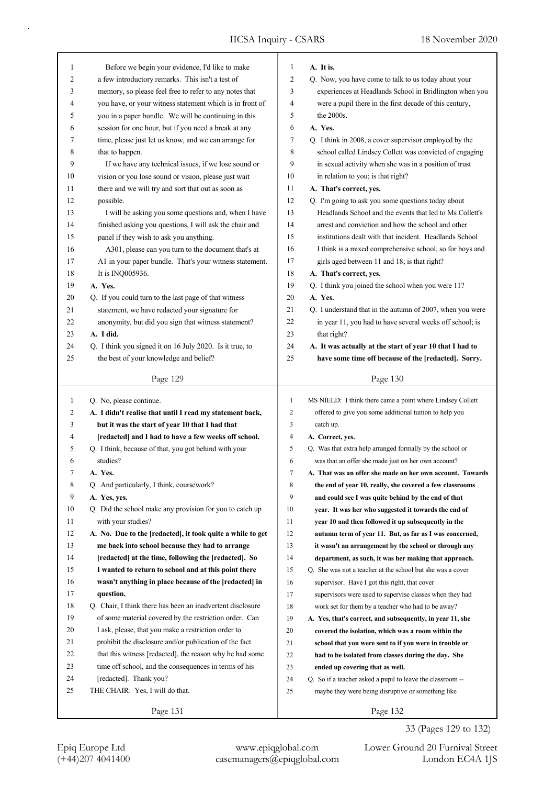| 1<br>$\overline{2}$ | Before we begin your evidence, I'd like to make            | 1<br>$\overline{2}$ | A. It is.                                                  |
|---------------------|------------------------------------------------------------|---------------------|------------------------------------------------------------|
|                     | a few introductory remarks. This isn't a test of           |                     | Q. Now, you have come to talk to us today about your       |
| 3                   | memory, so please feel free to refer to any notes that     | 3                   | experiences at Headlands School in Bridlington when you    |
| 4                   | you have, or your witness statement which is in front of   | 4                   | were a pupil there in the first decade of this century,    |
| 5                   | you in a paper bundle. We will be continuing in this       | 5                   | the 2000s.                                                 |
| 6                   | session for one hour, but if you need a break at any       | 6                   | A. Yes.                                                    |
| 7                   | time, please just let us know, and we can arrange for      | 7                   | Q. I think in 2008, a cover supervisor employed by the     |
| 8                   | that to happen.                                            | 8                   | school called Lindsey Collett was convicted of engaging    |
| 9                   | If we have any technical issues, if we lose sound or       | 9                   | in sexual activity when she was in a position of trust     |
| 10                  | vision or you lose sound or vision, please just wait       | 10                  | in relation to you; is that right?                         |
| 11                  | there and we will try and sort that out as soon as         | 11                  | A. That's correct, yes.                                    |
| 12                  | possible.                                                  | 12                  | Q. I'm going to ask you some questions today about         |
| 13                  | I will be asking you some questions and, when I have       | 13                  | Headlands School and the events that led to Ms Collett's   |
| 14                  | finished asking you questions, I will ask the chair and    | 14                  | arrest and conviction and how the school and other         |
| 15                  | panel if they wish to ask you anything.                    | 15                  | institutions dealt with that incident. Headlands School    |
| 16                  | A301, please can you turn to the document that's at        | 16                  | I think is a mixed comprehensive school, so for boys and   |
| 17                  | A1 in your paper bundle. That's your witness statement.    | 17                  | girls aged between 11 and 18; is that right?               |
| 18                  | It is INQ005936.                                           | 18                  | A. That's correct, yes.                                    |
| 19                  | A. Yes.                                                    | 19                  | Q. I think you joined the school when you were 11?         |
| 20                  | Q. If you could turn to the last page of that witness      | 20                  | A. Yes.                                                    |
| 21                  | statement, we have redacted your signature for             | 21                  | Q. I understand that in the autumn of 2007, when you were  |
| 22                  | anonymity, but did you sign that witness statement?        | 22                  | in year 11, you had to have several weeks off school; is   |
| 23                  | A. I did.                                                  | 23                  | that right?                                                |
| 24                  | Q. I think you signed it on 16 July 2020. Is it true, to   | 24                  | A. It was actually at the start of year 10 that I had to   |
| 25                  | the best of your knowledge and belief?                     | 25                  | have some time off because of the [redacted]. Sorry.       |
|                     |                                                            |                     |                                                            |
|                     | Page 129                                                   |                     | Page 130                                                   |
|                     |                                                            |                     |                                                            |
|                     |                                                            |                     |                                                            |
| 1                   | Q. No, please continue.                                    | 1                   | MS NIELD: I think there came a point where Lindsey Collett |
| 2                   | A. I didn't realise that until I read my statement back,   | 2                   | offered to give you some additional tuition to help you    |
| 3                   | but it was the start of year 10 that I had that            | 3                   | catch up.                                                  |
| 4                   | [redacted] and I had to have a few weeks off school.       | 4                   | A. Correct, yes.                                           |
| 5                   | Q. I think, because of that, you got behind with your      | 5                   | Q. Was that extra help arranged formally by the school or  |
| 6                   | studies?                                                   | 6                   | was that an offer she made just on her own account?        |
| 7                   | A. Yes.                                                    | 7                   | A. That was an offer she made on her own account. Towards  |
| 8                   | Q. And particularly, I think, coursework?                  | 8                   | the end of year 10, really, she covered a few classrooms   |
| 9                   | A. Yes, yes.                                               | 9                   | and could see I was quite behind by the end of that        |
| 10                  | Q. Did the school make any provision for you to catch up   | 10                  | year. It was her who suggested it towards the end of       |
| 11                  | with your studies?                                         | 11                  | year 10 and then followed it up subsequently in the        |
| 12                  | A. No. Due to the [redacted], it took quite a while to get | 12                  | autumn term of year 11. But, as far as I was concerned,    |
| 13                  | me back into school because they had to arrange            | 13                  | it wasn't an arrangement by the school or through any      |
| 14                  | [redacted] at the time, following the [redacted]. So       | 14                  | department, as such, it was her making that approach.      |
| 15                  | I wanted to return to school and at this point there       | 15                  | Q. She was not a teacher at the school but she was a cover |
| 16                  | wasn't anything in place because of the [redacted] in      | 16                  | supervisor. Have I got this right, that cover              |
| 17                  | question.                                                  | 17                  | supervisors were used to supervise classes when they had   |
| 18                  | Q. Chair, I think there has been an inadvertent disclosure | 18                  | work set for them by a teacher who had to be away?         |
| 19                  | of some material covered by the restriction order. Can     | 19                  | A. Yes, that's correct, and subsequently, in year 11, she  |
| 20                  | I ask, please, that you make a restriction order to        | 20                  | covered the isolation, which was a room within the         |
| 21                  | prohibit the disclosure and/or publication of the fact     | 21                  | school that you were sent to if you were in trouble or     |
| 22                  | that this witness [redacted], the reason why he had some   | 22                  | had to be isolated from classes during the day. She        |
| 23                  | time off school, and the consequences in terms of his      | 23                  | ended up covering that as well.                            |
| 24                  | [redacted]. Thank you?                                     | 24                  | Q. So if a teacher asked a pupil to leave the classroom -- |
| 25                  | THE CHAIR: Yes, I will do that.                            | 25                  | maybe they were being disruptive or something like         |
|                     | Page 131                                                   |                     | Page 132                                                   |

33 (Pages 129 to 132)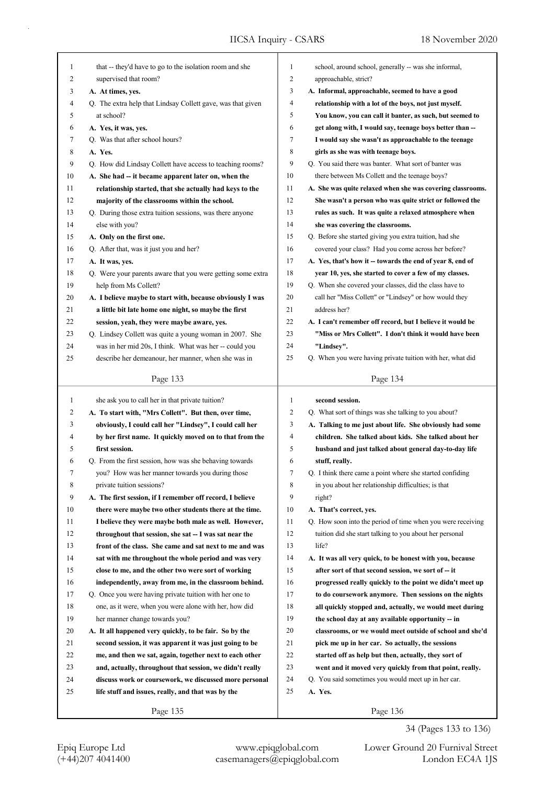| $\mathbf{1}$ | that -- they'd have to go to the isolation room and she     | 1  | school, around school, generally -- was she informal,       |
|--------------|-------------------------------------------------------------|----|-------------------------------------------------------------|
| 2            | supervised that room?                                       | 2  | approachable, strict?                                       |
| 3            | A. At times, yes.                                           | 3  | A. Informal, approachable, seemed to have a good            |
| 4            | Q. The extra help that Lindsay Collett gave, was that given | 4  | relationship with a lot of the boys, not just myself.       |
| 5            | at school?                                                  | 5  | You know, you can call it banter, as such, but seemed to    |
| 6            | A. Yes, it was, yes.                                        | 6  | get along with, I would say, teenage boys better than --    |
| 7            | Q. Was that after school hours?                             | 7  | I would say she wasn't as approachable to the teenage       |
| 8            | A. Yes.                                                     | 8  | girls as she was with teenage boys.                         |
| 9            | Q. How did Lindsay Collett have access to teaching rooms?   | 9  | Q. You said there was banter. What sort of banter was       |
| 10           | A. She had -- it became apparent later on, when the         | 10 | there between Ms Collett and the teenage boys?              |
| 11           | relationship started, that she actually had keys to the     | 11 | A. She was quite relaxed when she was covering classrooms.  |
| 12           | majority of the classrooms within the school.               | 12 | She wasn't a person who was quite strict or followed the    |
| 13           | Q. During those extra tuition sessions, was there anyone    | 13 | rules as such. It was quite a relaxed atmosphere when       |
| 14           | else with you?                                              | 14 | she was covering the classrooms.                            |
| 15           | A. Only on the first one.                                   | 15 | Q. Before she started giving you extra tuition, had she     |
| 16           | Q. After that, was it just you and her?                     | 16 | covered your class? Had you come across her before?         |
| 17           | A. It was, yes.                                             | 17 | A. Yes, that's how it -- towards the end of year 8, end of  |
| 18           | Q. Were your parents aware that you were getting some extra | 18 | year 10, yes, she started to cover a few of my classes.     |
| 19           | help from Ms Collett?                                       | 19 | Q. When she covered your classes, did the class have to     |
| 20           | A. I believe maybe to start with, because obviously I was   | 20 | call her "Miss Collett" or "Lindsey" or how would they      |
| 21           | a little bit late home one night, so maybe the first        | 21 | address her?                                                |
| 22           | session, yeah, they were maybe aware, yes.                  | 22 | A. I can't remember off record, but I believe it would be   |
| 23           | Q. Lindsey Collett was quite a young woman in 2007. She     | 23 | "Miss or Mrs Collett". I don't think it would have been     |
| 24           | was in her mid 20s, I think. What was her -- could you      | 24 | "Lindsey".                                                  |
| 25           | describe her demeanour, her manner, when she was in         | 25 | Q. When you were having private tuition with her, what did  |
|              |                                                             |    |                                                             |
|              | Page 133                                                    |    | Page 134                                                    |
|              |                                                             |    |                                                             |
|              |                                                             |    |                                                             |
| 1            | she ask you to call her in that private tuition?            | 1  | second session.                                             |
| 2            | A. To start with, "Mrs Collett". But then, over time,       | 2  | Q. What sort of things was she talking to you about?        |
| 3            | obviously, I could call her "Lindsey", I could call her     | 3  | A. Talking to me just about life. She obviously had some    |
| 4            | by her first name. It quickly moved on to that from the     | 4  | children. She talked about kids. She talked about her       |
| 5            | first session.                                              | 5  | husband and just talked about general day-to-day life       |
| 6            | Q. From the first session, how was she behaving towards     | 6  | stuff, really.                                              |
| 7            | you? How was her manner towards you during those            | 7  | Q. I think there came a point where she started confiding   |
| 8            | private tuition sessions?                                   | 8  | in you about her relationship difficulties; is that         |
| 9            | A. The first session, if I remember off record, I believe   | 9  | right?                                                      |
| 10           | there were maybe two other students there at the time.      | 10 | A. That's correct, yes.                                     |
| 11           | I believe they were maybe both male as well. However,       | 11 | Q. How soon into the period of time when you were receiving |
| 12           | throughout that session, she sat -- I was sat near the      | 12 | tuition did she start talking to you about her personal     |
| 13           | front of the class. She came and sat next to me and was     | 13 | life?                                                       |
| 14           | sat with me throughout the whole period and was very        | 14 | A. It was all very quick, to be honest with you, because    |
| 15           | close to me, and the other two were sort of working         | 15 | after sort of that second session, we sort of -- it         |
| 16           | independently, away from me, in the classroom behind.       | 16 | progressed really quickly to the point we didn't meet up    |
| 17           | Q. Once you were having private tuition with her one to     | 17 | to do coursework anymore. Then sessions on the nights       |
| 18           | one, as it were, when you were alone with her, how did      | 18 | all quickly stopped and, actually, we would meet during     |
| 19           | her manner change towards you?                              | 19 | the school day at any available opportunity -- in           |
| 20           | A. It all happened very quickly, to be fair. So by the      | 20 | classrooms, or we would meet outside of school and she'd    |
| 21           | second session, it was apparent it was just going to be     | 21 | pick me up in her car. So actually, the sessions            |
| 22           | me, and then we sat, again, together next to each other     | 22 | started off as help but then, actually, they sort of        |
| 23           | and, actually, throughout that session, we didn't really    | 23 | went and it moved very quickly from that point, really.     |
| 24           | discuss work or coursework, we discussed more personal      | 24 | Q. You said sometimes you would meet up in her car.         |
| 25           | life stuff and issues, really, and that was by the          | 25 | A. Yes.                                                     |

Epiq Europe Ltd www.epiqglobal.com Lower Ground 20 Furnival Street<br>
(+44)207 4041400 casemanagers@epiqglobal.com London EC4A 1JS

Lower Ground 20 Furnival Street 34 (Pages 133 to 136)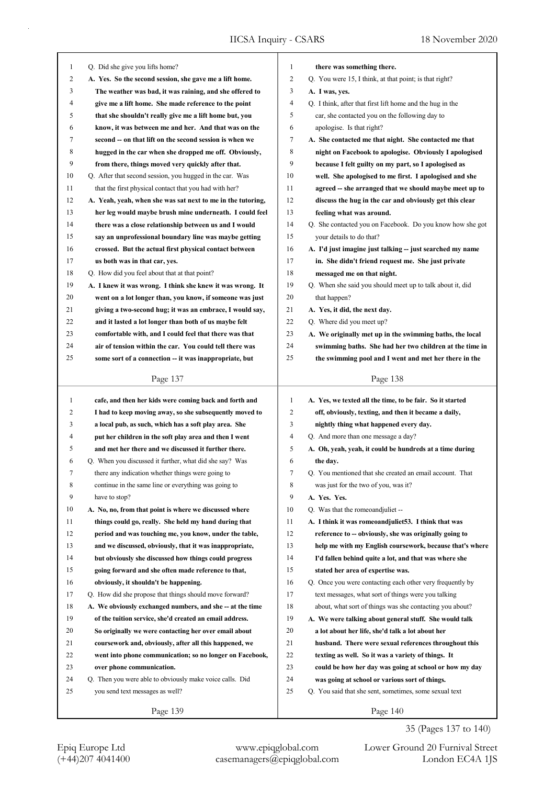| 1            | Q. Did she give you lifts home?                             | $\mathbf{1}$ | there was something there.                                |
|--------------|-------------------------------------------------------------|--------------|-----------------------------------------------------------|
| 2            | A. Yes. So the second session, she gave me a lift home.     | 2            | Q. You were 15, I think, at that point; is that right?    |
| 3            | The weather was bad, it was raining, and she offered to     | 3            | A. I was, yes.                                            |
| 4            | give me a lift home. She made reference to the point        | 4            | Q. I think, after that first lift home and the hug in the |
| 5            | that she shouldn't really give me a lift home but, you      | 5            | car, she contacted you on the following day to            |
| 6            |                                                             | 6            |                                                           |
| 7            | know, it was between me and her. And that was on the        | 7            | apologise. Is that right?                                 |
|              | second -- on that lift on the second session is when we     |              | A. She contacted me that night. She contacted me that     |
| 8            | hugged in the car when she dropped me off. Obviously,       | 8            | night on Facebook to apologise. Obviously I apologised    |
| 9            | from there, things moved very quickly after that.           | 9            | because I felt guilty on my part, so I apologised as      |
| 10           | Q. After that second session, you hugged in the car. Was    | 10           | well. She apologised to me first. I apologised and she    |
| 11           | that the first physical contact that you had with her?      | 11           | agreed -- she arranged that we should maybe meet up to    |
| 12           | A. Yeah, yeah, when she was sat next to me in the tutoring, | 12           | discuss the hug in the car and obviously get this clear   |
| 13           | her leg would maybe brush mine underneath. I could feel     | 13           | feeling what was around.                                  |
| 14           | there was a close relationship between us and I would       | 14           | Q. She contacted you on Facebook. Do you know how she got |
| 15           | say an unprofessional boundary line was maybe getting       | 15           | your details to do that?                                  |
| 16           | crossed. But the actual first physical contact between      | 16           | A. I'd just imagine just talking -- just searched my name |
| 17           | us both was in that car, yes.                               | 17           | in. She didn't friend request me. She just private        |
| 18           | Q. How did you feel about that at that point?               | 18           | messaged me on that night.                                |
| 19           | A. I knew it was wrong. I think she knew it was wrong. It   | 19           | Q. When she said you should meet up to talk about it, did |
| 20           | went on a lot longer than, you know, if someone was just    | 20           | that happen?                                              |
| 21           | giving a two-second hug; it was an embrace, I would say,    | 21           | A. Yes, it did, the next day.                             |
| 22           | and it lasted a lot longer than both of us maybe felt       | 22           | Q. Where did you meet up?                                 |
| 23           | comfortable with, and I could feel that there was that      | 23           | A. We originally met up in the swimming baths, the local  |
| 24           | air of tension within the car. You could tell there was     | 24           | swimming baths. She had her two children at the time in   |
| 25           | some sort of a connection -- it was inappropriate, but      | 25           | the swimming pool and I went and met her there in the     |
|              |                                                             |              |                                                           |
|              | Page 137                                                    |              | Page 138                                                  |
|              |                                                             |              |                                                           |
|              |                                                             |              |                                                           |
| $\mathbf{1}$ | cafe, and then her kids were coming back and forth and      | 1            | A. Yes, we texted all the time, to be fair. So it started |
| 2            | I had to keep moving away, so she subsequently moved to     | 2            | off, obviously, texting, and then it became a daily,      |
| 3            | a local pub, as such, which has a soft play area. She       | 3            | nightly thing what happened every day.                    |
| 4            | put her children in the soft play area and then I went      | 4            | Q. And more than one message a day?                       |
| 5            | and met her there and we discussed it further there.        | 5            | A. Oh, yeah, yeah, it could be hundreds at a time during  |
| 6            | Q. When you discussed it further, what did she say? Was     | 6            | the day.                                                  |
| 7            | there any indication whether things were going to           | 7            | Q. You mentioned that she created an email account. That  |
| 8            | continue in the same line or everything was going to        | 8            | was just for the two of you, was it?                      |
| 9            | have to stop?                                               | 9            | A. Yes. Yes.                                              |
| 10           | A. No, no, from that point is where we discussed where      | 10           | Q. Was that the romeoandjuliet --                         |
| 11           | things could go, really. She held my hand during that       | 11           | A. I think it was romeoandjuliet 53. I think that was     |
| 12           | period and was touching me, you know, under the table,      | 12           | reference to -- obviously, she was originally going to    |
| 13           | and we discussed, obviously, that it was inappropriate,     | 13           | help me with my English coursework, because that's where  |
| 14           | but obviously she discussed how things could progress       | 14           | I'd fallen behind quite a lot, and that was where she     |
| 15           | going forward and she often made reference to that,         | 15           | stated her area of expertise was.                         |
| 16           | obviously, it shouldn't be happening.                       | 16           | Q. Once you were contacting each other very frequently by |
| 17           | Q. How did she propose that things should move forward?     | 17           | text messages, what sort of things were you talking       |
| 18           | A. We obviously exchanged numbers, and she -- at the time   | 18           | about, what sort of things was she contacting you about?  |
| 19           | of the tuition service, she'd created an email address.     | 19           | A. We were talking about general stuff. She would talk    |
| 20           | So originally we were contacting her over email about       | 20           | a lot about her life, she'd talk a lot about her          |
| 21           | coursework and, obviously, after all this happened, we      | 21           | husband. There were sexual references throughout this     |
| 22           | went into phone communication; so no longer on Facebook,    | 22           | texting as well. So it was a variety of things. It        |
| 23           | over phone communication.                                   | 23           | could be how her day was going at school or how my day    |
| 24           | Q. Then you were able to obviously make voice calls. Did    | 24           | was going at school or various sort of things.            |
| 25           | you send text messages as well?                             | 25           | Q. You said that she sent, sometimes, some sexual text    |
|              | Page 139                                                    |              | Page 140                                                  |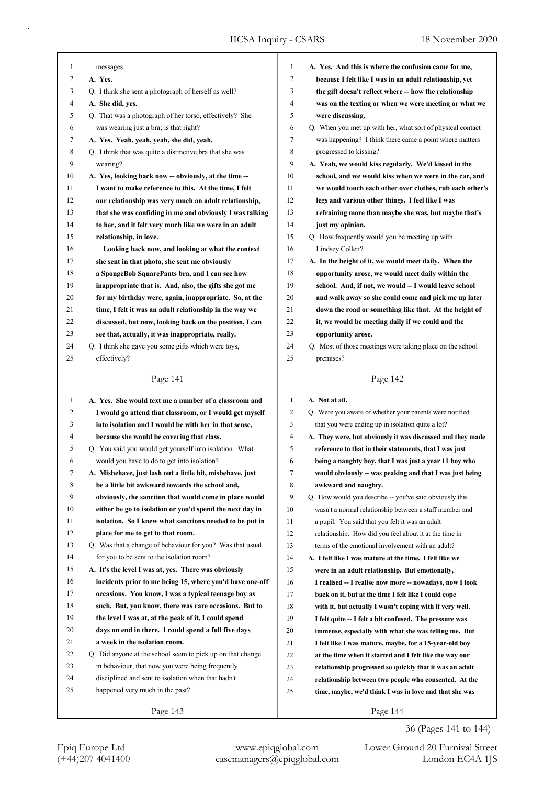| 1              | messages.                                                                                                | 1            | A. Yes. And this is where the confusion came for me,                            |
|----------------|----------------------------------------------------------------------------------------------------------|--------------|---------------------------------------------------------------------------------|
| 2              | A. Yes.                                                                                                  | 2            | because I felt like I was in an adult relationship, yet                         |
| 3              | Q. I think she sent a photograph of herself as well?                                                     | 3            | the gift doesn't reflect where -- how the relationship                          |
| 4              | A. She did, yes.                                                                                         | 4            | was on the texting or when we were meeting or what we                           |
| 5              | Q. That was a photograph of her torso, effectively? She                                                  | 5            | were discussing.                                                                |
| 6              | was wearing just a bra; is that right?                                                                   | 6            | Q. When you met up with her, what sort of physical contact                      |
| 7              | A. Yes. Yeah, yeah, yeah, she did, yeah.                                                                 | 7            | was happening? I think there came a point where matters                         |
| 8              | Q. I think that was quite a distinctive bra that she was                                                 | 8            | progressed to kissing?                                                          |
| 9              | wearing?                                                                                                 | 9            | A. Yeah, we would kiss regularly. We'd kissed in the                            |
| 10             | A. Yes, looking back now -- obviously, at the time --                                                    | 10           | school, and we would kiss when we were in the car, and                          |
| 11             | I want to make reference to this. At the time, I felt                                                    | 11           | we would touch each other over clothes, rub each other's                        |
| 12             | our relationship was very much an adult relationship,                                                    | 12           | legs and various other things. I feel like I was                                |
| 13             | that she was confiding in me and obviously I was talking                                                 | 13           | refraining more than maybe she was, but maybe that's                            |
| 14             | to her, and it felt very much like we were in an adult                                                   | 14           | just my opinion.                                                                |
| 15             | relationship, in love.                                                                                   | 15           | Q. How frequently would you be meeting up with                                  |
| 16             | Looking back now, and looking at what the context                                                        | 16           | Lindsey Collett?                                                                |
| 17             | she sent in that photo, she sent me obviously                                                            | 17           | A. In the height of it, we would meet daily. When the                           |
| 18             | a SpongeBob SquarePants bra, and I can see how                                                           | 18           | opportunity arose, we would meet daily within the                               |
| 19             | inappropriate that is. And, also, the gifts she got me                                                   | 19           | school. And, if not, we would -- I would leave school                           |
| 20             | for my birthday were, again, inappropriate. So, at the                                                   | 20           | and walk away so she could come and pick me up later                            |
| 21             | time, I felt it was an adult relationship in the way we                                                  | 21           | down the road or something like that. At the height of                          |
| 22             | discussed, but now, looking back on the position, I can                                                  | 22           | it, we would be meeting daily if we could and the                               |
| 23             |                                                                                                          | 23           |                                                                                 |
| 24             | see that, actually, it was inappropriate, really.<br>Q. I think she gave you some gifts which were toys, | 24           | opportunity arose.<br>Q. Most of those meetings were taking place on the school |
| 25             | effectively?                                                                                             | 25           | premises?                                                                       |
|                |                                                                                                          |              |                                                                                 |
|                | Page 141                                                                                                 |              | Page 142                                                                        |
|                |                                                                                                          |              |                                                                                 |
|                |                                                                                                          |              |                                                                                 |
| 1              | A. Yes. She would text me a number of a classroom and                                                    | $\mathbf{1}$ | A. Not at all.                                                                  |
| $\overline{2}$ | I would go attend that classroom, or I would get myself                                                  | 2            | Q. Were you aware of whether your parents were notified                         |
| 3              | into isolation and I would be with her in that sense,                                                    | 3            | that you were ending up in isolation quite a lot?                               |
| 4              | because she would be covering that class.                                                                | 4            | A. They were, but obviously it was discussed and they made                      |
| 5              | Q. You said you would get yourself into isolation. What                                                  | 5            | reference to that in their statements, that I was just                          |
| 6              | would you have to do to get into isolation?                                                              | 6            | being a naughty boy, that I was just a year 11 boy who                          |
| 7              | A. Misbehave, just lash out a little bit, misbehave, just                                                | 7            | would obviously -- was peaking and that I was just being                        |
| 8              | be a little bit awkward towards the school and,                                                          | 8            | awkward and naughty.                                                            |
| 9              | obviously, the sanction that would come in place would                                                   | 9            | Q. How would you describe -- you've said obviously this                         |
| 10             | either be go to isolation or you'd spend the next day in                                                 | 10           | wasn't a normal relationship between a staff member and                         |
| 11             | isolation. So I knew what sanctions needed to be put in                                                  | 11           | a pupil. You said that you felt it was an adult                                 |
| 12             | place for me to get to that room.                                                                        | 12           | relationship. How did you feel about it at the time in                          |
| 13             | Q. Was that a change of behaviour for you? Was that usual                                                | 13           | terms of the emotional involvement with an adult?                               |
| 14             | for you to be sent to the isolation room?                                                                | 14           | A. I felt like I was mature at the time. I felt like we                         |
| 15             | A. It's the level I was at, yes. There was obviously                                                     | 15           | were in an adult relationship. But emotionally,                                 |
| 16             | incidents prior to me being 15, where you'd have one-off                                                 | 16           | I realised -- I realise now more -- nowadays, now I look                        |
| 17             | occasions. You know, I was a typical teenage boy as                                                      | 17           | back on it, but at the time I felt like I could cope                            |
| 18             | such. But, you know, there was rare occasions. But to                                                    | 18           | with it, but actually I wasn't coping with it very well.                        |
| 19             | the level I was at, at the peak of it, I could spend                                                     | 19           | I felt quite -- I felt a bit confused. The pressure was                         |
| 20             | days on end in there. I could spend a full five days                                                     | 20           | immense, especially with what she was telling me. But                           |
| 21             | a week in the isolation room.                                                                            | 21           | I felt like I was mature, maybe, for a 15-year-old boy                          |
| 22             | Q. Did anyone at the school seem to pick up on that change                                               | 22           | at the time when it started and I felt like the way our                         |
| 23             | in behaviour, that now you were being frequently                                                         | 23           | relationship progressed so quickly that it was an adult                         |
| 24             | disciplined and sent to isolation when that hadn't                                                       | 24           | relationship between two people who consented. At the                           |
| 25             | happened very much in the past?                                                                          | 25           | time, maybe, we'd think I was in love and that she was                          |
|                |                                                                                                          |              |                                                                                 |

36 (Pages 141 to 144)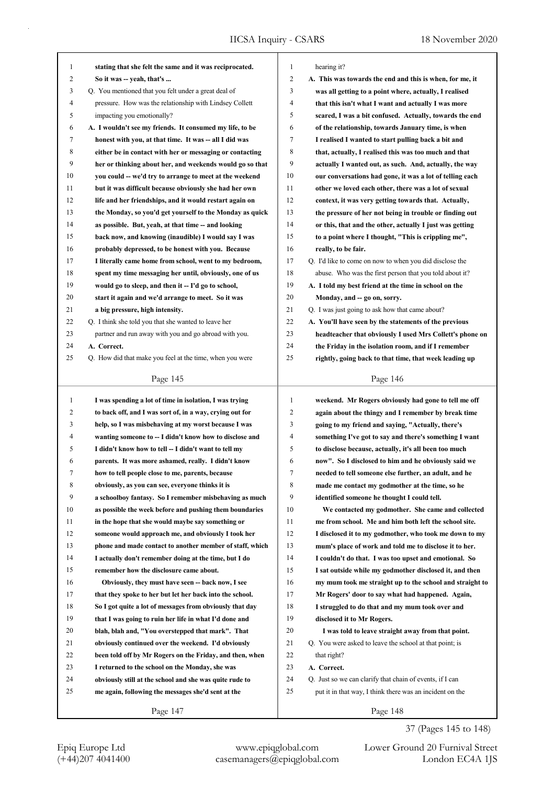| 1            | stating that she felt the same and it was reciprocated.  | $\mathbf{1}$   | hearing it?                                              |
|--------------|----------------------------------------------------------|----------------|----------------------------------------------------------|
| 2            | So it was -- yeah, that's                                | $\overline{2}$ | A. This was towards the end and this is when, for me, it |
| 3            | Q. You mentioned that you felt under a great deal of     | 3              | was all getting to a point where, actually, I realised   |
| 4            | pressure. How was the relationship with Lindsey Collett  | $\overline{4}$ | that this isn't what I want and actually I was more      |
| 5            | impacting you emotionally?                               | 5              | scared, I was a bit confused. Actually, towards the end  |
| 6            | A. I wouldn't see my friends. It consumed my life, to be | 6              | of the relationship, towards January time, is when       |
| 7            | honest with you, at that time. It was -- all I did was   | 7              | I realised I wanted to start pulling back a bit and      |
| 8            | either be in contact with her or messaging or contacting | 8              | that, actually, I realised this was too much and that    |
| 9            | her or thinking about her, and weekends would go so that | 9              | actually I wanted out, as such. And, actually, the way   |
| 10           | you could -- we'd try to arrange to meet at the weekend  | 10             | our conversations had gone, it was a lot of telling each |
| 11           | but it was difficult because obviously she had her own   | 11             | other we loved each other, there was a lot of sexual     |
| 12           | life and her friendships, and it would restart again on  | 12             | context, it was very getting towards that. Actually,     |
| 13           | the Monday, so you'd get yourself to the Monday as quick | 13             | the pressure of her not being in trouble or finding out  |
| 14           | as possible. But, yeah, at that time -- and looking      | 14             | or this, that and the other, actually I just was getting |
| 15           | back now, and knowing (inaudible) I would say I was      | 15             | to a point where I thought, "This is crippling me",      |
| 16           | probably depressed, to be honest with you. Because       | 16             | really, to be fair.                                      |
| 17           | I literally came home from school, went to my bedroom,   | 17             | Q. I'd like to come on now to when you did disclose the  |
| 18           | spent my time messaging her until, obviously, one of us  | 18             | abuse. Who was the first person that you told about it?  |
| 19           | would go to sleep, and then it -- I'd go to school,      | 19             | A. I told my best friend at the time in school on the    |
| 20           | start it again and we'd arrange to meet. So it was       | 20             | Monday, and -- go on, sorry.                             |
| 21           | a big pressure, high intensity.                          | 21             | Q. I was just going to ask how that came about?          |
| 22           | Q. I think she told you that she wanted to leave her     | 22             | A. You'll have seen by the statements of the previous    |
| 23           | partner and run away with you and go abroad with you.    | 23             | headteacher that obviously I used Mrs Collett's phone on |
| 24           | A. Correct.                                              | 24             | the Friday in the isolation room, and if I remember      |
| 25           | Q. How did that make you feel at the time, when you were | 25             | rightly, going back to that time, that week leading up   |
|              |                                                          |                |                                                          |
|              | Page 145                                                 |                | Page 146                                                 |
|              |                                                          |                |                                                          |
|              |                                                          |                |                                                          |
| $\mathbf{1}$ | I was spending a lot of time in isolation, I was trying  | $\mathbf{1}$   | weekend. Mr Rogers obviously had gone to tell me off     |
| 2            | to back off, and I was sort of, in a way, crying out for | $\overline{2}$ | again about the thingy and I remember by break time      |
| 3            | help, so I was misbehaving at my worst because I was     | 3              | going to my friend and saying, "Actually, there's        |
| 4            | wanting someone to -- I didn't know how to disclose and  | $\overline{4}$ | something I've got to say and there's something I want   |
| 5            | I didn't know how to tell -- I didn't want to tell my    | 5              | to disclose because, actually, it's all been too much    |
| 6            | parents. It was more ashamed, really. I didn't know      | 6              | now". So I disclosed to him and he obviously said we     |
| 7            | how to tell people close to me, parents, because         | 7              | needed to tell someone else further, an adult, and he    |
| 8            | obviously, as you can see, everyone thinks it is         | 8              | made me contact my godmother at the time, so he          |
| 9            | a schoolboy fantasy. So I remember misbehaving as much   | 9              | identified someone he thought I could tell.              |
| 10           | as possible the week before and pushing them boundaries  | 10             | We contacted my godmother. She came and collected        |
| 11           | in the hope that she would maybe say something or        | 11             | me from school. Me and him both left the school site.    |
| 12           | someone would approach me, and obviously I took her      | 12             | I disclosed it to my godmother, who took me down to my   |
| 13           | phone and made contact to another member of staff, which | 13             | mum's place of work and told me to disclose it to her.   |
| 14           | I actually don't remember doing at the time, but I do    | 14             | I couldn't do that. I was too upset and emotional. So    |
| 15           | remember how the disclosure came about.                  | 15             | I sat outside while my godmother disclosed it, and then  |
| 16           | Obviously, they must have seen -- back now, I see        | 16             | my mum took me straight up to the school and straight to |
| 17           | that they spoke to her but let her back into the school. | 17             | Mr Rogers' door to say what had happened. Again,         |
| 18           | So I got quite a lot of messages from obviously that day | 18             | I struggled to do that and my mum took over and          |
| 19           | that I was going to ruin her life in what I'd done and   | 19             | disclosed it to Mr Rogers.                               |
| 20           | blah, blah and, "You overstepped that mark". That        | 20             | I was told to leave straight away from that point.       |
| 21           | obviously continued over the weekend. I'd obviously      | 21             | Q. You were asked to leave the school at that point; is  |
| 22           | been told off by Mr Rogers on the Friday, and then, when | 22             | that right?                                              |
| 23           | I returned to the school on the Monday, she was          | 23             | A. Correct.                                              |
| 24           | obviously still at the school and she was quite rude to  | 24             | Q. Just so we can clarify that chain of events, if I can |
| 25           | me again, following the messages she'd sent at the       | 25             | put it in that way, I think there was an incident on the |
|              | Page 147                                                 |                | Page 148                                                 |

37 (Pages 145 to 148)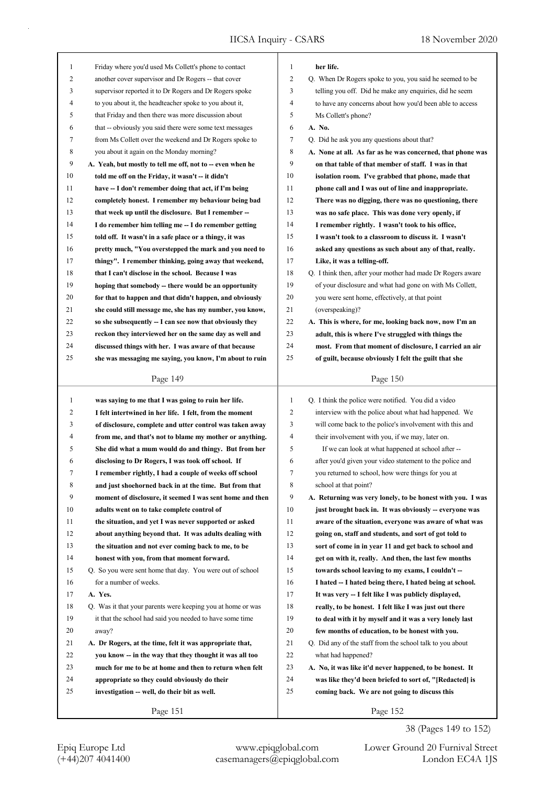IICSA Inquiry - CSARS 18 November 2020

| $\mathbf{1}$ | Friday where you'd used Ms Collett's phone to contact       | $\mathbf{1}$   | her life.                                                   |
|--------------|-------------------------------------------------------------|----------------|-------------------------------------------------------------|
| 2            | another cover supervisor and Dr Rogers -- that cover        | 2              | Q. When Dr Rogers spoke to you, you said he seemed to be    |
| 3            | supervisor reported it to Dr Rogers and Dr Rogers spoke     | 3              | telling you off. Did he make any enquiries, did he seem     |
| 4            | to you about it, the headteacher spoke to you about it,     | 4              | to have any concerns about how you'd been able to access    |
| 5            | that Friday and then there was more discussion about        | 5              | Ms Collett's phone?                                         |
| 6            | that -- obviously you said there were some text messages    | 6              | A. No.                                                      |
| 7            | from Ms Collett over the weekend and Dr Rogers spoke to     | 7              | Q. Did he ask you any questions about that?                 |
| 8            | you about it again on the Monday morning?                   | 8              | A. None at all. As far as he was concerned, that phone was  |
| 9            | A. Yeah, but mostly to tell me off, not to -- even when he  | 9              | on that table of that member of staff. I was in that        |
| 10           | told me off on the Friday, it wasn't -- it didn't           | 10             | isolation room. I've grabbed that phone, made that          |
| 11           | have -- I don't remember doing that act, if I'm being       | 11             | phone call and I was out of line and inappropriate.         |
| 12           | completely honest. I remember my behaviour being bad        | 12             | There was no digging, there was no questioning, there       |
| 13           | that week up until the disclosure. But I remember --        | 13             | was no safe place. This was done very openly, if            |
| 14           | I do remember him telling me -- I do remember getting       | 14             | I remember rightly. I wasn't took to his office,            |
| 15           | told off. It wasn't in a safe place or a thingy, it was     | 15             | I wasn't took to a classroom to discuss it. I wasn't        |
| 16           | pretty much, "You overstepped the mark and you need to      | 16             | asked any questions as such about any of that, really.      |
| 17           | thingy". I remember thinking, going away that weekend,      | 17             | Like, it was a telling-off.                                 |
| 18           | that I can't disclose in the school. Because I was          | 18             | Q. I think then, after your mother had made Dr Rogers aware |
|              |                                                             | 19             |                                                             |
| 19           | hoping that somebody -- there would be an opportunity       |                | of your disclosure and what had gone on with Ms Collett,    |
| 20           | for that to happen and that didn't happen, and obviously    | 20             | you were sent home, effectively, at that point              |
| 21           | she could still message me, she has my number, you know,    | 21             | (overspeaking)?                                             |
| 22           | so she subsequently -- I can see now that obviously they    | 22             | A. This is where, for me, looking back now, now I'm an      |
| 23           | reckon they interviewed her on the same day as well and     | 23             | adult, this is where I've struggled with things the         |
| 24           | discussed things with her. I was aware of that because      | 24             | most. From that moment of disclosure, I carried an air      |
| 25           | she was messaging me saying, you know, I'm about to ruin    | 25             | of guilt, because obviously I felt the guilt that she       |
|              | Page 149                                                    |                | Page 150                                                    |
|              |                                                             |                |                                                             |
|              |                                                             |                |                                                             |
| $\mathbf{1}$ | was saying to me that I was going to ruin her life.         | $\mathbf{1}$   | Q. I think the police were notified. You did a video        |
| 2            | I felt intertwined in her life. I felt, from the moment     | $\overline{2}$ | interview with the police about what had happened. We       |
| 3            | of disclosure, complete and utter control was taken away    | 3              | will come back to the police's involvement with this and    |
| 4            | from me, and that's not to blame my mother or anything.     | 4              | their involvement with you, if we may, later on.            |
| 5            | She did what a mum would do and thingy. But from her        | 5              | If we can look at what happened at school after --          |
| 6            | disclosing to Dr Rogers, I was took off school. If          | 6              | after you'd given your video statement to the police and    |
| 7            | I remember rightly, I had a couple of weeks off school      | 7              | you returned to school, how were things for you at          |
| 8            | and just shoehorned back in at the time. But from that      | 8              | school at that point?                                       |
| 9            | moment of disclosure, it seemed I was sent home and then    | 9              | A. Returning was very lonely, to be honest with you. I was  |
| 10           | adults went on to take complete control of                  | 10             | just brought back in. It was obviously -- everyone was      |
| 11           | the situation, and yet I was never supported or asked       | 11             | aware of the situation, everyone was aware of what was      |
| 12           | about anything beyond that. It was adults dealing with      | 12             | going on, staff and students, and sort of got told to       |
| 13           | the situation and not ever coming back to me, to be         | 13             | sort of come in in year 11 and get back to school and       |
| 14           | honest with you, from that moment forward.                  | 14             | get on with it, really. And then, the last few months       |
| 15           | Q. So you were sent home that day. You were out of school   | 15             | towards school leaving to my exams, I couldn't --           |
| 16           | for a number of weeks.                                      | 16             | I hated -- I hated being there, I hated being at school.    |
| 17           | A. Yes.                                                     | 17             | It was very -- I felt like I was publicly displayed,        |
| 18           | Q. Was it that your parents were keeping you at home or was | 18             | really, to be honest. I felt like I was just out there      |
| 19           | it that the school had said you needed to have some time    | 19             | to deal with it by myself and it was a very lonely last     |
| 20           | away?                                                       | 20             | few months of education, to be honest with you.             |
| 21           | A. Dr Rogers, at the time, felt it was appropriate that,    | 21             | Q. Did any of the staff from the school talk to you about   |
| 22           | you know -- in the way that they thought it was all too     | 22             | what had happened?                                          |
| 23           | much for me to be at home and then to return when felt      | 23             | A. No, it was like it'd never happened, to be honest. It    |
| 24           | appropriate so they could obviously do their                | 24             | was like they'd been briefed to sort of, "[Redacted] is     |
| 25           | investigation -- well, do their bit as well.                | 25             | coming back. We are not going to discuss this               |
|              | Page 151                                                    |                | Page 152                                                    |

38 (Pages 149 to 152)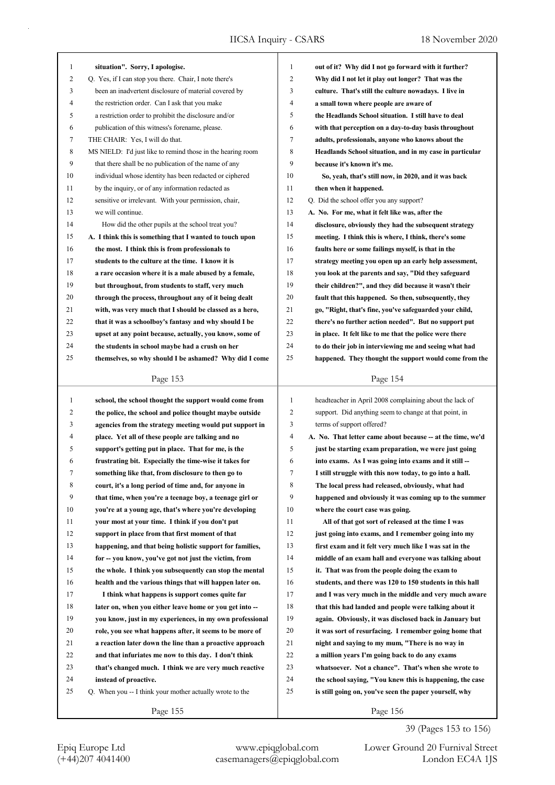| 1              | situation". Sorry, I apologise.                                                                                  | 1            | out of it? Why did I not go forward with it further?       |
|----------------|------------------------------------------------------------------------------------------------------------------|--------------|------------------------------------------------------------|
| $\overline{c}$ | Q. Yes, if I can stop you there. Chair, I note there's                                                           | 2            | Why did I not let it play out longer? That was the         |
| 3              | been an inadvertent disclosure of material covered by                                                            | 3            | culture. That's still the culture nowadays. I live in      |
| 4              | the restriction order. Can I ask that you make                                                                   | 4            | a small town where people are aware of                     |
| 5              | a restriction order to prohibit the disclosure and/or                                                            | 5            | the Headlands School situation. I still have to deal       |
| 6              | publication of this witness's forename, please.                                                                  | 6            | with that perception on a day-to-day basis throughout      |
| 7              | THE CHAIR: Yes, I will do that.                                                                                  | 7            | adults, professionals, anyone who knows about the          |
| 8              | MS NIELD: I'd just like to remind those in the hearing room                                                      | 8            | Headlands School situation, and in my case in particular   |
| 9              | that there shall be no publication of the name of any                                                            | 9            | because it's known it's me.                                |
| 10             | individual whose identity has been redacted or ciphered                                                          | 10           | So, yeah, that's still now, in 2020, and it was back       |
| 11             | by the inquiry, or of any information redacted as                                                                | 11           | then when it happened.                                     |
| 12             | sensitive or irrelevant. With your permission, chair,                                                            | 12           | Q. Did the school offer you any support?                   |
| 13             | we will continue.                                                                                                | 13           | A. No. For me, what it felt like was, after the            |
| 14             | How did the other pupils at the school treat you?                                                                | 14           | disclosure, obviously they had the subsequent strategy     |
| 15             | A. I think this is something that I wanted to touch upon                                                         | 15           | meeting. I think this is where, I think, there's some      |
| 16             | the most. I think this is from professionals to                                                                  | 16           | faults here or some failings myself, is that in the        |
| 17             | students to the culture at the time. I know it is                                                                | 17           | strategy meeting you open up an early help assessment,     |
| 18             | a rare occasion where it is a male abused by a female,                                                           | 18           | you look at the parents and say, "Did they safeguard       |
| 19             | but throughout, from students to staff, very much                                                                | 19           | their children?", and they did because it wasn't their     |
| 20             |                                                                                                                  | 20           | fault that this happened. So then, subsequently, they      |
| 21             | through the process, throughout any of it being dealt<br>with, was very much that I should be classed as a hero, | 21           | go, "Right, that's fine, you've safeguarded your child,    |
| 22             |                                                                                                                  | 22           |                                                            |
|                | that it was a schoolboy's fantasy and why should I be                                                            |              | there's no further action needed". But no support put      |
| 23             | upset at any point because, actually, you know, some of                                                          | 23           | in place. It felt like to me that the police were there    |
| 24             | the students in school maybe had a crush on her                                                                  | 24           | to do their job in interviewing me and seeing what had     |
| 25             | themselves, so why should I be ashamed? Why did I come                                                           | 25           | happened. They thought the support would come from the     |
|                | Page 153                                                                                                         |              | Page 154                                                   |
|                |                                                                                                                  |              |                                                            |
|                |                                                                                                                  |              |                                                            |
| $\mathbf{1}$   | school, the school thought the support would come from                                                           | $\mathbf{1}$ | headteacher in April 2008 complaining about the lack of    |
| 2              | the police, the school and police thought maybe outside                                                          | $\mathbf{2}$ | support. Did anything seem to change at that point, in     |
| 3              | agencies from the strategy meeting would put support in                                                          | 3            | terms of support offered?                                  |
| 4              | place. Yet all of these people are talking and no                                                                | 4            | A. No. That letter came about because -- at the time, we'd |
| 5              | support's getting put in place. That for me, is the                                                              | 5            | just be starting exam preparation, we were just going      |
| 6              | frustrating bit. Especially the time-wise it takes for                                                           | 6            | into exams. As I was going into exams and it still --      |
| 7              | something like that, from disclosure to then go to                                                               | 7            | I still struggle with this now today, to go into a hall.   |
| 8              | court, it's a long period of time and, for anyone in                                                             | 8            | The local press had released, obviously, what had          |
| 9              | that time, when you're a teenage boy, a teenage girl or                                                          | 9            | happened and obviously it was coming up to the summer      |
| 10             | you're at a young age, that's where you're developing                                                            | 10           | where the court case was going.                            |
| 11             | your most at your time. I think if you don't put                                                                 | 11           | All of that got sort of released at the time I was         |
| 12             | support in place from that first moment of that                                                                  | 12           | just going into exams, and I remember going into my        |
| 13             | happening, and that being holistic support for families,                                                         | 13           | first exam and it felt very much like I was sat in the     |
| 14             | for -- you know, you've got not just the victim, from                                                            | 14           | middle of an exam hall and everyone was talking about      |
| 15             | the whole. I think you subsequently can stop the mental                                                          | 15           | it. That was from the people doing the exam to             |
| 16             | health and the various things that will happen later on.                                                         | 16           | students, and there was 120 to 150 students in this hall   |
| 17             | I think what happens is support comes quite far                                                                  | 17           | and I was very much in the middle and very much aware      |
| 18             | later on, when you either leave home or you get into --                                                          | 18           | that this had landed and people were talking about it      |
| 19             | you know, just in my experiences, in my own professional                                                         | 19           | again. Obviously, it was disclosed back in January but     |
| 20             | role, you see what happens after, it seems to be more of                                                         | 20           | it was sort of resurfacing. I remember going home that     |
| 21             | a reaction later down the line than a proactive approach                                                         | 21           | night and saying to my mum, "There is no way in            |
| 22             | and that infuriates me now to this day. I don't think                                                            | 22           | a million years I'm going back to do any exams             |
| 23             | that's changed much. I think we are very much reactive                                                           | 23           | whatsoever. Not a chance". That's when she wrote to        |
| 24             | instead of proactive.                                                                                            | 24           | the school saying, "You knew this is happening, the case   |
| 25             | Q. When you -- I think your mother actually wrote to the                                                         | 25           | is still going on, you've seen the paper yourself, why     |

## 39 (Pages 153 to 156)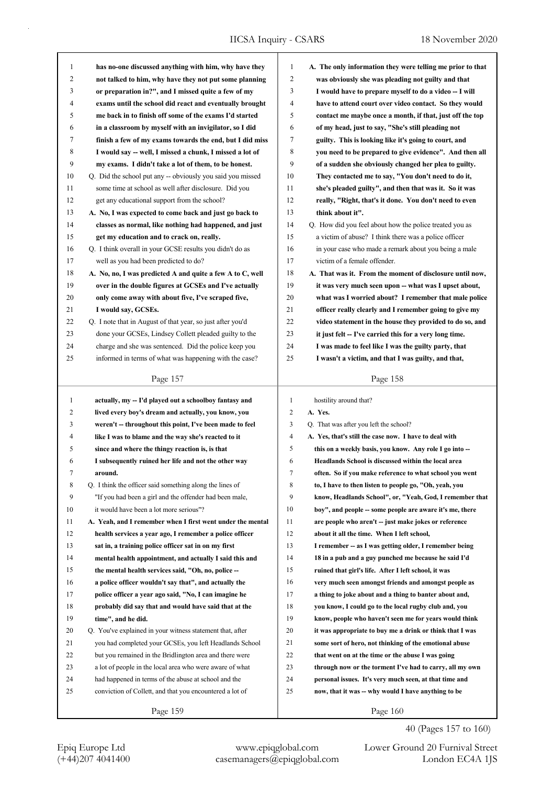IICSA Inquiry - CSARS 18 November 2020

| $\mathbf{1}$ | has no-one discussed anything with him, why have they      | $\mathbf{1}$            | A. The only information they were telling me prior to that |
|--------------|------------------------------------------------------------|-------------------------|------------------------------------------------------------|
| 2            | not talked to him, why have they not put some planning     | $\mathfrak{2}$          | was obviously she was pleading not guilty and that         |
| 3            | or preparation in?", and I missed quite a few of my        | 3                       | I would have to prepare myself to do a video -- I will     |
| 4            | exams until the school did react and eventually brought    | $\overline{4}$          | have to attend court over video contact. So they would     |
| 5            | me back in to finish off some of the exams I'd started     | 5                       | contact me maybe once a month, if that, just off the top   |
| 6            | in a classroom by myself with an invigilator, so I did     | 6                       | of my head, just to say, "She's still pleading not         |
| 7            | finish a few of my exams towards the end, but I did miss   | 7                       | guilty. This is looking like it's going to court, and      |
| 8            | I would say -- well, I missed a chunk, I missed a lot of   | 8                       | you need to be prepared to give evidence". And then all    |
| 9            | my exams. I didn't take a lot of them, to be honest.       | 9                       | of a sudden she obviously changed her plea to guilty.      |
| 10           | Q. Did the school put any -- obviously you said you missed | 10                      | They contacted me to say, "You don't need to do it,        |
| 11           | some time at school as well after disclosure. Did you      | 11                      | she's pleaded guilty", and then that was it. So it was     |
| 12           | get any educational support from the school?               | 12                      | really, "Right, that's it done. You don't need to even     |
| 13           | A. No, I was expected to come back and just go back to     | 13                      | think about it".                                           |
| 14           | classes as normal, like nothing had happened, and just     | 14                      | Q. How did you feel about how the police treated you as    |
| 15           | get my education and to crack on, really.                  | 15                      | a victim of abuse? I think there was a police officer      |
| 16           | Q. I think overall in your GCSE results you didn't do as   | 16                      | in your case who made a remark about you being a male      |
| 17           | well as you had been predicted to do?                      | 17                      | victim of a female offender.                               |
| 18           | A. No, no, I was predicted A and quite a few A to C, well  | 18                      | A. That was it. From the moment of disclosure until now,   |
| 19           | over in the double figures at GCSEs and I've actually      | 19                      | it was very much seen upon -- what was I upset about,      |
| 20           | only come away with about five, I've scraped five,         | 20                      | what was I worried about? I remember that male police      |
| 21           | I would say, GCSEs.                                        | 21                      | officer really clearly and I remember going to give my     |
| 22           | Q. I note that in August of that year, so just after you'd | 22                      | video statement in the house they provided to do so, and   |
| 23           | done your GCSEs, Lindsey Collett pleaded guilty to the     | 23                      | it just felt -- I've carried this for a very long time.    |
| 24           | charge and she was sentenced. Did the police keep you      | 24                      | I was made to feel like I was the guilty party, that       |
| 25           | informed in terms of what was happening with the case?     | 25                      | I wasn't a victim, and that I was guilty, and that,        |
|              | Page 157                                                   |                         | Page 158                                                   |
|              |                                                            |                         |                                                            |
|              |                                                            |                         |                                                            |
| $\mathbf{1}$ | actually, my -- I'd played out a schoolboy fantasy and     | $\mathbf{1}$            | hostility around that?                                     |
| 2            | lived every boy's dream and actually, you know, you        | 2                       | A. Yes.                                                    |
| 3            | weren't -- throughout this point, I've been made to feel   | 3                       | Q. That was after you left the school?                     |
| 4            | like I was to blame and the way she's reacted to it        | $\overline{\mathbf{4}}$ | A. Yes, that's still the case now. I have to deal with     |
| 5            | since and where the thingy reaction is, is that            | 5                       | this on a weekly basis, you know. Any role I go into --    |
| 6            | I subsequently ruined her life and not the other way       | 6                       | Headlands School is discussed within the local area        |
| 7            | around.                                                    | 7                       | often. So if you make reference to what school you went    |
| 8            | Q. I think the officer said something along the lines of   | 8                       | to, I have to then listen to people go, "Oh, yeah, you     |
| 9            | "If you had been a girl and the offender had been male,    | 9                       | know, Headlands School", or, "Yeah, God, I remember that   |
| 10           | it would have been a lot more serious"?                    | 10                      | boy", and people -- some people are aware it's me, there   |
| 11           | A. Yeah, and I remember when I first went under the mental | 11                      | are people who aren't -- just make jokes or reference      |
| 12           | health services a year ago, I remember a police officer    | 12                      | about it all the time. When I left school,                 |
| 13           | sat in, a training police officer sat in on my first       | 13                      | I remember -- as I was getting older, I remember being     |
| 14           | mental health appointment, and actually I said this and    | 14                      | 18 in a pub and a guy punched me because he said I'd       |
| 15           | the mental health services said, "Oh, no, police --        | 15                      | ruined that girl's life. After I left school, it was       |
| 16           | a police officer wouldn't say that", and actually the      | 16                      | very much seen amongst friends and amongst people as       |
| 17           | police officer a year ago said, "No, I can imagine he      | 17                      | a thing to joke about and a thing to banter about and,     |
| 18           | probably did say that and would have said that at the      | 18                      | you know, I could go to the local rugby club and, you      |
| 19           | time", and he did.                                         | 19                      | know, people who haven't seen me for years would think     |
| 20           | Q. You've explained in your witness statement that, after  | 20                      | it was appropriate to buy me a drink or think that I was   |
| 21           | you had completed your GCSEs, you left Headlands School    | 21                      | some sort of hero, not thinking of the emotional abuse     |
| 22           | but you remained in the Bridlington area and there were    | 22                      | that went on at the time or the abuse I was going          |
| 23           | a lot of people in the local area who were aware of what   | 23                      | through now or the torment I've had to carry, all my own   |
| 24           | had happened in terms of the abuse at school and the       | 24                      | personal issues. It's very much seen, at that time and     |
| 25           | conviction of Collett, and that you encountered a lot of   | 25                      | now, that it was -- why would I have anything to be        |

Epiq Europe Ltd www.epiqglobal.com Lower Ground 20 Furnival Street<br>
(+44)207 4041400 casemanagers@epiqglobal.com London EC4A 1JS Lower Ground 20 Furnival Street

40 (Pages 157 to 160)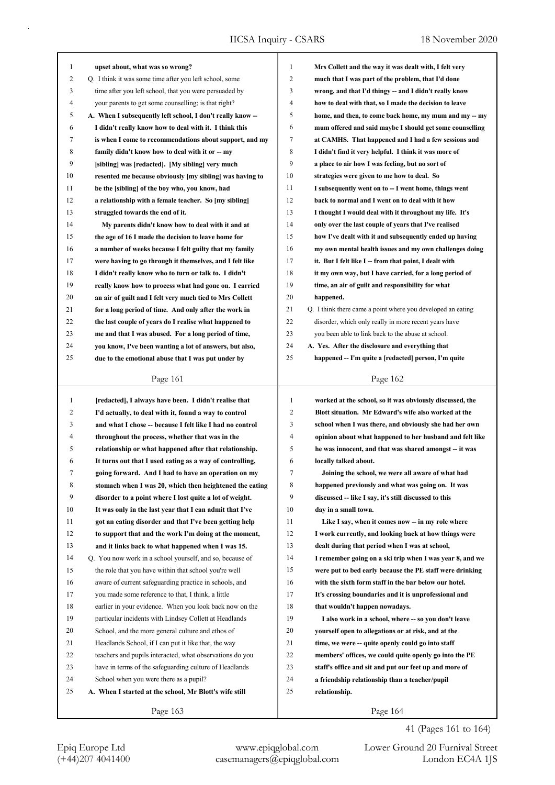| $\mathbf{1}$ | upset about, what was so wrong?                            | 1  | Mrs Collett and the way it was dealt with, I felt very      |
|--------------|------------------------------------------------------------|----|-------------------------------------------------------------|
| 2            | Q. I think it was some time after you left school, some    | 2  | much that I was part of the problem, that I'd done          |
| 3            | time after you left school, that you were persuaded by     | 3  | wrong, and that I'd thingy -- and I didn't really know      |
| 4            | your parents to get some counselling; is that right?       | 4  | how to deal with that, so I made the decision to leave      |
| 5            | A. When I subsequently left school, I don't really know -- | 5  | home, and then, to come back home, my mum and my -- my      |
| 6            | I didn't really know how to deal with it. I think this     | 6  | mum offered and said maybe I should get some counselling    |
| 7            | is when I come to recommendations about support, and my    | 7  | at CAMHS. That happened and I had a few sessions and        |
| 8            | family didn't know how to deal with it or -- my            | 8  | I didn't find it very helpful. I think it was more of       |
| 9            | [sibling] was [redacted]. [My sibling] very much           | 9  | a place to air how I was feeling, but no sort of            |
| 10           | resented me because obviously [my sibling] was having to   | 10 | strategies were given to me how to deal. So                 |
| 11           | be the [sibling] of the boy who, you know, had             | 11 | I subsequently went on to -- I went home, things went       |
| 12           | a relationship with a female teacher. So [my sibling]      | 12 | back to normal and I went on to deal with it how            |
| 13           | struggled towards the end of it.                           | 13 | I thought I would deal with it throughout my life. It's     |
| 14           | My parents didn't know how to deal with it and at          | 14 | only over the last couple of years that I've realised       |
| 15           | the age of 16 I made the decision to leave home for        | 15 | how I've dealt with it and subsequently ended up having     |
| 16           | a number of weeks because I felt guilty that my family     | 16 | my own mental health issues and my own challenges doing     |
| 17           | were having to go through it themselves, and I felt like   | 17 | it. But I felt like I -- from that point, I dealt with      |
| 18           | I didn't really know who to turn or talk to. I didn't      | 18 | it my own way, but I have carried, for a long period of     |
| 19           | really know how to process what had gone on. I carried     | 19 | time, an air of guilt and responsibility for what           |
| 20           | an air of guilt and I felt very much tied to Mrs Collett   | 20 | happened.                                                   |
| 21           | for a long period of time. And only after the work in      | 21 | Q. I think there came a point where you developed an eating |
| 22           | the last couple of years do I realise what happened to     | 22 | disorder, which only really in more recent years have       |
| 23           | me and that I was abused. For a long period of time,       | 23 | you been able to link back to the abuse at school.          |
| 24           | you know, I've been wanting a lot of answers, but also,    | 24 | A. Yes. After the disclosure and everything that            |
| 25           | due to the emotional abuse that I was put under by         | 25 | happened -- I'm quite a [redacted] person, I'm quite        |
|              |                                                            |    |                                                             |
|              | Page 161                                                   |    | Page 162                                                    |
|              |                                                            |    |                                                             |
|              |                                                            |    |                                                             |
| $\mathbf{1}$ | [redacted], I always have been. I didn't realise that      | 1  | worked at the school, so it was obviously discussed, the    |
| 2            | I'd actually, to deal with it, found a way to control      | 2  | Blott situation. Mr Edward's wife also worked at the        |
| 3            | and what I chose -- because I felt like I had no control   | 3  | school when I was there, and obviously she had her own      |
| 4            | throughout the process, whether that was in the            | 4  | opinion about what happened to her husband and felt like    |
| 5            | relationship or what happened after that relationship.     | 5  | he was innocent, and that was shared amongst -- it was      |
| 6            | It turns out that I used eating as a way of controlling,   | 6  | locally talked about.                                       |
| 7            | going forward. And I had to have an operation on my        | 7  | Joining the school, we were all aware of what had           |
| 8            | stomach when I was 20, which then heightened the eating    | 8  | happened previously and what was going on. It was           |
| 9            | disorder to a point where I lost quite a lot of weight.    | 9  | discussed -- like I say, it's still discussed to this       |
| 10           | It was only in the last year that I can admit that I've    | 10 | day in a small town.                                        |
| 11           | got an eating disorder and that I've been getting help     | 11 | Like I say, when it comes now -- in my role where           |
| 12           | to support that and the work I'm doing at the moment,      | 12 | I work currently, and looking back at how things were       |
| 13           | and it links back to what happened when I was 15.          | 13 | dealt during that period when I was at school,              |
| 14           | Q. You now work in a school yourself, and so, because of   | 14 | I remember going on a ski trip when I was year 8, and we    |
| 15           | the role that you have within that school you're well      | 15 | were put to bed early because the PE staff were drinking    |
| 16           | aware of current safeguarding practice in schools, and     | 16 | with the sixth form staff in the bar below our hotel.       |
| 17           | you made some reference to that, I think, a little         | 17 | It's crossing boundaries and it is unprofessional and       |
| 18           | earlier in your evidence. When you look back now on the    | 18 | that wouldn't happen nowadays.                              |
| 19           | particular incidents with Lindsey Collett at Headlands     | 19 | I also work in a school, where -- so you don't leave        |
| 20           | School, and the more general culture and ethos of          | 20 | yourself open to allegations or at risk, and at the         |
| 21           | Headlands School, if I can put it like that, the way       | 21 | time, we were -- quite openly could go into staff           |
| 22           | teachers and pupils interacted, what observations do you   | 22 | members' offices, we could quite openly go into the PE      |
| 23           | have in terms of the safeguarding culture of Headlands     | 23 | staff's office and sit and put our feet up and more of      |
| 24           | School when you were there as a pupil?                     | 24 | a friendship relationship than a teacher/pupil              |
| 25           | A. When I started at the school, Mr Blott's wife still     | 25 | relationship.                                               |

41 (Pages 161 to 164)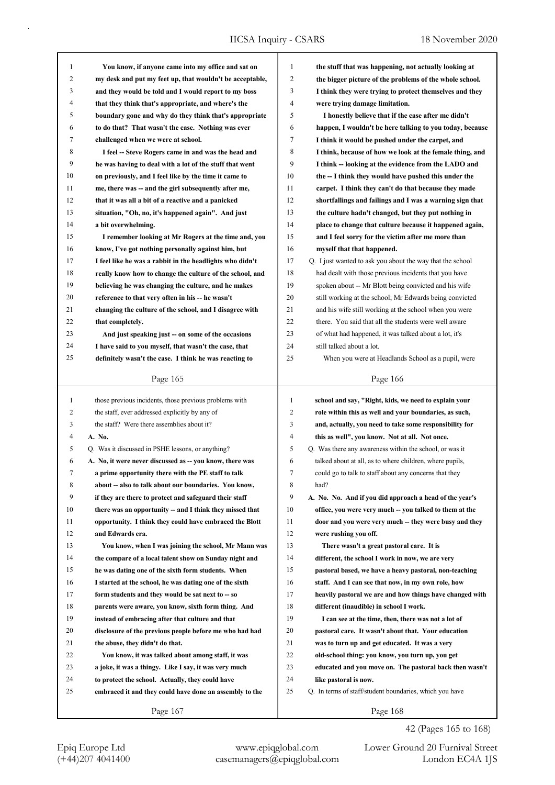IICSA Inquiry - CSARS 18 November 2020

| $\mathbf{1}$ | You know, if anyone came into my office and sat on       | 1              | the stuff that was happening, not actually looking at     |
|--------------|----------------------------------------------------------|----------------|-----------------------------------------------------------|
| 2            | my desk and put my feet up, that wouldn't be acceptable, | 2              | the bigger picture of the problems of the whole school.   |
| 3            | and they would be told and I would report to my boss     | 3              | I think they were trying to protect themselves and they   |
| 4            | that they think that's appropriate, and where's the      | 4              | were trying damage limitation.                            |
| 5            | boundary gone and why do they think that's appropriate   | 5              | I honestly believe that if the case after me didn't       |
| 6            | to do that? That wasn't the case. Nothing was ever       | 6              | happen, I wouldn't be here talking to you today, because  |
| 7            | challenged when we were at school.                       | 7              | I think it would be pushed under the carpet, and          |
| 8            | I feel -- Steve Rogers came in and was the head and      | 8              | I think, because of how we look at the female thing, and  |
| 9            | he was having to deal with a lot of the stuff that went  | 9              | I think -- looking at the evidence from the LADO and      |
| 10           | on previously, and I feel like by the time it came to    | 10             | the -- I think they would have pushed this under the      |
| 11           | me, there was -- and the girl subsequently after me,     | 11             | carpet. I think they can't do that because they made      |
| 12           | that it was all a bit of a reactive and a panicked       | 12             | shortfallings and failings and I was a warning sign that  |
| 13           | situation, "Oh, no, it's happened again". And just       | 13             | the culture hadn't changed, but they put nothing in       |
| 14           | a bit overwhelming.                                      | 14             | place to change that culture because it happened again,   |
| 15           | I remember looking at Mr Rogers at the time and, you     | 15             | and I feel sorry for the victim after me more than        |
| 16           | know, I've got nothing personally against him, but       | 16             | myself that that happened.                                |
| 17           | I feel like he was a rabbit in the headlights who didn't | 17             | Q. I just wanted to ask you about the way that the school |
| 18           | really know how to change the culture of the school, and | 18             | had dealt with those previous incidents that you have     |
| 19           | believing he was changing the culture, and he makes      | 19             | spoken about -- Mr Blott being convicted and his wife     |
| 20           | reference to that very often in his -- he wasn't         | 20             | still working at the school; Mr Edwards being convicted   |
| 21           | changing the culture of the school, and I disagree with  | 21             | and his wife still working at the school when you were    |
| 22           | that completely.                                         | 22             | there. You said that all the students were well aware     |
| 23           | And just speaking just - on some of the occasions        | 23             | of what had happened, it was talked about a lot, it's     |
| 24           | I have said to you myself, that wasn't the case, that    | 24             | still talked about a lot.                                 |
| 25           | definitely wasn't the case. I think he was reacting to   | 25             | When you were at Headlands School as a pupil, were        |
|              |                                                          |                |                                                           |
|              | Page 165                                                 |                | Page 166                                                  |
|              |                                                          |                |                                                           |
|              |                                                          |                |                                                           |
| $\mathbf{1}$ | those previous incidents, those previous problems with   | 1              | school and say, "Right, kids, we need to explain your     |
| 2            | the staff, ever addressed explicitly by any of           | 2              | role within this as well and your boundaries, as such,    |
| 3            | the staff? Were there assemblies about it?               | 3              | and, actually, you need to take some responsibility for   |
| 4            | A. No.                                                   | $\overline{4}$ | this as well", you know. Not at all. Not once.            |
| 5            | Q. Was it discussed in PSHE lessons, or anything?        | 5              | Q. Was there any awareness within the school, or was it   |
| 6            | A. No, it were never discussed as -- you know, there was | 6              | talked about at all, as to where children, where pupils,  |
| 7            | a prime opportunity there with the PE staff to talk      | 7              | could go to talk to staff about any concerns that they    |
| 8            | about -- also to talk about our boundaries. You know,    | 8              | had?                                                      |
| 9            | if they are there to protect and safeguard their staff   | 9              | A. No. No. And if you did approach a head of the year's   |
| 10           | there was an opportunity -- and I think they missed that | 10             | office, you were very much -- you talked to them at the   |
| 11           | opportunity. I think they could have embraced the Blott  | 11             | door and you were very much -- they were busy and they    |
| 12           | and Edwards era.                                         | 12             | were rushing you off.                                     |
| 13           | You know, when I was joining the school, Mr Mann was     | 13             | There wasn't a great pastoral care. It is                 |
| 14           | the compare of a local talent show on Sunday night and   | 14             | different, the school I work in now, we are very          |
| 15           | he was dating one of the sixth form students. When       | 15             | pastoral based, we have a heavy pastoral, non-teaching    |
| 16           | I started at the school, he was dating one of the sixth  | 16             | staff. And I can see that now, in my own role, how        |
| 17           | form students and they would be sat next to -- so        | 17             | heavily pastoral we are and how things have changed with  |
| 18           | parents were aware, you know, sixth form thing. And      | 18             | different (inaudible) in school I work.                   |
| 19           | instead of embracing after that culture and that         | 19             | I can see at the time, then, there was not a lot of       |
| 20           | disclosure of the previous people before me who had had  | 20             | pastoral care. It wasn't about that. Your education       |
| 21           | the abuse, they didn't do that.                          | 21             | was to turn up and get educated. It was a very            |
| 22           | You know, it was talked about among staff, it was        | 22             | old-school thing: you know, you turn up, you get          |
| 23           | a joke, it was a thingy. Like I say, it was very much    | 23             | educated and you move on. The pastoral back then wasn't   |
| 24           | to protect the school. Actually, they could have         | 24             | like pastoral is now.                                     |
| 25           | embraced it and they could have done an assembly to the  | 25             | Q. In terms of staff/student boundaries, which you have   |

42 (Pages 165 to 168)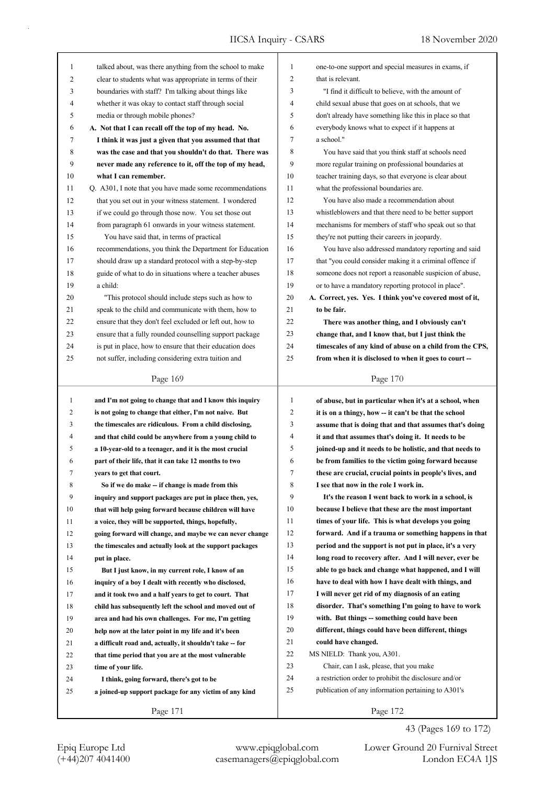| 1            | talked about, was there anything from the school to make | 1              | one-to-one support and special measures in exams, if     |
|--------------|----------------------------------------------------------|----------------|----------------------------------------------------------|
| 2            | clear to students what was appropriate in terms of their | $\overline{c}$ | that is relevant.                                        |
| 3            | boundaries with staff? I'm talking about things like     | 3              | "I find it difficult to believe, with the amount of      |
| 4            | whether it was okay to contact staff through social      | 4              | child sexual abuse that goes on at schools, that we      |
| 5            | media or through mobile phones?                          | 5              | don't already have something like this in place so that  |
| 6            | A. Not that I can recall off the top of my head. No.     | 6              | everybody knows what to expect if it happens at          |
| 7            | I think it was just a given that you assumed that that   | 7              | a school."                                               |
| 8            | was the case and that you shouldn't do that. There was   | 8              | You have said that you think staff at schools need       |
| 9            | never made any reference to it, off the top of my head,  | 9              | more regular training on professional boundaries at      |
| 10           | what I can remember.                                     | 10             | teacher training days, so that everyone is clear about   |
| 11           | Q. A301, I note that you have made some recommendations  | 11             | what the professional boundaries are.                    |
| 12           | that you set out in your witness statement. I wondered   | 12             | You have also made a recommendation about                |
| 13           | if we could go through those now. You set those out      | 13             | whistleblowers and that there need to be better support  |
| 14           | from paragraph 61 onwards in your witness statement.     | 14             | mechanisms for members of staff who speak out so that    |
| 15           | You have said that, in terms of practical                | 15             | they're not putting their careers in jeopardy.           |
| 16           | recommendations, you think the Department for Education  | 16             | You have also addressed mandatory reporting and said     |
| 17           | should draw up a standard protocol with a step-by-step   | 17             | that "you could consider making it a criminal offence if |
| 18           | guide of what to do in situations where a teacher abuses | 18             | someone does not report a reasonable suspicion of abuse, |
| 19           | a child:                                                 | 19             | or to have a mandatory reporting protocol in place".     |
| 20           | "This protocol should include steps such as how to       | 20             | A. Correct, yes. Yes. I think you've covered most of it, |
| 21           | speak to the child and communicate with them, how to     | 21             | to be fair.                                              |
| 22           | ensure that they don't feel excluded or left out, how to | 22             | There was another thing, and I obviously can't           |
| 23           | ensure that a fully rounded counselling support package  | 23             | change that, and I know that, but I just think the       |
| 24           | is put in place, how to ensure that their education does | 24             | timescales of any kind of abuse on a child from the CPS, |
| 25           | not suffer, including considering extra tuition and      | 25             | from when it is disclosed to when it goes to court --    |
|              |                                                          |                |                                                          |
|              | Page 169                                                 |                | Page 170                                                 |
|              |                                                          |                |                                                          |
|              |                                                          |                |                                                          |
| $\mathbf{1}$ | and I'm not going to change that and I know this inquiry | 1              | of abuse, but in particular when it's at a school, when  |
| 2            | is not going to change that either, I'm not naive. But   | $\overline{c}$ | it is on a thingy, how -- it can't be that the school    |
| 3            | the timescales are ridiculous. From a child disclosing,  | 3              | assume that is doing that and that assumes that's doing  |
| 4            | and that child could be anywhere from a young child to   | 4              | it and that assumes that's doing it. It needs to be      |
| 5            | a 10-year-old to a teenager, and it is the most crucial  | 5              | joined-up and it needs to be holistic, and that needs to |
| 6            | part of their life, that it can take 12 months to two    | 6              | be from families to the victim going forward because     |
| 7            | years to get that court.                                 | 7              | these are crucial, crucial points in people's lives, and |
| 8            | So if we do make -- if change is made from this          | 8              | I see that now in the role I work in.                    |
| 9            | inquiry and support packages are put in place then, yes, | 9              | It's the reason I went back to work in a school, is      |
| 10           | that will help going forward because children will have  | 10             | because I believe that these are the most important      |
| 11           | a voice, they will be supported, things, hopefully,      | 11             | times of your life. This is what develops you going      |
| 12           | going forward will change, and maybe we can never change | 12             | forward. And if a trauma or something happens in that    |
| 13           | the timescales and actually look at the support packages | 13             | period and the support is not put in place, it's a very  |
| 14           | put in place.                                            | 14             | long road to recovery after. And I will never, ever be   |
| 15           | But I just know, in my current role, I know of an        | 15             | able to go back and change what happened, and I will     |
| 16           | inquiry of a boy I dealt with recently who disclosed,    | 16             | have to deal with how I have dealt with things, and      |
| 17           | and it took two and a half years to get to court. That   | 17             | I will never get rid of my diagnosis of an eating        |
| 18           | child has subsequently left the school and moved out of  | 18             | disorder. That's something I'm going to have to work     |
| 19           | area and had his own challenges. For me, I'm getting     | 19             | with. But things -- something could have been            |
| 20           | help now at the later point in my life and it's been     | 20             | different, things could have been different, things      |
| 21           | a difficult road and, actually, it shouldn't take -- for | 21             | could have changed.                                      |
| 22           | that time period that you are at the most vulnerable     | 22             | MS NIELD: Thank you, A301.                               |
| 23           | time of your life.                                       | 23             | Chair, can I ask, please, that you make                  |
| 24           | I think, going forward, there's got to be                | 24             | a restriction order to prohibit the disclosure and/or    |
| 25           | a joined-up support package for any victim of any kind   | 25             | publication of any information pertaining to A301's      |
|              | Page 171                                                 |                | Page 172                                                 |

43 (Pages 169 to 172)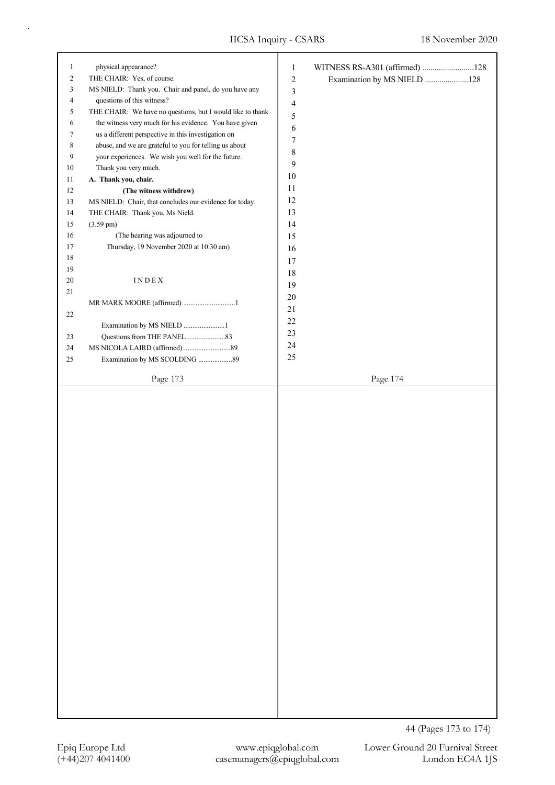| $\mathbf{1}$     | physical appearance?                                       | $\mathbf{1}$             | WITNESS RS-A301 (affirmed) 128 |
|------------------|------------------------------------------------------------|--------------------------|--------------------------------|
| $\boldsymbol{2}$ | THE CHAIR: Yes, of course.                                 | $\sqrt{2}$               | Examination by MS NIELD 128    |
| 3                | MS NIELD: Thank you. Chair and panel, do you have any      | $\mathfrak{Z}$           |                                |
| $\overline{4}$   | questions of this witness?                                 | $\overline{\mathcal{L}}$ |                                |
| 5                | THE CHAIR: We have no questions, but I would like to thank | 5                        |                                |
| 6                | the witness very much for his evidence. You have given     | 6                        |                                |
| 7                | us a different perspective in this investigation on        |                          |                                |
| 8                | abuse, and we are grateful to you for telling us about     | $\tau$                   |                                |
| $\boldsymbol{9}$ | your experiences. We wish you well for the future.         | $\,$ $\,$                |                                |
| $10\,$           | Thank you very much.                                       | 9                        |                                |
| 11               | A. Thank you, chair.                                       | 10                       |                                |
| $12\,$           | (The witness withdrew)                                     | 11                       |                                |
| 13               | MS NIELD: Chair, that concludes our evidence for today.    | 12                       |                                |
| 14               | THE CHAIR: Thank you, Ms Nield.                            | 13                       |                                |
| 15               | $(3.59 \text{ pm})$                                        | 14                       |                                |
| 16               | (The hearing was adjourned to                              | 15                       |                                |
| 17               | Thursday, 19 November 2020 at 10.30 am)                    | 16                       |                                |
| 18               |                                                            | 17                       |                                |
| 19               |                                                            | $18\,$                   |                                |
| $20\,$           | $\texttt{INDE}{}$ X                                        |                          |                                |
| 21               |                                                            | 19                       |                                |
|                  | MR MARK MOORE (affirmed) 1                                 | 20                       |                                |
| 22               |                                                            | $21\,$                   |                                |
|                  | Examination by MS NIELD 1                                  | $22\,$                   |                                |
| 23               |                                                            | 23                       |                                |
| 24               |                                                            | 24                       |                                |
| 25               | Examination by MS SCOLDING 89                              | 25                       |                                |
|                  |                                                            |                          |                                |
|                  | Page 173                                                   |                          | Page 174                       |
|                  |                                                            |                          |                                |
|                  |                                                            |                          |                                |
|                  |                                                            |                          |                                |
|                  |                                                            |                          |                                |
|                  |                                                            |                          |                                |
|                  |                                                            |                          |                                |
|                  |                                                            |                          |                                |
|                  |                                                            |                          |                                |
|                  |                                                            |                          |                                |
|                  |                                                            |                          |                                |
|                  |                                                            |                          |                                |
|                  |                                                            |                          |                                |
|                  |                                                            |                          |                                |
|                  |                                                            |                          |                                |
|                  |                                                            |                          |                                |
|                  |                                                            |                          |                                |
|                  |                                                            |                          |                                |
|                  |                                                            |                          |                                |
|                  |                                                            |                          |                                |
|                  |                                                            |                          |                                |
|                  |                                                            |                          |                                |
|                  |                                                            |                          |                                |
|                  |                                                            |                          |                                |
|                  |                                                            |                          |                                |
|                  |                                                            |                          |                                |
|                  |                                                            |                          |                                |
|                  |                                                            |                          |                                |
|                  |                                                            |                          |                                |
|                  |                                                            |                          |                                |
|                  |                                                            |                          |                                |
|                  |                                                            |                          |                                |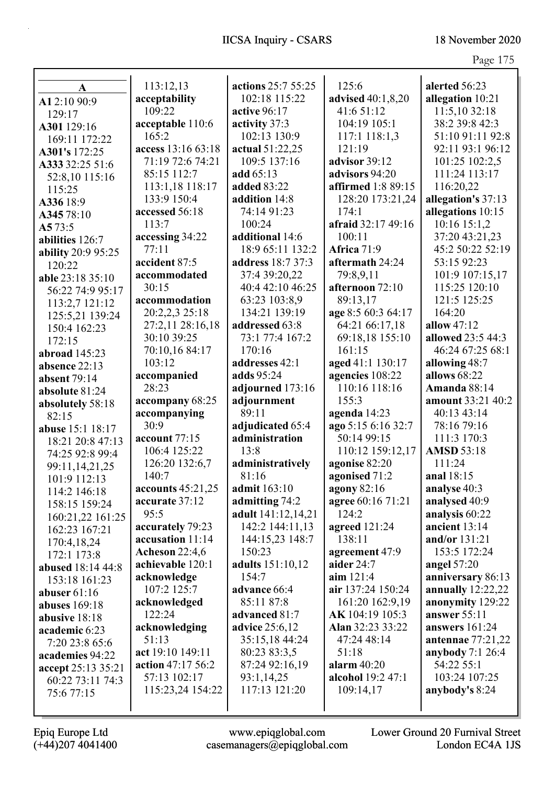| $\mathbf A$        | 113:12,13             | actions 25:7 55:25      | 125:6                     | alerted 56:23           |
|--------------------|-----------------------|-------------------------|---------------------------|-------------------------|
| A12:10 90:9        | acceptability         | 102:18 115:22           | advised 40:1,8,20         | allegation 10:21        |
| 129:17             | 109:22                | active 96:17            | 41:6 51:12                | 11:5,10 32:18           |
| A301 129:16        | acceptable 110:6      | activity 37:3           | 104:19 105:1              | 38:2 39:8 42:3          |
| 169:11 172:22      | 165:2                 | 102:13 130:9            | 117:1 118:1,3             | 51:10 91:11 92:8        |
| A301's 172:25      | access 13:16 63:18    | actual 51:22,25         | 121:19                    | 92:11 93:1 96:12        |
| A333 32:25 51:6    | 71:19 72:6 74:21      | 109:5 137:16            | advisor 39:12             | 101:25 102:2,5          |
| 52:8,10 115:16     | 85:15 112:7           | add 65:13               | advisors 94:20            | 111:24 113:17           |
| 115:25             | 113:1,18 118:17       | <b>added 83:22</b>      | <b>affirmed</b> 1:8 89:15 | 116:20,22               |
| A336 18:9          | 133:9 150:4           | addition 14:8           | 128:20 173:21,24          | allegation's 37:13      |
| A34578:10          | accessed 56:18        | 74:14 91:23             | 174:1                     | allegations 10:15       |
| A573:5             | 113:7                 | 100:24                  | afraid 32:17 49:16        | 10:16 15:1,2            |
| abilities 126:7    | accessing 34:22       | additional 14:6         | 100:11                    | 37:20 43:21,23          |
| ability 20:9 95:25 | 77:11                 | 18:9 65:11 132:2        | Africa 71:9               | 45:2 50:22 52:19        |
| 120:22             | accident 87:5         | address 18:7 37:3       | aftermath 24:24           | 53:15 92:23             |
| able 23:18 35:10   | accommodated          | 37:4 39:20,22           | 79:8,9,11                 | 101:9 107:15,17         |
| 56:22 74:9 95:17   | 30:15                 | 40:4 42:10 46:25        | afternoon 72:10           | 115:25 120:10           |
| 113:2,7 121:12     | accommodation         | 63:23 103:8,9           | 89:13,17                  | 121:5 125:25            |
| 125:5,21 139:24    | 20:2,2,3 25:18        | 134:21 139:19           | age 8:5 60:3 64:17        | 164:20                  |
| 150:4 162:23       | 27:2,11 28:16,18      | addressed 63:8          | 64:21 66:17,18            | allow $47:12$           |
| 172:15             | 30:10 39:25           | 73:1 77:4 167:2         | 69:18,18 155:10           | allowed 23:5 44:3       |
| abroad 145:23      | 70:10,16 84:17        | 170:16                  | 161:15                    | 46:24 67:25 68:1        |
| absence 22:13      | 103:12                | addresses 42:1          | aged 41:1 130:17          | allowing 48:7           |
| absent 79:14       | accompanied           | adds 95:24              | agencies 108:22           | allows 68:22            |
| absolute 81:24     | 28:23                 | adjourned 173:16        | 110:16 118:16             | Amanda 88:14            |
| absolutely 58:18   | accompany 68:25       | adjournment             | 155:3                     | amount 33:21 40:2       |
| 82:15              | accompanying          | 89:11                   | agenda 14:23              | 40:13 43:14             |
| abuse 15:1 18:17   | 30:9                  | adjudicated 65:4        | ago 5:15 6:16 32:7        | 78:16 79:16             |
| 18:21 20:8 47:13   | account 77:15         | administration          | 50:14 99:15               | 111:3 170:3             |
| 74:25 92:8 99:4    | 106:4 125:22          | 13:8                    | 110:12 159:12,17          | <b>AMSD 53:18</b>       |
| 99:11,14,21,25     | 126:20 132:6,7        | administratively        | agonise 82:20             | 111:24                  |
| 101:9 112:13       | 140:7                 | 81:16                   | agonised 71:2             | anal 18:15              |
| 114:2 146:18       | accounts 45:21,25     | admit 163:10            | agony 82:16               | analyse 40:3            |
| 158:15 159:24      | accurate 37:12        | admitting 74:2          | agree 60:16 71:21         | analysed 40:9           |
| 160:21,22 161:25   | 95:5                  | adult 141:12,14,21      | 124:2                     | analysis 60:22          |
| 162:23 167:21      | accurately 79:23      | 142:2 144:11,13         | agreed 121:24             | ancient 13:14           |
| 170:4,18,24        | accusation 11:14      | 144:15,23 148:7         | 138:11                    | and/or 131:21           |
| 172:1 173:8        | <b>Acheson 22:4,6</b> | 150:23                  | agreement 47:9            | 153:5 172:24            |
| abused 18:14 44:8  | achievable 120:1      | <b>adults</b> 151:10,12 | aider 24:7                | angel 57:20             |
| 153:18 161:23      | acknowledge           | 154:7                   | aim 121:4                 | anniversary 86:13       |
| abuser $61:16$     | 107:2 125:7           | advance 66:4            | air 137:24 150:24         | annually $12:22,22$     |
| abuses $169:18$    | acknowledged          | 85:11 87:8              | 161:20 162:9,19           | anonymity 129:22        |
| abusive 18:18      | 122:24                | advanced 81:7           | AK 104:19 105:3           | answer $55:11$          |
| academic 6:23      | acknowledging         | <b>advice</b> 25:6,12   | Alan 32:23 33:22          | answers 161:24          |
| 7:20 23:8 65:6     | 51:13                 | 35:15,18 44:24          | 47:24 48:14               | antennae 77:21,22       |
| academies 94:22    | act 19:10 149:11      | 80:23 83:3,5            | 51:18                     | <b>anybody</b> 7:1 26:4 |
| accept 25:13 35:21 | action 47:17 56:2     | 87:24 92:16,19          | alarm $40:20$             | 54:22 55:1              |
| 60:22 73:11 74:3   | 57:13 102:17          | 93:1,14,25              | alcohol 19:2 47:1         | 103:24 107:25           |
| 75:6 77:15         | 115:23,24 154:22      | 117:13 121:20           | 109:14,17                 | anybody's 8:24          |
|                    |                       |                         |                           |                         |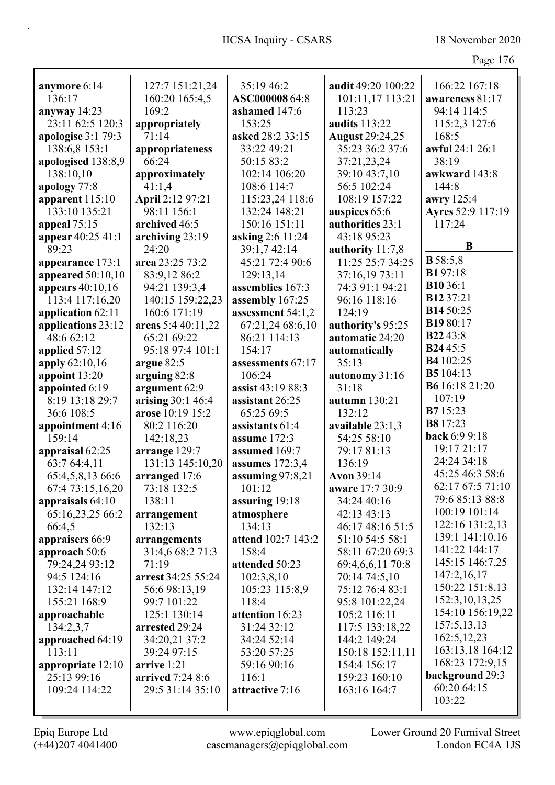| c |  |
|---|--|
|   |  |

| anymore 6:14        | 127:7 151:21,24    | 35:19 46:2         | audit 49:20 100:22     | 166:22 167:18     |
|---------------------|--------------------|--------------------|------------------------|-------------------|
| 136:17              | 160:20 165:4,5     | ASC000008 64:8     | 101:11,17 113:21       | awareness 81:17   |
| anyway $14:23$      | 169:2              | ashamed 147:6      | 113:23                 | 94:14 114:5       |
| 23:11 62:5 120:3    | appropriately      | 153:25             | <b>audits</b> 113:22   | 115:2,3 127:6     |
| apologise $3:179:3$ | 71:14              | asked 28:2 33:15   | <b>August 29:24,25</b> | 168:5             |
| 138:6,8 153:1       | appropriateness    | 33:22 49:21        | 35:23 36:2 37:6        | awful 24:1 26:1   |
| apologised 138:8,9  | 66:24              | 50:15 83:2         | 37:21,23,24            | 38:19             |
| 138:10,10           | approximately      | 102:14 106:20      | 39:10 43:7,10          | awkward 143:8     |
| apology 77:8        | 41:1,4             | 108:6 114:7        | 56:5 102:24            | 144:8             |
| apparent 115:10     | April 2:12 97:21   | 115:23,24 118:6    | 108:19 157:22          | awry 125:4        |
| 133:10 135:21       | 98:11 156:1        | 132:24 148:21      | auspices 65:6          | Ayres 52:9 117:19 |
| appeal 75:15        | archived 46:5      | 150:16 151:11      | authorities 23:1       | 117:24            |
| appear 40:25 41:1   | archiving 23:19    | asking 2:6 11:24   | 43:18 95:23            |                   |
| 89:23               | 24:20              | 39:1,7 42:14       | authority 11:7,8       | B                 |
| appearance 173:1    | area 23:25 73:2    | 45:21 72:4 90:6    | 11:25 25:7 34:25       | <b>B</b> 58:5,8   |
| appeared 50:10,10   | 83:9,12 86:2       | 129:13,14          | 37:16,19 73:11         | <b>B1</b> 97:18   |
| appears 40:10,16    | 94:21 139:3,4      | assemblies 167:3   | 74:3 91:1 94:21        | <b>B10</b> 36:1   |
| 113:4 117:16,20     | 140:15 159:22,23   | assembly 167:25    | 96:16 118:16           | <b>B12</b> 37:21  |
| application 62:11   | 160:6 171:19       | assessment 54:1,2  | 124:19                 | B14 50:25         |
| applications 23:12  | areas 5:4 40:11,22 | 67:21,24 68:6,10   | authority's 95:25      | B1980:17          |
| 48:6 62:12          | 65:21 69:22        | 86:21 114:13       | automatic 24:20        | <b>B2243:8</b>    |
| applied 57:12       | 95:18 97:4 101:1   | 154:17             | automatically          | <b>B2445:5</b>    |
| apply 62:10,16      | argue 82:5         | assessments 67:17  | 35:13                  | B4 102:25         |
| appoint 13:20       | arguing 82:8       | 106:24             | autonomy 31:16         | B5 104:13         |
| appointed 6:19      | argument 62:9      | assist 43:19 88:3  | 31:18                  | B6 16:18 21:20    |
| 8:19 13:18 29:7     | arising 30:1 46:4  | assistant 26:25    | autumn 130:21          | 107:19            |
| 36:6 108:5          | arose 10:19 15:2   | 65:25 69:5         | 132:12                 | <b>B7</b> 15:23   |
| appointment 4:16    | 80:2 116:20        | assistants 61:4    | available 23:1,3       | <b>B8</b> 17:23   |
| 159:14              | 142:18,23          | assume 172:3       | 54:25 58:10            | back 6:9 9:18     |
| appraisal 62:25     | arrange 129:7      | assumed 169:7      | 79:17 81:13            | 19:17 21:17       |
| 63:7 64:4,11        | 131:13 145:10.20   | assumes $172:3,4$  | 136:19                 | 24:24 34:18       |
| 65:4,5,8,13 66:6    | arranged 17:6      | assuming $97:8,21$ | Avon 39:14             | 45:25 46:3 58:6   |
| 67:4 73:15,16,20    | 73:18 132:5        | 101:12             | aware 17:7 30:9        | 62:17 67:5 71:10  |
| appraisals $64:10$  | 138:11             | assuring $19:18$   | 34:24 40:16            | 79:6 85:13 88:8   |
| 65:16,23,25 66:2    | arrangement        | atmosphere         | 42:13 43:13            | 100:19 101:14     |
| 66:4,5              | 132:13             | 134:13             | 46:17 48:16 51:5       | 122:16 131:2,13   |
| appraisers 66:9     | arrangements       | attend 102:7 143:2 | 51:10 54:5 58:1        | 139:1 141:10,16   |
| approach 50:6       | 31:4,6 68:2 71:3   | 158:4              | 58:11 67:20 69:3       | 141:22 144:17     |
| 79:24,24 93:12      | 71:19              | attended 50:23     | 69:4,6,6,11 70:8       | 145:15 146:7,25   |
| 94:5 124:16         | arrest 34:25 55:24 | 102:3,8,10         | 70:14 74:5,10          | 147:2,16,17       |
| 132:14 147:12       | 56:6 98:13,19      | 105:23 115:8,9     | 75:12 76:4 83:1        | 150:22 151:8,13   |
| 155:21 168:9        | 99:7 101:22        | 118:4              | 95:8 101:22,24         | 152:3, 10, 13, 25 |
| approachable        | 125:1 130:14       | attention 16:23    | 105:2 116:11           | 154:10 156:19,22  |
| 134:2,3,7           | arrested 29:24     | 31:24 32:12        | 117:5 133:18,22        | 157:5,13,13       |
| approached 64:19    | 34:20,21 37:2      | 34:24 52:14        | 144:2 149:24           | 162:5, 12, 23     |
| 113:11              | 39:24 97:15        | 53:20 57:25        | 150:18 152:11,11       | 163:13,18 164:12  |
| appropriate 12:10   | arrive 1:21        | 59:16 90:16        | 154:4 156:17           | 168:23 172:9,15   |
| 25:13 99:16         | arrived 7:24 8:6   | 116:1              | 159:23 160:10          | background 29:3   |
| 109:24 114:22       | 29:5 31:14 35:10   | attractive 7:16    | 163:16 164:7           | 60:20 64:15       |
|                     |                    |                    |                        | 103:22            |
|                     |                    |                    |                        |                   |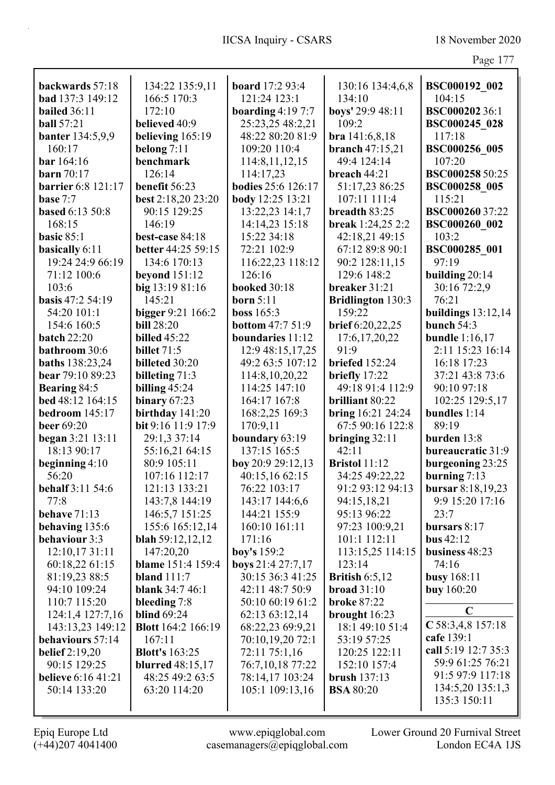|                           |                           |                           |                          | $\frac{1}{2}$        |
|---------------------------|---------------------------|---------------------------|--------------------------|----------------------|
| backwards 57:18           | 134:22 135:9,11           | board 17:2 93:4           | 130:16 134:4,6,8         | BSC000192 002        |
| bad 137:3 149:12          | 166:5 170:3               | 121:24 123:1              | 134:10                   | 104:15               |
| <b>bailed</b> 36:11       | 172:10                    | boarding $4:197:7$        | boys' 29:9 48:11         | <b>BSC00020236:1</b> |
| <b>ball</b> 57:21         | believed 40:9             | 25:23,25 48:2,21          | 109:2                    | <b>BSC000245 028</b> |
| <b>banter</b> 134:5,9,9   | believing $165:19$        | 48:22 80:20 81:9          | bra 141:6,8,18           | 117:18               |
| 160:17                    | belong $7:11$             | 109:20 110:4              | branch $47:15,21$        | BSC000256 005        |
| bar 164:16                | benchmark                 | 114:8, 11, 12, 15         | 49:4 124:14              | 107:20               |
| <b>barn</b> 70:17         | 126:14                    | 114:17,23                 | breach 44:21             | BSC000258 50:25      |
| <b>barrier</b> 6:8 121:17 | benefit 56:23             | <b>bodies</b> 25:6 126:17 | 51:17,23 86:25           | <b>BSC000258 005</b> |
| base $7:7$                | best 2:18,20 23:20        | body 12:25 13:21          | 107:11 111:4             | 115:21               |
| <b>based 6:13 50:8</b>    | 90:15 129:25              | 13:22,23 14:1,7           | breadth 83:25            | BSC000260 37:22      |
| 168:15                    | 146:19                    | 14:14,23 15:18            | break 1:24,25 2:2        | BSC000260 002        |
| basic $85:1$              | best-case 84:18           | 15:22 34:18               | 42:18,21 49:15           | 103:2                |
| basically 6:11            | better 44:25 59:15        | 72:21 102:9               | 67:12 89:8 90:1          | BSC000285 001        |
| 19:24 24:9 66:19          | 134:6 170:13              | 116:22,23 118:12          | 90:2 128:11,15           | 97:19                |
| 71:12 100:6               | <b>beyond</b> 151:12      | 126:16                    | 129:6 148:2              | building $20:14$     |
| 103:6                     | big 13:19 81:16           | <b>booked</b> 30:18       | breaker 31:21            | 30:16 72:2,9         |
| <b>basis</b> $47:2,54:19$ | 145:21                    | born $5:11$               | <b>Bridlington 130:3</b> | 76:21                |
| 54:20 101:1               | bigger 9:21 166:2         | boss 165:3                | 159:22                   | buildings $13:12,14$ |
| 154:6 160:5               | <b>bill</b> 28:20         | <b>bottom</b> 47:7 51:9   | brief 6:20,22,25         | bunch $54:3$         |
| <b>batch 22:20</b>        | <b>billed</b> 45:22       | boundaries 11:12          | 17:6, 17, 20, 22         | bundle $1:16,17$     |
| bathroom 30:6             | <b>billet</b> 71:5        | 12:9 48:15,17,25          | 91:9                     | 2:11 15:23 16:14     |
| <b>baths</b> 138:23,24    | billeted 30:20            | 49:2 63:5 107:12          | briefed $152:24$         | 16:18 17:23          |
| bear 79:10 89:23          | billeting 71:3            | 114:8, 10, 20, 22         | briefly 17:22            | 37:21 43:8 73:6      |
| Bearing 84:5              | billing $45:24$           | 114:25 147:10             | 49:18 91:4 112:9         | 90:10 97:18          |
| bed 48:12 164:15          | binary $67:23$            | 164:17 167:8              | brilliant 80:22          | 102:25 129:5,17      |
| bedroom $145:17$          | birthday 141:20           | 168:2,25 169:3            | bring $16:21$ 24:24      | bundles 1:14         |
| <b>beer</b> 69:20         | bit 9:16 11:9 17:9        | 170:9,11                  | 67:5 90:16 122:8         | 89:19                |
| began 3:21 13:11          | 29:1,3 37:14              | boundary 63:19            | bringing $32:11$         | burden 13:8          |
| 18:13 90:17               | 55:16,21 64:15            | 137:15 165:5              | 42:11                    | bureaucratic 31:9    |
| beginning $4:10$          | 80:9 105:11               | boy 20:9 29:12,13         | <b>Bristol</b> 11:12     | burgeoning 23:25     |
| 56:20                     | 107:16 112:17             | 40:15,16 62:15            | 34:25 49:22,22           | burning $7:13$       |
| <b>behalf</b> 3:11 54:6   | 121:13 133:21             | 76:22 103:17              | 91:2 93:12 94:13         | bursar 8:18,19,23    |
| 77:8                      | 143:7,8 144:19            | 143:17 144:6,6            | 94:15,18,21              | 9:9 15:20 17:16      |
| behave 71:13              | 146:5,7 151:25            | 144:21 155:9              | 95:13 96:22              | 23:7                 |
| behaving 135:6            | 155:6 165:12,14           | 160:10 161:11             | 97:23 100:9,21           | bursars $8:17$       |
| behaviour 3:3             | <b>blah</b> 59:12,12,12   | 171:16                    | 101:1 112:11             | bus $42:12$          |
| 12:10,17 31:11            | 147:20,20                 | boy's 159:2               | 113:15,25 114:15         | business 48:23       |
| 60:18,22 61:15            | blame 151:4 159:4         | boys 21:4 27:7,17         | 123:14                   | 74:16                |
| 81:19,23 88:5             | bland $111:7$             | 30:15 36:3 41:25          | British $6:5,12$         | <b>busy</b> 168:11   |
| 94:10 109:24              | <b>blank</b> 34:7 46:1    | 42:11 48:7 50:9           | broad $31:10$            | <b>buy</b> 160:20    |
| 110:7 115:20              | bleeding 7:8              | 50:10 60:19 61:2          | <b>broke 87:22</b>       |                      |
| 124:1,4 127:7,16          | <b>blind</b> 69:24        | 62:13 63:12,14            | brought 16:23            | $\mathbf C$          |
| 143:13,23 149:12          | <b>Blott</b> 164:2 166:19 | 68:22,23 69:9,21          | 18:1 49:10 51:4          | $C$ 58:3,4,8 157:18  |
| behaviours 57:14          | 167:11                    | 70:10,19,20 72:1          | 53:19 57:25              | cafe 139:1           |
| belief $2:19,20$          | <b>Blott's</b> 163:25     | 72:11 75:1,16             | 120:25 122:11            | call 5:19 12:7 35:3  |
| 90:15 129:25              | <b>blurred</b> 48:15,17   | 76:7,10,18 77:22          | 152:10 157:4             | 59:9 61:25 76:21     |
| <b>believe</b> 6:16 41:21 | 48:25 49:2 63:5           | 78:14,17 103:24           | <b>brush</b> 137:13      | 91:5 97:9 117:18     |
| 50:14 133:20              | 63:20 114:20              | 105:1 109:13,16           | <b>BSA 80:20</b>         | 134:5,20 135:1,3     |
|                           |                           |                           |                          | 135:3 150:11         |

Epiq Europe Ltd www.epiqglobal.com Lower Ground 20 Furnival Street<br>
(+44)207 4041400 casemanagers@epiqglobal.com London EC4A 1JS www.epiqglobal.com Lower Ground 20 Furnival Street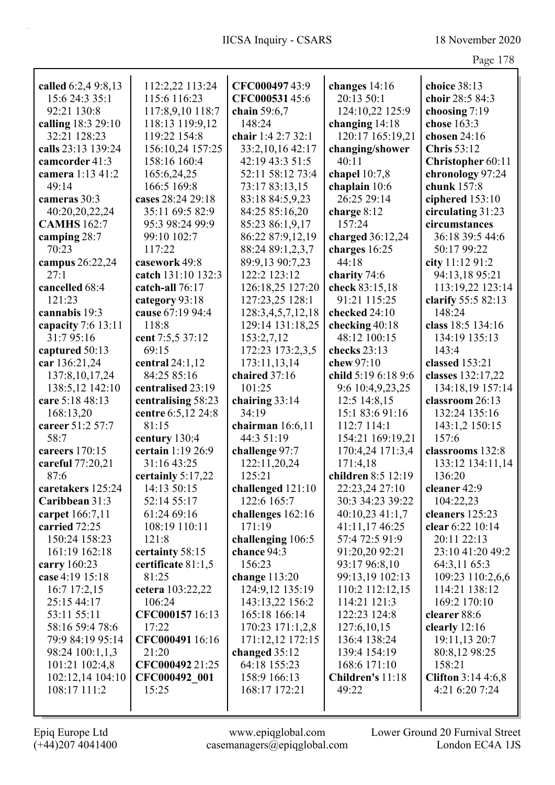|--|--|

| called 6:2,4 9:8,13 | 112:2,22 113:24    | CFC00049743:9      | changes 14:16       | choice 38:13               |
|---------------------|--------------------|--------------------|---------------------|----------------------------|
| 15:6 24:3 35:1      | 115:6 116:23       | CFC00053145:6      | 20:13 50:1          | choir 28:5 84:3            |
| 92:21 130:8         | 117:8,9,10 118:7   | chain 59:6,7       | 124:10,22 125:9     | choosing 7:19              |
| calling 18:3 29:10  | 118:13 119:9,12    | 148:24             | changing $14:18$    | chose 163:3                |
| 32:21 128:23        | 119:22 154:8       | chair 1:4 2:7 32:1 | 120:17 165:19,21    | chosen 24:16               |
| calls 23:13 139:24  | 156:10,24 157:25   | 33:2,10,16 42:17   | changing/shower     | <b>Chris</b> 53:12         |
| camcorder 41:3      | 158:16 160:4       | 42:19 43:3 51:5    | 40:11               | Christopher 60:11          |
| camera 1:13 41:2    | 165:6,24,25        | 52:11 58:12 73:4   | chapel $10:7,8$     | chronology 97:24           |
| 49:14               | 166:5 169:8        | 73:17 83:13,15     | chaplain 10:6       | chunk 157:8                |
| cameras 30:3        | cases 28:24 29:18  | 83:18 84:5,9,23    | 26:25 29:14         | ciphered 153:10            |
| 40:20,20,22,24      | 35:11 69:5 82:9    | 84:25 85:16,20     | charge $8:12$       | circulating 31:23          |
| <b>CAMHS</b> 162:7  | 95:3 98:24 99:9    | 85:23 86:1,9,17    | 157:24              | circumstances              |
| camping 28:7        | 99:10 102:7        | 86:22 87:9,12,19   | charged 36:12,24    | 36:18 39:5 44:6            |
| 70:23               | 117:22             | 88:24 89:1,2,3,7   | charges 16:25       | 50:17 99:22                |
| campus 26:22,24     | casework 49:8      | 89:9,13 90:7,23    | 44:18               | city 11:12 91:2            |
| 27:1                | catch 131:10 132:3 | 122:2 123:12       | charity 74:6        | 94:13,18 95:21             |
| cancelled 68:4      | catch-all 76:17    | 126:18,25 127:20   | check 83:15,18      | 113:19,22 123:14           |
| 121:23              | category 93:18     | 127:23,25 128:1    | 91:21 115:25        | clarify 55:5 82:13         |
| cannabis 19:3       | cause 67:19 94:4   | 128:3,4,5,7,12,18  | checked 24:10       | 148:24                     |
| capacity 7:6 13:11  | 118:8              | 129:14 131:18,25   | checking 40:18      | class 18:5 134:16          |
| 31:795:16           | cent 7:5,5 37:12   | 153:2,7,12         | 48:12 100:15        | 134:19 135:13              |
| captured 50:13      | 69:15              | 172:23 173:2,3,5   | checks 23:13        | 143:4                      |
| car 136:21,24       | central $24:1,12$  | 173:11,13,14       | chew 97:10          | classed 153:21             |
| 137:8, 10, 17, 24   | 84:25 85:16        | chaired 37:16      | child 5:19 6:18 9:6 | classes 132:17,22          |
| 138:5,12 142:10     | centralised 23:19  | 101:25             | 9:6 10:4,9,23,25    | 134:18,19 157:14           |
| care 5:18 48:13     | centralising 58:23 | chairing 33:14     | 12:5 14:8,15        | classroom 26:13            |
| 168:13,20           | centre 6:5,12 24:8 | 34:19              | 15:1 83:6 91:16     | 132:24 135:16              |
| career 51:2 57:7    | 81:15              | chairman $16:6,11$ | 112:7 114:1         | 143:1,2 150:15             |
| 58:7                | century 130:4      | 44:3 51:19         | 154:21 169:19,21    | 157:6                      |
| careers 170:15      | certain 1:19 26:9  | challenge 97:7     | 170:4,24 171:3,4    | classrooms 132:8           |
| careful 77:20,21    | 31:16 43:25        | 122:11,20,24       | 171:4,18            | 133:12 134:11,14           |
| 87:6                | certainly 5:17,22  | 125:21             | children 8:5 12:19  | 136:20                     |
| caretakers 125:24   | 14:13 50:15        | challenged 121:10  | 22:23,24 27:10      | cleaner 42:9               |
| Caribbean 31:3      | 52:14 55:17        | 122:6 165:7        | 30:3 34:23 39:22    | 104:22,23                  |
| carpet 166:7,11     | 61:24 69:16        | challenges 162:16  | $40:10,23$ 41:1,7   | cleaners 125:23            |
| carried 72:25       | 108:19 110:11      | 171:19             | 41:11,17 46:25      | clear 6:22 10:14           |
| 150:24 158:23       | 121:8              | challenging 106:5  | 57:4 72:5 91:9      | 20:11 22:13                |
| 161:19 162:18       | certainty 58:15    | chance 94:3        | 91:20,20 92:21      | 23:10 41:20 49:2           |
| carry 160:23        | certificate 81:1,5 | 156:23             | 93:17 96:8,10       | 64:3,11 65:3               |
| case 4:19 15:18     | 81:25              | change $113:20$    | 99:13,19 102:13     | 109:23 110:2,6,6           |
| 16:7 17:2,15        | cetera 103:22,22   | 124:9,12 135:19    | 110:2 112:12,15     | 114:21 138:12              |
| 25:15 44:17         | 106:24             | 143:13,22 156:2    | 114:21 121:3        | 169:2 170:10               |
| 53:11 55:11         | CFC000157 16:13    | 165:18 166:14      | 122:23 124:8        | clearer 88:6               |
| 58:16 59:4 78:6     | 17:22              | 170:23 171:1,2,8   | 127:6,10,15         | clearly 12:16              |
| 79:9 84:19 95:14    | CFC000491 16:16    | 171:12,12 172:15   | 136:4 138:24        | 19:11,13 20:7              |
| 98:24 100:1,1,3     | 21:20              | changed 35:12      | 139:4 154:19        | 80:8,12 98:25              |
| 101:21 102:4,8      | CFC000492 21:25    | 64:18 155:23       | 168:6 171:10        | 158:21                     |
| 102:12,14 104:10    | CFC000492 001      | 158:9 166:13       | Children's 11:18    | <b>Clifton</b> $3:144:6,8$ |
| 108:17 111:2        | 15:25              | 168:17 172:21      | 49:22               | 4:21 6:20 7:24             |
|                     |                    |                    |                     |                            |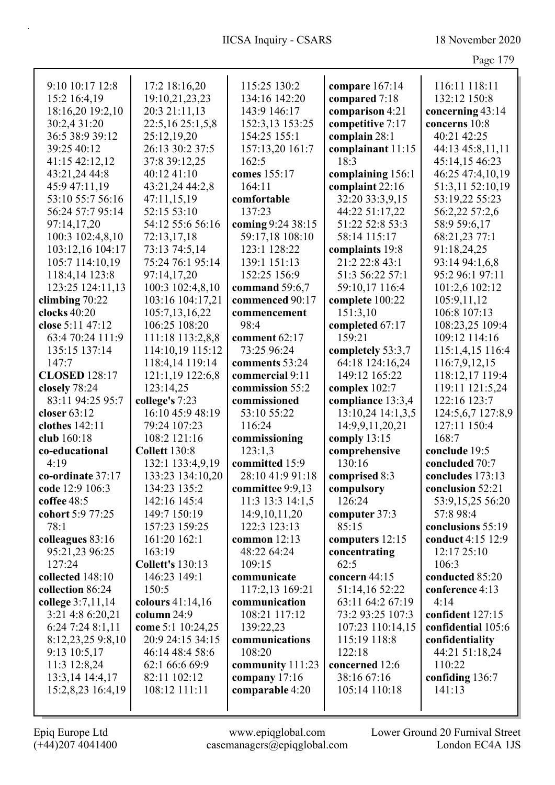|                                    |                                     |                                      |                                      | 4.45                              |
|------------------------------------|-------------------------------------|--------------------------------------|--------------------------------------|-----------------------------------|
| 9:10 10:17 12:8                    | 17:2 18:16,20                       | 115:25 130:2                         | compare 167:14                       | 116:11 118:11                     |
| 15:2 16:4,19                       | 19:10,21,23,23                      | 134:16 142:20                        | compared 7:18                        | 132:12 150:8                      |
| 18:16,20 19:2,10                   | 20:3 21:11,13                       | 143:9 146:17                         | comparison 4:21                      | concerning 43:14                  |
| 30:2,4 31:20                       | 22:5,16 25:1,5,8                    | 152:3,13 153:25                      | competitive 7:17                     | concerns 10:8                     |
| 36:5 38:9 39:12                    | 25:12,19,20                         | 154:25 155:1                         | complain 28:1                        | 40:21 42:25                       |
| 39:25 40:12                        | 26:13 30:2 37:5                     | 157:13,20 161:7                      | complainant 11:15                    | 44:13 45:8,11,11                  |
| 41:15 42:12,12                     | 37:8 39:12,25                       | 162:5                                | 18:3                                 | 45:14,15 46:23                    |
| 43:21,24 44:8                      | 40:12 41:10                         | comes 155:17                         |                                      | 46:25 47:4,10,19                  |
| 45:9 47:11,19                      | 43:21,24 44:2,8                     | 164:11                               | complaining 156:1<br>complaint 22:16 | 51:3,11 52:10,19                  |
| 53:10 55:7 56:16                   | 47:11,15,19                         | comfortable                          | 32:20 33:3,9,15                      | 53:19,22 55:23                    |
| 56:24 57:7 95:14                   | 52:15 53:10                         | 137:23                               | 44:22 51:17,22                       |                                   |
|                                    |                                     |                                      | 51:22 52:8 53:3                      | 56:2,22 57:2,6                    |
| 97:14,17,20                        | 54:12 55:6 56:16                    | coming 9:24 38:15<br>59:17,18 108:10 | 58:14 115:17                         | 58:9 59:6,17                      |
| 100:3 102:4,8,10                   | 72:13,17,18                         | 123:1 128:22                         |                                      | 68:21,23 77:1                     |
| 103:12,16 104:17                   | 73:13 74:5,14                       | 139:1 151:13                         | complaints 19:8<br>21:2 22:8 43:1    | 91:18,24,25                       |
| 105:7 114:10,19                    | 75:24 76:1 95:14<br>97:14,17,20     | 152:25 156:9                         | 51:3 56:22 57:1                      | 93:14 94:1,6,8<br>95:2 96:1 97:11 |
| 118:4,14 123:8                     |                                     |                                      |                                      |                                   |
| 123:25 124:11,13                   | 100:3 102:4,8,10                    | command 59:6,7<br>commenced 90:17    | 59:10,17 116:4                       | 101:2,6 102:12                    |
| climbing $70:22$<br>clocks $40:20$ | 103:16 104:17,21                    |                                      | complete 100:22                      | 105:9,11,12<br>106:8 107:13       |
| close 5:11 47:12                   | 105:7,13,16,22<br>106:25 108:20     | commencement<br>98:4                 | 151:3,10                             |                                   |
|                                    |                                     |                                      | completed 67:17<br>159:21            | 108:23,25 109:4<br>109:12 114:16  |
| 63:4 70:24 111:9<br>135:15 137:14  | 111:18 113:2,8,8                    | comment 62:17<br>73:25 96:24         |                                      |                                   |
| 147:7                              | 114:10,19 115:12                    | comments 53:24                       | completely 53:3,7<br>64:18 124:16,24 | 115:1,4,15 116:4                  |
| <b>CLOSED</b> 128:17               | 118:4,14 119:14<br>121:1,19 122:6,8 |                                      | 149:12 165:22                        | 116:7,9,12,15                     |
| closely 78:24                      | 123:14,25                           | commercial 9:11<br>commission 55:2   |                                      | 118:12,17 119:4                   |
| 83:11 94:25 95:7                   | college's 7:23                      | commissioned                         | complex 102:7<br>compliance 13:3,4   | 119:11 121:5,24<br>122:16 123:7   |
| closer 63:12                       | 16:10 45:9 48:19                    | 53:10 55:22                          | 13:10,24 14:1,3,5                    | 124:5,6,7 127:8,9                 |
| clothes 142:11                     | 79:24 107:23                        | 116:24                               | 14:9,9,11,20,21                      | 127:11 150:4                      |
| club 160:18                        | 108:2 121:16                        | commissioning                        | comply 13:15                         | 168:7                             |
| co-educational                     | <b>Collett 130:8</b>                | 123:1,3                              | comprehensive                        | conclude 19:5                     |
| 4:19                               | 132:1 133:4,9,19                    | committed 15:9                       | 130:16                               | concluded 70:7                    |
| co-ordinate 37:17                  | 133:23 134:10,20                    | 28:10 41:9 91:18                     | comprised 8:3                        | concludes 173:13                  |
| code 12:9 106:3                    | 134:23 135:2                        | committee 9:9,13                     | compulsory                           | conclusion 52:21                  |
| coffee 48:5                        | 142:16 145:4                        | 11:3 13:3 14:1,5                     | 126:24                               | 53:9,15,25 56:20                  |
| cohort 5:9 77:25                   | 149:7 150:19                        | 14:9, 10, 11, 20                     | computer 37:3                        | 57:8 98:4                         |
| 78:1                               | 157:23 159:25                       | 122:3 123:13                         | 85:15                                | conclusions 55:19                 |
| colleagues 83:16                   | 161:20 162:1                        | common 12:13                         | computers 12:15                      | conduct 4:15 12:9                 |
| 95:21,23 96:25                     | 163:19                              | 48:22 64:24                          | concentrating                        | 12:17 25:10                       |
| 127:24                             | <b>Collett's 130:13</b>             | 109:15                               | 62:5                                 | 106:3                             |
| collected 148:10                   | 146:23 149:1                        | communicate                          | concern 44:15                        | conducted 85:20                   |
| collection 86:24                   | 150:5                               | 117:2,13 169:21                      | 51:14,16 52:22                       | conference 4:13                   |
| college 3:7,11,14                  | colours 41:14,16                    | communication                        | 63:11 64:2 67:19                     | 4:14                              |
| 3:21 4:8 6:20,21                   | column 24:9                         | 108:21 117:12                        | 73:2 93:25 107:3                     | confident 127:15                  |
| 6:24 7:24 8:1,11                   | come 5:1 10:24,25                   | 139:22,23                            | 107:23 110:14,15                     | confidential 105:6                |
| 8:12,23,25 9:8,10                  | 20:9 24:15 34:15                    | communications                       | 115:19 118:8                         | confidentiality                   |
| 9:13 10:5,17                       | 46:14 48:4 58:6                     | 108:20                               | 122:18                               | 44:21 51:18,24                    |
| 11:3 12:8,24                       | 62:1 66:6 69:9                      | community 111:23                     | concerned 12:6                       | 110:22                            |
| 13:3,14 14:4,17                    | 82:11 102:12                        | company 17:16                        | 38:16 67:16                          | confiding 136:7                   |
| 15:2,8,23 16:4,19                  | 108:12 111:11                       | comparable 4:20                      | 105:14 110:18                        | 141:13                            |
|                                    |                                     |                                      |                                      |                                   |
|                                    |                                     |                                      |                                      |                                   |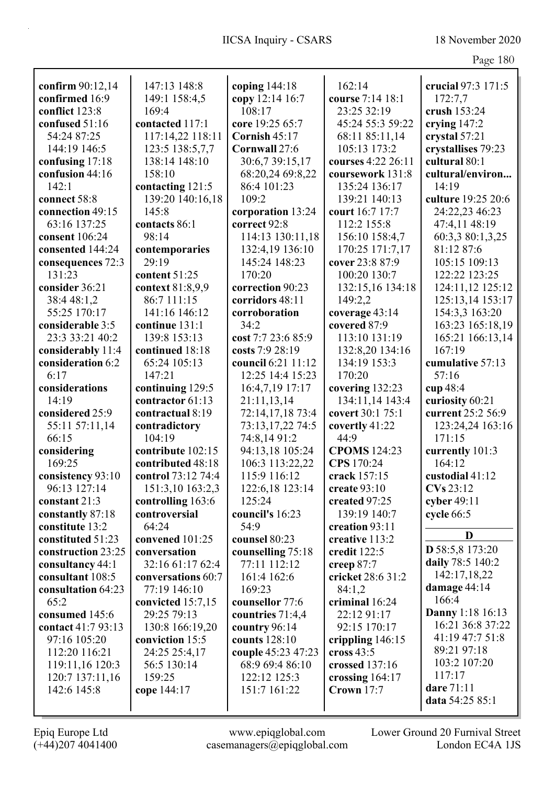|                    |                    |                                 |                     | $\circ$                 |
|--------------------|--------------------|---------------------------------|---------------------|-------------------------|
| confirm 90:12,14   | 147:13 148:8       | coping $144:18$                 | 162:14              | crucial 97:3 171:5      |
| confirmed 16:9     | 149:1 158:4,5      | copy 12:14 16:7                 | course 7:14 18:1    | 172:7,7                 |
| conflict 123:8     | 169:4              | 108:17                          | 23:25 32:19         | crush 153:24            |
| confused 51:16     | contacted 117:1    | core 19:25 65:7                 | 45:24 55:3 59:22    | crying 147:2            |
| 54:24 87:25        | 117:14,22 118:11   | Cornish 45:17                   | 68:11 85:11,14      | crystal 57:21           |
| 144:19 146:5       | 123:5 138:5,7,7    | Cornwall 27:6                   | 105:13 173:2        | crystallises 79:23      |
|                    | 138:14 148:10      | 30:6,7 39:15,17                 | courses 4:22 26:11  | cultural 80:1           |
| confusing 17:18    | 158:10             |                                 |                     | cultural/environ        |
| confusion 44:16    |                    | 68:20,24 69:8,22<br>86:4 101:23 | coursework 131:8    |                         |
| 142:1              | contacting 121:5   |                                 | 135:24 136:17       | 14:19                   |
| connect 58:8       | 139:20 140:16,18   | 109:2                           | 139:21 140:13       | culture 19:25 20:6      |
| connection 49:15   | 145:8              | corporation 13:24               | court 16:7 17:7     | 24:22,23 46:23          |
| 63:16 137:25       | contacts 86:1      | correct 92:8                    | 112:2 155:8         | 47:4,11 48:19           |
| consent 106:24     | 98:14              | 114:13 130:11,18                | 156:10 158:4,7      | 60:3,3 80:1,3,25        |
| consented 144:24   | contemporaries     | 132:4,19 136:10                 | 170:25 171:7,17     | 81:12 87:6              |
| consequences 72:3  | 29:19              | 145:24 148:23                   | cover 23:8 87:9     | 105:15 109:13           |
| 131:23             | content 51:25      | 170:20                          | 100:20 130:7        | 122:22 123:25           |
| consider 36:21     | context 81:8,9,9   | correction 90:23                | 132:15,16 134:18    | 124:11,12 125:12        |
| 38:4 48:1,2        | 86:7 111:15        | corridors 48:11                 | 149:2,2             | 125:13,14 153:17        |
| 55:25 170:17       | 141:16 146:12      | corroboration                   | coverage 43:14      | 154:3,3 163:20          |
| considerable 3:5   | continue 131:1     | 34:2                            | covered 87:9        | 163:23 165:18,19        |
| 23:3 33:21 40:2    | 139:8 153:13       | cost 7:7 23:6 85:9              | 113:10 131:19       | 165:21 166:13,14        |
| considerably 11:4  | continued 18:18    | costs 7:9 28:19                 | 132:8,20 134:16     | 167:19                  |
| consideration 6:2  | 65:24 105:13       | council 6:21 11:12              | 134:19 153:3        | cumulative 57:13        |
| 6:17               | 147:21             | 12:25 14:4 15:23                | 170:20              | 57:16                   |
| considerations     | continuing 129:5   | 16:4,7,19 17:17                 | covering 132:23     | cup 48:4                |
| 14:19              | contractor 61:13   | 21:11,13,14                     | 134:11,14 143:4     | curiosity 60:21         |
| considered 25:9    | contractual 8:19   | 72:14,17,18 73:4                | covert 30:1 75:1    | current 25:2 56:9       |
| 55:11 57:11,14     | contradictory      | 73:13,17,22 74:5                | covertly 41:22      | 123:24,24 163:16        |
| 66:15              | 104:19             | 74:8,14 91:2                    | 44:9                | 171:15                  |
| considering        | contribute 102:15  | 94:13,18 105:24                 | <b>CPOMS</b> 124:23 | currently 101:3         |
| 169:25             | contributed 48:18  | 106:3 113:22,22                 | CPS 170:24          | 164:12                  |
| consistency 93:10  | control 73:12 74:4 | 115:9 116:12                    | crack 157:15        | custodial 41:12         |
| 96:13 127:14       | 151:3,10 163:2,3   | 122:6,18 123:14                 | create $93:10$      | CVs 23:12               |
| constant 21:3      | controlling 163:6  | 125:24                          | created 97:25       | cyber 49:11             |
| constantly 87:18   | controversial      | council's 16:23                 | 139:19 140:7        | cycle 66:5              |
| constitute 13:2    | 64:24              | 54:9                            | creation 93:11      |                         |
|                    |                    |                                 |                     | D                       |
| constituted 51:23  | convened 101:25    | counsel 80:23                   | creative 113:2      | D 58:5,8 173:20         |
| construction 23:25 | conversation       | counselling 75:18               | credit 122:5        | daily 78:5 140:2        |
| consultancy 44:1   | 32:16 61:17 62:4   | 77:11 112:12                    | creep 87:7          | 142:17,18,22            |
| consultant 108:5   | conversations 60:7 | 161:4 162:6                     | cricket 28:6 31:2   |                         |
| consultation 64:23 | 77:19 146:10       | 169:23                          | 84:1,2              | damage 44:14            |
| 65:2               | convicted 15:7,15  | counsellor 77:6                 | criminal 16:24      | 166:4                   |
| consumed 145:6     | 29:25 79:13        | countries 71:4,4                | 22:12 91:17         | <b>Danny</b> 1:18 16:13 |
| contact 41:7 93:13 | 130:8 166:19,20    | country 96:14                   | 92:15 170:17        | 16:21 36:8 37:22        |
| 97:16 105:20       | conviction 15:5    | counts 128:10                   | crippling 146:15    | 41:19 47:7 51:8         |
| 112:20 116:21      | 24:25 25:4,17      | couple 45:23 47:23              | cross $43:5$        | 89:21 97:18             |
| 119:11,16 120:3    | 56:5 130:14        | 68:9 69:4 86:10                 | crossed 137:16      | 103:2 107:20            |
| 120:7 137:11,16    | 159:25             | 122:12 125:3                    | crossing $164:17$   | 117:17                  |
| 142:6 145:8        | cope 144:17        | 151:7 161:22                    | <b>Crown</b> 17:7   | dare 71:11              |
|                    |                    |                                 |                     | data 54:25 85:1         |
|                    |                    |                                 |                     |                         |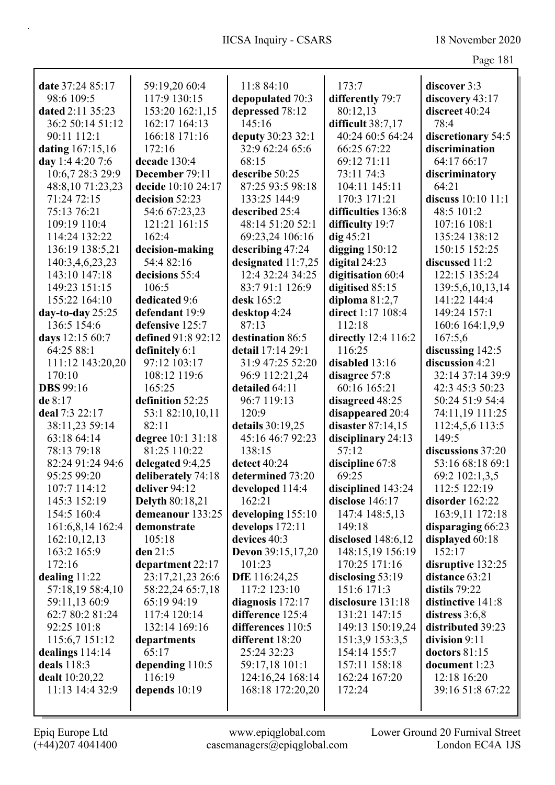|                                      |                                       |                                        |                                       | Page 181                             |
|--------------------------------------|---------------------------------------|----------------------------------------|---------------------------------------|--------------------------------------|
|                                      |                                       |                                        |                                       |                                      |
| date 37:24 85:17<br>98:6 109:5       | 59:19,20 60:4<br>117:9 130:15         | 11:8 84:10                             | 173:7                                 | discover 3:3                         |
| dated 2:11 35:23                     | 153:20 162:1,15                       | depopulated 70:3                       | differently 79:7<br>80:12,13          | discovery 43:17<br>discreet 40:24    |
| 36:2 50:14 51:12                     | 162:17 164:13                         | depressed 78:12<br>145:16              | difficult 38:7,17                     | 78:4                                 |
| 90:11 112:1                          | 166:18 171:16                         |                                        | 40:24 60:5 64:24                      |                                      |
|                                      | 172:16                                | deputy 30:23 32:1<br>32:9 62:24 65:6   | 66:25 67:22                           | discretionary 54:5<br>discrimination |
| dating 167:15,16<br>day 1:4 4:20 7:6 | decade 130:4                          | 68:15                                  | 69:12 71:11                           | 64:17 66:17                          |
| 10:6,7 28:3 29:9                     |                                       | describe 50:25                         | 73:11 74:3                            |                                      |
| 48:8,10 71:23,23                     | December 79:11<br>decide 10:10 24:17  | 87:25 93:5 98:18                       | 104:11 145:11                         | discriminatory<br>64:21              |
| 71:24 72:15                          | decision 52:23                        | 133:25 144:9                           | 170:3 171:21                          | discuss 10:10 11:1                   |
| 75:13 76:21                          |                                       | described 25:4                         | difficulties 136:8                    | 48:5 101:2                           |
|                                      | 54:6 67:23,23                         | 48:14 51:20 52:1                       |                                       |                                      |
| 109:19 110:4<br>114:24 132:22        | 121:21 161:15<br>162:4                |                                        | difficulty 19:7<br>$\text{dig }45:21$ | 107:16 108:1<br>135:24 138:12        |
|                                      |                                       | 69:23,24 106:16                        |                                       | 150:15 152:25                        |
| 136:19 138:5,21                      | decision-making<br>54:4 82:16         | describing 47:24                       | digging $150:12$<br>digital 24:23     |                                      |
| 140:3,4,6,23,23                      |                                       | designated 11:7,25<br>12:4 32:24 34:25 |                                       | discussed 11:2                       |
| 143:10 147:18                        | decisions 55:4                        |                                        | digitisation 60:4                     | 122:15 135:24                        |
| 149:23 151:15<br>155:22 164:10       | 106:5                                 | 83:791:1126:9                          | digitised 85:15                       | 139:5,6,10,13,14<br>141:22 144:4     |
|                                      | dedicated 9:6                         | desk 165:2                             | diploma $81:2,7$<br>direct 1:17 108:4 |                                      |
| day-to-day $25:25$                   | defendant 19:9                        | desktop 4:24<br>87:13                  |                                       | 149:24 157:1                         |
| 136:5 154:6                          | defensive 125:7<br>defined 91:8 92:12 |                                        | 112:18                                | 160:6 164:1,9,9                      |
| days 12:15 60:7                      |                                       | destination 86:5                       | directly 12:4 116:2                   | 167:5,6                              |
| 64:25 88:1                           | definitely 6:1                        | detail 17:14 29:1                      | 116:25                                | discussing 142:5                     |
| 111:12 143:20,20                     | 97:12 103:17                          | 31:9 47:25 52:20                       | disabled 13:16                        | discussion 4:21                      |
| 170:10                               | 108:12 119:6                          | 96:9 112:21,24                         | disagree 57:8                         | 32:14 37:14 39:9                     |
| <b>DBS</b> 99:16                     | 165:25                                | detailed 64:11                         | 60:16 165:21                          | 42:3 45:3 50:23                      |
| de 8:17                              | definition 52:25                      | 96:7 119:13                            | disagreed 48:25                       | 50:24 51:9 54:4                      |
| deal 7:3 22:17                       | 53:1 82:10,10,11                      | 120:9                                  | disappeared 20:4                      | 74:11,19 111:25                      |
| 38:11,23 59:14                       | 82:11                                 | details 30:19,25                       | disaster $87:14,15$                   | 112:4,5,6 113:5                      |
| 63:18 64:14                          | degree 10:1 31:18                     | 45:16 46:7 92:23                       | disciplinary 24:13                    | 149:5                                |
| 78:13 79:18                          | 81:25 110:22                          | 138:15                                 | 57:12                                 | discussions 37:20                    |
| 82:24 91:24 94:6                     | delegated 9:4,25                      | detect $40:24$                         | discipline 67:8                       | 53:16 68:18 69:1                     |
| 95:25 99:20                          | deliberately 74:18                    | determined 73:20                       | 69:25                                 | 69:2 102:1,3,5                       |
| 107:7 114:12                         | deliver 94:12                         | developed 114:4                        | disciplined 143:24                    | 112:5 122:19                         |
| 145:3 152:19                         | <b>Delyth 80:18,21</b>                | 162:21                                 | disclose 146:17                       | disorder 162:22                      |
| 154:5 160:4                          | demeanour 133:25                      | developing 155:10                      | 147:4 148:5,13                        | 163:9,11 172:18                      |
| 161:6,8,14 162:4                     | demonstrate                           | develops 172:11<br>devices 40:3        | 149:18                                | disparaging 66:23                    |
| 162:10,12,13<br>163:2 165:9          | 105:18<br>den 21:5                    |                                        | disclosed $148:6,12$                  | displayed 60:18<br>152:17            |
| 172:16                               |                                       | <b>Devon</b> 39:15,17,20<br>101:23     | 148:15,19 156:19<br>170:25 171:16     |                                      |
|                                      | department 22:17                      |                                        |                                       | disruptive 132:25                    |
| dealing 11:22                        | 23:17,21,23 26:6<br>58:22,24 65:7,18  | <b>DfE</b> 116:24,25<br>117:2 123:10   | disclosing $53:19$<br>151:6 171:3     | distance 63:21<br>distils $79:22$    |
| 57:18,19 58:4,10<br>59:11,13 60:9    | 65:19 94:19                           |                                        |                                       | distinctive 141:8                    |
|                                      | 117:4 120:14                          | diagnosis $172:17$                     | disclosure 131:18<br>131:21 147:15    |                                      |
| 62:7 80:2 81:24                      | 132:14 169:16                         | difference 125:4<br>differences 110:5  | 149:13 150:19,24                      | distress $3:6,8$                     |
| 92:25 101:8                          |                                       |                                        |                                       | distributed 39:23                    |
| 115:6,7 151:12                       | departments<br>65:17                  | different 18:20<br>25:24 32:23         | 151:3,9 153:3,5                       | division 9:11                        |
| dealings $114:14$<br>deals 118:3     | depending 110:5                       |                                        | 154:14 155:7<br>157:11 158:18         | doctors $81:15$<br>document 1:23     |
| dealt 10:20,22                       | 116:19                                | 59:17,18 101:1<br>124:16,24 168:14     | 162:24 167:20                         | 12:18 16:20                          |
| 11:13 14:4 32:9                      | depends 10:19                         | 168:18 172:20,20                       | 172:24                                | 39:16 51:8 67:22                     |
|                                      |                                       |                                        |                                       |                                      |
|                                      |                                       |                                        |                                       |                                      |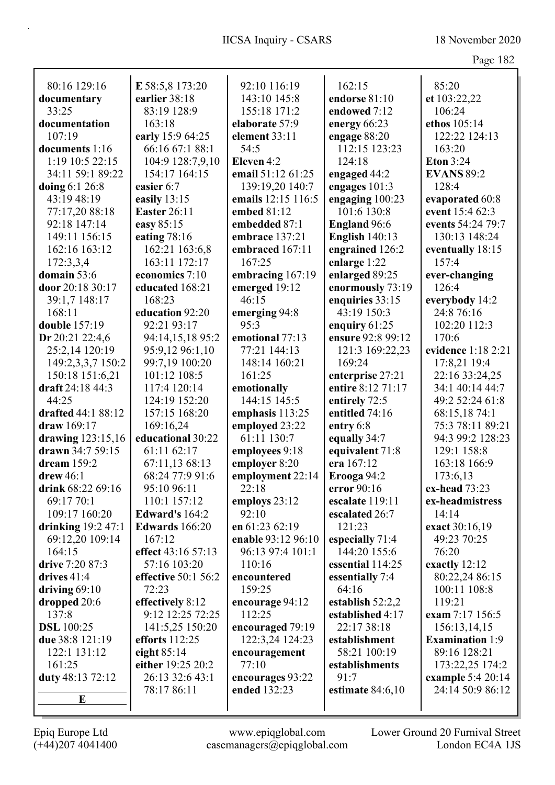| ∵a⊍ | ◡<br>ı |
|-----|--------|
|     |        |

|                     |                                |                                  |                        | O                                     |
|---------------------|--------------------------------|----------------------------------|------------------------|---------------------------------------|
| 80:16 129:16        | E 58:5,8 173:20                | 92:10 116:19                     | 162:15                 | 85:20                                 |
| documentary         | earlier 38:18                  | 143:10 145:8                     | endorse 81:10          | et 103:22,22                          |
| 33:25               | 83:19 128:9                    | 155:18 171:2                     | endowed 7:12           | 106:24                                |
| documentation       | 163:18                         | elaborate 57:9                   | energy 66:23           | ethos 105:14                          |
| 107:19              | early 15:9 64:25               | element 33:11                    | engage 88:20           | 122:22 124:13                         |
| documents 1:16      | 66:16 67:1 88:1                | 54:5                             | 112:15 123:23          | 163:20                                |
| 1:19 10:5 22:15     | 104:9 128:7,9,10               | Eleven 4:2                       | 124:18                 | <b>Eton 3:24</b>                      |
| 34:11 59:1 89:22    | 154:17 164:15                  | email 51:12 61:25                | engaged 44:2           | <b>EVANS 89:2</b>                     |
| doing 6:1 26:8      | easier 6:7                     | 139:19,20 140:7                  | engages 101:3          | 128:4                                 |
| 43:19 48:19         | easily 13:15                   | emails 12:15 116:5               | engaging 100:23        | evaporated 60:8                       |
| 77:17,20 88:18      | <b>Easter 26:11</b>            | embed 81:12                      | 101:6 130:8            | event 15:4 62:3                       |
| 92:18 147:14        | easy 85:15                     | embedded 87:1                    | <b>England 96:6</b>    | events 54:24 79:7                     |
| 149:11 156:15       | eating $78:16$                 | embrace 137:21                   | <b>English 140:13</b>  | 130:13 148:24                         |
| 162:16 163:12       | 162:21 163:6,8                 | embraced 167:11                  | engrained 126:2        | eventually 18:15                      |
| 172:3,3,4           | 163:11 172:17                  | 167:25                           | enlarge 1:22           | 157:4                                 |
| domain 53:6         | economics 7:10                 | embracing 167:19                 | enlarged 89:25         | ever-changing                         |
| door 20:18 30:17    | educated 168:21                | emerged 19:12                    | enormously 73:19       | 126:4                                 |
| 39:1,7 148:17       | 168:23                         | 46:15                            | enquiries 33:15        | everybody 14:2                        |
| 168:11              | education 92:20                | emerging 94:8                    | 43:19 150:3            | 24:8 76:16                            |
| double 157:19       | 92:21 93:17                    | 95:3                             | enquiry $61:25$        | 102:20 112:3                          |
| Dr 20:21 22:4,6     | 94:14,15,18 95:2               | emotional 77:13                  | ensure 92:8 99:12      | 170:6                                 |
| 25:2,14 120:19      | 95:9,12 96:1,10                | 77:21 144:13                     | 121:3 169:22,23        | evidence 1:18 2:21                    |
| 149:2,3,3,7 150:2   | 99:7,19 100:20                 | 148:14 160:21                    | 169:24                 | 17:8,21 19:4                          |
| 150:18 151:6,21     | 101:12 108:5                   | 161:25                           | enterprise 27:21       | 22:16 33:24,25                        |
| draft 24:18 44:3    | 117:4 120:14                   | emotionally                      | entire 8:12 71:17      | 34:1 40:14 44:7                       |
| 44:25               | 124:19 152:20                  | 144:15 145:5                     | entirely 72:5          | 49:2 52:24 61:8                       |
| drafted 44:1 88:12  | 157:15 168:20                  | emphasis 113:25                  | entitled 74:16         | 68:15,18 74:1                         |
| draw 169:17         | 169:16,24                      | employed 23:22                   | entry 6:8              | 75:3 78:11 89:21                      |
| drawing $123:15,16$ | educational 30:22              | 61:11 130:7                      | equally 34:7           | 94:3 99:2 128:23                      |
| drawn 34:7 59:15    | 61:11 62:17                    | employees 9:18                   | equivalent 71:8        | 129:1 158:8                           |
| dream 159:2         | 67:11,13 68:13                 | employer 8:20                    | era 167:12             | 163:18 166:9                          |
| $d$ rew 46:1        | 68:24 77:9 91:6                | employment 22:14                 | Erooga 94:2            | 173:6,13                              |
| drink 68:22 69:16   | 95:10 96:11                    | 22:18                            | error 90:16            | ex-head 73:23                         |
| 69:17 70:1          | 110:1 157:12                   | employs 23:12                    | escalate 119:11        | ex-headmistress                       |
| 109:17 160:20       | <b>Edward's 164:2</b>          | 92:10                            | escalated 26:7         | 14:14                                 |
| drinking 19:2 47:1  | <b>Edwards</b> 166:20          | en 61:23 62:19                   | 121:23                 | exact 30:16,19                        |
| 69:12,20 109:14     | 167:12                         | enable 93:12 96:10               | especially 71:4        | 49:23 70:25                           |
| 164:15              | effect 43:16 57:13             | 96:13 97:4 101:1                 | 144:20 155:6           | 76:20                                 |
| drive 7:20 87:3     | 57:16 103:20                   | 110:16                           | essential 114:25       | exactly $12:12$                       |
| drives $41:4$       | effective 50:1 56:2            | encountered                      | essentially 7:4        | 80:22,24 86:15                        |
| driving $69:10$     | 72:23                          | 159:25                           | 64:16                  | 100:11 108:8                          |
| dropped 20:6        | effectively 8:12               | encourage 94:12                  | establish $52:2,2$     | 119:21                                |
| 137:8               | 9:12 12:25 72:25               | 112:25                           | established 4:17       | exam 7:17 156:5                       |
| <b>DSL</b> 100:25   | 141:5,25 150:20                | encouraged 79:19                 | 22:17 38:18            | 156:13,14,15                          |
| due 38:8 121:19     | efforts $112:25$               | 122:3,24 124:23                  | establishment          | <b>Examination</b> 1:9                |
| 122:1 131:12        | eight $85:14$                  | encouragement                    | 58:21 100:19           | 89:16 128:21                          |
| 161:25              | either 19:25 20:2              | 77:10                            | establishments<br>91:7 | 173:22,25 174:2                       |
| duty 48:13 72:12    | 26:13 32:6 43:1<br>78:17 86:11 | encourages 93:22<br>ended 132:23 | estimate $84:6,10$     | example 5:4 20:14<br>24:14 50:9 86:12 |
| E                   |                                |                                  |                        |                                       |
|                     |                                |                                  |                        |                                       |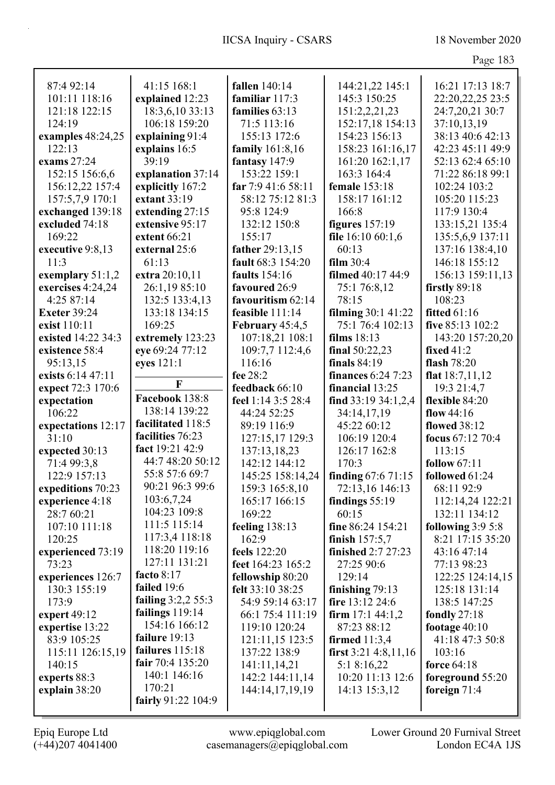| 87:4 92:14          | 41:15 168:1                  | fallen 140:14        | 144:21,22 145:1           | 16:21 17:13 18:7    |
|---------------------|------------------------------|----------------------|---------------------------|---------------------|
| 101:11 118:16       | explained 12:23              | familiar 117:3       | 145:3 150:25              | 22:20,22,25 23:5    |
| 121:18 122:15       | 18:3,6,10 33:13              | families 63:13       | 151:2,2,21,23             | 24:7,20,21 30:7     |
| 124:19              | 106:18 159:20                | 71:5 113:16          | 152:17,18 154:13          | 37:10,13,19         |
| examples 48:24,25   | explaining 91:4              | 155:13 172:6         | 154:23 156:13             | 38:13 40:6 42:13    |
| 122:13              | explains 16:5                | family 161:8,16      | 158:23 161:16,17          | 42:23 45:11 49:9    |
| exams 27:24         | 39:19                        | fantasy 147:9        | 161:20 162:1,17           | 52:13 62:4 65:10    |
| 152:15 156:6,6      | explanation 37:14            | 153:22 159:1         | 163:3 164:4               | 71:22 86:18 99:1    |
| 156:12,22 157:4     | explicitly 167:2             | far 7:9 41:6 58:11   | female 153:18             | 102:24 103:2        |
| 157:5,7,9 170:1     | extant 33:19                 | 58:12 75:12 81:3     | 158:17 161:12             | 105:20 115:23       |
| exchanged 139:18    | extending 27:15              | 95:8 124:9           | 166:8                     | 117:9 130:4         |
| excluded 74:18      | extensive 95:17              | 132:12 150:8         | figures $157:19$          | 133:15,21 135:4     |
| 169:22              | extent 66:21                 | 155:17               | file 16:10 60:1,6         | 135:5,6,9 137:11    |
| executive 9:8,13    | external 25:6                | father 29:13,15      | 60:13                     | 137:16 138:4,10     |
| 11:3                | 61:13                        | fault 68:3 154:20    | film 30:4                 | 146:18 155:12       |
| exemplary $51:1,2$  | extra 20:10,11               | <b>faults</b> 154:16 | filmed 40:17 44:9         | 156:13 159:11,13    |
| exercises 4:24,24   | 26:1,19 85:10                | favoured 26:9        | 75:1 76:8,12              | firstly $89:18$     |
| 4:25 87:14          | 132:5 133:4,13               | favouritism 62:14    | 78:15                     | 108:23              |
| <b>Exeter 39:24</b> | 133:18 134:15                | feasible 111:14      | filming 30:1 41:22        | <b>fitted</b> 61:16 |
| exist 110:11        | 169:25                       | February 45:4,5      | 75:1 76:4 102:13          | five 85:13 102:2    |
| existed 14:22 34:3  | extremely 123:23             | 107:18,21 108:1      | films $18:13$             | 143:20 157:20,20    |
| existence 58:4      | eye 69:24 77:12              | 109:7,7 112:4,6      | final $50:22,23$          | fixed $41:2$        |
| 95:13,15            | eyes 121:1                   | 116:16               | finals $84:19$            | flash 78:20         |
| exists 6:14 47:11   |                              | fee 28:2             | <b>finances</b> 6:24 7:23 | flat $18:7,11,12$   |
| expect 72:3 170:6   | $\mathbf F$                  | feedback 66:10       | financial 13:25           | 19:3 21:4,7         |
| expectation         | Facebook 138:8               | feel 1:14 3:5 28:4   | find $33:19$ $34:1,2,4$   | flexible 84:20      |
| 106:22              | 138:14 139:22                | 44:24 52:25          | 34:14,17,19               | flow $44:16$        |
| expectations 12:17  | facilitated 118:5            | 89:19 116:9          | 45:22 60:12               | <b>flowed</b> 38:12 |
| 31:10               | facilities 76:23             | 127:15,17 129:3      | 106:19 120:4              | focus 67:12 70:4    |
|                     |                              |                      |                           |                     |
|                     |                              |                      |                           |                     |
| expected 30:13      | fact 19:21 42:9              | 137:13,18,23         | 126:17 162:8              | 113:15              |
| 71:4 99:3,8         | 44:7 48:20 50:12             | 142:12 144:12        | 170:3                     | follow $67:11$      |
| 122:9 157:13        | 55:8 57:6 69:7               | 145:25 158:14,24     | finding $67:671:15$       | followed 61:24      |
| expeditions 70:23   | 90:21 96:3 99:6              | 159:3 165:8,10       | 72:13,16 146:13           | 68:11 92:9          |
| experience 4:18     | 103:6,7,24                   | 165:17 166:15        | findings $55:19$          | 112:14,24 122:21    |
| 28:7 60:21          | 104:23 109:8                 | 169:22               | 60:15                     | 132:11 134:12       |
| 107:10 111:18       | 111:5 115:14                 | feeling $138:13$     | fine 86:24 154:21         | following $3:95:8$  |
| 120:25              | 117:3,4 118:18               | 162:9                | finish $157:5,7$          | 8:21 17:15 35:20    |
| experienced 73:19   | 118:20 119:16                | feels 122:20         | finished 2:7 27:23        | 43:16 47:14         |
| 73:23               | 127:11 131:21                | feet 164:23 165:2    | 27:25 90:6                | 77:13 98:23         |
| experiences 126:7   | facto $8:17$                 | fellowship 80:20     | 129:14                    | 122:25 124:14,15    |
| 130:3 155:19        | failed 19:6                  | felt 33:10 38:25     | finishing $79:13$         | 125:18 131:14       |
| 173:9               | failing $3:2,2 55:3$         | 54:9 59:14 63:17     | fire $13:12\,24:6$        | 138:5 147:25        |
| expert $49:12$      | failings $119:14$            | 66:1 75:4 111:19     | firm $17:1$ 44:1,2        | fondly $27:18$      |
| expertise 13:22     | 154:16 166:12                | 119:10 120:24        | 87:23 88:12               | footage $40:10$     |
| 83:9 105:25         | failure 19:13                | 121:11,15 123:5      | firmed $11:3,4$           | 41:18 47:3 50:8     |
| 115:11 126:15,19    | failures $115:18$            | 137:22 138:9         | first $3:21$ 4:8,11,16    | 103:16              |
| 140:15              | fair $70:4$ 135:20           | 141:11,14,21         | 5:1 8:16,22               | force $64:18$       |
| experts 88:3        | 140:1 146:16                 | 142:2 144:11,14      | 10:20 11:13 12:6          | foreground 55:20    |
| explain 38:20       | 170:21<br>fairly 91:22 104:9 | 144:14,17,19,19      | 14:13 15:3,12             | foreign $71:4$      |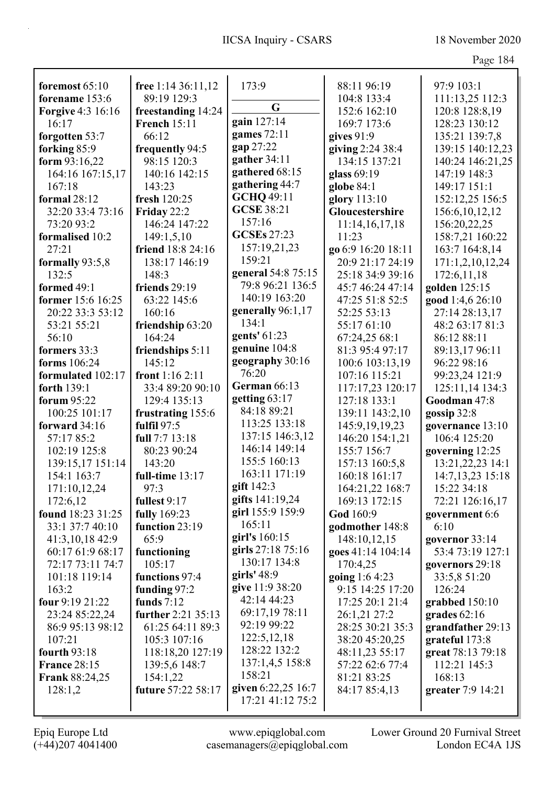| foremost 65:10           | free 1:14 36:11,12  | 173:9              | 88:11 96:19        | 97:9 103:1        |
|--------------------------|---------------------|--------------------|--------------------|-------------------|
| forename 153:6           | 89:19 129:3         |                    | 104:8 133:4        | 111:13,25 112:3   |
| <b>Forgive 4:3 16:16</b> | freestanding 14:24  | G                  | 152:6 162:10       | 120:8 128:8,19    |
| 16:17                    | <b>French 15:11</b> | gain 127:14        | 169:7 173:6        | 128:23 130:12     |
| forgotten 53:7           | 66:12               | games 72:11        | gives 91:9         | 135:21 139:7,8    |
| forking 85:9             | frequently 94:5     | gap 27:22          | giving 2:24 38:4   | 139:15 140:12,23  |
| form 93:16,22            | 98:15 120:3         | gather 34:11       | 134:15 137:21      | 140:24 146:21,25  |
| 164:16 167:15,17         | 140:16 142:15       | gathered 68:15     | glass 69:19        | 147:19 148:3      |
| 167:18                   | 143:23              | gathering 44:7     | globe $84:1$       | 149:17 151:1      |
| formal 28:12             | fresh 120:25        | <b>GCHQ 49:11</b>  | glory 113:10       | 152:12,25 156:5   |
| 32:20 33:4 73:16         | Friday 22:2         | <b>GCSE 38:21</b>  | Gloucestershire    | 156:6, 10, 12, 12 |
| 73:20 93:2               | 146:24 147:22       | 157:16             | 11:14,16,17,18     | 156:20,22,25      |
| formalised 10:2          | 149:1,5,10          | <b>GCSEs 27:23</b> | 11:23              | 158:7,21 160:22   |
| 27:21                    | friend 18:8 24:16   | 157:19,21,23       | go 6:9 16:20 18:11 | 163:7 164:8,14    |
| formally 93:5,8          | 138:17 146:19       | 159:21             | 20:9 21:17 24:19   | 171:1,2,10,12,24  |
| 132:5                    | 148:3               | general 54:8 75:15 | 25:18 34:9 39:16   | 172:6,11,18       |
| formed 49:1              | friends 29:19       | 79:8 96:21 136:5   | 45:7 46:24 47:14   | golden 125:15     |
| former 15:6 16:25        | 63:22 145:6         | 140:19 163:20      | 47:25 51:8 52:5    | good 1:4,6 26:10  |
| 20:22 33:3 53:12         | 160:16              | generally 96:1,17  | 52:25 53:13        | 27:14 28:13,17    |
| 53:21 55:21              | friendship 63:20    | 134:1              | 55:17 61:10        | 48:2 63:17 81:3   |
| 56:10                    | 164:24              | gents' 61:23       | 67:24,25 68:1      | 86:12 88:11       |
| formers 33:3             | friendships 5:11    | genuine 104:8      | 81:3 95:4 97:17    | 89:13,17 96:11    |
| forms 106:24             | 145:12              | geography 30:16    | 100:6 103:13,19    | 96:22 98:16       |
| formulated 102:17        | front $1:162:11$    | 76:20              | 107:16 115:21      | 99:23,24 121:9    |
| forth 139:1              | 33:4 89:20 90:10    | German 66:13       | 117:17,23 120:17   | 125:11,14 134:3   |
| forum 95:22              | 129:4 135:13        | getting 63:17      | 127:18 133:1       | Goodman 47:8      |
| 100:25 101:17            | frustrating 155:6   | 84:18 89:21        | 139:11 143:2,10    | gossip $32:8$     |
| forward 34:16            | fulfil 97:5         | 113:25 133:18      | 145:9, 19, 19, 23  | governance 13:10  |
| 57:17 85:2               | full 7:7 13:18      | 137:15 146:3,12    | 146:20 154:1,21    | 106:4 125:20      |
| 102:19 125:8             | 80:23 90:24         | 146:14 149:14      | 155:7 156:7        | governing 12:25   |
| 139:15,17 151:14         | 143:20              | 155:5 160:13       | 157:13 160:5,8     | 13:21,22,23 14:1  |
| 154:1 163:7              | full-time 13:17     | 163:11 171:19      | 160:18 161:17      | 14:7,13,23 15:18  |
| 171:10,12,24             | 97:3                | gift 142:3         | 164:21,22 168:7    | 15:22 34:18       |
| 172:6,12                 | fullest 9:17        | gifts 141:19,24    | 169:13 172:15      | 72:21 126:16,17   |
| found 18:23 31:25        | <b>fully</b> 169:23 | girl 155:9 159:9   | God 160:9          | government 6:6    |
| 33:1 37:7 40:10          | function 23:19      | 165:11             | godmother 148:8    | 6:10              |
| 41:3,10,18 42:9          | 65:9                | girl's 160:15      | 148:10,12,15       | governor 33:14    |
| 60:17 61:9 68:17         | functioning         | girls 27:18 75:16  | goes 41:14 104:14  | 53:4 73:19 127:1  |
| 72:17 73:11 74:7         | 105:17              | 130:17 134:8       | 170:4,25           | governors 29:18   |
| 101:18 119:14            | functions 97:4      | girls' $48:9$      | going 1:6 4:23     | 33:5,8 51:20      |
| 163:2                    | funding 97:2        | give 11:9 38:20    | 9:15 14:25 17:20   | 126:24            |
| four 9:19 21:22          | funds $7:12$        | 42:14 44:23        | 17:25 20:1 21:4    | grabbed 150:10    |
| 23:24 85:22,24           | further 2:21 35:13  | 69:17,19 78:11     | 26:1,21 27:2       | grades $62:16$    |
| 86:9 95:13 98:12         | 61:25 64:11 89:3    | 92:19 99:22        | 28:25 30:21 35:3   | grandfather 29:13 |
| 107:21                   | 105:3 107:16        | 122:5, 12, 18      | 38:20 45:20,25     | grateful 173:8    |
| fourth $93:18$           | 118:18,20 127:19    | 128:22 132:2       | 48:11,23 55:17     | great 78:13 79:18 |
| <b>France 28:15</b>      | 139:5,6 148:7       | 137:1,4,5 158:8    | 57:22 62:6 77:4    | 112:21 145:3      |
| <b>Frank 88:24,25</b>    | 154:1,22            | 158:21             | 81:21 83:25        | 168:13            |
| 128:1,2                  | future 57:22 58:17  | given 6:22,25 16:7 | 84:17 85:4,13      | greater 7:9 14:21 |
|                          |                     | 17:21 41:12 75:2   |                    |                   |
|                          |                     |                    |                    |                   |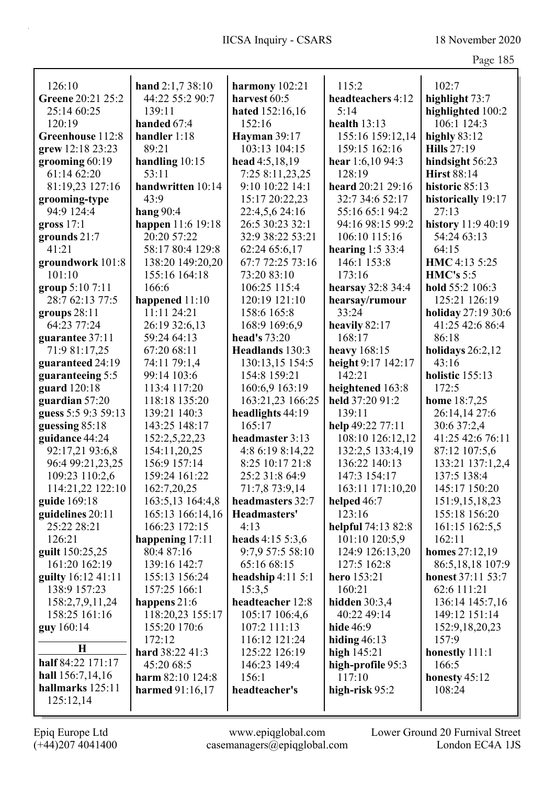| 21 U<br>− | ⌒ ∵ |
|-----------|-----|
|-----------|-----|

| 126:10              | hand $2:1,738:10$ | harmony 102:21      | 115:2              | 102:7              |
|---------------------|-------------------|---------------------|--------------------|--------------------|
| Greene 20:21 25:2   | 44:22 55:2 90:7   | harvest 60:5        | headteachers 4:12  | highlight 73:7     |
| 25:14 60:25         | 139:11            | hated 152:16,16     | 5:14               | highlighted 100:2  |
| 120:19              | handed 67:4       | 152:16              | health $13:13$     | 106:1 124:3        |
| Greenhouse 112:8    | handler 1:18      | <b>Hayman</b> 39:17 | 155:16 159:12,14   | highly $83:12$     |
| grew 12:18 23:23    | 89:21             | 103:13 104:15       | 159:15 162:16      | <b>Hills</b> 27:19 |
| grooming 60:19      | handling $10:15$  | head 4:5,18,19      | hear 1:6,10 94:3   | hindsight 56:23    |
| 61:14 62:20         | 53:11             | 7:25 8:11,23,25     | 128:19             | <b>Hirst 88:14</b> |
| 81:19,23 127:16     | handwritten 10:14 | 9:10 10:22 14:1     | heard 20:21 29:16  | historic 85:13     |
| grooming-type       | 43:9              | 15:17 20:22,23      | 32:7 34:6 52:17    | historically 19:17 |
| 94:9 124:4          | hang $90:4$       | 22:4,5,6 24:16      | 55:16 65:1 94:2    | 27:13              |
| gross $17:1$        | happen 11:6 19:18 | 26:5 30:23 32:1     | 94:16 98:15 99:2   | history 11:9 40:19 |
| grounds 21:7        | 20:20 57:22       | 32:9 38:22 53:21    | 106:10 115:16      | 54:24 63:13        |
| 41:21               | 58:17 80:4 129:8  | 62:24 65:6,17       | hearing $1:533:4$  | 64:15              |
| groundwork 101:8    | 138:20 149:20,20  | 67:7 72:25 73:16    | 146:1 153:8        | HMC 4:13 5:25      |
| 101:10              | 155:16 164:18     | 73:20 83:10         | 173:16             | HMC's 5:5          |
| group 5:10 7:11     | 166:6             | 106:25 115:4        | hearsay 32:8 34:4  | hold 55:2 106:3    |
| 28:7 62:13 77:5     | happened $11:10$  | 120:19 121:10       | hearsay/rumour     | 125:21 126:19      |
| groups $28:11$      | 11:11 24:21       | 158:6 165:8         | 33:24              | holiday 27:19 30:6 |
| 64:23 77:24         | 26:19 32:6,13     | 168:9 169:6.9       | heavily 82:17      | 41:25 42:6 86:4    |
| guarantee 37:11     | 59:24 64:13       | head's 73:20        | 168:17             | 86:18              |
| 71:9 81:17,25       | 67:20 68:11       | Headlands 130:3     | heavy $168:15$     | holidays $26:2,12$ |
| guaranteed 24:19    | 74:11 79:1,4      | 130:13,15 154:5     | height 9:17 142:17 | 43:16              |
| guaranteeing 5:5    | 99:14 103:6       | 154:8 159:21        | 142:21             | holistic 155:13    |
| guard 120:18        | 113:4 117:20      | 160:6,9 163:19      | heightened 163:8   | 172:5              |
| guardian 57:20      | 118:18 135:20     | 163:21,23 166:25    | held 37:20 91:2    | home 18:7,25       |
| guess 5:5 9:3 59:13 | 139:21 140:3      | headlights 44:19    | 139:11             | 26:14,14 27:6      |
| guessing 85:18      | 143:25 148:17     | 165:17              | help 49:22 77:11   | 30:6 37:2,4        |
| guidance 44:24      | 152:2,5,22,23     | headmaster 3:13     | 108:10 126:12,12   | 41:25 42:6 76:11   |
| 92:17,21 93:6,8     | 154:11,20,25      | 4:8 6:19 8:14,22    | 132:2,5 133:4,19   | 87:12 107:5,6      |
| 96:4 99:21,23,25    | 156:9 157:14      | 8:25 10:17 21:8     | 136:22 140:13      | 133:21 137:1,2,4   |
| 109:23 110:2,6      | 159:24 161:22     | 25:2 31:8 64:9      | 147:3 154:17       | 137:5 138:4        |
| 114:21,22 122:10    | 162:7,20,25       | 71:7,8 73:9,14      | 163:11 171:10,20   | 145:17 150:20      |
| guide 169:18        | 163:5,13 164:4,8  | headmasters 32:7    | helped 46:7        | 151:9, 15, 18, 23  |
| guidelines 20:11    | 165:13 166:14,16  | Headmasters'        | 123:16             | 155:18 156:20      |
| 25:22 28:21         | 166:23 172:15     | 4:13                | helpful 74:13 82:8 | 161:15 162:5,5     |
| 126:21              | happening $17:11$ | heads 4:15 5:3,6    | 101:10 120:5,9     | 162:11             |
| guilt 150:25,25     | 80:4 87:16        | 9:7,9 57:5 58:10    | 124:9 126:13,20    | homes 27:12,19     |
| 161:20 162:19       | 139:16 142:7      | 65:16 68:15         | 127:5 162:8        | 86:5,18,18 107:9   |
| guilty 16:12 41:11  | 155:13 156:24     | headship $4:115:1$  | hero 153:21        | honest 37:11 53:7  |
| 138:9 157:23        | 157:25 166:1      | 15:3,5              | 160:21             | 62:6 111:21        |
| 158:2,7,9,11,24     | happens 21:6      | headteacher 12:8    | hidden $30:3,4$    | 136:14 145:7,16    |
| 158:25 161:16       | 118:20,23 155:17  | 105:17 106:4,6      | 40:22 49:14        | 149:12 151:14      |
| guy 160:14          | 155:20 170:6      | 107:2 111:13        | <b>hide</b> 46:9   | 152:9, 18, 20, 23  |
|                     | 172:12            | 116:12 121:24       | hiding $46:13$     | 157:9              |
| $\mathbf H$         | hard 38:22 41:3   | 125:22 126:19       | high $145:21$      | honestly 111:1     |
| half 84:22 171:17   | 45:20 68:5        | 146:23 149:4        | high-profile 95:3  | 166:5              |
| hall $156:7,14,16$  | harm 82:10 124:8  | 156:1               | 117:10             | honesty $45:12$    |
| hallmarks 125:11    | harmed $91:16,17$ | headteacher's       | high-risk $95:2$   | 108:24             |
| 125:12,14           |                   |                     |                    |                    |

Epiq Europe Ltd www.epiqglobal.com Lower Ground 20 Furnival Street<br>
(+44)207 4041400 casemanagers@epiqglobal.com London EC4A 1JS www.epiqglobal.com Lower Ground 20 Furnival Street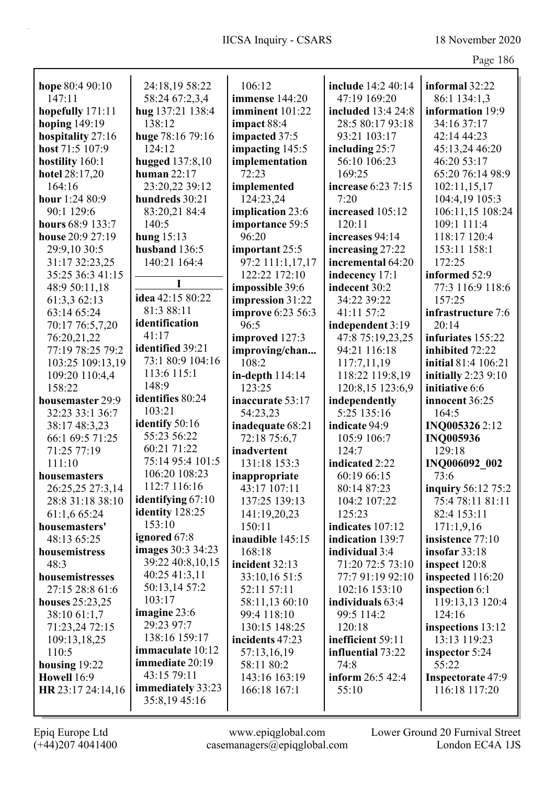| hope 80:4 90:10   | 24:18,19 58:22      | 106:12                            | include 14:2 40:14                    | informal 32:22           |
|-------------------|---------------------|-----------------------------------|---------------------------------------|--------------------------|
| 147:11            | 58:24 67:2,3,4      | immense 144:20                    | 47:19 169:20                          | 86:1 134:1,3             |
| hopefully 171:11  | hug 137:21 138:4    | imminent 101:22                   | included 13:4 24:8                    | information 19:9         |
| hoping 149:19     | 138:12              | impact 88:4                       | 28:5 80:17 93:18                      | 34:16 37:17              |
| hospitality 27:16 | huge 78:16 79:16    | impacted 37:5                     | 93:21 103:17                          | 42:14 44:23              |
| host 71:5 107:9   | 124:12              | impacting 145:5                   | including 25:7                        | 45:13,24 46:20           |
| hostility 160:1   | hugged 137:8,10     | implementation                    | 56:10 106:23                          | 46:20 53:17              |
| hotel 28:17,20    | human $22:17$       | 72:23                             | 169:25                                | 65:20 76:14 98:9         |
| 164:16            | 23:20,22 39:12      | implemented                       | increase 6:23 7:15                    | 102:11,15,17             |
| hour 1:24 80:9    | hundreds 30:21      | 124:23,24                         | 7:20                                  | 104:4,19 105:3           |
| 90:1 129:6        | 83:20,21 84:4       | implication 23:6                  | increased 105:12                      | 106:11,15 108:24         |
| hours 68:9 133:7  | 140:5               | importance 59:5                   | 120:11                                | 109:1 111:4              |
| house 20:9 27:19  | hung $15:13$        | 96:20                             | increases 94:14                       | 118:17 120:4             |
| 29:9,10 30:5      | husband 136:5       | important 25:5                    |                                       | 153:11 158:1             |
| 31:17 32:23,25    |                     |                                   | increasing 27:22<br>incremental 64:20 | 172:25                   |
|                   | 140:21 164:4        | 97:2 111:1,17,17<br>122:22 172:10 |                                       | informed 52:9            |
| 35:25 36:3 41:15  |                     |                                   | indecency 17:1                        |                          |
| 48:9 50:11,18     | idea 42:15 80:22    | impossible 39:6                   | indecent 30:2                         | 77:3 116:9 118:6         |
| 61:3,3 62:13      | 81:3 88:11          | impression 31:22                  | 34:22 39:22                           | 157:25                   |
| 63:14 65:24       | identification      | improve 6:23 56:3                 | 41:11 57:2                            | infrastructure 7:6       |
| 70:17 76:5,7,20   | 41:17               | 96:5                              | independent 3:19                      | 20:14                    |
| 76:20,21,22       | identified 39:21    | improved 127:3                    | 47:8 75:19,23,25                      | infuriates 155:22        |
| 77:19 78:25 79:2  | 73:1 80:9 104:16    | improving/chan                    | 94:21 116:18                          | inhibited 72:22          |
| 103:25 109:13,19  |                     | 108:2                             | 117:7,11,19                           | initial 81:4 106:21      |
| 109:20 110:4,4    | 113:6 115:1         | in-depth 114:14                   | 118:22 119:8,19                       | initially 2:23 9:10      |
| 158:22            | 148:9               | 123:25                            | 120:8,15 123:6,9                      | initiative 6:6           |
| housemaster 29:9  | identifies 80:24    | inaccurate 53:17                  | independently                         | innocent 36:25           |
| 32:23 33:1 36:7   | 103:21              | 54:23,23                          | 5:25 135:16                           | 164:5                    |
| 38:17 48:3,23     | identify 50:16      | inadequate 68:21                  | indicate 94:9                         | INQ0053262:12            |
| 66:1 69:5 71:25   | 55:23 56:22         | 72:18 75:6,7                      | 105:9 106:7                           | <b>INQ005936</b>         |
| 71:25 77:19       | 60:21 71:22         | inadvertent                       | 124:7                                 | 129:18                   |
| 111:10            | 75:14 95:4 101:5    | 131:18 153:3                      | indicated 2:22                        | INQ006092 002            |
| housemasters      | 106:20 108:23       | inappropriate                     | 60:19 66:15                           | 73:6                     |
| 26:25,25 27:3,14  | 112:7 116:16        | 43:17 107:11                      | 80:14 87:23                           | inquiry 56:12 75:2       |
| 28:8 31:18 38:10  | identifying $67:10$ | 137:25 139:13                     | 104:2 107:22                          | 75:4 78:11 81:11         |
| 61:1,6 65:24      | identity 128:25     | 141:19,20,23                      | 125:23                                | 82:4 153:11              |
| housemasters'     | 153:10              | 150:11                            | indicates 107:12                      | 171:1,9,16               |
| 48:13 65:25       | ignored 67:8        | inaudible 145:15                  | indication 139:7                      | insistence 77:10         |
| housemistress     | images 30:3 34:23   | 168:18                            | individual 3:4                        | insofar $33:18$          |
| 48:3              | 39:22 40:8,10,15    | incident 32:13                    | 71:20 72:5 73:10                      | inspect 120:8            |
| housemistresses   | 40:25 41:3,11       | 33:10,16 51:5                     | 77:7 91:19 92:10                      | inspected 116:20         |
| 27:15 28:8 61:6   | 50:13,14 57:2       | 52:11 57:11                       | 102:16 153:10                         | inspection 6:1           |
| houses 25:23,25   | 103:17              | 58:11,13 60:10                    | individuals 63:4                      | 119:13,13 120:4          |
| 38:10 61:1,7      | imagine 23:6        | 99:4 118:10                       | 99:5 114:2                            | 124:16                   |
| 71:23,24 72:15    | 29:23 97:7          | 130:15 148:25                     | 120:18                                | inspections 13:12        |
| 109:13,18,25      | 138:16 159:17       | incidents 47:23                   | inefficient 59:11                     | 13:13 119:23             |
| 110:5             | immaculate 10:12    | 57:13,16,19                       | influential 73:22                     | inspector 5:24           |
| housing $19:22$   | immediate 20:19     | 58:11 80:2                        | 74:8                                  | 55:22                    |
| Howell 16:9       | 43:15 79:11         | 143:16 163:19                     | inform 26:5 42:4                      | <b>Inspectorate 47:9</b> |
| HR 23:17 24:14,16 | immediately 33:23   | 166:18 167:1                      | 55:10                                 | 116:18 117:20            |
|                   | 35:8,1945:16        |                                   |                                       |                          |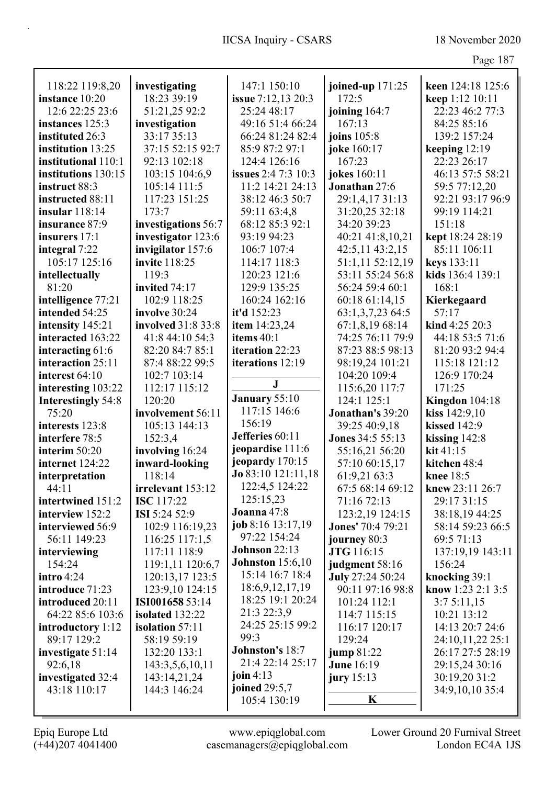|                           |                      |                                            |                          | 4.45              |
|---------------------------|----------------------|--------------------------------------------|--------------------------|-------------------|
| 118:22 119:8,20           | investigating        | 147:1 150:10                               | joined-up $171:25$       | keen 124:18 125:6 |
| instance 10:20            | 18:23 39:19          | <b>issue</b> 7:12,13 20:3                  | 172:5                    | keep 1:12 10:11   |
| 12:6 22:25 23:6           | 51:21,25 92:2        | 25:24 48:17                                | joining 164:7            | 22:23 46:2 77:3   |
| instances 125:3           | investigation        | 49:16 51:4 66:24                           | 167:13                   | 84:25 85:16       |
| instituted 26:3           | 33:17 35:13          | 66:24 81:24 82:4                           | joins 105:8              | 139:2 157:24      |
| institution 13:25         | 37:15 52:15 92:7     | 85:9 87:2 97:1                             | joke 160:17              | keeping 12:19     |
| institutional 110:1       | 92:13 102:18         | 124:4 126:16                               | 167:23                   | 22:23 26:17       |
| institutions 130:15       | 103:15 104:6,9       | <b>issues</b> 2:4 7:3 10:3                 | jokes 160:11             | 46:13 57:5 58:21  |
| instruct 88:3             | 105:14 111:5         | 11:2 14:21 24:13                           | Jonathan 27:6            | 59:5 77:12,20     |
| instructed 88:11          | 117:23 151:25        | 38:12 46:3 50:7                            | 29:1,4,17 31:13          | 92:21 93:17 96:9  |
| insular 118:14            | 173:7                | 59:11 63:4,8                               | 31:20,25 32:18           | 99:19 114:21      |
| insurance 87:9            | investigations 56:7  | 68:12 85:3 92:1                            | 34:20 39:23              | 151:18            |
| insurers 17:1             | investigator 123:6   | 93:19 94:23                                | 40:21 41:8,10,21         | kept 18:24 28:19  |
| integral 7:22             | invigilator 157:6    | 106:7 107:4                                | 42:5,11 43:2,15          | 85:11 106:11      |
| 105:17 125:16             | invite 118:25        | 114:17 118:3                               | 51:1,11 52:12,19         | keys 133:11       |
| intellectually            | 119:3                | 120:23 121:6                               | 53:11 55:24 56:8         | kids 136:4 139:1  |
| 81:20                     | invited 74:17        | 129:9 135:25                               | 56:24 59:4 60:1          | 168:1             |
| intelligence 77:21        | 102:9 118:25         | 160:24 162:16                              | 60:18 61:14,15           | Kierkegaard       |
| intended 54:25            | involve 30:24        | it'd 152:23                                | 63:1,3,7,23 64:5         | 57:17             |
| intensity 145:21          | involved 31:8 33:8   | item 14:23,24                              | 67:1,8,19 68:14          | kind 4:25 20:3    |
| interacted 163:22         | 41:8 44:10 54:3      | items 40:1                                 | 74:25 76:11 79:9         | 44:18 53:5 71:6   |
| interacting 61:6          | 82:20 84:7 85:1      | iteration 22:23                            | 87:23 88:5 98:13         | 81:20 93:2 94:4   |
| interaction 25:11         | 87:4 88:22 99:5      | iterations 12:19                           | 98:19,24 101:21          | 115:18 121:12     |
| interest 64:10            | 102:7 103:14         |                                            | 104:20 109:4             | 126:9 170:24      |
| interesting 103:22        | 112:17 115:12        | ${\bf J}$                                  | 115:6,20 117:7           | 171:25            |
| <b>Interestingly 54:8</b> | 120:20               | January 55:10                              | 124:1 125:1              | Kingdon 104:18    |
| 75:20                     | involvement 56:11    | 117:15 146:6                               | Jonathan's 39:20         | kiss 142:9,10     |
| interests 123:8           | 105:13 144:13        | 156:19                                     | 39:25 40:9,18            | kissed 142:9      |
| interfere 78:5            | 152:3,4              | Jefferies 60:11                            | <b>Jones 34:5 55:13</b>  | kissing 142:8     |
| interim 50:20             | involving 16:24      | jeopardise 111:6                           | 55:16,21 56:20           | kit $41:15$       |
| internet 124:22           | inward-looking       | jeopardy 170:15                            | 57:10 60:15,17           | kitchen 48:4      |
| interpretation            | 118:14               | Jo 83:10 121:11,18                         | 61:9,21 63:3             | knee 18:5         |
| 44:11                     | irrelevant 153:12    | 122:4,5 124:22                             | 67:5 68:14 69:12         | knew 23:11 26:7   |
| intertwined 151:2         | <b>ISC</b> 117:22    | 125:15,23                                  | 71:16 72:13              | 29:17 31:15       |
| interview 152:2           | <b>ISI</b> 5:24 52:9 | Joanna 47:8                                | 123:2,19 124:15          | 38:18,19 44:25    |
| interviewed 56:9          | 102:9 116:19,23      | job 8:16 13:17,19                          | <b>Jones' 70:4 79:21</b> | 58:14 59:23 66:5  |
| 56:11 149:23              | 116:25 117:1,5       | 97:22 154:24                               | journey 80:3             | 69:5 71:13        |
| interviewing              | 117:11 118:9         | Johnson 22:13                              | <b>JTG</b> 116:15        | 137:19,19 143:11  |
| 154:24                    | 119:1,11 120:6,7     | <b>Johnston</b> 15:6,10                    | judgment 58:16           | 156:24            |
| intro $4:24$              | 120:13,17 123:5      | 15:14 16:7 18:4                            | July 27:24 50:24         | knocking 39:1     |
| introduce 71:23           | 123:9,10 124:15      | 18:6,9,12,17,19                            | 90:11 97:16 98:8         | know 1:23 2:1 3:5 |
| introduced 20:11          | ISI001658 53:14      | 18:25 19:1 20:24                           | 101:24 112:1             | 3:75:11,15        |
| 64:22 85:6 103:6          | isolated 132:22      | 21:3 22:3,9                                | 114:7 115:15             | 10:21 13:12       |
| introductory 1:12         | isolation $57:11$    | 24:25 25:15 99:2                           | 116:17 120:17            | 14:13 20:7 24:6   |
| 89:17 129:2               | 58:19 59:19          | 99:3                                       | 129:24                   | 24:10,11,22 25:1  |
| investigate 51:14         | 132:20 133:1         | <b>Johnston's 18:7</b><br>21:4 22:14 25:17 | jump $81:22$             | 26:17 27:5 28:19  |
| 92:6,18                   | 143:3,5,6,10,11      | join $4:13$                                | <b>June 16:19</b>        | 29:15,24 30:16    |
| investigated 32:4         | 143:14,21,24         | joined $29:5,7$                            | jury $15:13$             | 30:19,20 31:2     |
| 43:18 110:17              | 144:3 146:24         | 105:4 130:19                               | $\mathbf K$              | 34:9,10,10 35:4   |
|                           |                      |                                            |                          |                   |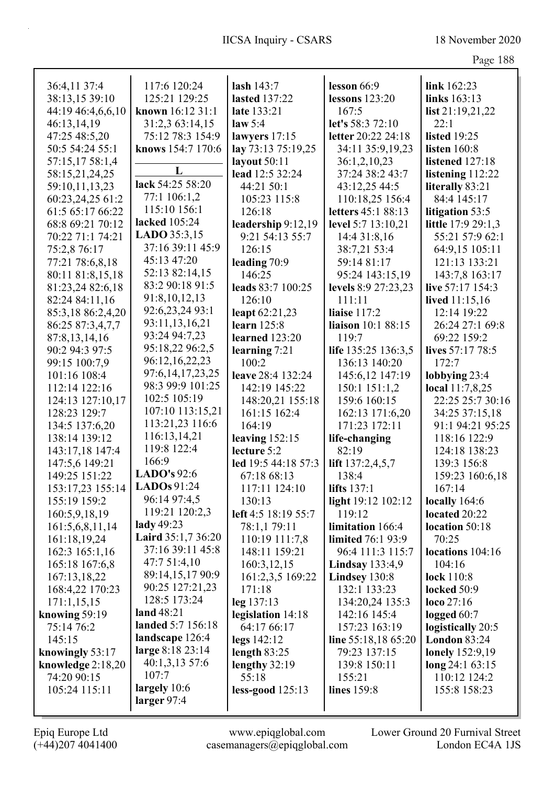|                                    |                                          |                          |                        | $148$ $100$                     |
|------------------------------------|------------------------------------------|--------------------------|------------------------|---------------------------------|
|                                    |                                          |                          |                        |                                 |
| 36:4,11 37:4                       | 117:6 120:24                             | lash 143:7               | lesson 66:9            | link 162:23                     |
| 38:13,15 39:10                     | 125:21 129:25                            | <b>lasted</b> 137:22     | lessons $123:20$       | links 163:13                    |
| 44:19 46:4,6,6,10                  | known 16:12 31:1                         | late 133:21              | 167:5                  | list $21:19,21,22$              |
| 46:13,14,19                        | 31:2,3 63:14,15                          | law 5:4                  | let's 58:3 72:10       | 22:1                            |
| 47:25 48:5,20                      | 75:12 78:3 154:9                         | lawyers $17:15$          | letter 20:22 24:18     | <b>listed</b> 19:25             |
| 50:5 54:24 55:1                    | knows 154:7 170:6                        | lay 73:13 75:19,25       | 34:11 35:9,19,23       | listen $160:8$                  |
| 57:15,17 58:1,4                    | L                                        | layout 50:11             | 36:1,2,10,23           | listened 127:18                 |
| 58:15,21,24,25                     | lack 54:25 58:20                         | lead 12:5 32:24          | 37:24 38:2 43:7        | listening 112:22                |
| 59:10,11,13,23                     | 77:1 106:1,2                             | 44:21 50:1               | 43:12,25 44:5          | literally 83:21                 |
| 60:23,24,25 61:2                   | 115:10 156:1                             | 105:23 115:8             | 110:18,25 156:4        | 84:4 145:17                     |
| 61:5 65:17 66:22                   | lacked 105:24                            | 126:18                   | letters 45:1 88:13     | litigation 53:5                 |
| 68:8 69:21 70:12                   | LADO 35:3,15                             | leadership 9:12,19       | level 5:7 13:10,21     | little 17:9 29:1,3              |
| 70:22 71:1 74:21                   | 37:16 39:11 45:9                         | 9:21 54:13 55:7          | 14:4 31:8,16           | 55:21 57:9 62:1                 |
| 75:2,8 76:17                       | 45:13 47:20                              | 126:15                   | 38:7,21 53:4           | 64:9,15 105:11                  |
| 77:21 78:6,8,18                    | 52:13 82:14,15                           | leading 70:9             | 59:14 81:17            | 121:13 133:21                   |
| 80:11 81:8,15,18                   | 83:2 90:18 91:5                          | 146:25                   | 95:24 143:15,19        | 143:7,8 163:17                  |
| 81:23,24 82:6,18                   | 91:8,10,12,13                            | leads 83:7 100:25        | levels 8:9 27:23,23    | live 57:17 154:3                |
| 82:24 84:11,16                     | 92:6,23,24 93:1                          | 126:10                   | 111:11                 | lived 11:15,16                  |
| 85:3,18 86:2,4,20                  |                                          | leapt 62:21,23           | liaise $117:2$         | 12:14 19:22                     |
| 86:25 87:3,4,7,7                   | 93:11,13,16,21<br>93:24 94:7,23          | learn 125:8              | liaison 10:1 88:15     | 26:24 27:1 69:8                 |
| 87:8,13,14,16                      |                                          | learned 123:20           | 119:7                  | 69:22 159:2                     |
| 90:2 94:3 97:5                     | 95:18,22 96:2,5                          | learning 7:21            | life 135:25 136:3,5    | lives 57:17 78:5                |
| 99:15 100:7,9                      | 96:12,16,22,23                           | 100:2                    | 136:13 140:20          | 172:7                           |
| 101:16 108:4                       | 97:6, 14, 17, 23, 25<br>98:3 99:9 101:25 | leave 28:4 132:24        | 145:6,12 147:19        | lobbying 23:4                   |
| 112:14 122:16                      | 102:5 105:19                             | 142:19 145:22            | 150:1 151:1,2          | local 11:7,8,25                 |
| 124:13 127:10,17                   | 107:10 113:15,21                         | 148:20,21 155:18         | 159:6 160:15           | 22:25 25:7 30:16                |
| 128:23 129:7                       | 113:21,23 116:6                          | 161:15 162:4             | 162:13 171:6,20        | 34:25 37:15,18                  |
| 134:5 137:6,20                     | 116:13,14,21                             | 164:19                   | 171:23 172:11          | 91:1 94:21 95:25                |
| 138:14 139:12                      | 119:8 122:4                              | leaving $152:15$         | life-changing          | 118:16 122:9                    |
| 143:17,18 147:4                    | 166:9                                    | lecture 5:2              | 82:19                  | 124:18 138:23                   |
| 147:5,6 149:21                     | LADO's $92:6$                            | led 19:5 44:18 57:3      | lift 137:2,4,5,7       | 139:3 156:8                     |
| 149:25 151:22                      | LADOs 91:24                              | 67:18 68:13              | 138:4                  | 159:23 160:6,18                 |
| 153:17,23 155:14                   | 96:14 97:4,5                             | 117:11 124:10            | <b>lifts</b> 137:1     | 167:14                          |
| 155:19 159:2                       | 119:21 120:2,3                           | 130:13                   | light 19:12 102:12     | locally $164:6$                 |
| 160:5,9,18,19                      | lady 49:23                               | left 4:5 18:19 55:7      | 119:12                 | located 20:22                   |
| 161:5,6,8,11,14                    | Laird 35:1,7 36:20                       | 78:1,1 79:11             | limitation 166:4       | location 50:18                  |
| 161:18,19,24                       | 37:16 39:11 45:8                         | 110:19 111:7,8           | limited 76:1 93:9      | 70:25                           |
| 162:3 165:1,16                     | 47:7 51:4,10                             | 148:11 159:21            | 96:4 111:3 115:7       | locations 104:16                |
| 165:18 167:6,8                     | 89:14,15,17 90:9                         | 160:3,12,15              | <b>Lindsay</b> 133:4,9 | 104:16                          |
| 167:13,18,22                       | 90:25 127:21,23                          | 161:2,3,5 169:22         | Lindsey 130:8          | lock $110:8$                    |
| 168:4,22 170:23                    | 128:5 173:24                             | 171:18                   | 132:1 133:23           | locked 50:9                     |
| 171:1,15,15                        | land 48:21                               | leg 137:13               | 134:20,24 135:3        | loco $27:16$                    |
| knowing 59:19                      | landed 5:7 156:18                        | legislation 14:18        | 142:16 145:4           | logged $60:7$                   |
| 75:14 76:2                         | landscape 126:4                          | 64:17 66:17              | 157:23 163:19          | logistically 20:5               |
| 145:15                             | large 8:18 23:14                         | legs 142:12              | line 55:18,18 65:20    | <b>London 83:24</b>             |
| knowingly 53:17                    | 40:1,3,13 57:6                           | length $83:25$           | 79:23 137:15           | <b>lonely</b> 152:9,19          |
| knowledge $2:18,20$<br>74:20 90:15 | 107:7                                    | lengthy $32:19$<br>55:18 | 139:8 150:11<br>155:21 | long 24:1 63:15<br>110:12 124:2 |
| 105:24 115:11                      | largely 10:6                             | less-good 125:13         |                        | 155:8 158:23                    |
|                                    | larger $97:4$                            |                          | lines 159:8            |                                 |
|                                    |                                          |                          |                        |                                 |

Epiq Europe Ltd www.epiqglobal.com Lower Ground 20 Furnival Street<br>
(+44)207 4041400 casemanagers@epiqglobal.com London EC4A 1JS www.epiqglobal.com Lower Ground 20 Furnival Street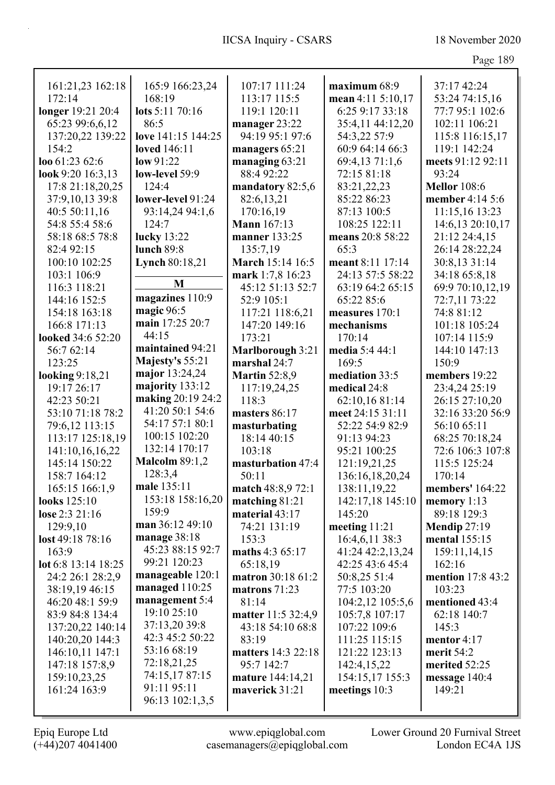| x<br>мυ<br>ı<br>e and a contract of the contract of the contract of the contract of the contract of the contract of the contract of the contract of the contract of the contract of the contract of the contract of the contract of the contra |
|------------------------------------------------------------------------------------------------------------------------------------------------------------------------------------------------------------------------------------------------|
|------------------------------------------------------------------------------------------------------------------------------------------------------------------------------------------------------------------------------------------------|

| 161:21,23 162:18         | 165:9 166:23,24       | 107:17 111:24           | maximum 68:9      | 37:17 42:24         |
|--------------------------|-----------------------|-------------------------|-------------------|---------------------|
| 172:14                   | 168:19                | 113:17 115:5            | mean 4:11 5:10,17 | 53:24 74:15,16      |
| longer 19:21 20:4        | lots 5:11 70:16       | 119:1 120:11            | 6:25 9:17 33:18   | 77:7 95:1 102:6     |
| 65:23 99:6,6,12          | 86:5                  | manager 23:22           | 35:4,11 44:12,20  | 102:11 106:21       |
| 137:20,22 139:22         | love 141:15 144:25    | 94:19 95:1 97:6         | 54:3,22 57:9      | 115:8 116:15,17     |
| 154:2                    | <b>loved</b> 146:11   | managers 65:21          | 60:9 64:14 66:3   | 119:1 142:24        |
| loo 61:23 62:6           | low 91:22             | managing $63:21$        | 69:4,13 71:1,6    | meets 91:12 92:11   |
| look 9:20 16:3,13        | low-level 59:9        | 88:4 92:22              | 72:15 81:18       | 93:24               |
| 17:8 21:18,20,25         | 124:4                 | mandatory 82:5,6        | 83:21,22,23       | <b>Mellor</b> 108:6 |
| 37:9,10,13 39:8          | lower-level 91:24     | 82:6,13,21              | 85:22 86:23       | member 4:14 5:6     |
| 40:5 50:11,16            | 93:14,24 94:1,6       | 170:16,19               | 87:13 100:5       | 11:15,16 13:23      |
| 54:8 55:4 58:6           | 124:7                 | <b>Mann</b> 167:13      | 108:25 122:11     | 14:6,13 20:10,17    |
| 58:18 68:5 78:8          | <b>lucky</b> 13:22    | manner 133:25           | means 20:8 58:22  | 21:12 24:4,15       |
| 82:4 92:15               | <b>lunch 89:8</b>     | 135:7,19                | 65:3              | 26:14 28:22,24      |
| 100:10 102:25            | <b>Lynch 80:18,21</b> | March 15:14 16:5        | meant 8:11 17:14  | 30:8,13 31:14       |
| 103:1 106:9              |                       | mark 1:7,8 16:23        | 24:13 57:5 58:22  | 34:18 65:8,18       |
| 116:3 118:21             | M                     | 45:12 51:13 52:7        | 63:19 64:2 65:15  | 69:9 70:10,12,19    |
| 144:16 152:5             | magazines 110:9       | 52:9 105:1              | 65:22 85:6        | 72:7,11 73:22       |
| 154:18 163:18            | magic 96:5            | 117:21 118:6,21         | measures 170:1    | 74:8 81:12          |
| 166:8 171:13             | main 17:25 20:7       | 147:20 149:16           | mechanisms        | 101:18 105:24       |
| <b>looked</b> 34:6 52:20 | 44:15                 | 173:21                  | 170:14            | 107:14 115:9        |
| 56:7 62:14               | maintained 94:21      | <b>Marlborough 3:21</b> | media 5:4 44:1    | 144:10 147:13       |
| 123:25                   | Majesty's 55:21       | marshal 24:7            | 169:5             | 150:9               |
| looking 9:18,21          | major 13:24,24        | <b>Martin 52:8,9</b>    | mediation 33:5    | members 19:22       |
| 19:17 26:17              | majority 133:12       | 117:19,24,25            | medical 24:8      | 23:4,24 25:19       |
| 42:23 50:21              | making 20:19 24:2     | 118:3                   | 62:10,16 81:14    | 26:15 27:10,20      |
| 53:10 71:18 78:2         | 41:20 50:1 54:6       | masters 86:17           | meet 24:15 31:11  | 32:16 33:20 56:9    |
| 79:6,12 113:15           | 54:17 57:1 80:1       | masturbating            | 52:22 54:9 82:9   | 56:10 65:11         |
| 113:17 125:18,19         | 100:15 102:20         | 18:14 40:15             | 91:13 94:23       | 68:25 70:18,24      |
| 141:10,16,16,22          | 132:14 170:17         | 103:18                  | 95:21 100:25      | 72:6 106:3 107:8    |
| 145:14 150:22            | <b>Malcolm 89:1,2</b> | masturbation 47:4       | 121:19,21,25      | 115:5 125:24        |
| 158:7 164:12             | 128:3,4               | 50:11                   | 136:16,18,20,24   | 170:14              |
| 165:15 166:1,9           | male 135:11           | match 48:8,9 72:1       | 138:11,19,22      | members' 164:22     |
| looks 125:10             | 153:18 158:16,20      | matching $81:21$        | 142:17,18 145:10  | memory $1:13$       |
| lose 2:3 21:16           | 159:9                 | material 43:17          | 145:20            | 89:18 129:3         |
| 129:9,10                 | man 36:12 49:10       | 74:21 131:19            | meeting $11:21$   | <b>Mendip 27:19</b> |
| lost 49:18 78:16         | manage 38:18          | 153:3                   | 16:4,6,11 38:3    | mental 155:15       |
| 163:9                    | 45:23 88:15 92:7      | maths 4:3 65:17         | 41:24 42:2,13,24  | 159:11,14,15        |
| lot 6:8 13:14 18:25      | 99:21 120:23          | 65:18,19                | 42:25 43:6 45:4   | 162:16              |
| 24:2 26:1 28:2,9         | manageable 120:1      | matron 30:18 61:2       | 50:8,25 51:4      | mention 17:8 43:2   |
| 38:19,19 46:15           | managed 110:25        | matrons $71:23$         | 77:5 103:20       | 103:23              |
| 46:20 48:1 59:9          | management 5:4        | 81:14                   | 104:2,12 105:5,6  | mentioned 43:4      |
| 83:9 84:8 134:4          | 19:10 25:10           | matter 11:5 32:4,9      | 105:7,8 107:17    | 62:18 140:7         |
| 137:20,22 140:14         | 37:13,20 39:8         | 43:18 54:10 68:8        | 107:22 109:6      | 145:3               |
| 140:20,20 144:3          | 42:3 45:2 50:22       | 83:19                   | 111:25 115:15     | mentor $4:17$       |
| 146:10,11 147:1          | 53:16 68:19           | matters 14:3 22:18      | 121:22 123:13     | merit 54:2          |
| 147:18 157:8,9           | 72:18,21,25           | 95:7 142:7              | 142:4,15,22       | merited 52:25       |
| 159:10,23,25             | 74:15,17 87:15        | mature 144:14,21        | 154:15,17 155:3   | message 140:4       |
| 161:24 163:9             | 91:11 95:11           | maverick 31:21          | meetings 10:3     | 149:21              |
|                          | 96:13 102:1,3,5       |                         |                   |                     |
|                          |                       |                         |                   |                     |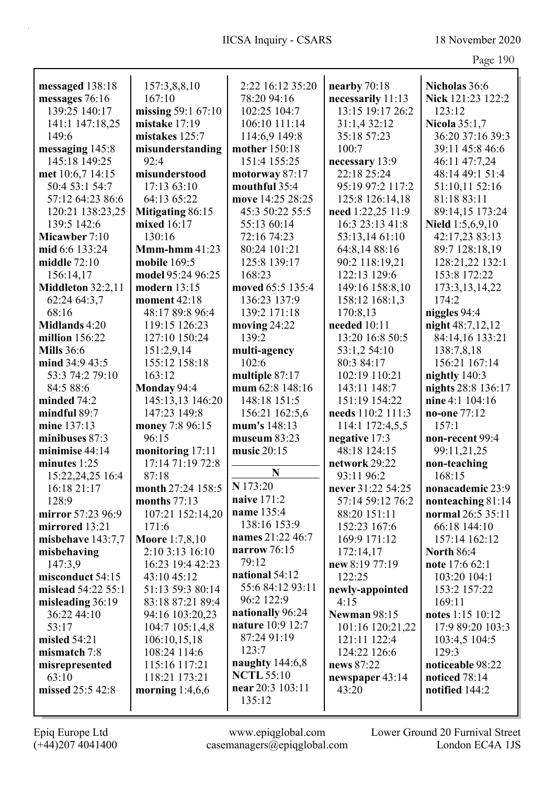| Paœ | c<br>1<br>I<br>ш |
|-----|------------------|
|     |                  |

| 2:22 16:12 35:20<br>nearby 70:18<br>Nicholas 36:6<br>messaged 138:18<br>157:3,8,8,10<br>messages 76:16<br>167:10<br>necessarily 11:13<br>Nick 121:23 122:2<br>78:20 94:16<br>139:25 140:17<br>missing 59:1 67:10<br>13:15 19:17 26:2<br>102:25 104:7<br>123:12<br>mistake 17:19<br>31:1,4 32:12<br><b>Nicola 35:1,7</b><br>141:1 147:18,25<br>106:10 111:14<br>149:6<br>mistakes 125:7<br>114:6,9 149:8<br>35:18 57:23<br>36:20 37:16 39:3<br>messaging 145:8<br>mother 150:18<br>100:7<br>39:11 45:8 46:6<br>misunderstanding<br>145:18 149:25<br>92:4<br>151:4 155:25<br>necessary 13:9<br>46:11 47:7,24<br>22:18 25:24<br>48:14 49:1 51:4<br>met 10:6,7 14:15<br>misunderstood<br>motorway 87:17<br>50:4 53:1 54:7<br>17:13 63:10<br>mouthful 35:4<br>95:19 97:2 117:2<br>51:10,11 52:16<br>move 14:25 28:25<br>57:12 64:23 86:6<br>64:13 65:22<br>125:8 126:14,18<br>81:18 83:11<br>120:21 138:23,25<br>Mitigating 86:15<br>45:3 50:22 55:5<br>need 1:22,25 11:9<br>89:14,15 173:24<br>mixed 16:17<br>16:3 23:13 41:8<br>139:5 142:6<br>55:13 60:14<br>Nield $1:5,6,9,10$<br>130:16<br>42:17,23 83:13<br>Micawber 7:10<br>72:16 74:23<br>53:13,14 61:10<br>$Mmm-hmm 41:23$<br>89:7 128:18,19<br>mid 6:6 133:24<br>80:24 101:21<br>64:8,14 88:16<br>middle 72:10<br>90:2 118:19,21<br>128:21,22 132:1<br>mobile 169:5<br>125:8 139:17<br>model 95:24 96:25<br>168:23<br>122:13 129:6<br>153:8 172:22<br>156:14,17<br>Middleton 32:2,11<br>moved 65:5 135:4<br>modern 13:15<br>149:16 158:8,10<br>173:3, 13, 14, 22<br>174:2<br>62:24 64:3,7<br>moment 42:18<br>136:23 137:9<br>158:12 168:1,3<br>niggles 94:4<br>68:16<br>48:17 89:8 96:4<br>139:2 171:18<br>170:8,13<br>night 48:7,12,12<br>Midlands 4:20<br>119:15 126:23<br>moving $24:22$<br>needed 10:11<br>million $156:22$<br>127:10 150:24<br>139:2<br>13:20 16:8 50:5<br>84:14,16 133:21<br><b>Mills</b> 36:6<br>151:2,9,14<br>multi-agency<br>53:1,2 54:10<br>138:7,8,18<br>156:21 167:14<br>mind 34:9 43:5<br>155:12 158:18<br>102:6<br>80:3 84:17<br>multiple 87:17<br>nightly 140:3<br>53:3 74:2 79:10<br>163:12<br>102:19 110:21<br>Monday 94:4<br>mum 62:8 148:16<br>nights 28:8 136:17<br>84:5 88:6<br>143:11 148:7<br>145:13,13 146:20<br>148:18 151:5<br>nine 4:1 104:16<br>151:19 154:22<br>minded $74:2$<br>147:23 149:8<br>mindful 89:7<br>156:21 162:5,6<br>needs 110:2 111:3<br>no-one 77:12<br>mine 137:13<br>mum's 148:13<br>money 7:8 96:15<br>114:1 172:4,5,5<br>157:1<br>96:15<br>negative 17:3<br>minibuses 87:3<br>museum 83:23<br>non-recent 99:4<br>monitoring 17:11<br>48:18 124:15<br>minimise 44:14<br>music 20:15<br>99:11,21,25<br>17:14 71:19 72:8<br>network 29:22<br>minutes 1:25<br>non-teaching<br>N<br>87:18<br>15:22,24,25 16:4<br>93:11 96:2<br>168:15<br>N 173:20<br>16:18 21:17<br>month 27:24 158:5<br>never 31:22 54:25<br>nonacademic 23:9<br>naive 171:2<br>months 77:13<br>57:14 59:12 76:2<br>128:9<br>nonteaching 81:14<br>name 135:4<br>mirror 57:23 96:9<br>107:21 152:14,20<br>88:20 151:11<br>normal 26:5 35:11<br>138:16 153:9<br>mirrored 13:21<br>152:23 167:6<br>66:18 144:10<br>171:6<br>names 21:22 46:7<br><b>Moore</b> 1:7,8,10<br>misbehave 143:7,7<br>169:9 171:12<br>157:14 162:12<br>narrow $76:15$<br>2:10 3:13 16:10<br>172:14,17<br><b>North 86:4</b><br>misbehaving<br>79:12<br>147:3,9<br>16:23 19:4 42:23<br>new 8:19 77:19<br>note 17:6 62:1<br>national 54:12<br>misconduct 54:15<br>43:10 45:12<br>122:25<br>103:20 104:1<br>55:6 84:12 93:11<br>mislead 54:22 55:1<br>51:13 59:3 80:14<br>153:2 157:22<br>newly-appointed<br>96:2 122:9<br>misleading 36:19<br>83:18 87:21 89:4<br>4:15<br>169:11<br>nationally 96:24<br>36:22 44:10<br><b>Newman 98:15</b><br>notes 1:15 10:12<br>94:16 103:20,23<br>nature 10:9 12:7<br>53:17<br>104:7 105:1,4,8<br>101:16 120:21,22<br>17:9 89:20 103:3<br>87:24 91:19<br>misled $54:21$<br>106:10,15,18<br>121:11 122:4<br>103:4,5 104:5<br>123:7<br>129:3<br>108:24 114:6<br>124:22 126:6<br>mismatch 7:8<br>naughty $144:6,8$<br>115:16 117:21<br>news 87:22<br>noticeable 98:22<br>misrepresented<br><b>NCTL 55:10</b><br>63:10<br>118:21 173:21<br>noticed 78:14<br>newspaper 43:14<br>near 20:3 103:11<br>missed 25:5 42:8<br>43:20<br>morning $1:4,6,6$<br>notified 144:2<br>135:12 |  |  |  |
|------------------------------------------------------------------------------------------------------------------------------------------------------------------------------------------------------------------------------------------------------------------------------------------------------------------------------------------------------------------------------------------------------------------------------------------------------------------------------------------------------------------------------------------------------------------------------------------------------------------------------------------------------------------------------------------------------------------------------------------------------------------------------------------------------------------------------------------------------------------------------------------------------------------------------------------------------------------------------------------------------------------------------------------------------------------------------------------------------------------------------------------------------------------------------------------------------------------------------------------------------------------------------------------------------------------------------------------------------------------------------------------------------------------------------------------------------------------------------------------------------------------------------------------------------------------------------------------------------------------------------------------------------------------------------------------------------------------------------------------------------------------------------------------------------------------------------------------------------------------------------------------------------------------------------------------------------------------------------------------------------------------------------------------------------------------------------------------------------------------------------------------------------------------------------------------------------------------------------------------------------------------------------------------------------------------------------------------------------------------------------------------------------------------------------------------------------------------------------------------------------------------------------------------------------------------------------------------------------------------------------------------------------------------------------------------------------------------------------------------------------------------------------------------------------------------------------------------------------------------------------------------------------------------------------------------------------------------------------------------------------------------------------------------------------------------------------------------------------------------------------------------------------------------------------------------------------------------------------------------------------------------------------------------------------------------------------------------------------------------------------------------------------------------------------------------------------------------------------------------------------------------------------------------------------------------------------------------------------------------------------------------------------------------------------------------------------------------------------------------------------------------------------------------------------------------------------------------------------------------------------------------------------------------------------------------------------------------------------------------------------------------------------------------------------------------------------------------------------------------------------------------------------------------------------------------------------------------------------------------------------------------|--|--|--|
|                                                                                                                                                                                                                                                                                                                                                                                                                                                                                                                                                                                                                                                                                                                                                                                                                                                                                                                                                                                                                                                                                                                                                                                                                                                                                                                                                                                                                                                                                                                                                                                                                                                                                                                                                                                                                                                                                                                                                                                                                                                                                                                                                                                                                                                                                                                                                                                                                                                                                                                                                                                                                                                                                                                                                                                                                                                                                                                                                                                                                                                                                                                                                                                                                                                                                                                                                                                                                                                                                                                                                                                                                                                                                                                                                                                                                                                                                                                                                                                                                                                                                                                                                                                                                                                                  |  |  |  |
|                                                                                                                                                                                                                                                                                                                                                                                                                                                                                                                                                                                                                                                                                                                                                                                                                                                                                                                                                                                                                                                                                                                                                                                                                                                                                                                                                                                                                                                                                                                                                                                                                                                                                                                                                                                                                                                                                                                                                                                                                                                                                                                                                                                                                                                                                                                                                                                                                                                                                                                                                                                                                                                                                                                                                                                                                                                                                                                                                                                                                                                                                                                                                                                                                                                                                                                                                                                                                                                                                                                                                                                                                                                                                                                                                                                                                                                                                                                                                                                                                                                                                                                                                                                                                                                                  |  |  |  |
|                                                                                                                                                                                                                                                                                                                                                                                                                                                                                                                                                                                                                                                                                                                                                                                                                                                                                                                                                                                                                                                                                                                                                                                                                                                                                                                                                                                                                                                                                                                                                                                                                                                                                                                                                                                                                                                                                                                                                                                                                                                                                                                                                                                                                                                                                                                                                                                                                                                                                                                                                                                                                                                                                                                                                                                                                                                                                                                                                                                                                                                                                                                                                                                                                                                                                                                                                                                                                                                                                                                                                                                                                                                                                                                                                                                                                                                                                                                                                                                                                                                                                                                                                                                                                                                                  |  |  |  |
|                                                                                                                                                                                                                                                                                                                                                                                                                                                                                                                                                                                                                                                                                                                                                                                                                                                                                                                                                                                                                                                                                                                                                                                                                                                                                                                                                                                                                                                                                                                                                                                                                                                                                                                                                                                                                                                                                                                                                                                                                                                                                                                                                                                                                                                                                                                                                                                                                                                                                                                                                                                                                                                                                                                                                                                                                                                                                                                                                                                                                                                                                                                                                                                                                                                                                                                                                                                                                                                                                                                                                                                                                                                                                                                                                                                                                                                                                                                                                                                                                                                                                                                                                                                                                                                                  |  |  |  |
|                                                                                                                                                                                                                                                                                                                                                                                                                                                                                                                                                                                                                                                                                                                                                                                                                                                                                                                                                                                                                                                                                                                                                                                                                                                                                                                                                                                                                                                                                                                                                                                                                                                                                                                                                                                                                                                                                                                                                                                                                                                                                                                                                                                                                                                                                                                                                                                                                                                                                                                                                                                                                                                                                                                                                                                                                                                                                                                                                                                                                                                                                                                                                                                                                                                                                                                                                                                                                                                                                                                                                                                                                                                                                                                                                                                                                                                                                                                                                                                                                                                                                                                                                                                                                                                                  |  |  |  |
|                                                                                                                                                                                                                                                                                                                                                                                                                                                                                                                                                                                                                                                                                                                                                                                                                                                                                                                                                                                                                                                                                                                                                                                                                                                                                                                                                                                                                                                                                                                                                                                                                                                                                                                                                                                                                                                                                                                                                                                                                                                                                                                                                                                                                                                                                                                                                                                                                                                                                                                                                                                                                                                                                                                                                                                                                                                                                                                                                                                                                                                                                                                                                                                                                                                                                                                                                                                                                                                                                                                                                                                                                                                                                                                                                                                                                                                                                                                                                                                                                                                                                                                                                                                                                                                                  |  |  |  |
|                                                                                                                                                                                                                                                                                                                                                                                                                                                                                                                                                                                                                                                                                                                                                                                                                                                                                                                                                                                                                                                                                                                                                                                                                                                                                                                                                                                                                                                                                                                                                                                                                                                                                                                                                                                                                                                                                                                                                                                                                                                                                                                                                                                                                                                                                                                                                                                                                                                                                                                                                                                                                                                                                                                                                                                                                                                                                                                                                                                                                                                                                                                                                                                                                                                                                                                                                                                                                                                                                                                                                                                                                                                                                                                                                                                                                                                                                                                                                                                                                                                                                                                                                                                                                                                                  |  |  |  |
|                                                                                                                                                                                                                                                                                                                                                                                                                                                                                                                                                                                                                                                                                                                                                                                                                                                                                                                                                                                                                                                                                                                                                                                                                                                                                                                                                                                                                                                                                                                                                                                                                                                                                                                                                                                                                                                                                                                                                                                                                                                                                                                                                                                                                                                                                                                                                                                                                                                                                                                                                                                                                                                                                                                                                                                                                                                                                                                                                                                                                                                                                                                                                                                                                                                                                                                                                                                                                                                                                                                                                                                                                                                                                                                                                                                                                                                                                                                                                                                                                                                                                                                                                                                                                                                                  |  |  |  |
|                                                                                                                                                                                                                                                                                                                                                                                                                                                                                                                                                                                                                                                                                                                                                                                                                                                                                                                                                                                                                                                                                                                                                                                                                                                                                                                                                                                                                                                                                                                                                                                                                                                                                                                                                                                                                                                                                                                                                                                                                                                                                                                                                                                                                                                                                                                                                                                                                                                                                                                                                                                                                                                                                                                                                                                                                                                                                                                                                                                                                                                                                                                                                                                                                                                                                                                                                                                                                                                                                                                                                                                                                                                                                                                                                                                                                                                                                                                                                                                                                                                                                                                                                                                                                                                                  |  |  |  |
|                                                                                                                                                                                                                                                                                                                                                                                                                                                                                                                                                                                                                                                                                                                                                                                                                                                                                                                                                                                                                                                                                                                                                                                                                                                                                                                                                                                                                                                                                                                                                                                                                                                                                                                                                                                                                                                                                                                                                                                                                                                                                                                                                                                                                                                                                                                                                                                                                                                                                                                                                                                                                                                                                                                                                                                                                                                                                                                                                                                                                                                                                                                                                                                                                                                                                                                                                                                                                                                                                                                                                                                                                                                                                                                                                                                                                                                                                                                                                                                                                                                                                                                                                                                                                                                                  |  |  |  |
|                                                                                                                                                                                                                                                                                                                                                                                                                                                                                                                                                                                                                                                                                                                                                                                                                                                                                                                                                                                                                                                                                                                                                                                                                                                                                                                                                                                                                                                                                                                                                                                                                                                                                                                                                                                                                                                                                                                                                                                                                                                                                                                                                                                                                                                                                                                                                                                                                                                                                                                                                                                                                                                                                                                                                                                                                                                                                                                                                                                                                                                                                                                                                                                                                                                                                                                                                                                                                                                                                                                                                                                                                                                                                                                                                                                                                                                                                                                                                                                                                                                                                                                                                                                                                                                                  |  |  |  |
|                                                                                                                                                                                                                                                                                                                                                                                                                                                                                                                                                                                                                                                                                                                                                                                                                                                                                                                                                                                                                                                                                                                                                                                                                                                                                                                                                                                                                                                                                                                                                                                                                                                                                                                                                                                                                                                                                                                                                                                                                                                                                                                                                                                                                                                                                                                                                                                                                                                                                                                                                                                                                                                                                                                                                                                                                                                                                                                                                                                                                                                                                                                                                                                                                                                                                                                                                                                                                                                                                                                                                                                                                                                                                                                                                                                                                                                                                                                                                                                                                                                                                                                                                                                                                                                                  |  |  |  |
|                                                                                                                                                                                                                                                                                                                                                                                                                                                                                                                                                                                                                                                                                                                                                                                                                                                                                                                                                                                                                                                                                                                                                                                                                                                                                                                                                                                                                                                                                                                                                                                                                                                                                                                                                                                                                                                                                                                                                                                                                                                                                                                                                                                                                                                                                                                                                                                                                                                                                                                                                                                                                                                                                                                                                                                                                                                                                                                                                                                                                                                                                                                                                                                                                                                                                                                                                                                                                                                                                                                                                                                                                                                                                                                                                                                                                                                                                                                                                                                                                                                                                                                                                                                                                                                                  |  |  |  |
|                                                                                                                                                                                                                                                                                                                                                                                                                                                                                                                                                                                                                                                                                                                                                                                                                                                                                                                                                                                                                                                                                                                                                                                                                                                                                                                                                                                                                                                                                                                                                                                                                                                                                                                                                                                                                                                                                                                                                                                                                                                                                                                                                                                                                                                                                                                                                                                                                                                                                                                                                                                                                                                                                                                                                                                                                                                                                                                                                                                                                                                                                                                                                                                                                                                                                                                                                                                                                                                                                                                                                                                                                                                                                                                                                                                                                                                                                                                                                                                                                                                                                                                                                                                                                                                                  |  |  |  |
|                                                                                                                                                                                                                                                                                                                                                                                                                                                                                                                                                                                                                                                                                                                                                                                                                                                                                                                                                                                                                                                                                                                                                                                                                                                                                                                                                                                                                                                                                                                                                                                                                                                                                                                                                                                                                                                                                                                                                                                                                                                                                                                                                                                                                                                                                                                                                                                                                                                                                                                                                                                                                                                                                                                                                                                                                                                                                                                                                                                                                                                                                                                                                                                                                                                                                                                                                                                                                                                                                                                                                                                                                                                                                                                                                                                                                                                                                                                                                                                                                                                                                                                                                                                                                                                                  |  |  |  |
|                                                                                                                                                                                                                                                                                                                                                                                                                                                                                                                                                                                                                                                                                                                                                                                                                                                                                                                                                                                                                                                                                                                                                                                                                                                                                                                                                                                                                                                                                                                                                                                                                                                                                                                                                                                                                                                                                                                                                                                                                                                                                                                                                                                                                                                                                                                                                                                                                                                                                                                                                                                                                                                                                                                                                                                                                                                                                                                                                                                                                                                                                                                                                                                                                                                                                                                                                                                                                                                                                                                                                                                                                                                                                                                                                                                                                                                                                                                                                                                                                                                                                                                                                                                                                                                                  |  |  |  |
|                                                                                                                                                                                                                                                                                                                                                                                                                                                                                                                                                                                                                                                                                                                                                                                                                                                                                                                                                                                                                                                                                                                                                                                                                                                                                                                                                                                                                                                                                                                                                                                                                                                                                                                                                                                                                                                                                                                                                                                                                                                                                                                                                                                                                                                                                                                                                                                                                                                                                                                                                                                                                                                                                                                                                                                                                                                                                                                                                                                                                                                                                                                                                                                                                                                                                                                                                                                                                                                                                                                                                                                                                                                                                                                                                                                                                                                                                                                                                                                                                                                                                                                                                                                                                                                                  |  |  |  |
|                                                                                                                                                                                                                                                                                                                                                                                                                                                                                                                                                                                                                                                                                                                                                                                                                                                                                                                                                                                                                                                                                                                                                                                                                                                                                                                                                                                                                                                                                                                                                                                                                                                                                                                                                                                                                                                                                                                                                                                                                                                                                                                                                                                                                                                                                                                                                                                                                                                                                                                                                                                                                                                                                                                                                                                                                                                                                                                                                                                                                                                                                                                                                                                                                                                                                                                                                                                                                                                                                                                                                                                                                                                                                                                                                                                                                                                                                                                                                                                                                                                                                                                                                                                                                                                                  |  |  |  |
|                                                                                                                                                                                                                                                                                                                                                                                                                                                                                                                                                                                                                                                                                                                                                                                                                                                                                                                                                                                                                                                                                                                                                                                                                                                                                                                                                                                                                                                                                                                                                                                                                                                                                                                                                                                                                                                                                                                                                                                                                                                                                                                                                                                                                                                                                                                                                                                                                                                                                                                                                                                                                                                                                                                                                                                                                                                                                                                                                                                                                                                                                                                                                                                                                                                                                                                                                                                                                                                                                                                                                                                                                                                                                                                                                                                                                                                                                                                                                                                                                                                                                                                                                                                                                                                                  |  |  |  |
|                                                                                                                                                                                                                                                                                                                                                                                                                                                                                                                                                                                                                                                                                                                                                                                                                                                                                                                                                                                                                                                                                                                                                                                                                                                                                                                                                                                                                                                                                                                                                                                                                                                                                                                                                                                                                                                                                                                                                                                                                                                                                                                                                                                                                                                                                                                                                                                                                                                                                                                                                                                                                                                                                                                                                                                                                                                                                                                                                                                                                                                                                                                                                                                                                                                                                                                                                                                                                                                                                                                                                                                                                                                                                                                                                                                                                                                                                                                                                                                                                                                                                                                                                                                                                                                                  |  |  |  |
|                                                                                                                                                                                                                                                                                                                                                                                                                                                                                                                                                                                                                                                                                                                                                                                                                                                                                                                                                                                                                                                                                                                                                                                                                                                                                                                                                                                                                                                                                                                                                                                                                                                                                                                                                                                                                                                                                                                                                                                                                                                                                                                                                                                                                                                                                                                                                                                                                                                                                                                                                                                                                                                                                                                                                                                                                                                                                                                                                                                                                                                                                                                                                                                                                                                                                                                                                                                                                                                                                                                                                                                                                                                                                                                                                                                                                                                                                                                                                                                                                                                                                                                                                                                                                                                                  |  |  |  |
|                                                                                                                                                                                                                                                                                                                                                                                                                                                                                                                                                                                                                                                                                                                                                                                                                                                                                                                                                                                                                                                                                                                                                                                                                                                                                                                                                                                                                                                                                                                                                                                                                                                                                                                                                                                                                                                                                                                                                                                                                                                                                                                                                                                                                                                                                                                                                                                                                                                                                                                                                                                                                                                                                                                                                                                                                                                                                                                                                                                                                                                                                                                                                                                                                                                                                                                                                                                                                                                                                                                                                                                                                                                                                                                                                                                                                                                                                                                                                                                                                                                                                                                                                                                                                                                                  |  |  |  |
|                                                                                                                                                                                                                                                                                                                                                                                                                                                                                                                                                                                                                                                                                                                                                                                                                                                                                                                                                                                                                                                                                                                                                                                                                                                                                                                                                                                                                                                                                                                                                                                                                                                                                                                                                                                                                                                                                                                                                                                                                                                                                                                                                                                                                                                                                                                                                                                                                                                                                                                                                                                                                                                                                                                                                                                                                                                                                                                                                                                                                                                                                                                                                                                                                                                                                                                                                                                                                                                                                                                                                                                                                                                                                                                                                                                                                                                                                                                                                                                                                                                                                                                                                                                                                                                                  |  |  |  |
|                                                                                                                                                                                                                                                                                                                                                                                                                                                                                                                                                                                                                                                                                                                                                                                                                                                                                                                                                                                                                                                                                                                                                                                                                                                                                                                                                                                                                                                                                                                                                                                                                                                                                                                                                                                                                                                                                                                                                                                                                                                                                                                                                                                                                                                                                                                                                                                                                                                                                                                                                                                                                                                                                                                                                                                                                                                                                                                                                                                                                                                                                                                                                                                                                                                                                                                                                                                                                                                                                                                                                                                                                                                                                                                                                                                                                                                                                                                                                                                                                                                                                                                                                                                                                                                                  |  |  |  |
|                                                                                                                                                                                                                                                                                                                                                                                                                                                                                                                                                                                                                                                                                                                                                                                                                                                                                                                                                                                                                                                                                                                                                                                                                                                                                                                                                                                                                                                                                                                                                                                                                                                                                                                                                                                                                                                                                                                                                                                                                                                                                                                                                                                                                                                                                                                                                                                                                                                                                                                                                                                                                                                                                                                                                                                                                                                                                                                                                                                                                                                                                                                                                                                                                                                                                                                                                                                                                                                                                                                                                                                                                                                                                                                                                                                                                                                                                                                                                                                                                                                                                                                                                                                                                                                                  |  |  |  |
|                                                                                                                                                                                                                                                                                                                                                                                                                                                                                                                                                                                                                                                                                                                                                                                                                                                                                                                                                                                                                                                                                                                                                                                                                                                                                                                                                                                                                                                                                                                                                                                                                                                                                                                                                                                                                                                                                                                                                                                                                                                                                                                                                                                                                                                                                                                                                                                                                                                                                                                                                                                                                                                                                                                                                                                                                                                                                                                                                                                                                                                                                                                                                                                                                                                                                                                                                                                                                                                                                                                                                                                                                                                                                                                                                                                                                                                                                                                                                                                                                                                                                                                                                                                                                                                                  |  |  |  |
|                                                                                                                                                                                                                                                                                                                                                                                                                                                                                                                                                                                                                                                                                                                                                                                                                                                                                                                                                                                                                                                                                                                                                                                                                                                                                                                                                                                                                                                                                                                                                                                                                                                                                                                                                                                                                                                                                                                                                                                                                                                                                                                                                                                                                                                                                                                                                                                                                                                                                                                                                                                                                                                                                                                                                                                                                                                                                                                                                                                                                                                                                                                                                                                                                                                                                                                                                                                                                                                                                                                                                                                                                                                                                                                                                                                                                                                                                                                                                                                                                                                                                                                                                                                                                                                                  |  |  |  |
|                                                                                                                                                                                                                                                                                                                                                                                                                                                                                                                                                                                                                                                                                                                                                                                                                                                                                                                                                                                                                                                                                                                                                                                                                                                                                                                                                                                                                                                                                                                                                                                                                                                                                                                                                                                                                                                                                                                                                                                                                                                                                                                                                                                                                                                                                                                                                                                                                                                                                                                                                                                                                                                                                                                                                                                                                                                                                                                                                                                                                                                                                                                                                                                                                                                                                                                                                                                                                                                                                                                                                                                                                                                                                                                                                                                                                                                                                                                                                                                                                                                                                                                                                                                                                                                                  |  |  |  |
|                                                                                                                                                                                                                                                                                                                                                                                                                                                                                                                                                                                                                                                                                                                                                                                                                                                                                                                                                                                                                                                                                                                                                                                                                                                                                                                                                                                                                                                                                                                                                                                                                                                                                                                                                                                                                                                                                                                                                                                                                                                                                                                                                                                                                                                                                                                                                                                                                                                                                                                                                                                                                                                                                                                                                                                                                                                                                                                                                                                                                                                                                                                                                                                                                                                                                                                                                                                                                                                                                                                                                                                                                                                                                                                                                                                                                                                                                                                                                                                                                                                                                                                                                                                                                                                                  |  |  |  |
|                                                                                                                                                                                                                                                                                                                                                                                                                                                                                                                                                                                                                                                                                                                                                                                                                                                                                                                                                                                                                                                                                                                                                                                                                                                                                                                                                                                                                                                                                                                                                                                                                                                                                                                                                                                                                                                                                                                                                                                                                                                                                                                                                                                                                                                                                                                                                                                                                                                                                                                                                                                                                                                                                                                                                                                                                                                                                                                                                                                                                                                                                                                                                                                                                                                                                                                                                                                                                                                                                                                                                                                                                                                                                                                                                                                                                                                                                                                                                                                                                                                                                                                                                                                                                                                                  |  |  |  |
|                                                                                                                                                                                                                                                                                                                                                                                                                                                                                                                                                                                                                                                                                                                                                                                                                                                                                                                                                                                                                                                                                                                                                                                                                                                                                                                                                                                                                                                                                                                                                                                                                                                                                                                                                                                                                                                                                                                                                                                                                                                                                                                                                                                                                                                                                                                                                                                                                                                                                                                                                                                                                                                                                                                                                                                                                                                                                                                                                                                                                                                                                                                                                                                                                                                                                                                                                                                                                                                                                                                                                                                                                                                                                                                                                                                                                                                                                                                                                                                                                                                                                                                                                                                                                                                                  |  |  |  |
|                                                                                                                                                                                                                                                                                                                                                                                                                                                                                                                                                                                                                                                                                                                                                                                                                                                                                                                                                                                                                                                                                                                                                                                                                                                                                                                                                                                                                                                                                                                                                                                                                                                                                                                                                                                                                                                                                                                                                                                                                                                                                                                                                                                                                                                                                                                                                                                                                                                                                                                                                                                                                                                                                                                                                                                                                                                                                                                                                                                                                                                                                                                                                                                                                                                                                                                                                                                                                                                                                                                                                                                                                                                                                                                                                                                                                                                                                                                                                                                                                                                                                                                                                                                                                                                                  |  |  |  |
|                                                                                                                                                                                                                                                                                                                                                                                                                                                                                                                                                                                                                                                                                                                                                                                                                                                                                                                                                                                                                                                                                                                                                                                                                                                                                                                                                                                                                                                                                                                                                                                                                                                                                                                                                                                                                                                                                                                                                                                                                                                                                                                                                                                                                                                                                                                                                                                                                                                                                                                                                                                                                                                                                                                                                                                                                                                                                                                                                                                                                                                                                                                                                                                                                                                                                                                                                                                                                                                                                                                                                                                                                                                                                                                                                                                                                                                                                                                                                                                                                                                                                                                                                                                                                                                                  |  |  |  |
|                                                                                                                                                                                                                                                                                                                                                                                                                                                                                                                                                                                                                                                                                                                                                                                                                                                                                                                                                                                                                                                                                                                                                                                                                                                                                                                                                                                                                                                                                                                                                                                                                                                                                                                                                                                                                                                                                                                                                                                                                                                                                                                                                                                                                                                                                                                                                                                                                                                                                                                                                                                                                                                                                                                                                                                                                                                                                                                                                                                                                                                                                                                                                                                                                                                                                                                                                                                                                                                                                                                                                                                                                                                                                                                                                                                                                                                                                                                                                                                                                                                                                                                                                                                                                                                                  |  |  |  |
|                                                                                                                                                                                                                                                                                                                                                                                                                                                                                                                                                                                                                                                                                                                                                                                                                                                                                                                                                                                                                                                                                                                                                                                                                                                                                                                                                                                                                                                                                                                                                                                                                                                                                                                                                                                                                                                                                                                                                                                                                                                                                                                                                                                                                                                                                                                                                                                                                                                                                                                                                                                                                                                                                                                                                                                                                                                                                                                                                                                                                                                                                                                                                                                                                                                                                                                                                                                                                                                                                                                                                                                                                                                                                                                                                                                                                                                                                                                                                                                                                                                                                                                                                                                                                                                                  |  |  |  |
|                                                                                                                                                                                                                                                                                                                                                                                                                                                                                                                                                                                                                                                                                                                                                                                                                                                                                                                                                                                                                                                                                                                                                                                                                                                                                                                                                                                                                                                                                                                                                                                                                                                                                                                                                                                                                                                                                                                                                                                                                                                                                                                                                                                                                                                                                                                                                                                                                                                                                                                                                                                                                                                                                                                                                                                                                                                                                                                                                                                                                                                                                                                                                                                                                                                                                                                                                                                                                                                                                                                                                                                                                                                                                                                                                                                                                                                                                                                                                                                                                                                                                                                                                                                                                                                                  |  |  |  |
|                                                                                                                                                                                                                                                                                                                                                                                                                                                                                                                                                                                                                                                                                                                                                                                                                                                                                                                                                                                                                                                                                                                                                                                                                                                                                                                                                                                                                                                                                                                                                                                                                                                                                                                                                                                                                                                                                                                                                                                                                                                                                                                                                                                                                                                                                                                                                                                                                                                                                                                                                                                                                                                                                                                                                                                                                                                                                                                                                                                                                                                                                                                                                                                                                                                                                                                                                                                                                                                                                                                                                                                                                                                                                                                                                                                                                                                                                                                                                                                                                                                                                                                                                                                                                                                                  |  |  |  |
|                                                                                                                                                                                                                                                                                                                                                                                                                                                                                                                                                                                                                                                                                                                                                                                                                                                                                                                                                                                                                                                                                                                                                                                                                                                                                                                                                                                                                                                                                                                                                                                                                                                                                                                                                                                                                                                                                                                                                                                                                                                                                                                                                                                                                                                                                                                                                                                                                                                                                                                                                                                                                                                                                                                                                                                                                                                                                                                                                                                                                                                                                                                                                                                                                                                                                                                                                                                                                                                                                                                                                                                                                                                                                                                                                                                                                                                                                                                                                                                                                                                                                                                                                                                                                                                                  |  |  |  |
|                                                                                                                                                                                                                                                                                                                                                                                                                                                                                                                                                                                                                                                                                                                                                                                                                                                                                                                                                                                                                                                                                                                                                                                                                                                                                                                                                                                                                                                                                                                                                                                                                                                                                                                                                                                                                                                                                                                                                                                                                                                                                                                                                                                                                                                                                                                                                                                                                                                                                                                                                                                                                                                                                                                                                                                                                                                                                                                                                                                                                                                                                                                                                                                                                                                                                                                                                                                                                                                                                                                                                                                                                                                                                                                                                                                                                                                                                                                                                                                                                                                                                                                                                                                                                                                                  |  |  |  |
|                                                                                                                                                                                                                                                                                                                                                                                                                                                                                                                                                                                                                                                                                                                                                                                                                                                                                                                                                                                                                                                                                                                                                                                                                                                                                                                                                                                                                                                                                                                                                                                                                                                                                                                                                                                                                                                                                                                                                                                                                                                                                                                                                                                                                                                                                                                                                                                                                                                                                                                                                                                                                                                                                                                                                                                                                                                                                                                                                                                                                                                                                                                                                                                                                                                                                                                                                                                                                                                                                                                                                                                                                                                                                                                                                                                                                                                                                                                                                                                                                                                                                                                                                                                                                                                                  |  |  |  |
|                                                                                                                                                                                                                                                                                                                                                                                                                                                                                                                                                                                                                                                                                                                                                                                                                                                                                                                                                                                                                                                                                                                                                                                                                                                                                                                                                                                                                                                                                                                                                                                                                                                                                                                                                                                                                                                                                                                                                                                                                                                                                                                                                                                                                                                                                                                                                                                                                                                                                                                                                                                                                                                                                                                                                                                                                                                                                                                                                                                                                                                                                                                                                                                                                                                                                                                                                                                                                                                                                                                                                                                                                                                                                                                                                                                                                                                                                                                                                                                                                                                                                                                                                                                                                                                                  |  |  |  |
|                                                                                                                                                                                                                                                                                                                                                                                                                                                                                                                                                                                                                                                                                                                                                                                                                                                                                                                                                                                                                                                                                                                                                                                                                                                                                                                                                                                                                                                                                                                                                                                                                                                                                                                                                                                                                                                                                                                                                                                                                                                                                                                                                                                                                                                                                                                                                                                                                                                                                                                                                                                                                                                                                                                                                                                                                                                                                                                                                                                                                                                                                                                                                                                                                                                                                                                                                                                                                                                                                                                                                                                                                                                                                                                                                                                                                                                                                                                                                                                                                                                                                                                                                                                                                                                                  |  |  |  |
|                                                                                                                                                                                                                                                                                                                                                                                                                                                                                                                                                                                                                                                                                                                                                                                                                                                                                                                                                                                                                                                                                                                                                                                                                                                                                                                                                                                                                                                                                                                                                                                                                                                                                                                                                                                                                                                                                                                                                                                                                                                                                                                                                                                                                                                                                                                                                                                                                                                                                                                                                                                                                                                                                                                                                                                                                                                                                                                                                                                                                                                                                                                                                                                                                                                                                                                                                                                                                                                                                                                                                                                                                                                                                                                                                                                                                                                                                                                                                                                                                                                                                                                                                                                                                                                                  |  |  |  |
|                                                                                                                                                                                                                                                                                                                                                                                                                                                                                                                                                                                                                                                                                                                                                                                                                                                                                                                                                                                                                                                                                                                                                                                                                                                                                                                                                                                                                                                                                                                                                                                                                                                                                                                                                                                                                                                                                                                                                                                                                                                                                                                                                                                                                                                                                                                                                                                                                                                                                                                                                                                                                                                                                                                                                                                                                                                                                                                                                                                                                                                                                                                                                                                                                                                                                                                                                                                                                                                                                                                                                                                                                                                                                                                                                                                                                                                                                                                                                                                                                                                                                                                                                                                                                                                                  |  |  |  |
|                                                                                                                                                                                                                                                                                                                                                                                                                                                                                                                                                                                                                                                                                                                                                                                                                                                                                                                                                                                                                                                                                                                                                                                                                                                                                                                                                                                                                                                                                                                                                                                                                                                                                                                                                                                                                                                                                                                                                                                                                                                                                                                                                                                                                                                                                                                                                                                                                                                                                                                                                                                                                                                                                                                                                                                                                                                                                                                                                                                                                                                                                                                                                                                                                                                                                                                                                                                                                                                                                                                                                                                                                                                                                                                                                                                                                                                                                                                                                                                                                                                                                                                                                                                                                                                                  |  |  |  |
|                                                                                                                                                                                                                                                                                                                                                                                                                                                                                                                                                                                                                                                                                                                                                                                                                                                                                                                                                                                                                                                                                                                                                                                                                                                                                                                                                                                                                                                                                                                                                                                                                                                                                                                                                                                                                                                                                                                                                                                                                                                                                                                                                                                                                                                                                                                                                                                                                                                                                                                                                                                                                                                                                                                                                                                                                                                                                                                                                                                                                                                                                                                                                                                                                                                                                                                                                                                                                                                                                                                                                                                                                                                                                                                                                                                                                                                                                                                                                                                                                                                                                                                                                                                                                                                                  |  |  |  |
|                                                                                                                                                                                                                                                                                                                                                                                                                                                                                                                                                                                                                                                                                                                                                                                                                                                                                                                                                                                                                                                                                                                                                                                                                                                                                                                                                                                                                                                                                                                                                                                                                                                                                                                                                                                                                                                                                                                                                                                                                                                                                                                                                                                                                                                                                                                                                                                                                                                                                                                                                                                                                                                                                                                                                                                                                                                                                                                                                                                                                                                                                                                                                                                                                                                                                                                                                                                                                                                                                                                                                                                                                                                                                                                                                                                                                                                                                                                                                                                                                                                                                                                                                                                                                                                                  |  |  |  |
|                                                                                                                                                                                                                                                                                                                                                                                                                                                                                                                                                                                                                                                                                                                                                                                                                                                                                                                                                                                                                                                                                                                                                                                                                                                                                                                                                                                                                                                                                                                                                                                                                                                                                                                                                                                                                                                                                                                                                                                                                                                                                                                                                                                                                                                                                                                                                                                                                                                                                                                                                                                                                                                                                                                                                                                                                                                                                                                                                                                                                                                                                                                                                                                                                                                                                                                                                                                                                                                                                                                                                                                                                                                                                                                                                                                                                                                                                                                                                                                                                                                                                                                                                                                                                                                                  |  |  |  |
|                                                                                                                                                                                                                                                                                                                                                                                                                                                                                                                                                                                                                                                                                                                                                                                                                                                                                                                                                                                                                                                                                                                                                                                                                                                                                                                                                                                                                                                                                                                                                                                                                                                                                                                                                                                                                                                                                                                                                                                                                                                                                                                                                                                                                                                                                                                                                                                                                                                                                                                                                                                                                                                                                                                                                                                                                                                                                                                                                                                                                                                                                                                                                                                                                                                                                                                                                                                                                                                                                                                                                                                                                                                                                                                                                                                                                                                                                                                                                                                                                                                                                                                                                                                                                                                                  |  |  |  |
|                                                                                                                                                                                                                                                                                                                                                                                                                                                                                                                                                                                                                                                                                                                                                                                                                                                                                                                                                                                                                                                                                                                                                                                                                                                                                                                                                                                                                                                                                                                                                                                                                                                                                                                                                                                                                                                                                                                                                                                                                                                                                                                                                                                                                                                                                                                                                                                                                                                                                                                                                                                                                                                                                                                                                                                                                                                                                                                                                                                                                                                                                                                                                                                                                                                                                                                                                                                                                                                                                                                                                                                                                                                                                                                                                                                                                                                                                                                                                                                                                                                                                                                                                                                                                                                                  |  |  |  |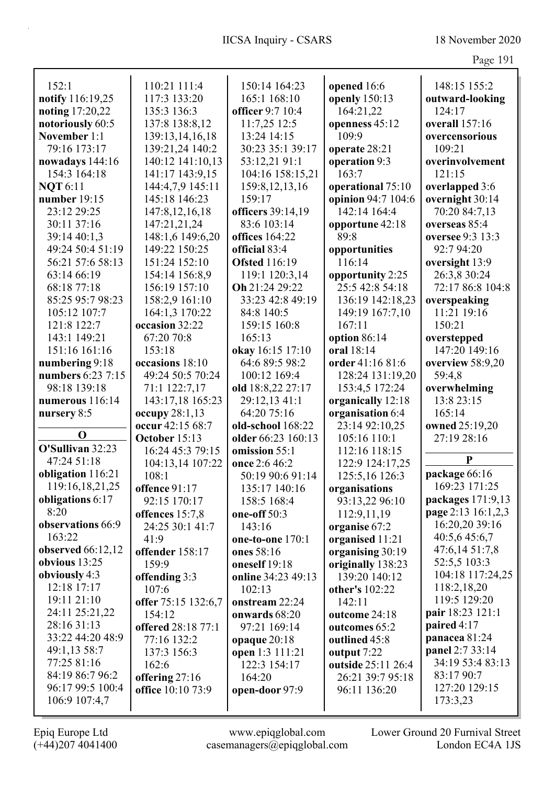| ۹. |  |
|----|--|
|    |  |

|                   |                     |                       |                    | $145c$ $121$       |
|-------------------|---------------------|-----------------------|--------------------|--------------------|
| 152:1             | 110:21 111:4        | 150:14 164:23         | opened 16:6        | 148:15 155:2       |
| notify 116:19,25  | 117:3 133:20        | 165:1 168:10          | openly 150:13      | outward-looking    |
| noting 17:20,22   | 135:3 136:3         | officer 9:7 10:4      | 164:21,22          | 124:17             |
| notoriously 60:5  | 137:8 138:8,12      | 11:7,25 12:5          | openness 45:12     | overall 157:16     |
| November 1:1      | 139:13,14,16,18     | 13:24 14:15           | 109:9              | overcensorious     |
| 79:16 173:17      | 139:21,24 140:2     | 30:23 35:1 39:17      | operate 28:21      | 109:21             |
| nowadays 144:16   | 140:12 141:10,13    | 53:12,21 91:1         | operation 9:3      | overinvolvement    |
| 154:3 164:18      | 141:17 143:9,15     | 104:16 158:15,21      | 163:7              | 121:15             |
| <b>NQT</b> 6:11   | 144:4,7,9 145:11    | 159:8, 12, 13, 16     | operational 75:10  | overlapped 3:6     |
| number 19:15      | 145:18 146:23       | 159:17                | opinion 94:7 104:6 | overnight 30:14    |
| 23:12 29:25       | 147:8, 12, 16, 18   | officers 39:14,19     | 142:14 164:4       | 70:20 84:7,13      |
| 30:11 37:16       | 147:21,21,24        | 83:6 103:14           | opportune 42:18    | overseas 85:4      |
| 39:14 40:1,3      | 148:1,6 149:6,20    | <b>offices</b> 164:22 | 89:8               | oversee 9:3 13:3   |
| 49:24 50:4 51:19  | 149:22 150:25       | official 83:4         | opportunities      | 92:7 94:20         |
| 56:21 57:6 58:13  | 151:24 152:10       | <b>Ofsted</b> 116:19  | 116:14             | oversight 13:9     |
| 63:14 66:19       | 154:14 156:8,9      | 119:1 120:3,14        | opportunity 2:25   | 26:3,8 30:24       |
| 68:18 77:18       | 156:19 157:10       | Oh 21:24 29:22        | 25:5 42:8 54:18    | 72:17 86:8 104:8   |
| 85:25 95:7 98:23  | 158:2,9 161:10      | 33:23 42:8 49:19      | 136:19 142:18,23   | overspeaking       |
| 105:12 107:7      | 164:1,3 170:22      | 84:8 140:5            | 149:19 167:7,10    | 11:21 19:16        |
| 121:8 122:7       | occasion 32:22      | 159:15 160:8          | 167:11             | 150:21             |
| 143:1 149:21      | 67:20 70:8          | 165:13                | option 86:14       | overstepped        |
| 151:16 161:16     | 153:18              | okay 16:15 17:10      | oral 18:14         | 147:20 149:16      |
| numbering 9:18    | occasions 18:10     | 64:6 89:5 98:2        | order 41:16 81:6   | overview 58:9,20   |
| numbers 6:23 7:15 | 49:24 50:5 70:24    | 100:12 169:4          | 128:24 131:19,20   | 59:4,8             |
| 98:18 139:18      | 71:1 122:7,17       | old 18:8,22 27:17     | 153:4,5 172:24     | overwhelming       |
| numerous 116:14   | 143:17,18 165:23    | 29:12,13 41:1         | organically 12:18  | 13:8 23:15         |
| nursery 8:5       | occupy $28:1,13$    | 64:20 75:16           | organisation 6:4   | 165:14             |
|                   | occur 42:15 68:7    | old-school 168:22     | 23:14 92:10,25     | owned 25:19,20     |
| $\mathbf 0$       | October 15:13       | older 66:23 160:13    | 105:16 110:1       | 27:19 28:16        |
| O'Sullivan 32:23  | 16:24 45:3 79:15    | omission 55:1         | 112:16 118:15      |                    |
| 47:24 51:18       | 104:13,14 107:22    | once 2:6 46:2         | 122:9 124:17,25    | $\mathbf{P}$       |
| obligation 116:21 | 108:1               | 50:19 90:6 91:14      | 125:5,16 126:3     | package 66:16      |
| 119:16,18,21,25   | offence 91:17       | 135:17 140:16         | organisations      | 169:23 171:25      |
| obligations 6:17  | 92:15 170:17        | 158:5 168:4           | 93:13,22 96:10     | packages 171:9,13  |
| 8:20              | offences 15:7,8     | one-off 50:3          | 112:9,11,19        | page 2:13 16:1,2,3 |
| observations 66:9 | 24:25 30:1 41:7     | 143:16                | organise 67:2      | 16:20,20 39:16     |
| 163:22            | 41:9                | one-to-one 170:1      | organised 11:21    | 40:5,6 45:6,7      |
| observed 66:12,12 | offender 158:17     | ones 58:16            | organising 30:19   | 47:6,14 51:7,8     |
| obvious $13:25$   | 159:9               | oneself 19:18         | originally 138:23  | 52:5,5 103:3       |
| obviously 4:3     | offending 3:3       | online 34:23 49:13    | 139:20 140:12      | 104:18 117:24,25   |
| 12:18 17:17       | 107:6               | 102:13                | other's 102:22     | 118:2,18,20        |
| 19:11 21:10       | offer 75:15 132:6,7 | onstream 22:24        | 142:11             | 119:5 129:20       |
| 24:11 25:21,22    | 154:12              | onwards 68:20         | outcome 24:18      | pair 18:23 121:1   |
| 28:16 31:13       | offered 28:18 77:1  | 97:21 169:14          | outcomes 65:2      | paired 4:17        |
| 33:22 44:20 48:9  | 77:16 132:2         | opaque 20:18          | outlined 45:8      | panacea 81:24      |
| 49:1,13 58:7      | 137:3 156:3         | open 1:3 111:21       | output 7:22        | panel 2:7 33:14    |
| 77:25 81:16       | 162:6               | 122:3 154:17          | outside 25:11 26:4 | 34:19 53:4 83:13   |
| 84:19 86:7 96:2   | offering 27:16      | 164:20                | 26:21 39:7 95:18   | 83:17 90:7         |
| 96:17 99:5 100:4  | office 10:10 73:9   | open-door 97:9        | 96:11 136:20       | 127:20 129:15      |
| 106:9 107:4,7     |                     |                       |                    | 173:3,23           |
|                   |                     |                       |                    |                    |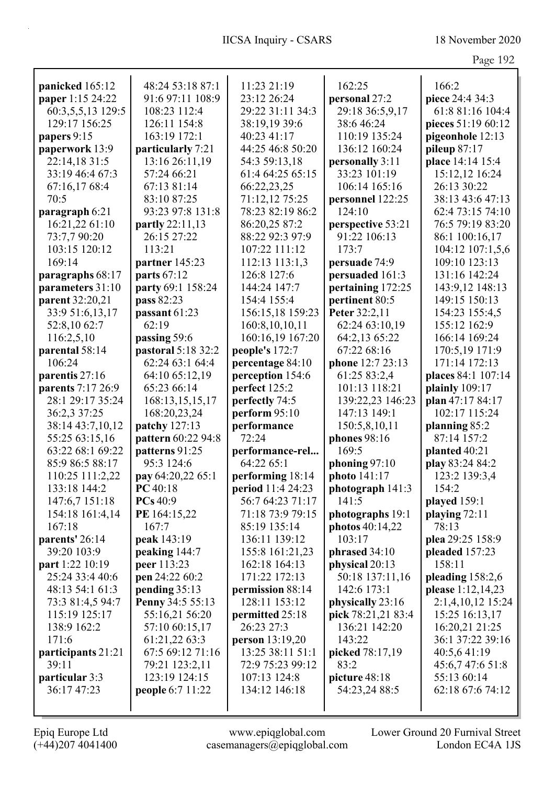|                                   |                                   |                                   |                                     | Page 192                         |
|-----------------------------------|-----------------------------------|-----------------------------------|-------------------------------------|----------------------------------|
| panicked 165:12                   | 48:24 53:18 87:1                  | 11:23 21:19                       | 162:25                              | 166:2                            |
| paper 1:15 24:22                  | 91:6 97:11 108:9                  | 23:12 26:24                       | personal 27:2                       | piece 24:4 34:3                  |
| 60:3,5,5,13 129:5                 | 108:23 112:4                      | 29:22 31:11 34:3                  | 29:18 36:5,9,17                     | 61:8 81:16 104:4                 |
| 129:17 156:25                     | 126:11 154:8                      | 38:19,19 39:6                     | 38:6 46:24                          | pieces 51:19 60:12               |
| papers 9:15                       | 163:19 172:1                      | 40:23 41:17                       | 110:19 135:24                       | pigeonhole 12:13                 |
| paperwork 13:9                    | particularly 7:21                 | 44:25 46:8 50:20                  | 136:12 160:24                       | pileup $87:17$                   |
| 22:14,18 31:5                     | 13:16 26:11,19                    | 54:3 59:13,18                     | personally 3:11                     | place 14:14 15:4                 |
| 33:19 46:4 67:3                   | 57:24 66:21                       | 61:4 64:25 65:15                  | 33:23 101:19                        | 15:12,12 16:24                   |
| 67:16,17 68:4                     | 67:13 81:14                       | 66:22,23,25                       | 106:14 165:16                       | 26:13 30:22                      |
| 70:5                              | 83:10 87:25                       | 71:12,12 75:25                    | personnel 122:25                    | 38:13 43:6 47:13                 |
| paragraph 6:21                    | 93:23 97:8 131:8                  | 78:23 82:19 86:2                  | 124:10                              | 62:4 73:15 74:10                 |
| 16:21,22 61:10                    | partly 22:11,13                   | 86:20,25 87:2                     | perspective 53:21                   | 76:5 79:19 83:20                 |
| 73:7,7 90:20                      | 26:15 27:22                       | 88:22 92:3 97:9                   | 91:22 106:13                        | 86:1 100:16,17                   |
| 103:15 120:12                     | 113:21                            | 107:22 111:12                     | 173:7                               | 104:12 107:1,5,6                 |
| 169:14                            | partner 145:23                    | 112:13 113:1,3                    | persuade 74:9                       | 109:10 123:13                    |
| paragraphs 68:17                  | parts 67:12                       | 126:8 127:6                       | persuaded 161:3                     | 131:16 142:24                    |
| parameters 31:10                  | party 69:1 158:24                 | 144:24 147:7                      | pertaining 172:25                   | 143:9,12 148:13                  |
| parent 32:20,21                   | pass 82:23                        | 154:4 155:4                       | pertinent 80:5                      | 149:15 150:13                    |
| 33:9 51:6,13,17                   | passant 61:23                     | 156:15,18 159:23                  | Peter 32:2,11                       | 154:23 155:4,5                   |
| 52:8,10 62:7                      | 62:19                             | 160:8,10,10,11                    | 62:24 63:10,19                      | 155:12 162:9                     |
| 116:2,5,10                        | passing 59:6                      | 160:16,19 167:20                  | 64:2,13 65:22                       | 166:14 169:24                    |
| parental 58:14                    | pastoral 5:18 32:2                | people's 172:7                    | 67:22 68:16                         | 170:5,19 171:9                   |
| 106:24                            | 62:24 63:1 64:4                   | percentage 84:10                  | phone 12:7 23:13                    | 171:14 172:13                    |
| parentis 27:16                    | 64:10 65:12,19                    | perception 154:6                  | 61:25 83:2,4                        | places 84:1 107:14               |
| parents 7:17 26:9                 | 65:23 66:14                       | perfect 125:2                     | 101:13 118:21                       | plainly 109:17                   |
| 28:1 29:17 35:24                  | 168:13,15,15,17                   | perfectly 74:5                    | 139:22,23 146:23                    | plan 47:17 84:17                 |
| 36:2,3 37:25                      | 168:20,23,24                      | perform 95:10                     | 147:13 149:1                        | 102:17 115:24                    |
| 38:14 43:7,10,12                  | patchy 127:13                     | performance                       | 150:5,8,10,11                       | planning 85:2                    |
| 55:25 63:15,16                    | pattern 60:22 94:8                | 72:24                             | phones 98:16                        | 87:14 157:2                      |
| 63:22 68:1 69:22                  | patterns 91:25                    | performance-rel                   | 169:5                               | planted 40:21                    |
| 85:9 86:5 88:17                   | 95:3 124:6                        | 64:22 65:1                        | phoning 97:10                       | play 83:24 84:2                  |
| 110:25 111:2,22                   | pay 64:20,22 65:1                 | performing 18:14                  | photo $141:17$                      | 123:2 139:3,4                    |
| 133:18 144:2                      | PC 40:18                          | period 11:4 24:23                 | photograph 141:3                    | 154:2                            |
| 147:6,7 151:18                    | PCs 40:9                          | 56:7 64:23 71:17                  | 141:5                               | played 159:1                     |
| 154:18 161:4,14                   | PE 164:15,22                      | 71:18 73:9 79:15                  | photographs 19:1                    | playing $72:11$                  |
| 167:18                            | 167:7                             | 85:19 135:14                      | photos 40:14,22                     | 78:13                            |
| parents' 26:14                    | peak 143:19                       | 136:11 139:12                     | 103:17                              | plea 29:25 158:9                 |
| 39:20 103:9                       | peaking 144:7                     | 155:8 161:21,23                   | phrased 34:10                       | pleaded 157:23                   |
| part 1:22 10:19                   | peer 113:23                       | 162:18 164:13                     | physical 20:13                      | 158:11                           |
| 25:24 33:4 40:6                   | pen 24:22 60:2                    | 171:22 172:13                     | 50:18 137:11,16                     | pleading $158:2,6$               |
| 48:13 54:1 61:3                   | pending 35:13<br>Penny 34:5 55:13 | permission 88:14<br>128:11 153:12 | 142:6 173:1                         | please 1:12,14,23                |
| 73:3 81:4,5 94:7<br>115:19 125:17 | 55:16,21 56:20                    |                                   | physically 23:16                    | 2:1,4,10,12 15:24                |
| 138:9 162:2                       | 57:10 60:15,17                    | permitted 25:18<br>26:23 27:3     | pick 78:21,21 83:4<br>136:21 142:20 | 15:25 16:13,17<br>16:20,21 21:25 |
| 171:6                             | 61:21,22 63:3                     | person 13:19,20                   | 143:22                              | 36:1 37:22 39:16                 |
| participants 21:21                | 67:5 69:12 71:16                  | 13:25 38:11 51:1                  | picked 78:17,19                     | 40:5,641:19                      |
| 39:11                             | 79:21 123:2,11                    | 72:9 75:23 99:12                  | 83:2                                | 45:6,7 47:6 51:8                 |
| particular 3:3                    | 123:19 124:15                     | 107:13 124:8                      | picture 48:18                       | 55:13 60:14                      |
| 36:17 47:23                       | people 6:7 11:22                  | 134:12 146:18                     | 54:23,24 88:5                       | 62:18 67:6 74:12                 |
|                                   |                                   |                                   |                                     |                                  |
|                                   |                                   |                                   |                                     |                                  |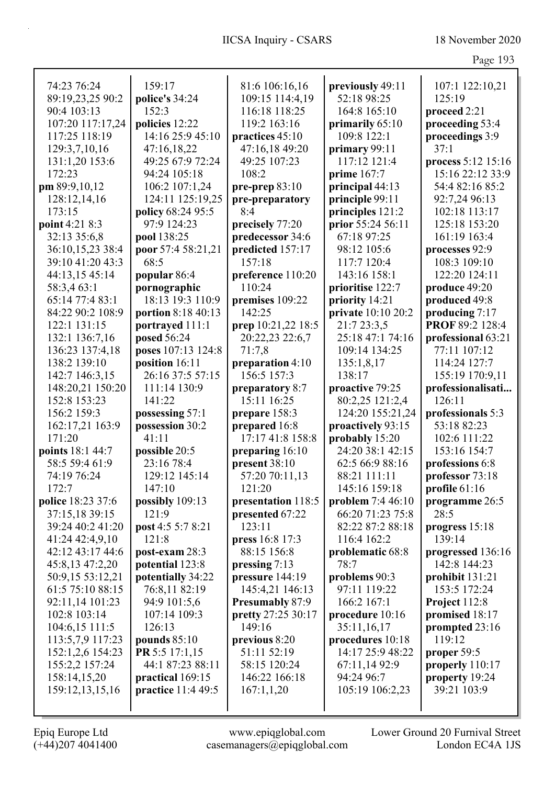| 74:23 76:24       | 159:17             | 81:6 106:16,16         | previously 49:11   | 107:1 122:10,21    |
|-------------------|--------------------|------------------------|--------------------|--------------------|
| 89:19,23,25 90:2  | police's 34:24     | 109:15 114:4,19        | 52:18 98:25        | 125:19             |
| 90:4 103:13       | 152:3              | 116:18 118:25          | 164:8 165:10       | proceed 2:21       |
| 107:20 117:17,24  | policies 12:22     | 119:2 163:16           | primarily $65:10$  | proceeding 53:4    |
| 117:25 118:19     | 14:16 25:9 45:10   | practices 45:10        | 109:8 122:1        | proceedings 3:9    |
| 129:3,7,10,16     | 47:16,18,22        | 47:16,18 49:20         | primary 99:11      | 37:1               |
| 131:1,20 153:6    | 49:25 67:9 72:24   | 49:25 107:23           | 117:12 121:4       | process 5:12 15:16 |
| 172:23            | 94:24 105:18       | 108:2                  | prime $167:7$      | 15:16 22:12 33:9   |
| pm 89:9,10,12     | 106:2 107:1,24     | pre-prep $83:10$       | principal 44:13    | 54:4 82:16 85:2    |
| 128:12,14,16      | 124:11 125:19,25   | pre-preparatory        | principle 99:11    | 92:7,24 96:13      |
| 173:15            | policy 68:24 95:5  | 8:4                    | principles 121:2   | 102:18 113:17      |
| point 4:21 8:3    | 97:9 124:23        | precisely 77:20        | prior 55:24 56:11  | 125:18 153:20      |
| 32:13 35:6,8      | pool 138:25        | predecessor 34:6       | 67:18 97:25        | 161:19 163:4       |
| 36:10,15,23 38:4  | poor 57:4 58:21,21 | predicted 157:17       | 98:12 105:6        | processes 92:9     |
| 39:10 41:20 43:3  | 68:5               | 157:18                 | 117:7 120:4        | 108:3 109:10       |
| 44:13,15 45:14    | popular 86:4       | preference 110:20      | 143:16 158:1       | 122:20 124:11      |
| 58:3,4 63:1       | pornographic       | 110:24                 | prioritise 122:7   | produce 49:20      |
| 65:14 77:4 83:1   | 18:13 19:3 110:9   | premises 109:22        | priority 14:21     | produced 49:8      |
| 84:22 90:2 108:9  | portion 8:18 40:13 | 142:25                 | private 10:10 20:2 | producing 7:17     |
| 122:1 131:15      | portrayed 111:1    | prep 10:21,22 18:5     | 21:7 23:3,5        | PROF 89:2 128:4    |
| 132:1 136:7,16    | posed 56:24        | 20:22,23 22:6,7        | 25:18 47:1 74:16   | professional 63:21 |
| 136:23 137:4,18   | poses 107:13 124:8 | 71:7,8                 | 109:14 134:25      | 77:11 107:12       |
| 138:2 139:10      | position 16:11     | preparation 4:10       | 135:1,8,17         | 114:24 127:7       |
| 142:7 146:3,15    | 26:16 37:5 57:15   | 156:5 157:3            | 138:17             | 155:19 170:9,11    |
| 148:20,21 150:20  | 111:14 130:9       | preparatory 8:7        | proactive 79:25    | professionalisati  |
| 152:8 153:23      | 141:22             | 15:11 16:25            | 80:2,25 121:2,4    | 126:11             |
| 156:2 159:3       | possessing 57:1    | prepare 158:3          | 124:20 155:21,24   | professionals 5:3  |
| 162:17,21 163:9   | possession 30:2    | prepared 16:8          | proactively 93:15  | 53:18 82:23        |
| 171:20            | 41:11              | 17:17 41:8 158:8       | probably 15:20     | 102:6 111:22       |
| points 18:1 44:7  | possible 20:5      | preparing 16:10        | 24:20 38:1 42:15   | 153:16 154:7       |
| 58:5 59:4 61:9    | 23:16 78:4         | present 38:10          | 62:5 66:9 88:16    | professions 6:8    |
| 74:19 76:24       | 129:12 145:14      | 57:20 70:11,13         | 88:21 111:11       | professor 73:18    |
| 172:7             | 147:10             | 121:20                 | 145:16 159:18      | profile $61:16$    |
| police 18:23 37:6 | possibly 109:13    | presentation 118:5     | problem 7:4 46:10  | programme 26:5     |
| 37:15,18 39:15    | 121:9              | presented 67:22        | 66:20 71:23 75:8   | 28:5               |
| 39:24 40:2 41:20  | post 4:5 5:7 8:21  | 123:11                 | 82:22 87:2 88:18   | progress 15:18     |
| 41:24 42:4,9,10   | 121:8              | press 16:8 17:3        | 116:4 162:2        | 139:14             |
| 42:12 43:17 44:6  | post-exam 28:3     | 88:15 156:8            | problematic 68:8   | progressed 136:16  |
| 45:8,13 47:2,20   | potential 123:8    | pressing 7:13          | 78:7               | 142:8 144:23       |
| 50:9,15 53:12,21  | potentially 34:22  | pressure 144:19        | problems 90:3      | prohibit 131:21    |
| 61:5 75:10 88:15  | 76:8,11 82:19      | 145:4,21 146:13        | 97:11 119:22       | 153:5 172:24       |
| 92:11,14 101:23   | 94:9 101:5,6       | <b>Presumably 87:9</b> | 166:2 167:1        | Project 112:8      |
| 102:8 103:14      | 107:14 109:3       | pretty 27:25 30:17     | procedure 10:16    | promised 18:17     |
| 104:6,15 111:5    | 126:13             | 149:16                 | 35:11,16,17        | prompted 23:16     |
| 113:5,7,9 117:23  | pounds $85:10$     | previous 8:20          | procedures 10:18   | 119:12             |
| 152:1,2,6 154:23  | PR 5:5 17:1,15     | 51:11 52:19            | 14:17 25:9 48:22   | proper 59:5        |
| 155:2,2 157:24    | 44:1 87:23 88:11   | 58:15 120:24           | 67:11,14 92:9      | properly 110:17    |
| 158:14,15,20      | practical 169:15   | 146:22 166:18          | 94:24 96:7         | property 19:24     |
| 159:12,13,15,16   | practice 11:4 49:5 | 167:1,1,20             | 105:19 106:2,23    | 39:21 103:9        |
|                   |                    |                        |                    |                    |
|                   |                    |                        |                    |                    |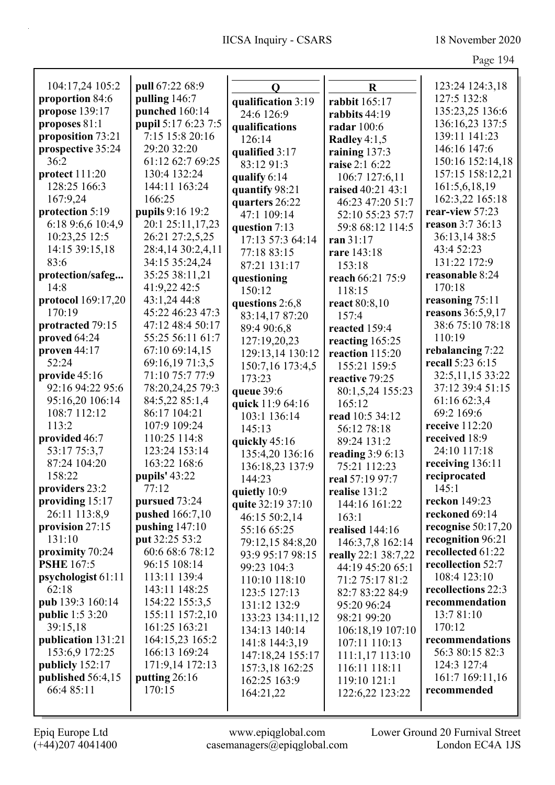| 104:17,24 105:2                   | pull 67:22 68:9                            | $\mathbf 0$                       | $\bf R$                         | 123:24 124:3,18       |
|-----------------------------------|--------------------------------------------|-----------------------------------|---------------------------------|-----------------------|
| proportion 84:6                   | pulling 146:7                              | qualification 3:19                | rabbit 165:17                   | 127:5 132:8           |
| propose 139:17                    | punched 160:14                             | 24:6 126:9                        | rabbits 44:19                   | 135:23,25 136:6       |
| proposes 81:1                     | pupil 5:17 6:23 7:5                        | qualifications                    | radar 100:6                     | 136:16,23 137:5       |
| proposition 73:21                 | 7:15 15:8 20:16                            | 126:14                            | Radley $4:1,5$                  | 139:11 141:23         |
| prospective 35:24                 | 29:20 32:20                                | qualified 3:17                    | raining $137:3$                 | 146:16 147:6          |
| 36:2                              | 61:12 62:7 69:25                           | 83:12 91:3                        | raise 2:1 6:22                  | 150:16 152:14,18      |
| protect 111:20                    | 130:4 132:24                               | qualify 6:14                      | 106:7 127:6,11                  | 157:15 158:12,21      |
| 128:25 166:3                      | 144:11 163:24                              | quantify 98:21                    | raised 40:21 43:1               | 161:5,6,18,19         |
| 167:9,24                          | 166:25                                     | quarters 26:22                    | 46:23 47:20 51:7                | 162:3,22 165:18       |
| protection 5:19                   | pupils 9:16 19:2                           | 47:1 109:14                       | 52:10 55:23 57:7                | rear-view 57:23       |
| 6:18 9:6,6 10:4,9                 | 20:1 25:11,17,23                           | question 7:13                     | 59:8 68:12 114:5                | reason 3:7 36:13      |
| 10:23,25 12:5                     | 26:21 27:2,5,25                            | 17:13 57:3 64:14                  | ran 31:17                       | 36:13,14 38:5         |
| 14:15 39:15,18                    | 28:4,14 30:2,4,11                          | 77:18 83:15                       | rare 143:18                     | 43:4 52:23            |
| 83:6                              | 34:15 35:24,24                             | 87:21 131:17                      | 153:18                          | 131:22 172:9          |
| protection/safeg                  | 35:25 38:11,21                             | questioning                       | reach 66:21 75:9                | reasonable 8:24       |
| 14:8                              | 41:9,22 42:5                               | 150:12                            | 118:15                          | 170:18                |
| protocol 169:17,20                | 43:1,24 44:8                               | questions 2:6,8                   | react 80:8,10                   | reasoning 75:11       |
| 170:19                            | 45:22 46:23 47:3                           | 83:14,17 87:20                    | 157:4                           | reasons 36:5,9,17     |
| protracted 79:15                  | 47:12 48:4 50:17                           | 89:4 90:6,8                       | reacted 159:4                   | 38:6 75:10 78:18      |
| proved 64:24                      | 55:25 56:11 61:7                           | 127:19,20,23                      | reacting 165:25                 | 110:19                |
| proven 44:17                      | 67:10 69:14,15                             | 129:13,14 130:12                  | reaction 115:20                 | rebalancing 7:22      |
| 52:24                             | 69:16,19 71:3,5                            | 150:7,16 173:4,5                  | 155:21 159:5                    | recall 5:23 6:15      |
| provide 45:16                     | 71:10 75:7 77:9                            | 173:23                            | reactive 79:25                  | 32:5, 11, 15 33:22    |
| 92:16 94:22 95:6                  | 78:20,24,25 79:3                           | queue 39:6                        | 80:1,5,24 155:23                | 37:12 39:4 51:15      |
| 95:16,20 106:14                   | 84:5,22 85:1,4                             | quick 11:9 64:16                  | 165:12                          | 61:16 62:3,4          |
| 108:7 112:12                      | 86:17 104:21                               | 103:1 136:14                      | read 10:5 34:12                 | 69:2 169:6            |
| 113:2                             | 107:9 109:24                               | 145:13                            | 56:12 78:18                     | receive 112:20        |
| provided 46:7                     | 110:25 114:8                               | quickly 45:16                     | 89:24 131:2                     | received 18:9         |
| 53:17 75:3,7                      | 123:24 153:14                              | 135:4,20 136:16                   | reading $3:96:13$               | 24:10 117:18          |
| 87:24 104:20                      | 163:22 168:6                               | 136:18,23 137:9                   | 75:21 112:23                    | receiving 136:11      |
| 158:22                            | pupils' 43:22<br>77:12                     | 144:23                            | real 57:19 97:7                 | reciprocated<br>145:1 |
| providers 23:2<br>providing 15:17 |                                            | quietly 10:9                      | realise 131:2                   | reckon 149:23         |
| 26:11 113:8,9                     | pursued 73:24                              | quite 32:19 37:10                 | 144:16 161:22                   | reckoned 69:14        |
| provision 27:15                   | <b>pushed</b> 166:7,10<br>pushing $147:10$ | 46:15 50:2,14                     | 163:1                           | recognise $50:17,20$  |
| 131:10                            | put 32:25 53:2                             | 55:16 65:25                       | realised 144:16                 | recognition 96:21     |
| proximity 70:24                   | 60:6 68:6 78:12                            | 79:12,15 84:8,20                  | 146:3,7,8 162:14                | recollected 61:22     |
| <b>PSHE 167:5</b>                 | 96:15 108:14                               | 93:9 95:17 98:15                  | really 22:1 38:7,22             | recollection 52:7     |
| psychologist 61:11                | 113:11 139:4                               | 99:23 104:3                       | 44:19 45:20 65:1                | 108:4 123:10          |
| 62:18                             | 143:11 148:25                              | 110:10 118:10                     | 71:2 75:17 81:2                 | recollections 22:3    |
| pub 139:3 160:14                  | 154:22 155:3,5                             | 123:5 127:13                      | 82:7 83:22 84:9                 | recommendation        |
| <b>public</b> 1:5 3:20            | 155:11 157:2,10                            | 131:12 132:9                      | 95:20 96:24                     | 13:7 81:10            |
| 39:15,18                          | 161:25 163:21                              | 133:23 134:11,12<br>134:13 140:14 | 98:21 99:20<br>106:18,19 107:10 | 170:12                |
| publication 131:21                | 164:15,23 165:2                            | 141:8 144:3,19                    | 107:11 110:13                   | recommendations       |
| 153:6,9 172:25                    | 166:13 169:24                              | 147:18,24 155:17                  | 111:1,17 113:10                 | 56:3 80:15 82:3       |
| publicly 152:17                   | 171:9,14 172:13                            | 157:3,18 162:25                   | 116:11 118:11                   | 124:3 127:4           |
| published 56:4,15                 | putting $26:16$                            | 162:25 163:9                      | 119:10 121:1                    | 161:7 169:11,16       |
| 66:4 85:11                        | 170:15                                     | 164:21,22                         | 122:6,22 123:22                 | recommended           |
|                                   |                                            |                                   |                                 |                       |
|                                   |                                            |                                   |                                 |                       |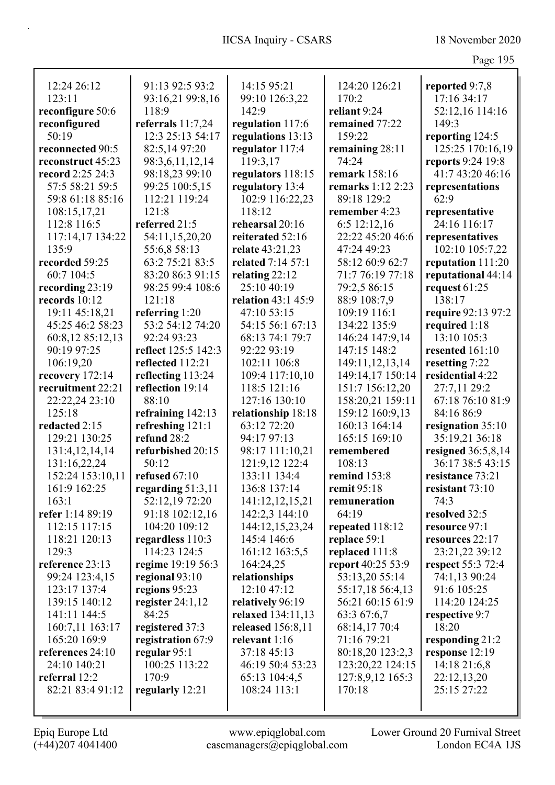|                   |                     |                    |                          | O                  |
|-------------------|---------------------|--------------------|--------------------------|--------------------|
| 12:24 26:12       | 91:13 92:5 93:2     | 14:15 95:21        | 124:20 126:21            | reported 9:7,8     |
| 123:11            | 93:16,21 99:8,16    | 99:10 126:3,22     | 170:2                    | 17:16 34:17        |
| reconfigure 50:6  | 118:9               | 142:9              | reliant 9:24             | 52:12,16 114:16    |
| reconfigured      | referrals $11:7,24$ | regulation 117:6   | remained 77:22           | 149:3              |
| 50:19             | 12:3 25:13 54:17    | regulations 13:13  | 159:22                   | reporting 124:5    |
| reconnected 90:5  | 82:5,14 97:20       | regulator 117:4    | remaining 28:11          | 125:25 170:16,19   |
| reconstruct 45:23 | 98:3,6,11,12,14     | 119:3,17           | 74:24                    | reports 9:24 19:8  |
| record 2:25 24:3  | 98:18,23 99:10      | regulators 118:15  | remark 158:16            | 41:7 43:20 46:16   |
| 57:5 58:21 59:5   | 99:25 100:5,15      | regulatory 13:4    | <b>remarks</b> 1:12 2:23 | representations    |
| 59:8 61:18 85:16  | 112:21 119:24       | 102:9 116:22,23    | 89:18 129:2              | 62:9               |
| 108:15,17,21      | 121:8               | 118:12             | remember 4:23            | representative     |
| 112:8 116:5       | referred 21:5       | rehearsal 20:16    | $6:5$ 12:12,16           | 24:16 116:17       |
| 117:14,17 134:22  | 54:11,15,20,20      | reiterated 52:16   | 22:22 45:20 46:6         | representatives    |
| 135:9             | 55:6,8 58:13        | relate 43:21,23    | 47:24 49:23              | 102:10 105:7,22    |
| recorded 59:25    | 63:2 75:21 83:5     | related 7:14 57:1  | 58:12 60:9 62:7          | reputation 111:20  |
| 60:7 104:5        | 83:20 86:3 91:15    | relating 22:12     | 71:7 76:19 77:18         | reputational 44:14 |
| recording 23:19   | 98:25 99:4 108:6    | 25:10 40:19        | 79:2,5 86:15             | request 61:25      |
| records $10:12$   | 121:18              | relation 43:1 45:9 | 88:9 108:7,9             | 138:17             |
| 19:11 45:18,21    | referring $1:20$    | 47:10 53:15        | 109:19 116:1             | require 92:13 97:2 |
| 45:25 46:2 58:23  | 53:2 54:12 74:20    | 54:15 56:1 67:13   | 134:22 135:9             | required 1:18      |
| 60:8,12 85:12,13  | 92:24 93:23         | 68:13 74:1 79:7    | 146:24 147:9,14          | 13:10 105:3        |
| 90:19 97:25       | reflect 125:5 142:3 | 92:22 93:19        | 147:15 148:2             | resented 161:10    |
| 106:19,20         | reflected 112:21    | 102:11 106:8       | 149:11,12,13,14          | resetting 7:22     |
| recovery 172:14   | reflecting 113:24   | 109:4 117:10,10    | 149:14,17 150:14         | residential 4:22   |
| recruitment 22:21 | reflection 19:14    | 118:5 121:16       | 151:7 156:12,20          | 27:7,11 29:2       |
| 22:22,24 23:10    | 88:10               | 127:16 130:10      | 158:20,21 159:11         | 67:18 76:10 81:9   |
| 125:18            | refraining 142:13   | relationship 18:18 | 159:12 160:9,13          | 84:16 86:9         |
| redacted 2:15     | refreshing 121:1    | 63:12 72:20        | 160:13 164:14            | resignation 35:10  |
| 129:21 130:25     | refund 28:2         | 94:17 97:13        | 165:15 169:10            | 35:19,21 36:18     |
| 131:4,12,14,14    | refurbished 20:15   | 98:17 111:10,21    | remembered               | resigned 36:5,8,14 |
| 131:16,22,24      | 50:12               | 121:9,12 122:4     | 108:13                   | 36:17 38:5 43:15   |
| 152:24 153:10,11  | refused 67:10       | 133:11 134:4       | remind 153:8             | resistance 73:21   |
| 161:9 162:25      | regarding $51:3,11$ | 136:8 137:14       | remit 95:18              | resistant 73:10    |
| 163:1             | 52:12,19 72:20      | 141:12,12,15,21    | remuneration             | 74:3               |
| refer 1:14 89:19  | 91:18 102:12,16     | 142:2,3 144:10     | 64:19                    | resolved 32:5      |
| 112:15 117:15     | 104:20 109:12       | 144:12,15,23,24    | repeated 118:12          | resource 97:1      |
| 118:21 120:13     | regardless 110:3    | 145:4 146:6        | replace 59:1             | resources 22:17    |
| 129:3             | 114:23 124:5        | 161:12 163:5,5     | replaced 111:8           | 23:21,22 39:12     |
| reference 23:13   | regime 19:19 56:3   | 164:24,25          | report 40:25 53:9        | respect 55:3 72:4  |
| 99:24 123:4,15    | regional 93:10      | relationships      | 53:13,20 55:14           | 74:1,13 90:24      |
| 123:17 137:4      | regions 95:23       | 12:10 47:12        | 55:17,18 56:4,13         | 91:6 105:25        |
| 139:15 140:12     | register $24:1,12$  | relatively 96:19   | 56:21 60:15 61:9         | 114:20 124:25      |
| 141:11 144:5      | 84:25               | relaxed 134:11,13  | 63:3 67:6,7              | respective 9:7     |
| 160:7,11 163:17   | registered 37:3     | released 156:8,11  | 68:14,17 70:4            | 18:20              |
| 165:20 169:9      | registration 67:9   | relevant 1:16      | 71:16 79:21              | responding 21:2    |
| references 24:10  | regular $95:1$      | 37:18 45:13        | 80:18,20 123:2,3         | response 12:19     |
| 24:10 140:21      | 100:25 113:22       | 46:19 50:4 53:23   | 123:20,22 124:15         | 14:18 21:6,8       |
| referral 12:2     | 170:9               | 65:13 104:4,5      | 127:8,9,12 165:3         | 22:12,13,20        |
| 82:21 83:4 91:12  | regularly 12:21     | 108:24 113:1       | 170:18                   | 25:15 27:22        |
|                   |                     |                    |                          |                    |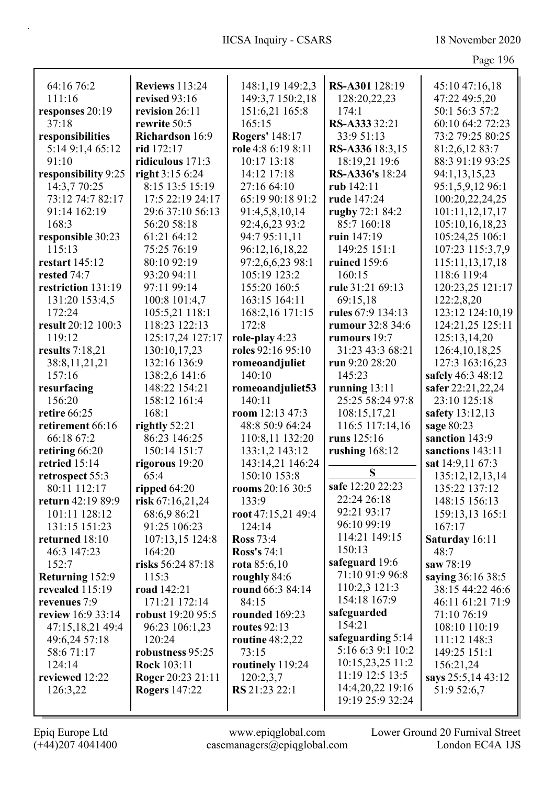| Page 196 |  |
|----------|--|
|          |  |

| 64:16 76:2                         | <b>Reviews</b> 113:24        | 148:1,19 149:2,3          | RS-A301 128:19    | 45:10 47:16,18                       |
|------------------------------------|------------------------------|---------------------------|-------------------|--------------------------------------|
| 111:16                             | revised 93:16                | 149:3,7 150:2,18          | 128:20,22,23      | 47:22 49:5,20                        |
| responses 20:19                    | revision 26:11               | 151:6,21 165:8            | 174:1             | 50:1 56:3 57:2                       |
| 37:18                              | rewrite 50:5                 | 165:15                    | RS-A333 32:21     | 60:10 64:2 72:23                     |
| responsibilities                   | <b>Richardson</b> 16:9       | Rogers' 148:17            | 33:9 51:13        | 73:2 79:25 80:25                     |
| 5:14 9:1,4 65:12                   | rid 172:17                   | role 4:8 6:19 8:11        | RS-A336 18:3,15   | 81:2,6,12 83:7                       |
| 91:10                              | ridiculous 171:3             | 10:17 13:18               | 18:19,21 19:6     | 88:3 91:19 93:25                     |
| responsibility 9:25                | right 3:15 6:24              | 14:12 17:18               | RS-A336's 18:24   | 94:1,13,15,23                        |
| 14:3,7 70:25                       | 8:15 13:5 15:19              | 27:16 64:10               | rub 142:11        | 95:1,5,9,12 96:1                     |
| 73:12 74:7 82:17                   | 17:5 22:19 24:17             | 65:19 90:18 91:2          | rude 147:24       | 100:20,22,24,25                      |
| 91:14 162:19                       | 29:6 37:10 56:13             | 91:4,5,8,10,14            | rugby 72:1 84:2   | 101:11,12,17,17                      |
| 168:3                              | 56:20 58:18                  | 92:4,6,23 93:2            | 85:7 160:18       | 105:10,16,18,23                      |
| responsible 30:23                  | 61:21 64:12                  | 94:7 95:11,11             | ruin 147:19       | 105:24,25 106:1                      |
| 115:13                             | 75:25 76:19                  | 96:12,16,18,22            | 149:25 151:1      | 107:23 115:3,7,9                     |
| <b>restart</b> 145:12              | 80:10 92:19                  | 97:2,6,6,23 98:1          | ruined 159:6      | 115:11,13,17,18                      |
| rested 74:7                        | 93:20 94:11                  | 105:19 123:2              | 160:15            | 118:6 119:4                          |
| restriction 131:19                 | 97:11 99:14                  | 155:20 160:5              | rule 31:21 69:13  | 120:23,25 121:17                     |
| 131:20 153:4,5                     | 100:8 101:4,7                | 163:15 164:11             | 69:15,18          | 122:2,8,20                           |
| 172:24                             | 105:5,21 118:1               | 168:2,16 171:15           | rules 67:9 134:13 | 123:12 124:10,19                     |
| result 20:12 100:3                 | 118:23 122:13                | 172:8                     | rumour 32:8 34:6  | 124:21,25 125:11                     |
| 119:12                             | 125:17,24 127:17             | role-play 4:23            | rumours 19:7      | 125:13,14,20                         |
| results $7:18,21$                  | 130:10,17,23                 | roles 92:16 95:10         | 31:23 43:3 68:21  | 126:4, 10, 18, 25                    |
| 38:8,11,21,21                      | 132:16 136:9                 | romeoandjuliet            | run 9:20 28:20    | 127:3 163:16,23                      |
| 157:16                             | 138:2,6 141:6                | 140:10                    | 145:23            | safely 46:3 48:12                    |
| resurfacing                        | 148:22 154:21                | romeoandjuliet53          | running $13:11$   | safer 22:21,22,24                    |
| 156:20                             | 158:12 161:4                 | 140:11                    | 25:25 58:24 97:8  | 23:10 125:18                         |
| retire 66:25                       | 168:1                        | room $12:13$ 47:3         | 108:15,17,21      |                                      |
| retirement 66:16                   | rightly 52:21                | 48:8 50:9 64:24           | 116:5 117:14,16   | safety 13:12,13<br>sage 80:23        |
| 66:18 67:2                         | 86:23 146:25                 | 110:8,11 132:20           | runs 125:16       | sanction 143:9                       |
| retiring 66:20                     | 150:14 151:7                 | 133:1,2 143:12            | rushing $168:12$  | sanctions 143:11                     |
| retried 15:14                      | rigorous 19:20               | 143:14,21 146:24          |                   | sat 14:9,11 67:3                     |
|                                    | 65:4                         | 150:10 153:8              | ${\bf S}$         |                                      |
| retrospect 55:3<br>80:11 112:17    | ripped $64:20$               | rooms 20:16 30:5          | safe 12:20 22:23  | 135:12,12,13,14<br>135:22 137:12     |
| return 42:19 89:9                  |                              | 133:9                     | 22:24 26:18       | 148:15 156:13                        |
| 101:11 128:12                      | risk $67:16,21,24$           | root 47:15,21 49:4        | 92:21 93:17       |                                      |
|                                    | 68:6,9 86:21<br>91:25 106:23 | 124:14                    | 96:10 99:19       | 159:13,13 165:1<br>167:17            |
| 131:15 151:23<br>returned 18:10    |                              | <b>Ross</b> 73:4          | 114:21 149:15     |                                      |
| 46:3 147:23                        | 107:13,15 124:8              | <b>Ross's 74:1</b>        | 150:13            | Saturday 16:11                       |
| 152:7                              | 164:20<br>risks 56:24 87:18  |                           | safeguard 19:6    | 48:7<br>saw 78:19                    |
|                                    | 115:3                        | rota $85:6,10$            | 71:10 91:9 96:8   | saying 36:16 38:5                    |
| Returning 152:9<br>revealed 115:19 | road 142:21                  | roughly 84:6              | 110:2,3 121:3     |                                      |
| revenues 7:9                       | 171:21 172:14                | round 66:3 84:14<br>84:15 | 154:18 167:9      | 38:15 44:22 46:6<br>46:11 61:21 71:9 |
| review 16:9 33:14                  | robust 19:20 95:5            | rounded 169:23            | safeguarded       | 71:10 76:19                          |
|                                    |                              |                           | 154:21            |                                      |
| 47:15,18,21 49:4                   | 96:23 106:1,23               | routes $92:13$            | safeguarding 5:14 | 108:10 110:19                        |
| 49:6,24 57:18                      | 120:24                       | routine 48:2,22           | 5:16 6:3 9:1 10:2 | 111:12 148:3                         |
| 58:671:17                          | robustness 95:25             | 73:15                     | 10:15,23,25 11:2  | 149:25 151:1                         |
| 124:14                             | Rock 103:11                  | routinely 119:24          | 11:19 12:5 13:5   | 156:21,24                            |
| reviewed 12:22                     | <b>Roger</b> 20:23 21:11     | 120:2,3,7                 | 14:4,20,22 19:16  | says 25:5,14 43:12                   |
| 126:3,22                           | <b>Rogers</b> 147:22         | RS 21:23 22:1             | 19:19 25:9 32:24  | 51:9 52:6,7                          |
|                                    |                              |                           |                   |                                      |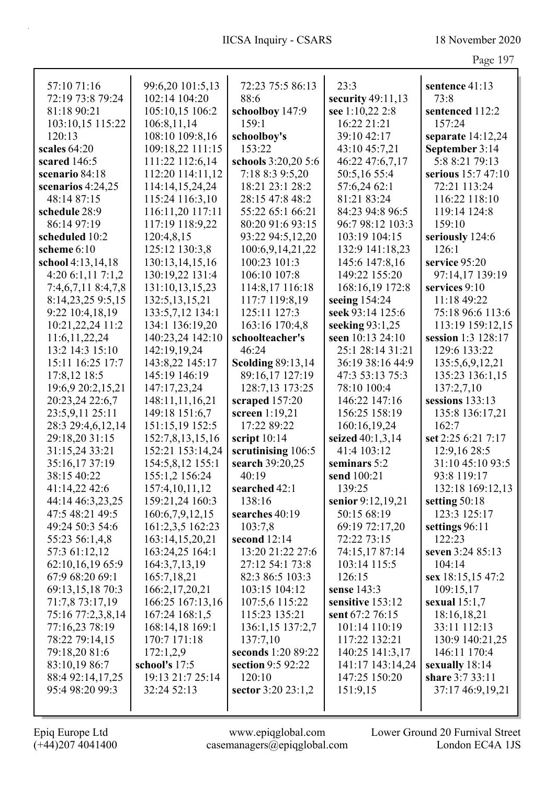| ι.<br>л. |  |
|----------|--|
|          |  |

|                     |                   |                          |                   | O                   |
|---------------------|-------------------|--------------------------|-------------------|---------------------|
| 57:10 71:16         | 99:6,20 101:5,13  | 72:23 75:5 86:13         | 23:3              | sentence 41:13      |
| 72:19 73:8 79:24    | 102:14 104:20     | 88:6                     | security 49:11,13 | 73:8                |
| 81:18 90:21         | 105:10,15 106:2   | schoolboy 147:9          | see 1:10,22 2:8   | sentenced 112:2     |
| 103:10,15 115:22    | 106:8,11,14       | 159:1                    | 16:22 21:21       | 157:24              |
| 120:13              | 108:10 109:8,16   | schoolboy's              | 39:10 42:17       | separate $14:12,24$ |
| scales 64:20        | 109:18,22 111:15  | 153:22                   | 43:10 45:7,21     | September 3:14      |
| scared 146:5        | 111:22 112:6,14   | schools 3:20,20 5:6      | 46:22 47:6,7,17   | 5:8 8:21 79:13      |
| scenario 84:18      | 112:20 114:11,12  | 7:18 8:3 9:5,20          | 50:5,16 55:4      | serious 15:7 47:10  |
| scenarios $4:24,25$ | 114:14,15,24,24   | 18:21 23:1 28:2          | 57:6,24 62:1      | 72:21 113:24        |
| 48:14 87:15         | 115:24 116:3,10   | 28:15 47:8 48:2          | 81:21 83:24       | 116:22 118:10       |
| schedule 28:9       | 116:11,20 117:11  | 55:22 65:1 66:21         | 84:23 94:8 96:5   | 119:14 124:8        |
| 86:14 97:19         | 117:19 118:9,22   | 80:20 91:6 93:15         | 96:7 98:12 103:3  | 159:10              |
| scheduled 10:2      | 120:4,8,15        | 93:22 94:5,12,20         | 103:19 104:15     | seriously 124:6     |
| scheme 6:10         | 125:12 130:3,8    | 100:6,9,14,21,22         | 132:9 141:18,23   | 126:1               |
| school 4:13,14,18   | 130:13,14,15,16   | 100:23 101:3             | 145:6 147:8,16    | service 95:20       |
| 4:206:1,117:1,2     | 130:19,22 131:4   | 106:10 107:8             | 149:22 155:20     | 97:14,17 139:19     |
| 7:4,6,7,11 8:4,7,8  | 131:10,13,15,23   | 114:8,17 116:18          | 168:16,19 172:8   | services 9:10       |
| 8:14,23,25 9:5,15   | 132:5, 13, 15, 21 | 117:7 119:8,19           | seeing 154:24     | 11:18 49:22         |
| 9:22 10:4,18,19     | 133:5,7,12 134:1  | 125:11 127:3             | seek 93:14 125:6  | 75:18 96:6 113:6    |
| 10:21,22,24 11:2    | 134:1 136:19,20   | 163:16 170:4,8           | seeking 93:1,25   | 113:19 159:12,15    |
| 11:6, 11, 22, 24    | 140:23,24 142:10  | schoolteacher's          | seen 10:13 24:10  | session 1:3 128:17  |
| 13:2 14:3 15:10     | 142:19,19,24      | 46:24                    | 25:1 28:14 31:21  | 129:6 133:22        |
| 15:11 16:25 17:7    | 143:8,22 145:17   | <b>Scolding 89:13,14</b> | 36:19 38:16 44:9  | 135:5,6,9,12,21     |
| 17:8,12 18:5        | 145:19 146:19     | 89:16,17 127:19          | 47:3 53:13 75:3   | 135:23 136:1,15     |
| 19:6,9 20:2,15,21   | 147:17,23,24      | 128:7,13 173:25          | 78:10 100:4       | 137:2,7,10          |
| 20:23,24 22:6,7     | 148:11,11,16,21   | scraped 157:20           | 146:22 147:16     | sessions 133:13     |
| 23:5,9,11 25:11     | 149:18 151:6,7    | screen 1:19,21           | 156:25 158:19     | 135:8 136:17,21     |
| 28:3 29:4,6,12,14   | 151:15,19 152:5   | 17:22 89:22              | 160:16,19,24      | 162:7               |
| 29:18,20 31:15      | 152:7,8,13,15,16  | script 10:14             | seized 40:1,3,14  | set 2:25 6:21 7:17  |
| 31:15,24 33:21      | 152:21 153:14,24  | scrutinising 106:5       | 41:4 103:12       | 12:9,16 28:5        |
| 35:16,17 37:19      | 154:5,8,12 155:1  | search 39:20,25          | seminars 5:2      | 31:10 45:10 93:5    |
| 38:15 40:22         | 155:1,2 156:24    | 40:19                    | send 100:21       | 93:8 119:17         |
| 41:14,22 42:6       | 157:4,10,11,12    | searched 42:1            | 139:25            | 132:18 169:12,13    |
| 44:14 46:3,23,25    | 159:21,24 160:3   | 138:16                   | senior 9:12,19,21 | setting 50:18       |
| 47:5 48:21 49:5     | 160:6,7,9,12,15   | searches 40:19           | 50:15 68:19       | 123:3 125:17        |
| 49:24 50:3 54:6     | 161:2,3,5 162:23  | 103:7,8                  | 69:19 72:17,20    | settings 96:11      |
| 55:23 56:1,4,8      | 163:14,15,20,21   | second 12:14             | 72:22 73:15       | 122:23              |
| 57:3 61:12,12       | 163:24,25 164:1   | 13:20 21:22 27:6         | 74:15,17 87:14    | seven 3:24 85:13    |
| 62:10,16,19 65:9    | 164:3,7,13,19     | 27:12 54:1 73:8          | 103:14 115:5      | 104:14              |
| 67:9 68:20 69:1     | 165:7,18,21       | 82:3 86:5 103:3          | 126:15            | sex 18:15,15 47:2   |
| 69:13,15,18 70:3    | 166:2, 17, 20, 21 | 103:15 104:12            | sense 143:3       | 109:15,17           |
| 71:7,8 73:17,19     | 166:25 167:13,16  | 107:5,6 115:22           | sensitive 153:12  | sexual $15:1,7$     |
| 75:16 77:2,3,8,14   | 167:24 168:1,5    | 115:23 135:21            | sent 67:2 76:15   | 18:16,18,21         |
| 77:16,23 78:19      | 168:14,18 169:1   | 136:1,15 137:2,7         | 101:14 110:19     | 33:11 112:13        |
| 78:22 79:14,15      | 170:7 171:18      | 137:7,10                 | 117:22 132:21     | 130:9 140:21,25     |
| 79:18,20 81:6       | 172:1,2,9         | seconds 1:20 89:22       | 140:25 141:3,17   | 146:11 170:4        |
| 83:10,19 86:7       | school's 17:5     | section 9:5 92:22        | 141:17 143:14,24  | sexually 18:14      |
| 88:4 92:14,17,25    | 19:13 21:7 25:14  | 120:10                   | 147:25 150:20     | share 3:7 33:11     |
| 95:4 98:20 99:3     | 32:24 52:13       | sector $3:20$ 23:1,2     | 151:9,15          | 37:17 46:9,19,21    |
|                     |                   |                          |                   |                     |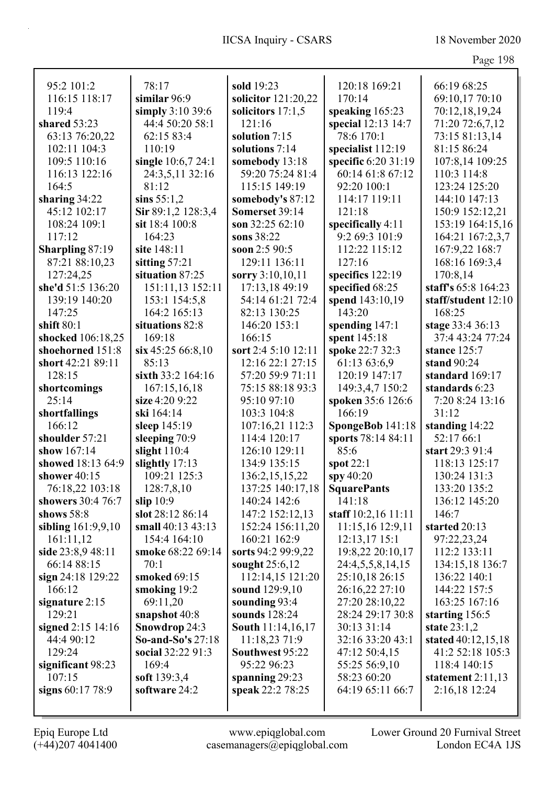| 95:2 101:2             | 78:17                    | sold 19:23               | 120:18 169:21       | 66:19 68:25         |
|------------------------|--------------------------|--------------------------|---------------------|---------------------|
| 116:15 118:17          | similar 96:9             | solicitor 121:20,22      | 170:14              | 69:10,17 70:10      |
| 119:4                  | simply $3:10$ 39:6       | solicitors $17:1,5$      | speaking 165:23     | 70:12,18,19,24      |
| shared 53:23           | 44:4 50:20 58:1          | 121:16                   | special 12:13 14:7  | 71:20 72:6,7,12     |
| 63:13 76:20,22         | 62:15 83:4               | solution $7:15$          | 78:6 170:1          | 73:15 81:13,14      |
| 102:11 104:3           | 110:19                   | solutions 7:14           | specialist 112:19   | 81:15 86:24         |
| 109:5 110:16           | single 10:6,7 24:1       | somebody 13:18           | specific 6:20 31:19 | 107:8,14 109:25     |
| 116:13 122:16          | 24:3,5,11 32:16          | 59:20 75:24 81:4         | 60:14 61:8 67:12    | 110:3 114:8         |
| 164:5                  | 81:12                    | 115:15 149:19            | 92:20 100:1         | 123:24 125:20       |
| sharing $34:22$        | sins $55:1,2$            | somebody's 87:12         | 114:17 119:11       | 144:10 147:13       |
| 45:12 102:17           | Sir 89:1,2 128:3,4       | Somerset 39:14           | 121:18              | 150:9 152:12,21     |
| 108:24 109:1           | sit 18:4 100:8           | son 32:25 62:10          | specifically 4:11   | 153:19 164:15,16    |
| 117:12                 | 164:23                   | sons 38:22               | 9:2 69:3 101:9      | 164:21 167:2,3,7    |
| <b>Sharpling 87:19</b> | site 148:11              | soon 2:5 90:5            | 112:22 115:12       | 167:9,22 168:7      |
| 87:21 88:10,23         | sitting 57:21            | 129:11 136:11            | 127:16              | 168:16 169:3,4      |
| 127:24,25              | situation 87:25          | sorry 3:10,10,11         | specifics 122:19    | 170:8,14            |
| she'd 51:5 136:20      | 151:11,13 152:11         | 17:13,18 49:19           | specified 68:25     | staff's 65:8 164:23 |
| 139:19 140:20          | 153:1 154:5,8            | 54:14 61:21 72:4         | spend 143:10,19     | staff/student 12:10 |
| 147:25                 | 164:2 165:13             | 82:13 130:25             | 143:20              | 168:25              |
| shift $80:1$           | situations 82:8          | 146:20 153:1             | spending $147:1$    | stage 33:4 36:13    |
| shocked 106:18,25      | 169:18                   | 166:15                   | spent 145:18        | 37:4 43:24 77:24    |
| shoehorned 151:8       | $\sin 45:2566:8,10$      | sort 2:4 5:10 12:11      | spoke 22:7 32:3     | stance 125:7        |
| short 42:21 89:11      | 85:13                    | 12:16 22:1 27:15         | 61:13 63:6,9        | stand 90:24         |
| 128:15                 | sixth 33:2 164:16        | 57:20 59:9 71:11         | 120:19 147:17       | standard 169:17     |
| shortcomings           | 167:15,16,18             | 75:15 88:18 93:3         | 149:3,4,7 150:2     | standards 6:23      |
| 25:14                  | size 4:20 9:22           | 95:10 97:10              | spoken 35:6 126:6   | 7:20 8:24 13:16     |
| shortfallings          | ski 164:14               | 103:3 104:8              | 166:19              | 31:12               |
| 166:12                 | sleep $145:19$           | 107:16,21 112:3          | SpongeBob 141:18    | standing 14:22      |
| shoulder 57:21         | sleeping 70:9            | 114:4 120:17             | sports 78:14 84:11  | 52:17 66:1          |
| show 167:14            | slight 110:4             | 126:10 129:11            | 85:6                | start 29:3 91:4     |
| showed 18:13 64:9      | slightly 17:13           | 134:9 135:15             | spot $22:1$         | 118:13 125:17       |
| shower 40:15           | 109:21 125:3             | 136:2, 15, 15, 22        | spy $40:20$         | 130:24 131:3        |
| 76:18,22 103:18        | 128:7,8,10               | 137:25 140:17,18         | <b>SquarePants</b>  | 133:20 135:2        |
| showers 30:4 76:7      | slip 10:9                | 140:24 142:6             | 141:18              | 136:12 145:20       |
| shows $58:8$           | slot 28:12 86:14         | 147:2 152:12,13          | staff 10:2,16 11:11 | 146:7               |
| sibling 161:9,9,10     | small $40:13$ $43:13$    | 152:24 156:11,20         | 11:15,16 12:9,11    | started 20:13       |
| 161:11,12              | 154:4 164:10             | 160:21 162:9             | $12:13,17$ 15:1     | 97:22,23,24         |
| side 23:8,9 48:11      | smoke 68:22 69:14        | sorts 94:2 99:9,22       | 19:8,22 20:10,17    | 112:2 133:11        |
| 66:14 88:15            | 70:1                     | sought 25:6,12           | 24:4,5,5,8,14,15    | 134:15,18 136:7     |
| sign 24:18 129:22      | smoked 69:15             | 112:14,15 121:20         | 25:10,18 26:15      | 136:22 140:1        |
| 166:12                 | smoking 19:2             | sound 129:9,10           | 26:16,22 27:10      | 144:22 157:5        |
| signature 2:15         | 69:11,20                 | sounding 93:4            | 27:20 28:10,22      | 163:25 167:16       |
| 129:21                 | snapshot 40:8            | sounds 128:24            | 28:24 29:17 30:8    | starting 156:5      |
| signed 2:15 14:16      | Snowdrop 24:3            | <b>South 11:14,16,17</b> | 30:13 31:14         | state $23:1,2$      |
| 44:4 90:12             | <b>So-and-So's 27:18</b> | 11:18,23 71:9            | 32:16 33:20 43:1    | stated 40:12,15,18  |
| 129:24                 | social 32:22 91:3        | Southwest 95:22          | 47:12 50:4,15       | 41:2 52:18 105:3    |
| significant 98:23      | 169:4                    | 95:22 96:23              | 55:25 56:9,10       | 118:4 140:15        |
| 107:15                 | soft 139:3,4             | spanning $29:23$         | 58:23 60:20         | statement $2:11,13$ |
| signs 60:17 78:9       | software 24:2            | speak 22:2 78:25         | 64:19 65:11 66:7    | 2:16,18 12:24       |
|                        |                          |                          |                     |                     |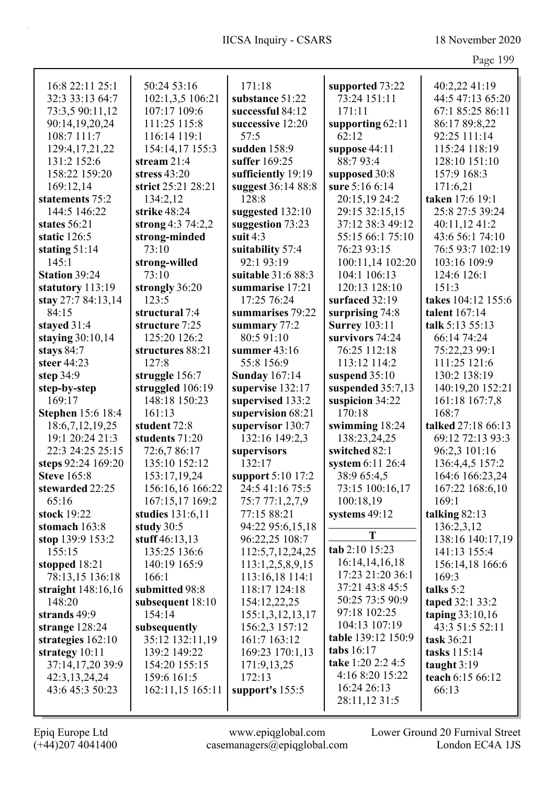| n O<br>ு∪ |  |
|-----------|--|
|-----------|--|

| 16:8 22:11 25:1                          | 50:24 53:16                    | 171:18                             | supported 73:22      | 40:2,22 41:19                 |
|------------------------------------------|--------------------------------|------------------------------------|----------------------|-------------------------------|
| 32:3 33:13 64:7                          | 102:1,3,5 106:21               | substance 51:22                    | 73:24 151:11         | 44:5 47:13 65:20              |
| 73:3,5 90:11,12                          | 107:17 109:6                   | successful 84:12                   | 171:11               | 67:1 85:25 86:11              |
| 90:14,19,20,24                           | 111:25 115:8                   | successive 12:20                   | supporting 62:11     | 86:17 89:8,22                 |
| 108:7 111:7                              | 116:14 119:1                   | 57:5                               | 62:12                | 92:25 111:14                  |
| 129:4, 17, 21, 22                        | 154:14,17 155:3                | sudden 158:9                       | suppose 44:11        | 115:24 118:19                 |
| 131:2 152:6                              | stream 21:4                    | suffer 169:25                      | 88:7 93:4            | 128:10 151:10                 |
| 158:22 159:20                            | stress $43:20$                 | sufficiently 19:19                 | supposed 30:8        | 157:9 168:3                   |
| 169:12,14                                | strict 25:21 28:21             | suggest 36:14 88:8                 | sure 5:16 6:14       | 171:6,21                      |
| statements 75:2                          | 134:2,12                       | 128:8                              | 20:15,19 24:2        | taken 17:6 19:1               |
| 144:5 146:22                             | strike 48:24                   | suggested 132:10                   | 29:15 32:15,15       | 25:8 27:5 39:24               |
| states 56:21                             | strong 4:3 74:2,2              | suggestion 73:23                   | 37:12 38:3 49:12     | 40:11,12 41:2                 |
| static 126:5                             | strong-minded                  | suit $4:3$                         | 55:15 66:1 75:10     | 43:6 56:1 74:10               |
| stating $51:14$                          | 73:10                          | suitability 57:4                   | 76:23 93:15          | 76:5 93:7 102:19              |
| 145:1                                    | strong-willed                  | 92:1 93:19                         | 100:11,14 102:20     | 103:16 109:9                  |
| <b>Station 39:24</b>                     | 73:10                          | suitable 31:6 88:3                 | 104:1 106:13         | 124:6 126:1                   |
| statutory 113:19                         | strongly 36:20                 | summarise 17:21                    | 120:13 128:10        | 151:3                         |
| stay 27:7 84:13,14                       | 123:5                          | 17:25 76:24                        | surfaced 32:19       | takes 104:12 155:6            |
| 84:15                                    | structural 7:4                 | summarises 79:22                   | surprising 74:8      | talent 167:14                 |
| stayed 31:4                              | structure 7:25                 | summary 77:2                       | <b>Surrey 103:11</b> | talk 5:13 55:13               |
| staying $30:10,14$                       | 125:20 126:2                   | 80:591:10                          | survivors 74:24      | 66:14 74:24                   |
| stays 84:7                               | structures 88:21               | summer $43:16$                     | 76:25 112:18         | 75:22,23 99:1                 |
| steer 44:23                              | 127:8                          | 55:8 156:9                         | 113:12 114:2         | 111:25 121:6                  |
| step 34:9                                | struggle 156:7                 | <b>Sunday 167:14</b>               | suspend 35:10        | 130:2 138:19                  |
| step-by-step                             | struggled 106:19               | supervise 132:17                   | suspended 35:7,13    | 140:19,20 152:21              |
| 169:17                                   | 148:18 150:23                  | supervised 133:2                   | suspicion 34:22      | 161:18 167:7,8                |
| <b>Stephen</b> 15:6 18:4                 | 161:13                         | supervision 68:21                  | 170:18               | 168:7                         |
| 18:6,7,12,19,25                          | student 72:8                   | supervisor 130:7                   | swimming 18:24       | talked 27:18 66:13            |
| 19:1 20:24 21:3                          | students 71:20                 | 132:16 149:2,3                     | 138:23,24,25         | 69:12 72:13 93:3              |
| 22:3 24:25 25:15                         | 72:6,7 86:17                   | supervisors                        | switched 82:1        | 96:2,3 101:16                 |
| steps 92:24 169:20<br><b>Steve 165:8</b> | 135:10 152:12                  | 132:17                             | system 6:11 26:4     | 136:4,4,5 157:2               |
|                                          | 153:17,19,24                   | support 5:10 17:2                  | 38:9 65:4,5          | 164:6 166:23,24               |
| stewarded 22:25<br>65:16                 | 156:16,16 166:22               | 24:5 41:16 75:5                    | 73:15 100:16,17      | 167:22 168:6,10<br>169:1      |
|                                          | 167:15,17 169:2                | 75:7 77:1,2,7,9<br>77:15 88:21     | 100:18,19            |                               |
| stock 19:22<br>stomach 163:8             | studies 131:6,11               |                                    | systems $49:12$      | talking $82:13$<br>136:2,3,12 |
| stop $139:9 153:2$                       | study $30:5$<br>stuff 46:13,13 | 94:22 95:6,15,18<br>96:22,25 108:7 | T                    | 138:16 140:17,19              |
| 155:15                                   | 135:25 136:6                   | 112:5,7,12,24,25                   | tab 2:10 15:23       | 141:13 155:4                  |
| stopped 18:21                            | 140:19 165:9                   | 113:1,2,5,8,9,15                   | 16:14,14,16,18       | 156:14,18 166:6               |
| 78:13,15 136:18                          | 166:1                          | 113:16,18 114:1                    | 17:23 21:20 36:1     | 169:3                         |
| straight 148:16,16                       | submitted 98:8                 | 118:17 124:18                      | 37:21 43:8 45:5      | talks 5:2                     |
| 148:20                                   | subsequent 18:10               | 154:12,22,25                       | 50:25 73:5 90:9      | taped 32:1 33:2               |
| strands 49:9                             | 154:14                         | 155:1,3,12,13,17                   | 97:18 102:25         | taping $33:10,16$             |
| strange $128:24$                         | subsequently                   | 156:2,3 157:12                     | 104:13 107:19        | 43:3 51:5 52:11               |
| strategies $162:10$                      | 35:12 132:11,19                | 161:7 163:12                       | table 139:12 150:9   | task 36:21                    |
| strategy 10:11                           | 139:2 149:22                   | 169:23 170:1,13                    | tabs 16:17           | tasks 115:14                  |
| 37:14,17,20 39:9                         | 154:20 155:15                  | 171:9,13,25                        | take 1:20 2:2 4:5    | taught $3:19$                 |
| 42:3,13,24,24                            | 159:6 161:5                    | 172:13                             | 4:16 8:20 15:22      | teach 6:15 66:12              |
| 43:6 45:3 50:23                          | 162:11,15 165:11               | support's 155:5                    | 16:24 26:13          | 66:13                         |
|                                          |                                |                                    | 28:11,12 31:5        |                               |
|                                          |                                |                                    |                      |                               |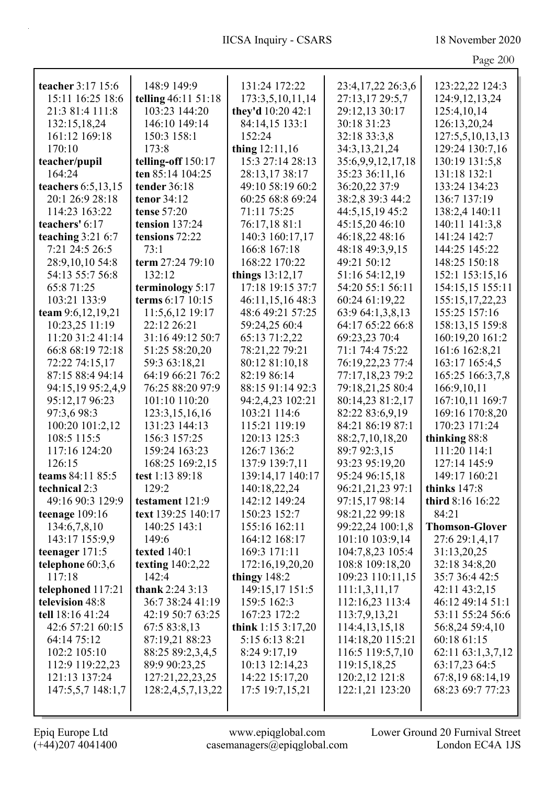| teacher 3:17 15:6   | 148:9 149:9         | 131:24 172:22      | 23:4,17,22 26:3,6 | 123:22,22 124:3       |
|---------------------|---------------------|--------------------|-------------------|-----------------------|
| 15:11 16:25 18:6    | telling 46:11 51:18 | 173:3,5,10,11,14   | 27:13,17 29:5,7   | 124:9, 12, 13, 24     |
| 21:3 81:4 111:8     | 103:23 144:20       | they'd 10:20 42:1  | 29:12,13 30:17    | 125:4,10,14           |
| 132:15,18,24        | 146:10 149:14       | 84:14,15 133:1     | 30:18 31:23       | 126:13,20,24          |
| 161:12 169:18       | 150:3 158:1         | 152:24             | 32:18 33:3,8      | 127:5,5,10,13,13      |
| 170:10              | 173:8               | thing 12:11,16     | 34:3,13,21,24     | 129:24 130:7,16       |
| teacher/pupil       | telling-off 150:17  | 15:3 27:14 28:13   | 35:6,9,9,12,17,18 | 130:19 131:5,8        |
| 164:24              | ten 85:14 104:25    | 28:13,1738:17      | 35:23 36:11,16    | 131:18 132:1          |
| teachers 6:5,13,15  | tender 36:18        | 49:10 58:19 60:2   | 36:20,22 37:9     | 133:24 134:23         |
| 20:1 26:9 28:18     | tenor 34:12         | 60:25 68:8 69:24   | 38:2,8 39:3 44:2  | 136:7 137:19          |
| 114:23 163:22       | <b>tense</b> 57:20  | 71:11 75:25        | 44:5,15,19 45:2   | 138:2,4 140:11        |
| teachers' 6:17      | tension 137:24      | 76:17,18 81:1      | 45:15,20 46:10    | 140:11 141:3,8        |
| teaching $3:21$ 6:7 | tensions 72:22      | 140:3 160:17,17    | 46:18,22 48:16    | 141:24 142:7          |
| 7:21 24:5 26:5      | 73:1                | 166:8 167:18       | 48:18 49:3,9,15   | 144:25 145:22         |
| 28:9,10,10 54:8     | term 27:24 79:10    | 168:22 170:22      | 49:21 50:12       | 148:25 150:18         |
| 54:13 55:7 56:8     | 132:12              | things $13:12,17$  | 51:16 54:12,19    | 152:1 153:15,16       |
| 65:871:25           | terminology 5:17    | 17:18 19:15 37:7   | 54:20 55:1 56:11  | 154:15,15 155:11      |
| 103:21 133:9        | terms 6:17 10:15    | 46:11,15,16 48:3   | 60:24 61:19,22    | 155:15,17,22,23       |
| team 9:6,12,19,21   | 11:5,6,12 19:17     | 48:6 49:21 57:25   | 63:9 64:1,3,8,13  | 155:25 157:16         |
| 10:23,25 11:19      | 22:12 26:21         | 59:24,25 60:4      | 64:17 65:22 66:8  | 158:13,15 159:8       |
| 11:20 31:2 41:14    | 31:16 49:12 50:7    | 65:13 71:2,22      | 69:23,23 70:4     | 160:19,20 161:2       |
| 66:8 68:19 72:18    | 51:25 58:20,20      | 78:21,22 79:21     | 71:1 74:4 75:22   | 161:6 162:8,21        |
| 72:22 74:15,17      | 59:3 63:18,21       | 80:12 81:10,18     | 76:19,22,23 77:4  | 163:17 165:4,5        |
| 87:15 88:4 94:14    | 64:19 66:21 76:2    | 82:19 86:14        | 77:17,18,23 79:2  | 165:25 166:3,7,8      |
| 94:15,19 95:2,4,9   | 76:25 88:20 97:9    | 88:15 91:14 92:3   | 79:18,21,25 80:4  | 166:9,10,11           |
| 95:12,17 96:23      | 101:10 110:20       | 94:2,4,23 102:21   | 80:14,23 81:2,17  | 167:10,11 169:7       |
| 97:3,6 98:3         | 123:3, 15, 16, 16   | 103:21 114:6       | 82:22 83:6,9,19   | 169:16 170:8,20       |
| 100:20 101:2,12     | 131:23 144:13       | 115:21 119:19      | 84:21 86:19 87:1  | 170:23 171:24         |
| 108:5 115:5         | 156:3 157:25        | 120:13 125:3       | 88:2,7,10,18,20   | thinking 88:8         |
| 117:16 124:20       | 159:24 163:23       | 126:7 136:2        | 89:7 92:3,15      | 111:20 114:1          |
| 126:15              | 168:25 169:2,15     | 137:9 139:7,11     | 93:23 95:19,20    | 127:14 145:9          |
| teams 84:11 85:5    | test 1:13 89:18     | 139:14,17 140:17   | 95:24 96:15,18    | 149:17 160:21         |
| technical 2:3       | 129:2               | 140:18,22,24       | 96:21,21,23 97:1  | thinks $147:8$        |
| 49:16 90:3 129:9    | testament 121:9     | 142:12 149:24      | 97:15,17 98:14    | third 8:16 16:22      |
| teenage $109:16$    | text 139:25 140:17  | 150:23 152:7       | 98:21,22 99:18    | 84:21                 |
| 134:6,7,8,10        | 140:25 143:1        | 155:16 162:11      | 99:22,24 100:1,8  | <b>Thomson-Glover</b> |
| 143:17 155:9,9      | 149:6               | 164:12 168:17      | 101:10 103:9,14   | 27:6 29:1,4,17        |
| teenager $171:5$    | texted 140:1        | 169:3 171:11       | 104:7,8,23 105:4  | 31:13,20,25           |
| telephone 60:3,6    | texting $140:2,22$  | 172:16,19,20,20    | 108:8 109:18,20   | 32:18 34:8,20         |
| 117:18              | 142:4               | thingy $148:2$     | 109:23 110:11,15  | 35:7 36:4 42:5        |
| telephoned 117:21   | thank $2:24$ 3:13   | 149:15,17 151:5    | 111:1,3,11,17     | 42:11 43:2,15         |
| television 48:8     | 36:7 38:24 41:19    | 159:5 162:3        | 112:16,23 113:4   | 46:12 49:14 51:1      |
| tell 18:16 41:24    | 42:19 50:7 63:25    | 167:23 172:2       | 113:7,9,13,21     | 53:11 55:24 56:6      |
| 42:6 57:21 60:15    | 67:5 83:8,13        | think 1:15 3:17,20 | 114:4,13,15,18    | 56:8,24 59:4,10       |
| 64:14 75:12         | 87:19,21 88:23      | 5:15 6:13 8:21     | 114:18,20 115:21  | 60:18 61:15           |
| 102:2 105:10        | 88:25 89:2,3,4,5    | 8:24 9:17,19       | 116:5 119:5,7,10  | 62:11 63:1,3,7,12     |
| 112:9 119:22,23     | 89:9 90:23,25       | 10:13 12:14,23     | 119:15,18,25      | 63:17,23 64:5         |
| 121:13 137:24       | 127:21,22,23,25     | 14:22 15:17,20     | 120:2,12 121:8    | 67:8,19 68:14,19      |
| 147:5,5,7 148:1,7   | 128:2,4,5,7,13,22   | 17:5 19:7,15,21    | 122:1,21 123:20   | 68:23 69:7 77:23      |
|                     |                     |                    |                   |                       |
|                     |                     |                    |                   |                       |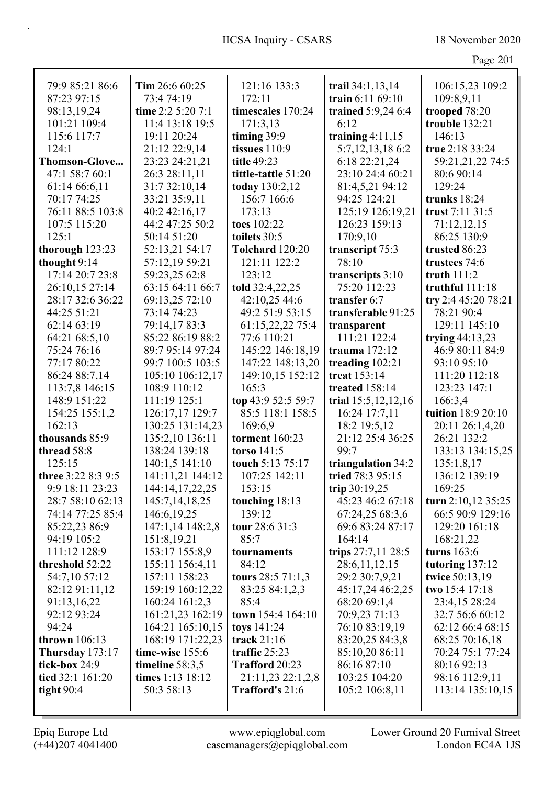|                    |                   |                        |                        | Page 201             |
|--------------------|-------------------|------------------------|------------------------|----------------------|
| 79:9 85:21 86:6    | Tim 26:6 60:25    | 121:16 133:3           | trail 34:1,13,14       | 106:15,23 109:2      |
| 87:23 97:15        | 73:4 74:19        | 172:11                 | train 6:11 69:10       | 109:8,9,11           |
| 98:13,19,24        | time 2:2 5:20 7:1 | timescales 170:24      | trained 5:9,24 6:4     | trooped 78:20        |
| 101:21 109:4       | 11:4 13:18 19:5   | 171:3,13               | 6:12                   | trouble 132:21       |
| 115:6 117:7        | 19:11 20:24       | timing 39:9            | training $4:11,15$     | 146:13               |
| 124:1              | 21:12 22:9,14     | tissues $110:9$        | 5:7, 12, 13, 18 6:2    | true 2:18 33:24      |
| Thomson-Glove      | 23:23 24:21,21    | title 49:23            | 6:18 22:21,24          | 59:21,21,22 74:5     |
| 47:1 58:7 60:1     | 26:3 28:11,11     | tittle-tattle 51:20    | 23:10 24:4 60:21       | 80:6 90:14           |
| 61:14 66:6,11      | 31:7 32:10,14     | today 130:2,12         | 81:4,5,21 94:12        | 129:24               |
| 70:17 74:25        | 33:21 35:9,11     | 156:7 166:6            | 94:25 124:21           | trunks 18:24         |
| 76:11 88:5 103:8   | 40:2 42:16,17     | 173:13                 | 125:19 126:19,21       | trust 7:11 31:5      |
| 107:5 115:20       | 44:2 47:25 50:2   | toes 102:22            | 126:23 159:13          | 71:12,12,15          |
| 125:1              | 50:14 51:20       | toilets 30:5           | 170:9,10               | 86:25 130:9          |
| thorough 123:23    | 52:13,21 54:17    | <b>Tolchard</b> 120:20 | transcript 75:3        | trusted 86:23        |
| thought 9:14       | 57:12,19 59:21    | 121:11 122:2           | 78:10                  | trustees 74:6        |
| 17:14 20:7 23:8    | 59:23,25 62:8     | 123:12                 | transcripts 3:10       | truth $111:2$        |
| 26:10,15 27:14     | 63:15 64:11 66:7  | told 32:4,22,25        | 75:20 112:23           | truthful 111:18      |
| 28:17 32:6 36:22   | 69:13,25 72:10    | 42:10,25 44:6          | transfer 6:7           | try 2:4 45:20 78:21  |
| 44:25 51:21        | 73:14 74:23       | 49:2 51:9 53:15        | transferable 91:25     | 78:21 90:4           |
| 62:14 63:19        | 79:14,1783:3      | 61:15,22,22 75:4       | transparent            | 129:11 145:10        |
| 64:21 68:5,10      | 85:22 86:19 88:2  | 77:6 110:21            | 111:21 122:4           | trying $44:13,23$    |
| 75:24 76:16        | 89:7 95:14 97:24  | 145:22 146:18,19       | trauma $172:12$        | 46:9 80:11 84:9      |
| 77:17 80:22        | 99:7 100:5 103:5  | 147:22 148:13,20       | treading $102:21$      | 93:10 95:10          |
| 86:24 88:7,14      | 105:10 106:12,17  | 149:10,15 152:12       | treat 153:14           | 111:20 112:18        |
| 113:7,8 146:15     | 108:9 110:12      | 165:3                  | treated 158:14         | 123:23 147:1         |
| 148:9 151:22       | 111:19 125:1      | top 43:9 52:5 59:7     | trial 15:5, 12, 12, 16 | 166:3,4              |
| 154:25 155:1,2     | 126:17,17 129:7   | 85:5 118:1 158:5       | 16:24 17:7,11          | tuition 18:9 20:10   |
| 162:13             | 130:25 131:14,23  | 169:6,9                | 18:2 19:5,12           | 20:11 26:1,4,20      |
| thousands 85:9     | 135:2,10 136:11   | <b>torment</b> 160:23  | 21:12 25:4 36:25       | 26:21 132:2          |
| thread 58:8        | 138:24 139:18     | torso 141:5            | 99:7                   | 133:13 134:15,25     |
| 125:15             | 140:1,5 141:10    | touch 5:13 75:17       | triangulation 34:2     | 135:1,8,17           |
| three 3:22 8:3 9:5 | 141:11,21 144:12  | 107:25 142:11          | tried 78:3 95:15       | 136:12 139:19        |
| 9:9 18:11 23:23    | 144:14,17,22,25   | 153:15                 | trip $30:19,25$        | 169:25               |
| 28:7 58:10 62:13   | 145:7, 14, 18, 25 | touching 18:13         | 45:23 46:2 67:18       | turn $2:10,12$ 35:25 |
| 74:14 77:25 85:4   | 146:6, 19, 25     | 139:12                 | 67:24,25 68:3,6        | 66:5 90:9 129:16     |
| 85:22,23 86:9      | 147:1,14 148:2,8  | tour 28:6 31:3         | 69:6 83:24 87:17       | 129:20 161:18        |
| 94:19 105:2        | 151:8,19,21       | 85:7                   | 164:14                 | 168:21,22            |
| 111:12 128:9       | 153:17 155:8,9    | tournaments            | trips 27:7,11 28:5     | turns 163:6          |
| threshold 52:22    | 155:11 156:4,11   | 84:12                  | 28:6,11,12,15          | tutoring 137:12      |
| 54:7,10 57:12      | 157:11 158:23     | tours $28:571:1,3$     | 29:2 30:7,9,21         | twice 50:13,19       |
| 82:12 91:11,12     | 159:19 160:12,22  | 83:25 84:1,2,3         | 45:17,24 46:2,25       | two 15:4 17:18       |
| 91:13,16,22        | 160:24 161:2,3    | 85:4                   | 68:20 69:1,4           | 23:4,15 28:24        |
| 92:12 93:24        | 161:21,23 162:19  | town 154:4 164:10      | 70:9,23 71:13          | 32:7 56:6 60:12      |
| 94:24              | 164:21 165:10,15  | toys $141:24$          | 76:10 83:19,19         | 62:12 66:4 68:15     |
| thrown 106:13      | 168:19 171:22,23  | track $21:16$          | 83:20,25 84:3,8        | 68:25 70:16,18       |
| Thursday $173:17$  | time-wise 155:6   | traffic 25:23          | 85:10,20 86:11         | 70:24 75:1 77:24     |
| tick-box 24:9      | timeline $58:3,5$ | Trafford 20:23         | 86:16 87:10            | 80:16 92:13          |
| tied 32:1 161:20   | times 1:13 18:12  | 21:11,23 22:1,2,8      | 103:25 104:20          | 98:16 112:9,11       |
| tight $90:4$       | 50:3 58:13        | Trafford's 21:6        | 105:2 106:8,11         | 113:14 135:10,15     |
|                    |                   |                        |                        |                      |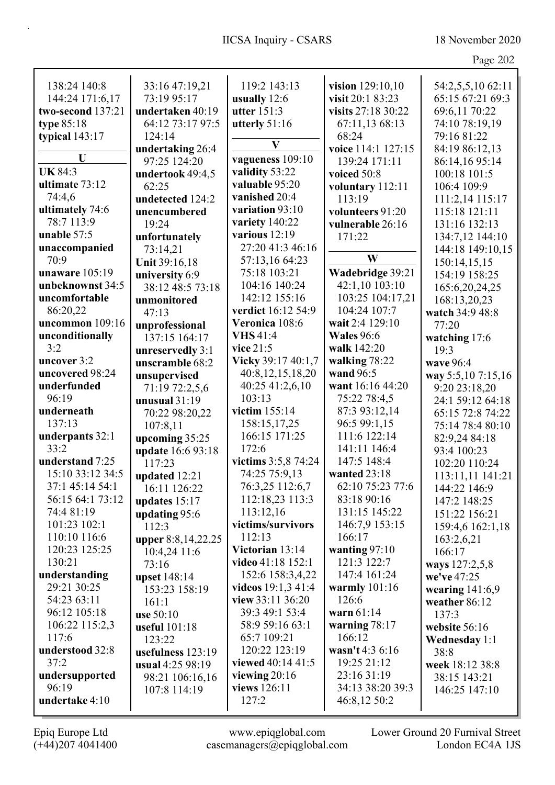| Page 202 |  |
|----------|--|
|          |  |

| 138:24 140:8      | 33:16 47:19,21      | 119:2 143:13         | vision $129:10,10$ | 54:2,5,5,10 62:11    |
|-------------------|---------------------|----------------------|--------------------|----------------------|
| 144:24 171:6,17   | 73:19 95:17         | usually 12:6         | visit 20:1 83:23   | 65:15 67:21 69:3     |
| two-second 137:21 | undertaken 40:19    | utter 151:3          | visits 27:18 30:22 | 69:6,11 70:22        |
| type $85:18$      | 64:12 73:17 97:5    | utterly 51:16        | 67:11,13 68:13     | 74:10 78:19,19       |
|                   | 124:14              |                      | 68:24              |                      |
| typical 143:17    |                     | V                    |                    | 79:16 81:22          |
| U                 | undertaking 26:4    | vagueness 109:10     | voice 114:1 127:15 | 84:19 86:12,13       |
| <b>UK 84:3</b>    | 97:25 124:20        | validity 53:22       | 139:24 171:11      | 86:14,16 95:14       |
|                   | undertook 49:4,5    | valuable 95:20       | voiced 50:8        | 100:18 101:5         |
| ultimate 73:12    | 62:25               |                      | voluntary 112:11   | 106:4 109:9          |
| 74:4,6            | undetected 124:2    | vanished 20:4        | 113:19             | 111:2,14 115:17      |
| ultimately 74:6   | unencumbered        | variation 93:10      | volunteers 91:20   | 115:18 121:11        |
| 78:7 113:9        | 19:24               | variety 140:22       | vulnerable 26:16   | 131:16 132:13        |
| unable 57:5       | unfortunately       | various 12:19        | 171:22             | 134:7,12 144:10      |
| unaccompanied     | 73:14,21            | 27:20 41:3 46:16     |                    | 144:18 149:10,15     |
| 70:9              | Unit 39:16,18       | 57:13,16 64:23       | W                  | 150:14,15,15         |
| unaware 105:19    | university 6:9      | 75:18 103:21         | Wadebridge 39:21   | 154:19 158:25        |
| unbeknownst 34:5  | 38:12 48:5 73:18    | 104:16 140:24        | 42:1,10 103:10     | 165:6,20,24,25       |
| uncomfortable     | unmonitored         | 142:12 155:16        | 103:25 104:17,21   | 168:13,20,23         |
| 86:20,22          | 47:13               | verdict 16:12 54:9   | 104:24 107:7       | watch 34:9 48:8      |
| uncommon 109:16   | unprofessional      | Veronica 108:6       | wait 2:4 129:10    | 77:20                |
| unconditionally   | 137:15 164:17       | <b>VHS</b> 41:4      | <b>Wales</b> 96:6  | watching 17:6        |
| 3:2               | unreservedly 3:1    | vice $21:5$          | walk 142:20        | 19:3                 |
| uncover 3:2       | unscramble 68:2     | Vicky 39:17 40:1,7   | walking 78:22      | wave 96:4            |
| uncovered 98:24   | unsupervised        | 40:8,12,15,18,20     | wand 96:5          | way 5:5,10 7:15,16   |
| underfunded       | 71:19 72:2,5,6      | 40:25 41:2,6,10      | want 16:16 44:20   | 9:20 23:18,20        |
| 96:19             | unusual $31:19$     | 103:13               | 75:22 78:4,5       | 24:1 59:12 64:18     |
| underneath        | 70:22 98:20,22      | victim 155:14        | 87:3 93:12,14      | 65:15 72:8 74:22     |
| 137:13            | 107:8,11            | 158:15,17,25         | 96:5 99:1,15       | 75:14 78:4 80:10     |
| underpants 32:1   | upcoming 35:25      | 166:15 171:25        | 111:6 122:14       | 82:9,24 84:18        |
| 33:2              | update 16:6 93:18   | 172:6                | 141:11 146:4       | 93:4 100:23          |
| understand 7:25   | 117:23              | victims 3:5,8 74:24  | 147:5 148:4        | 102:20 110:24        |
| 15:10 33:12 34:5  | updated 12:21       | 74:25 75:9,13        | wanted 23:18       | 113:11,11 141:21     |
| 37:1 45:14 54:1   | 16:11 126:22        | 76:3,25 112:6,7      | 62:10 75:23 77:6   | 144:22 146:9         |
| 56:15 64:1 73:12  | updates 15:17       | 112:18,23 113:3      | 83:18 90:16        | 147:2 148:25         |
| 74:4 81:19        | updating 95:6       | 113:12,16            | 131:15 145:22      | 151:22 156:21        |
| 101:23 102:1      | 112:3               | victims/survivors    | 146:7,9 153:15     | 159:4,6 162:1,18     |
| 110:10 116:6      | upper 8:8,14,22,25  | 112:13               | 166:17             | 163:2,6,21           |
| 120:23 125:25     | 10:4,24 11:6        | Victorian 13:14      | wanting $97:10$    | 166:17               |
| 130:21            | 73:16               | video 41:18 152:1    | 121:3 122:7        | ways 127:2,5,8       |
| understanding     | upset 148:14        | 152:6 158:3,4,22     | 147:4 161:24       | we've 47:25          |
| 29:21 30:25       | 153:23 158:19       | videos $19:1,3,41:4$ | warmly $101:16$    | wearing $141:6,9$    |
| 54:23 63:11       | 161:1               | view $33:11\,36:20$  | 126:6              | weather 86:12        |
| 96:12 105:18      | use 50:10           | 39:3 49:1 53:4       | warn $61:14$       | 137:3                |
| 106:22 115:2,3    | useful 101:18       | 58:9 59:16 63:1      | warning $78:17$    | website 56:16        |
| 117:6             | 123:22              | 65:7 109:21          | 166:12             | <b>Wednesday 1:1</b> |
| understood 32:8   | usefulness $123:19$ | 120:22 123:19        | wasn't 4:3 6:16    | 38:8                 |
| 37:2              | usual 4:25 98:19    | viewed 40:14 41:5    | 19:25 21:12        | week 18:12 38:8      |
| undersupported    | 98:21 106:16,16     | viewing $20:16$      | 23:16 31:19        | 38:15 143:21         |
| 96:19             | 107:8 114:19        | views 126:11         | 34:13 38:20 39:3   | 146:25 147:10        |
| undertake 4:10    |                     | 127:2                | 46:8,12 50:2       |                      |
|                   |                     |                      |                    |                      |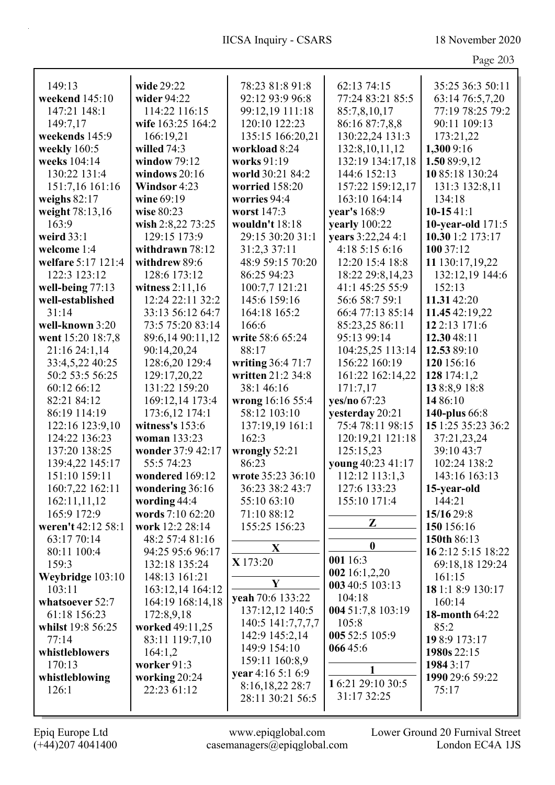Page 203

| 149:13             | wide 29:22        | 78:23 81:8 91:8   | 62:13 74:15       | 35:25 36:3 50:11         |
|--------------------|-------------------|-------------------|-------------------|--------------------------|
| weekend 145:10     | wider 94:22       | 92:12 93:9 96:8   | 77:24 83:21 85:5  | 63:14 76:5,7,20          |
| 147:21 148:1       | 114:22 116:15     | 99:12,19 111:18   | 85:7,8,10,17      | 77:19 78:25 79:2         |
| 149:7,17           | wife 163:25 164:2 | 120:10 122:23     | 86:16 87:7,8,8    | 90:11 109:13             |
| weekends 145:9     | 166:19,21         | 135:15 166:20,21  | 130:22,24 131:3   | 173:21,22                |
| weekly 160:5       | willed $74:3$     | workload 8:24     | 132:8,10,11,12    | 1,300 9:16               |
| weeks 104:14       | window $79:12$    | works 91:19       | 132:19 134:17,18  | 1.50 89:9,12             |
| 130:22 131:4       | windows $20:16$   | world 30:21 84:2  | 144:6 152:13      | 1085:18 130:24           |
| 151:7,16 161:16    | Windsor 4:23      | worried 158:20    | 157:22 159:12,17  | 131:3 132:8,11           |
| weighs $82:17$     | wine 69:19        | worries 94:4      | 163:10 164:14     | 134:18                   |
| weight 78:13,16    | wise 80:23        | worst 147:3       | year's 168:9      | $10-1541:1$              |
| 163:9              | wish 2:8,22 73:25 | wouldn't 18:18    | yearly 100:22     | <b>10-year-old</b> 171:5 |
| weird $33:1$       | 129:15 173:9      | 29:15 30:20 31:1  | years 3:22,24 4:1 | 10.30 1:2 173:17         |
| welcome 1:4        | withdrawn 78:12   | 31:2,3 37:11      | 4:18 5:15 6:16    | 100 37:12                |
| welfare 5:17 121:4 | withdrew 89:6     | 48:9 59:15 70:20  | 12:20 15:4 18:8   | 11 130:17,19,22          |
| 122:3 123:12       | 128:6 173:12      | 86:25 94:23       | 18:22 29:8,14,23  | 132:12,19 144:6          |
| well-being 77:13   | witness $2:11,16$ | 100:7,7 121:21    | 41:1 45:25 55:9   | 152:13                   |
| well-established   | 12:24 22:11 32:2  | 145:6 159:16      | 56:6 58:7 59:1    | 11.31 42:20              |
| 31:14              | 33:13 56:12 64:7  | 164:18 165:2      | 66:4 77:13 85:14  | 11.45 42:19,22           |
| well-known 3:20    | 73:5 75:20 83:14  | 166:6             | 85:23,25 86:11    | 12 2:13 171:6            |
| went 15:20 18:7,8  | 89:6,14 90:11,12  | write 58:6 65:24  | 95:13 99:14       | 12.3048:11               |
| 21:16 24:1,14      | 90:14,20,24       | 88:17             | 104:25,25 113:14  | 12.53 89:10              |
| 33:4,5,22 40:25    | 128:6,20 129:4    | writing 36:4 71:7 | 156:22 160:19     | 120 156:16               |
| 50:2 53:5 56:25    | 129:17,20,22      | written 21:2 34:8 | 161:22 162:14,22  | 128 174:1,2              |
| 60:12 66:12        | 131:22 159:20     | 38:1 46:16        | 171:7,17          | 138:8,918:8              |
| 82:21 84:12        | 169:12,14 173:4   | wrong 16:16 55:4  | yes/no 67:23      | 14 86:10                 |
| 86:19 114:19       | 173:6,12 174:1    | 58:12 103:10      | yesterday 20:21   | 140-plus 66:8            |
| 122:16 123:9,10    | witness's 153:6   | 137:19,19 161:1   | 75:4 78:11 98:15  | 15 1:25 35:23 36:2       |
| 124:22 136:23      | woman 133:23      | 162:3             | 120:19,21 121:18  | 37:21,23,24              |
| 137:20 138:25      | wonder 37:9 42:17 | wrongly 52:21     | 125:15,23         | 39:10 43:7               |
| 139:4,22 145:17    | 55:5 74:23        | 86:23             | young 40:23 41:17 | 102:24 138:2             |
| 151:10 159:11      | wondered 169:12   | wrote 35:23 36:10 | 112:12 113:1,3    | 143:16 163:13            |
| 160:7,22 162:11    | wondering $36:16$ | 36:23 38:2 43:7   | 127:6 133:23      | <b>15-year-old</b>       |
| 162:11,11,12       | wording 44:4      | 55:10 63:10       | 155:10 171:4      | 144:21                   |
| 165:9 172:9        | words 7:10 62:20  | 71:10 88:12       |                   | 15/16 29:8               |
| weren't 42:12 58:1 | work 12:2 28:14   | 155:25 156:23     | Z                 | 150 156:16               |
| 63:17 70:14        | 48:2 57:4 81:16   |                   |                   | 150th 86:13              |
| 80:11 100:4        | 94:25 95:6 96:17  | X                 | $\boldsymbol{0}$  | 162:12 5:15 18:22        |
| 159:3              | 132:18 135:24     | X 173:20          | 001 16:3          | 69:18,18 129:24          |
| Weybridge 103:10   | 148:13 161:21     |                   | 002 16:1,2,20     | 161:15                   |
| 103:11             | 163:12,14 164:12  | Y                 | 003 40:5 103:13   | 18 1:1 8:9 130:17        |
| whatsoever 52:7    | 164:19 168:14,18  | yeah 70:6 133:22  | 104:18            | 160:14                   |
| 61:18 156:23       | 172:8,9,18        | 137:12,12 140:5   | 004 51:7,8 103:19 | <b>18-month 64:22</b>    |
| whilst 19:8 56:25  | worked 49:11,25   | 140:5 141:7,7,7,7 | 105:8             | 85:2                     |
| 77:14              | 83:11 119:7,10    | 142:9 145:2,14    | 005 52:5 105:9    | 198:9 173:17             |
| whistleblowers     | 164:1,2           | 149:9 154:10      | 06645:6           | 1980s 22:15              |
| 170:13             | worker 91:3       | 159:11 160:8,9    | 1                 | 19843:17                 |
| whistleblowing     | working 20:24     | year 4:16 5:1 6:9 |                   | 1990 29:6 59:22          |
| 126:1              | 22:23 61:12       | 8:16,18,22 28:7   | 16:21 29:10 30:5  | 75:17                    |
|                    |                   | 28:11 30:21 56:5  | 31:17 32:25       |                          |
|                    |                   |                   |                   |                          |

(+44)207 4041400 casemanagers@epiqglobal.com London EC4A 1JS Epiq Europe Ltd www.epiqglobal.com Lower Ground 20 Furnival Street